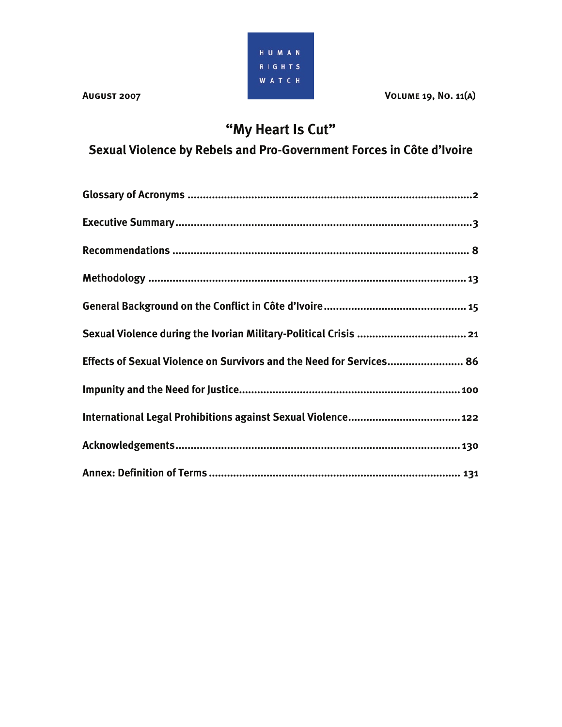

**AUGUST 2007** 2007 2007 2008 2010 2010 2011 2012 2020 2021 2031 2040 2051 2061 2071 2081 2091 2012 2013 2014 2015

# **"My Heart Is Cut"**

**Sexual Violence by Rebels and Pro-Government Forces in Côte d'Ivoire** 

| Effects of Sexual Violence on Survivors and the Need for Services 86 |
|----------------------------------------------------------------------|
|                                                                      |
|                                                                      |
|                                                                      |
|                                                                      |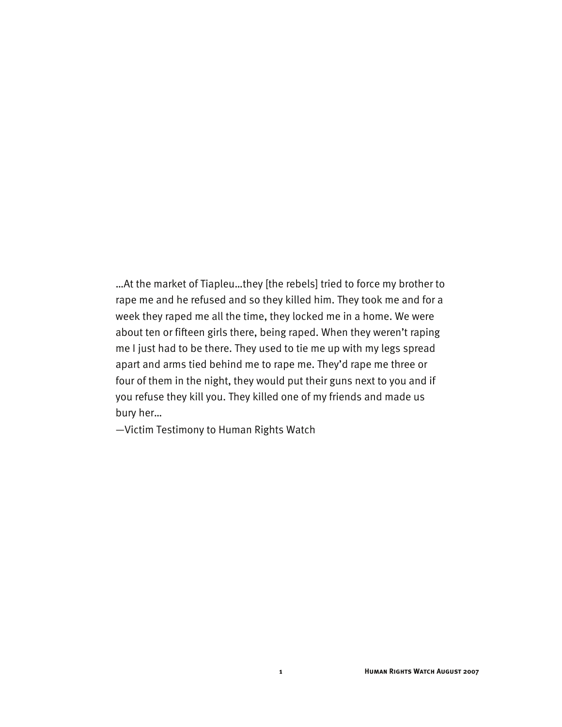…At the market of Tiapleu…they [the rebels] tried to force my brother to rape me and he refused and so they killed him. They took me and for a week they raped me all the time, they locked me in a home. We were about ten or fifteen girls there, being raped. When they weren't raping me I just had to be there. They used to tie me up with my legs spread apart and arms tied behind me to rape me. They'd rape me three or four of them in the night, they would put their guns next to you and if you refuse they kill you. They killed one of my friends and made us bury her…

—Victim Testimony to Human Rights Watch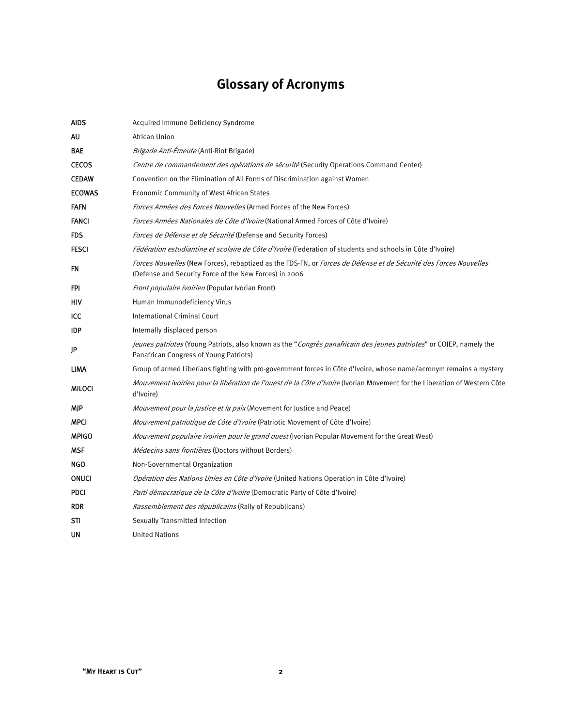# **Glossary of Acronyms**

| <b>AIDS</b>   | Acquired Immune Deficiency Syndrome                                                                                                                                           |
|---------------|-------------------------------------------------------------------------------------------------------------------------------------------------------------------------------|
| AU            | African Union                                                                                                                                                                 |
| BAE           | <i>Brigade Anti-Émeute</i> (Anti-Riot Brigade)                                                                                                                                |
| <b>CECOS</b>  | Centre de commandement des opérations de sécurité (Security Operations Command Center)                                                                                        |
| <b>CEDAW</b>  | Convention on the Elimination of All Forms of Discrimination against Women                                                                                                    |
| <b>ECOWAS</b> | <b>Economic Community of West African States</b>                                                                                                                              |
| <b>FAFN</b>   | Forces Armées des Forces Nouvelles (Armed Forces of the New Forces)                                                                                                           |
| <b>FANCI</b>  | Forces Armées Nationales de Côte d'Ivoire (National Armed Forces of Côte d'Ivoire)                                                                                            |
| <b>FDS</b>    | <i>Forces de Défense et de Sécurité</i> (Defense and Security Forces)                                                                                                         |
| <b>FESCI</b>  | Fédération estudiantine et scolaire de Côte d'Ivoire (Federation of students and schools in Côte d'Ivoire)                                                                    |
| FN            | Forces Nouvelles (New Forces), rebaptized as the FDS-FN, or Forces de Défense et de Sécurité des Forces Nouvelles<br>(Defense and Security Force of the New Forces) in 2006   |
| FPI           | Front populaire ivoirien (Popular Ivorian Front)                                                                                                                              |
| HIV           | Human Immunodeficiency Virus                                                                                                                                                  |
| ICC           | <b>International Criminal Court</b>                                                                                                                                           |
| <b>IDP</b>    | Internally displaced person                                                                                                                                                   |
| JP            | <i>Jeunes patriotes</i> (Young Patriots, also known as the " <i>Congrès panafricain des jeunes patriotes</i> " or COJEP, namely the<br>Panafrican Congress of Young Patriots) |
| LIMA          | Group of armed Liberians fighting with pro-government forces in Côte d'Ivoire, whose name/acronym remains a mystery                                                           |
| MILOCI        | Mouvement ivoirien pour la libération de l'ouest de la Côte d'Ivoire (Ivorian Movement for the Liberation of Western Côte<br>d'Ivoire)                                        |
| MJP           | <i>Mouvement pour la justice et la paix</i> (Movement for Justice and Peace)                                                                                                  |
| <b>MPCI</b>   | Mouvement patriotique de Côte d'Ivoire (Patriotic Movement of Côte d'Ivoire)                                                                                                  |
| <b>MPIGO</b>  | <i>Mouvement populaire ivoirien pour le grand ouest</i> (Ivorian Popular Movement for the Great West)                                                                         |
| MSF           | <i>Médecins sans frontières</i> (Doctors without Borders)                                                                                                                     |
| NGO           | Non-Governmental Organization                                                                                                                                                 |
| <b>ONUCI</b>  | <i>Opération des Nations Unies en Côte d'Ivoire</i> (United Nations Operation in Côte d'Ivoire)                                                                               |
| <b>PDCI</b>   | Parti démocratique de la Côte d'Ivoire (Democratic Party of Côte d'Ivoire)                                                                                                    |
| <b>RDR</b>    | <i>Rassemblement des républicains</i> (Rally of Republicans)                                                                                                                  |
| STI           | Sexually Transmitted Infection                                                                                                                                                |
| UN            | <b>United Nations</b>                                                                                                                                                         |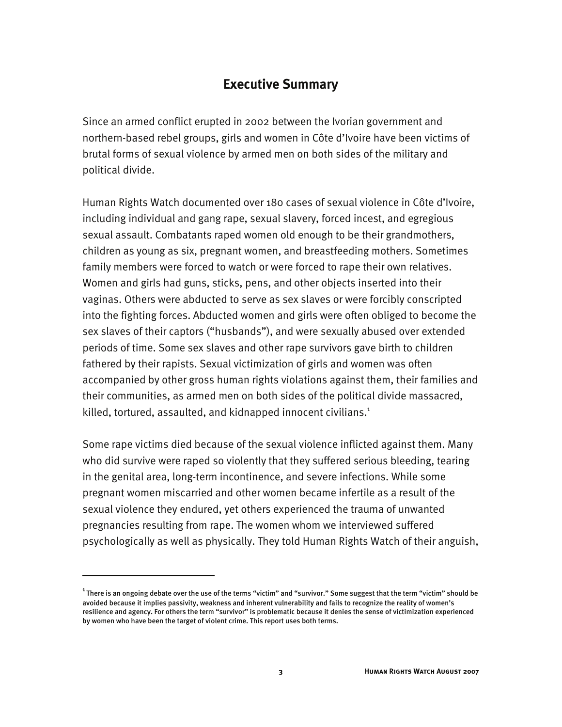### **Executive Summary**

Since an armed conflict erupted in 2002 between the Ivorian government and northern-based rebel groups, girls and women in Côte d'Ivoire have been victims of brutal forms of sexual violence by armed men on both sides of the military and political divide.

Human Rights Watch documented over 180 cases of sexual violence in Côte d'Ivoire, including individual and gang rape, sexual slavery, forced incest, and egregious sexual assault. Combatants raped women old enough to be their grandmothers, children as young as six, pregnant women, and breastfeeding mothers. Sometimes family members were forced to watch or were forced to rape their own relatives. Women and girls had guns, sticks, pens, and other objects inserted into their vaginas. Others were abducted to serve as sex slaves or were forcibly conscripted into the fighting forces. Abducted women and girls were often obliged to become the sex slaves of their captors ("husbands"), and were sexually abused over extended periods of time. Some sex slaves and other rape survivors gave birth to children fathered by their rapists. Sexual victimization of girls and women was often accompanied by other gross human rights violations against them, their families and their communities, as armed men on both sides of the political divide massacred, killed, tortured, assaulted, and kidnapped innocent civilians.<sup>1</sup>

Some rape victims died because of the sexual violence inflicted against them. Many who did survive were raped so violently that they suffered serious bleeding, tearing in the genital area, long-term incontinence, and severe infections. While some pregnant women miscarried and other women became infertile as a result of the sexual violence they endured, yet others experienced the trauma of unwanted pregnancies resulting from rape. The women whom we interviewed suffered psychologically as well as physically. They told Human Rights Watch of their anguish,

**<sup>1</sup>**There is an ongoing debate over the use of the terms "victim" and "survivor." Some suggest that the term "victim" should be avoided because it implies passivity, weakness and inherent vulnerability and fails to recognize the reality of women's resilience and agency. For others the term "survivor" is problematic because it denies the sense of victimization experienced by women who have been the target of violent crime. This report uses both terms.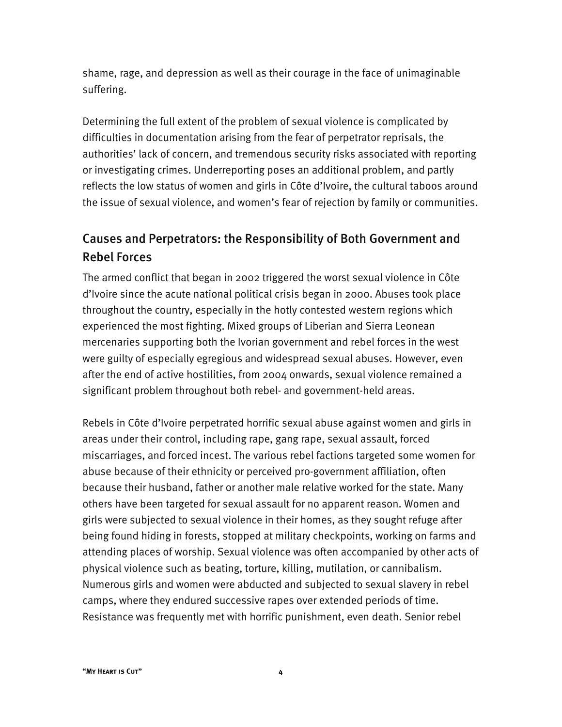shame, rage, and depression as well as their courage in the face of unimaginable suffering.

Determining the full extent of the problem of sexual violence is complicated by difficulties in documentation arising from the fear of perpetrator reprisals, the authorities' lack of concern, and tremendous security risks associated with reporting or investigating crimes. Underreporting poses an additional problem, and partly reflects the low status of women and girls in Côte d'Ivoire, the cultural taboos around the issue of sexual violence, and women's fear of rejection by family or communities.

# Causes and Perpetrators: the Responsibility of Both Government and Rebel Forces

The armed conflict that began in 2002 triggered the worst sexual violence in Côte d'Ivoire since the acute national political crisis began in 2000. Abuses took place throughout the country, especially in the hotly contested western regions which experienced the most fighting. Mixed groups of Liberian and Sierra Leonean mercenaries supporting both the Ivorian government and rebel forces in the west were guilty of especially egregious and widespread sexual abuses. However, even after the end of active hostilities, from 2004 onwards, sexual violence remained a significant problem throughout both rebel- and government-held areas.

Rebels in Côte d'Ivoire perpetrated horrific sexual abuse against women and girls in areas under their control, including rape, gang rape, sexual assault, forced miscarriages, and forced incest. The various rebel factions targeted some women for abuse because of their ethnicity or perceived pro-government affiliation, often because their husband, father or another male relative worked for the state. Many others have been targeted for sexual assault for no apparent reason. Women and girls were subjected to sexual violence in their homes, as they sought refuge after being found hiding in forests, stopped at military checkpoints, working on farms and attending places of worship. Sexual violence was often accompanied by other acts of physical violence such as beating, torture, killing, mutilation, or cannibalism. Numerous girls and women were abducted and subjected to sexual slavery in rebel camps, where they endured successive rapes over extended periods of time. Resistance was frequently met with horrific punishment, even death. Senior rebel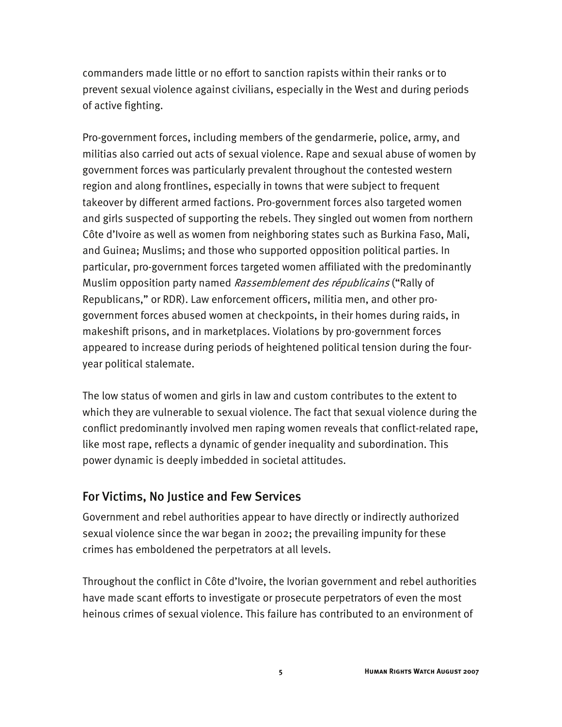commanders made little or no effort to sanction rapists within their ranks or to prevent sexual violence against civilians, especially in the West and during periods of active fighting.

Pro-government forces, including members of the gendarmerie, police, army, and militias also carried out acts of sexual violence. Rape and sexual abuse of women by government forces was particularly prevalent throughout the contested western region and along frontlines, especially in towns that were subject to frequent takeover by different armed factions. Pro-government forces also targeted women and girls suspected of supporting the rebels. They singled out women from northern Côte d'Ivoire as well as women from neighboring states such as Burkina Faso, Mali, and Guinea; Muslims; and those who supported opposition political parties. In particular, pro-government forces targeted women affiliated with the predominantly Muslim opposition party named *Rassemblement des républicains* ("Rally of Republicans," or RDR). Law enforcement officers, militia men, and other progovernment forces abused women at checkpoints, in their homes during raids, in makeshift prisons, and in marketplaces. Violations by pro-government forces appeared to increase during periods of heightened political tension during the fouryear political stalemate.

The low status of women and girls in law and custom contributes to the extent to which they are vulnerable to sexual violence. The fact that sexual violence during the conflict predominantly involved men raping women reveals that conflict-related rape, like most rape, reflects a dynamic of gender inequality and subordination. This power dynamic is deeply imbedded in societal attitudes.

#### For Victims, No Justice and Few Services

Government and rebel authorities appear to have directly or indirectly authorized sexual violence since the war began in 2002; the prevailing impunity for these crimes has emboldened the perpetrators at all levels.

Throughout the conflict in Côte d'Ivoire, the Ivorian government and rebel authorities have made scant efforts to investigate or prosecute perpetrators of even the most heinous crimes of sexual violence. This failure has contributed to an environment of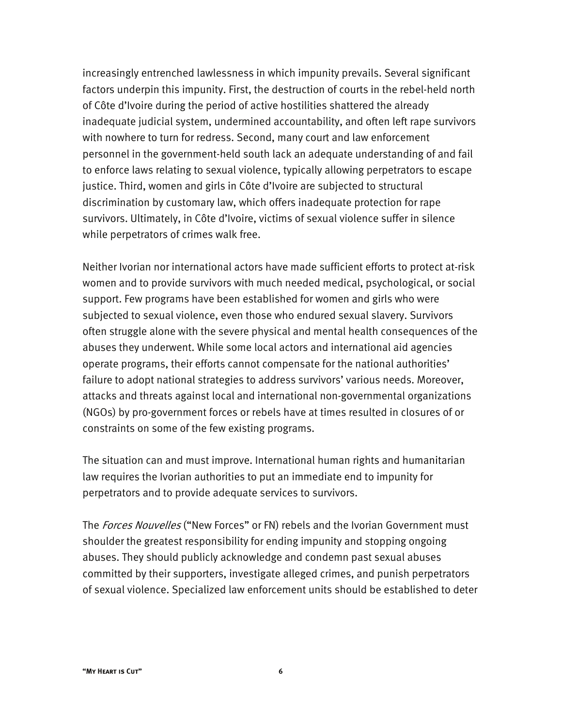increasingly entrenched lawlessness in which impunity prevails. Several significant factors underpin this impunity. First, the destruction of courts in the rebel-held north of Côte d'Ivoire during the period of active hostilities shattered the already inadequate judicial system, undermined accountability, and often left rape survivors with nowhere to turn for redress. Second, many court and law enforcement personnel in the government-held south lack an adequate understanding of and fail to enforce laws relating to sexual violence, typically allowing perpetrators to escape justice. Third, women and girls in Côte d'Ivoire are subjected to structural discrimination by customary law, which offers inadequate protection for rape survivors. Ultimately, in Côte d'Ivoire, victims of sexual violence suffer in silence while perpetrators of crimes walk free.

Neither Ivorian nor international actors have made sufficient efforts to protect at-risk women and to provide survivors with much needed medical, psychological, or social support. Few programs have been established for women and girls who were subjected to sexual violence, even those who endured sexual slavery. Survivors often struggle alone with the severe physical and mental health consequences of the abuses they underwent. While some local actors and international aid agencies operate programs, their efforts cannot compensate for the national authorities' failure to adopt national strategies to address survivors' various needs. Moreover, attacks and threats against local and international non-governmental organizations (NGOs) by pro-government forces or rebels have at times resulted in closures of or constraints on some of the few existing programs.

The situation can and must improve. International human rights and humanitarian law requires the Ivorian authorities to put an immediate end to impunity for perpetrators and to provide adequate services to survivors.

The Forces Nouvelles ("New Forces" or FN) rebels and the Ivorian Government must shoulder the greatest responsibility for ending impunity and stopping ongoing abuses. They should publicly acknowledge and condemn past sexual abuses committed by their supporters, investigate alleged crimes, and punish perpetrators of sexual violence. Specialized law enforcement units should be established to deter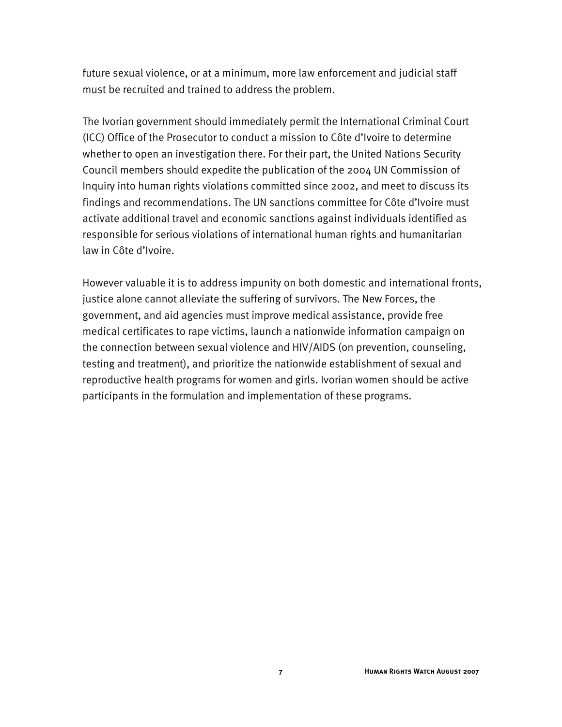future sexual violence, or at a minimum, more law enforcement and judicial staff must be recruited and trained to address the problem.

The Ivorian government should immediately permit the International Criminal Court (ICC) Office of the Prosecutor to conduct a mission to Côte d'Ivoire to determine whether to open an investigation there. For their part, the United Nations Security Council members should expedite the publication of the 2004 UN Commission of Inquiry into human rights violations committed since 2002, and meet to discuss its findings and recommendations. The UN sanctions committee for Côte d'Ivoire must activate additional travel and economic sanctions against individuals identified as responsible for serious violations of international human rights and humanitarian law in Côte d'Ivoire.

However valuable it is to address impunity on both domestic and international fronts, justice alone cannot alleviate the suffering of survivors. The New Forces, the government, and aid agencies must improve medical assistance, provide free medical certificates to rape victims, launch a nationwide information campaign on the connection between sexual violence and HIV/AIDS (on prevention, counseling, testing and treatment), and prioritize the nationwide establishment of sexual and reproductive health programs for women and girls. Ivorian women should be active participants in the formulation and implementation of these programs.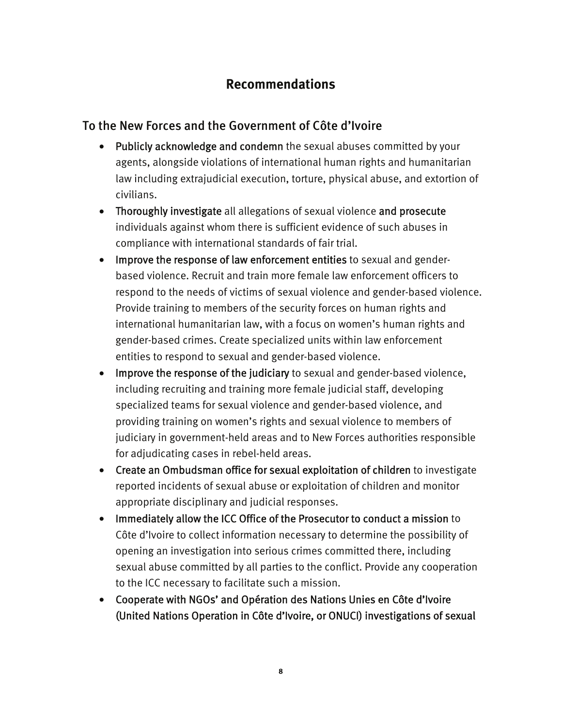## **Recommendations**

### To the New Forces and the Government of Côte d'Ivoire

- Publicly acknowledge and condemn the sexual abuses committed by your agents, alongside violations of international human rights and humanitarian law including extrajudicial execution, torture, physical abuse, and extortion of civilians.
- Thoroughly investigate all allegations of sexual violence and prosecute individuals against whom there is sufficient evidence of such abuses in compliance with international standards of fair trial.
- Improve the response of law enforcement entities to sexual and genderbased violence. Recruit and train more female law enforcement officers to respond to the needs of victims of sexual violence and gender-based violence. Provide training to members of the security forces on human rights and international humanitarian law, with a focus on women's human rights and gender-based crimes. Create specialized units within law enforcement entities to respond to sexual and gender-based violence.
- Improve the response of the judiciary to sexual and gender-based violence, including recruiting and training more female judicial staff, developing specialized teams for sexual violence and gender-based violence, and providing training on women's rights and sexual violence to members of judiciary in government-held areas and to New Forces authorities responsible for adjudicating cases in rebel-held areas.
- Create an Ombudsman office for sexual exploitation of children to investigate reported incidents of sexual abuse or exploitation of children and monitor appropriate disciplinary and judicial responses.
- Immediately allow the ICC Office of the Prosecutor to conduct a mission to Côte d'Ivoire to collect information necessary to determine the possibility of opening an investigation into serious crimes committed there, including sexual abuse committed by all parties to the conflict. Provide any cooperation to the ICC necessary to facilitate such a mission.
- Cooperate with NGOs' and Opération des Nations Unies en Côte d'Ivoire (United Nations Operation in Côte d'Ivoire, or ONUCI) investigations of sexual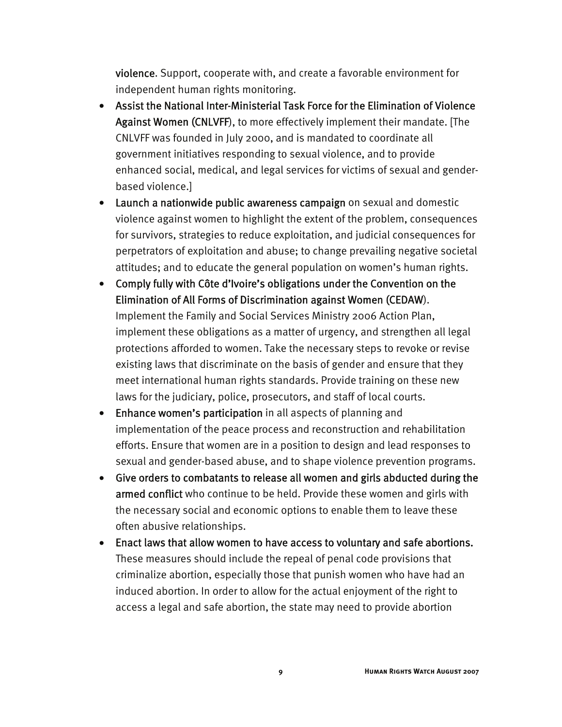violence. Support, cooperate with, and create a favorable environment for independent human rights monitoring.

- Assist the National Inter-Ministerial Task Force for the Elimination of Violence Against Women (CNLVFF), to more effectively implement their mandate. [The CNLVFF was founded in July 2000, and is mandated to coordinate all government initiatives responding to sexual violence, and to provide enhanced social, medical, and legal services for victims of sexual and genderbased violence.]
- Launch a nationwide public awareness campaign on sexual and domestic violence against women to highlight the extent of the problem, consequences for survivors, strategies to reduce exploitation, and judicial consequences for perpetrators of exploitation and abuse; to change prevailing negative societal attitudes; and to educate the general population on women's human rights.
- Comply fully with Côte d'Ivoire's obligations under the Convention on the Elimination of All Forms of Discrimination against Women (CEDAW). Implement the Family and Social Services Ministry 2006 Action Plan, implement these obligations as a matter of urgency, and strengthen all legal protections afforded to women. Take the necessary steps to revoke or revise existing laws that discriminate on the basis of gender and ensure that they meet international human rights standards. Provide training on these new laws for the judiciary, police, prosecutors, and staff of local courts.
- Enhance women's participation in all aspects of planning and implementation of the peace process and reconstruction and rehabilitation efforts. Ensure that women are in a position to design and lead responses to sexual and gender-based abuse, and to shape violence prevention programs.
- Give orders to combatants to release all women and girls abducted during the armed conflict who continue to be held. Provide these women and girls with the necessary social and economic options to enable them to leave these often abusive relationships.
- Enact laws that allow women to have access to voluntary and safe abortions. These measures should include the repeal of penal code provisions that criminalize abortion, especially those that punish women who have had an induced abortion. In order to allow for the actual enjoyment of the right to access a legal and safe abortion, the state may need to provide abortion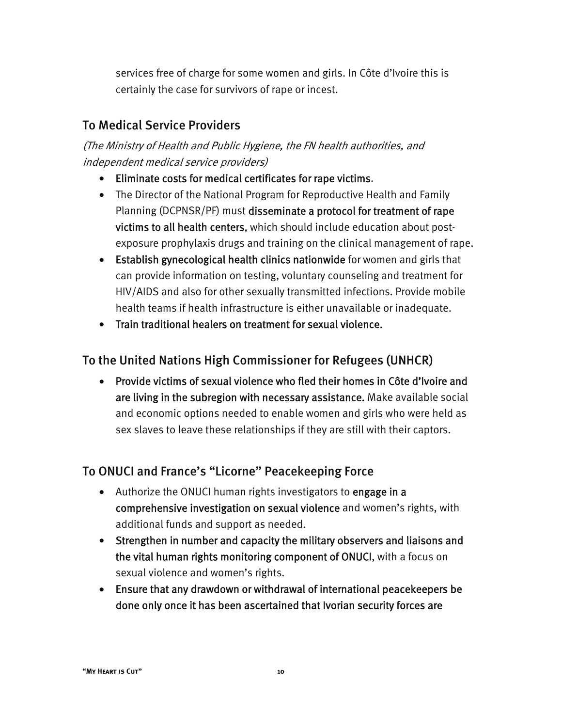services free of charge for some women and girls. In Côte d'Ivoire this is certainly the case for survivors of rape or incest.

# To Medical Service Providers

(The Ministry of Health and Public Hygiene, the FN health authorities, and independent medical service providers)

- Eliminate costs for medical certificates for rape victims.
- The Director of the National Program for Reproductive Health and Family Planning (DCPNSR/PF) must disseminate a protocol for treatment of rape victims to all health centers, which should include education about postexposure prophylaxis drugs and training on the clinical management of rape.
- Establish gynecological health clinics nationwide for women and girls that can provide information on testing, voluntary counseling and treatment for HIV/AIDS and also for other sexually transmitted infections. Provide mobile health teams if health infrastructure is either unavailable or inadequate.
- Train traditional healers on treatment for sexual violence.

### To the United Nations High Commissioner for Refugees (UNHCR)

• Provide victims of sexual violence who fled their homes in Côte d'Ivoire and are living in the subregion with necessary assistance. Make available social and economic options needed to enable women and girls who were held as sex slaves to leave these relationships if they are still with their captors.

### To ONUCI and France's "Licorne" Peacekeeping Force

- Authorize the ONUCI human rights investigators to engage in a comprehensive investigation on sexual violence and women's rights, with additional funds and support as needed.
- Strengthen in number and capacity the military observers and liaisons and the vital human rights monitoring component of ONUCI, with a focus on sexual violence and women's rights.
- Ensure that any drawdown or withdrawal of international peacekeepers be done only once it has been ascertained that Ivorian security forces are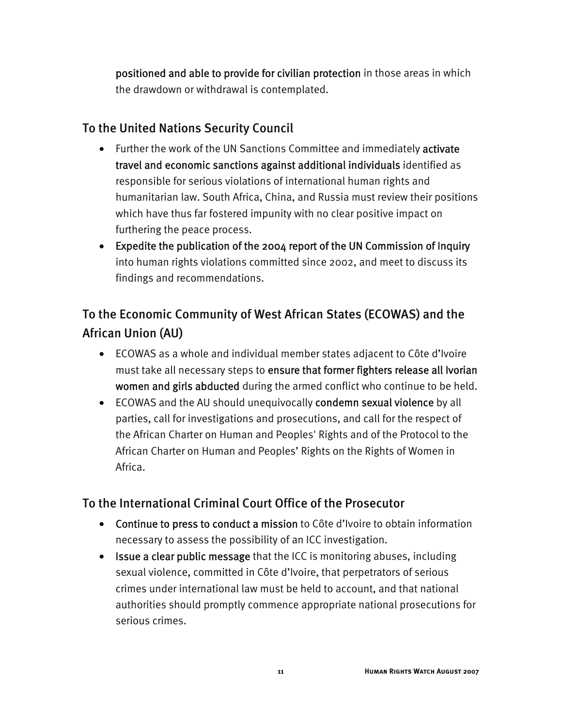positioned and able to provide for civilian protection in those areas in which the drawdown or withdrawal is contemplated.

### To the United Nations Security Council

- Further the work of the UN Sanctions Committee and immediately activate travel and economic sanctions against additional individuals identified as responsible for serious violations of international human rights and humanitarian law. South Africa, China, and Russia must review their positions which have thus far fostered impunity with no clear positive impact on furthering the peace process.
- Expedite the publication of the 2004 report of the UN Commission of Inquiry into human rights violations committed since 2002, and meet to discuss its findings and recommendations.

# To the Economic Community of West African States (ECOWAS) and the African Union (AU)

- ECOWAS as a whole and individual member states adjacent to Côte d'Ivoire must take all necessary steps to ensure that former fighters release all Ivorian women and girls abducted during the armed conflict who continue to be held.
- ECOWAS and the AU should unequivocally condemn sexual violence by all parties, call for investigations and prosecutions, and call for the respect of the African Charter on Human and Peoples' Rights and of the Protocol to the African Charter on Human and Peoples' Rights on the Rights of Women in Africa.

### To the International Criminal Court Office of the Prosecutor

- Continue to press to conduct a mission to Côte d'Ivoire to obtain information necessary to assess the possibility of an ICC investigation.
- Issue a clear public message that the ICC is monitoring abuses, including sexual violence, committed in Côte d'Ivoire, that perpetrators of serious crimes under international law must be held to account, and that national authorities should promptly commence appropriate national prosecutions for serious crimes.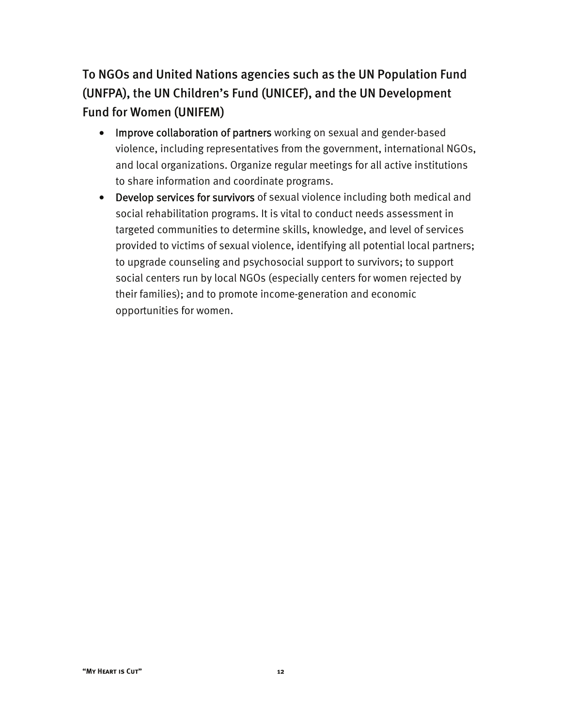To NGOs and United Nations agencies such as the UN Population Fund (UNFPA), the UN Children's Fund (UNICEF), and the UN Development Fund for Women (UNIFEM)

- Improve collaboration of partners working on sexual and gender-based violence, including representatives from the government, international NGOs, and local organizations. Organize regular meetings for all active institutions to share information and coordinate programs.
- Develop services for survivors of sexual violence including both medical and social rehabilitation programs. It is vital to conduct needs assessment in targeted communities to determine skills, knowledge, and level of services provided to victims of sexual violence, identifying all potential local partners; to upgrade counseling and psychosocial support to survivors; to support social centers run by local NGOs (especially centers for women rejected by their families); and to promote income-generation and economic opportunities for women.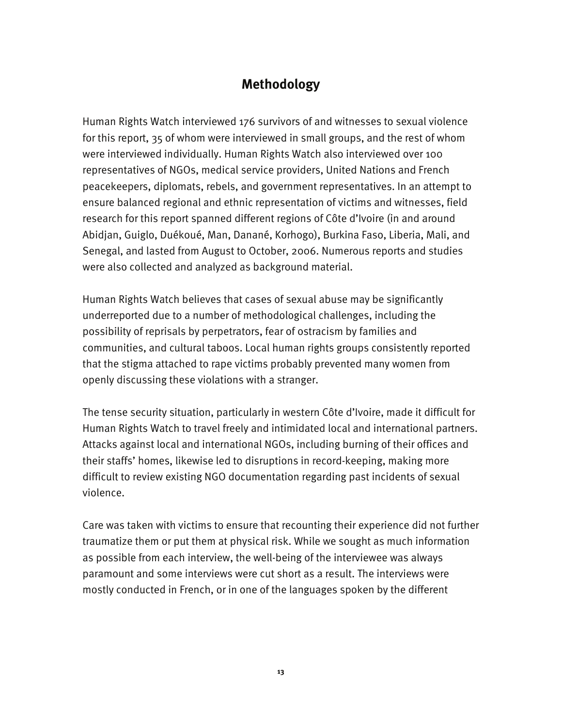# **Methodology**

Human Rights Watch interviewed 176 survivors of and witnesses to sexual violence for this report, 35 of whom were interviewed in small groups, and the rest of whom were interviewed individually. Human Rights Watch also interviewed over 100 representatives of NGOs, medical service providers, United Nations and French peacekeepers, diplomats, rebels, and government representatives. In an attempt to ensure balanced regional and ethnic representation of victims and witnesses, field research for this report spanned different regions of Côte d'Ivoire (in and around Abidjan, Guiglo, Duékoué, Man, Danané, Korhogo), Burkina Faso, Liberia, Mali, and Senegal, and lasted from August to October, 2006. Numerous reports and studies were also collected and analyzed as background material.

Human Rights Watch believes that cases of sexual abuse may be significantly underreported due to a number of methodological challenges, including the possibility of reprisals by perpetrators, fear of ostracism by families and communities, and cultural taboos. Local human rights groups consistently reported that the stigma attached to rape victims probably prevented many women from openly discussing these violations with a stranger.

The tense security situation, particularly in western Côte d'Ivoire, made it difficult for Human Rights Watch to travel freely and intimidated local and international partners. Attacks against local and international NGOs, including burning of their offices and their staffs' homes, likewise led to disruptions in record-keeping, making more difficult to review existing NGO documentation regarding past incidents of sexual violence.

Care was taken with victims to ensure that recounting their experience did not further traumatize them or put them at physical risk. While we sought as much information as possible from each interview, the well-being of the interviewee was always paramount and some interviews were cut short as a result. The interviews were mostly conducted in French, or in one of the languages spoken by the different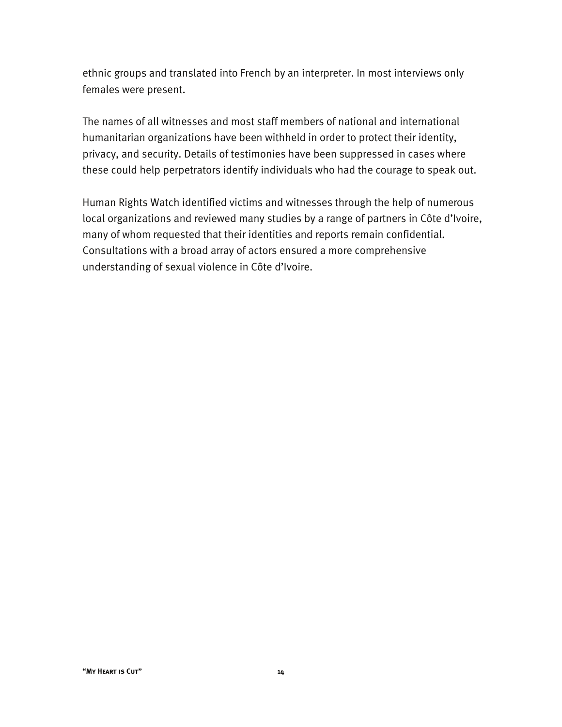ethnic groups and translated into French by an interpreter. In most interviews only females were present.

The names of all witnesses and most staff members of national and international humanitarian organizations have been withheld in order to protect their identity, privacy, and security. Details of testimonies have been suppressed in cases where these could help perpetrators identify individuals who had the courage to speak out.

Human Rights Watch identified victims and witnesses through the help of numerous local organizations and reviewed many studies by a range of partners in Côte d'Ivoire, many of whom requested that their identities and reports remain confidential. Consultations with a broad array of actors ensured a more comprehensive understanding of sexual violence in Côte d'Ivoire.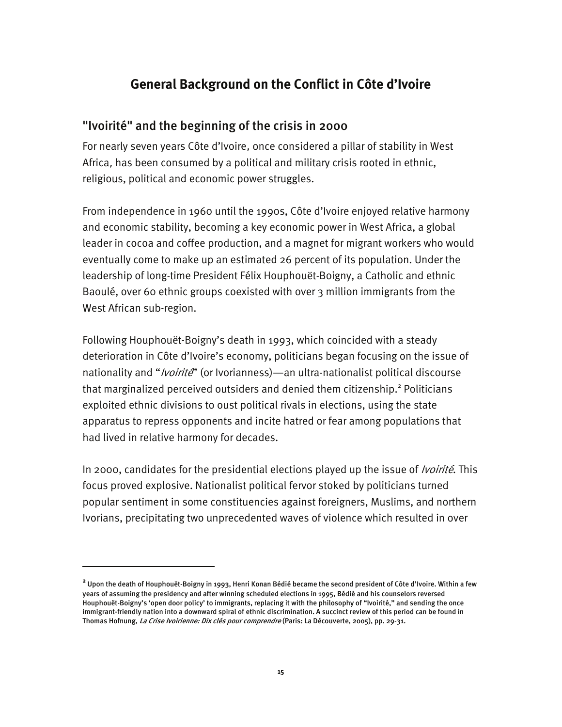### **General Background on the Conflict in Côte d'Ivoire**

### "Ivoirité" and the beginning of the crisis in 2000

For nearly seven years Côte d'Ivoire, once considered a pillar of stability in West Africa, has been consumed by a political and military crisis rooted in ethnic, religious, political and economic power struggles.

From independence in 1960 until the 1990s, Côte d'Ivoire enjoyed relative harmony and economic stability, becoming a key economic power in West Africa, a global leader in cocoa and coffee production, and a magnet for migrant workers who would eventually come to make up an estimated 26 percent of its population. Under the leadership of long-time President Félix Houphouët-Boigny, a Catholic and ethnic Baoulé, over 60 ethnic groups coexisted with over 3 million immigrants from the West African sub-region.

Following Houphouët-Boigny's death in 1993, which coincided with a steady deterioration in Côte d'Ivoire's economy, politicians began focusing on the issue of nationality and "*Ivoirité*" (or Ivorianness)—an ultra-nationalist political discourse that marginalized perceived outsiders and denied them citizenship.<sup>2</sup> Politicians exploited ethnic divisions to oust political rivals in elections, using the state apparatus to repress opponents and incite hatred or fear among populations that had lived in relative harmony for decades.

In 2000, candidates for the presidential elections played up the issue of *Ivoirité*. This focus proved explosive. Nationalist political fervor stoked by politicians turned popular sentiment in some constituencies against foreigners, Muslims, and northern Ivorians, precipitating two unprecedented waves of violence which resulted in over

-

**<sup>2</sup>** Upon the death of Houphouët-Boigny in 1993, Henri Konan Bédié became the second president of Côte d'Ivoire. Within a few years of assuming the presidency and after winning scheduled elections in 1995, Bédié and his counselors reversed Houphouët-Boigny's 'open door policy' to immigrants, replacing it with the philosophy of "Ivoirité," and sending the once immigrant-friendly nation into a downward spiral of ethnic discrimination. A succinct review of this period can be found in Thomas Hofnung, La Crise Ivoirienne: Dix clés pour comprendre (Paris: La Découverte, 2005), pp. 29-31.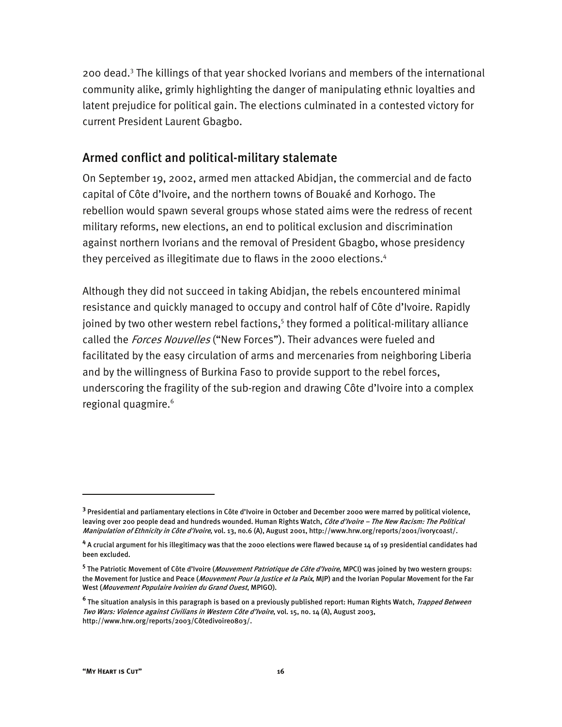200 dead.<sup>3</sup> The killings of that year shocked Ivorians and members of the international community alike, grimly highlighting the danger of manipulating ethnic loyalties and latent prejudice for political gain. The elections culminated in a contested victory for current President Laurent Gbagbo.

#### Armed conflict and political-military stalemate

On September 19, 2002, armed men attacked Abidjan, the commercial and de facto capital of Côte d'Ivoire, and the northern towns of Bouaké and Korhogo. The rebellion would spawn several groups whose stated aims were the redress of recent military reforms, new elections, an end to political exclusion and discrimination against northern Ivorians and the removal of President Gbagbo, whose presidency they perceived as illegitimate due to flaws in the 2000 elections.<sup>4</sup>

Although they did not succeed in taking Abidjan, the rebels encountered minimal resistance and quickly managed to occupy and control half of Côte d'Ivoire. Rapidly joined by two other western rebel factions,<sup>5</sup> they formed a political-military alliance called the *Forces Nouvelles* ("New Forces"). Their advances were fueled and facilitated by the easy circulation of arms and mercenaries from neighboring Liberia and by the willingness of Burkina Faso to provide support to the rebel forces, underscoring the fragility of the sub-region and drawing Côte d'Ivoire into a complex regional quagmire.<sup>6</sup>

**<sup>3</sup>** Presidential and parliamentary elections in Côte d'Ivoire in October and December 2000 were marred by political violence, leaving over 200 people dead and hundreds wounded. Human Rights Watch, Côte d'Ivoire - The New Racism: The Political Manipulation of Ethnicity in Côte d'Ivoire, vol. 13, no.6 (A), August 2001, http://www.hrw.org/reports/2001/ivorycoast/.

**<sup>4</sup>** A crucial argument for his illegitimacy was that the 2000 elections were flawed because 14 of 19 presidential candidates had been excluded.

<sup>&</sup>lt;sup>5</sup> The Patriotic Movement of Côte d'Ivoire (*Mouvement Patriotique de Côte d'Ivoire*, MPCI) was joined by two western groups: the Movement for Justice and Peace (*Mouvement Pour la Justice et la Paix*, MJP) and the Ivorian Popular Movement for the Far West (Mouvement Populaire Ivoirien du Grand Ouest, MPIGO).

**<sup>6</sup>** The situation analysis in this paragraph is based on a previously published report: Human Rights Watch, Trapped Between Two Wars: Violence against Civilians in Western Côte d'Ivoire, vol. 15, no. 14 (A), August 2003, http://www.hrw.org/reports/2003/Côtedivoire0803/.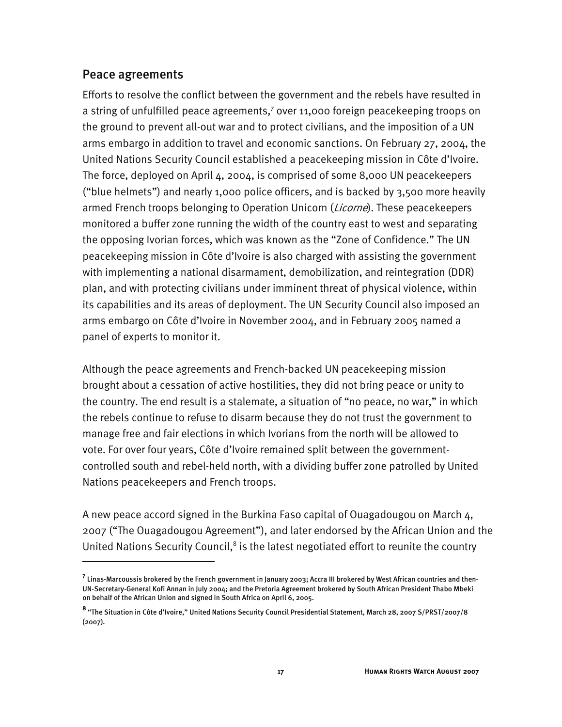#### Peace agreements

-

Efforts to resolve the conflict between the government and the rebels have resulted in a string of unfulfilled peace agreements, $7$  over 11,000 foreign peacekeeping troops on the ground to prevent all-out war and to protect civilians, and the imposition of a UN arms embargo in addition to travel and economic sanctions. On February 27, 2004, the United Nations Security Council established a peacekeeping mission in Côte d'Ivoire. The force, deployed on April 4, 2004, is comprised of some 8,000 UN peacekeepers ("blue helmets") and nearly 1,000 police officers, and is backed by 3,500 more heavily armed French troops belonging to Operation Unicorn (*Licorne*). These peacekeepers monitored a buffer zone running the width of the country east to west and separating the opposing Ivorian forces, which was known as the "Zone of Confidence." The UN peacekeeping mission in Côte d'Ivoire is also charged with assisting the government with implementing a national disarmament, demobilization, and reintegration (DDR) plan, and with protecting civilians under imminent threat of physical violence, within its capabilities and its areas of deployment. The UN Security Council also imposed an arms embargo on Côte d'Ivoire in November 2004, and in February 2005 named a panel of experts to monitor it.

Although the peace agreements and French-backed UN peacekeeping mission brought about a cessation of active hostilities, they did not bring peace or unity to the country. The end result is a stalemate, a situation of "no peace, no war," in which the rebels continue to refuse to disarm because they do not trust the government to manage free and fair elections in which Ivorians from the north will be allowed to vote. For over four years, Côte d'Ivoire remained split between the governmentcontrolled south and rebel-held north, with a dividing buffer zone patrolled by United Nations peacekeepers and French troops.

A new peace accord signed in the Burkina Faso capital of Ouagadougou on March 4, 2007 ("The Ouagadougou Agreement"), and later endorsed by the African Union and the United Nations Security Council,<sup>8</sup> is the latest negotiated effort to reunite the country

**<sup>7</sup>** Linas-Marcoussis brokered by the French government in January 2003; Accra III brokered by West African countries and then-UN-Secretary-General Kofi Annan in July 2004; and the Pretoria Agreement brokered by South African President Thabo Mbeki on behalf of the African Union and signed in South Africa on April 6, 2005.

**<sup>8</sup>** "The Situation in Côte d'Ivoire," United Nations Security Council Presidential Statement, March 28, 2007 S/PRST/2007/8 (2007).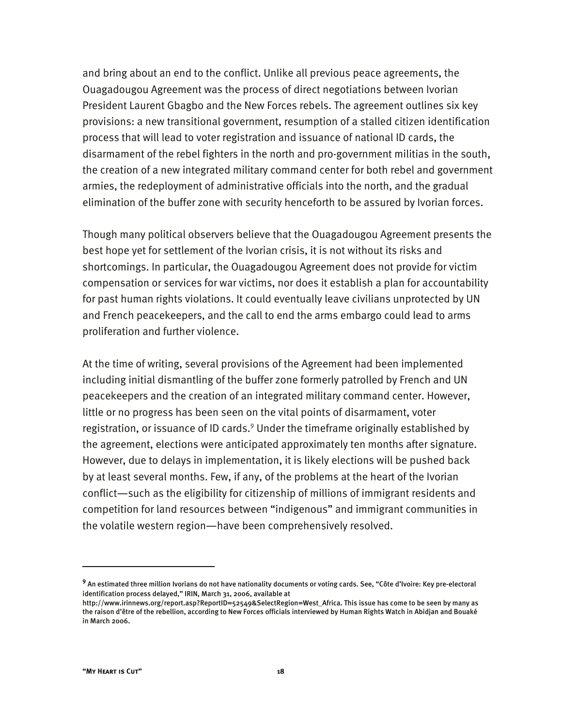and bring about an end to the conflict. Unlike all previous peace agreements, the Ouagadougou Agreement was the process of direct negotiations between Ivorian President Laurent Gbagbo and the New Forces rebels. The agreement outlines six key provisions: a new transitional government, resumption of a stalled citizen identification process that will lead to voter registration and issuance of national ID cards, the disarmament of the rebel fighters in the north and pro-government militias in the south, the creation of a new integrated military command center for both rebel and government armies, the redeployment of administrative officials into the north, and the gradual elimination of the buffer zone with security henceforth to be assured by Ivorian forces.

Though many political observers believe that the Ouagadougou Agreement presents the best hope yet for settlement of the Ivorian crisis, it is not without its risks and shortcomings. In particular, the Ouagadougou Agreement does not provide for victim compensation or services for war victims, nor does it establish a plan for accountability for past human rights violations. It could eventually leave civilians unprotected by UN and French peacekeepers, and the call to end the arms embargo could lead to arms proliferation and further violence.

At the time of writing, several provisions of the Agreement had been implemented including initial dismantling of the buffer zone formerly patrolled by French and UN peacekeepers and the creation of an integrated military command center. However, little or no progress has been seen on the vital points of disarmament, voter registration, or issuance of ID cards.<sup>9</sup> Under the timeframe originally established by the agreement, elections were anticipated approximately ten months after signature. However, due to delays in implementation, it is likely elections will be pushed back by at least several months. Few, if any, of the problems at the heart of the Ivorian conflict—such as the eligibility for citizenship of millions of immigrant residents and competition for land resources between "indigenous" and immigrant communities in the volatile western region—have been comprehensively resolved.

-

**<sup>9</sup>** An estimated three million Ivorians do not have nationality documents or voting cards. See, "Côte d'Ivoire: Key pre-electoral identification process delayed," IRIN, March 31, 2006, available at

http://www.irinnews.org/report.asp?ReportID=52549&SelectRegion=West\_Africa. This issue has come to be seen by many as the raison d'être of the rebellion, according to New Forces officials interviewed by Human Rights Watch in Abidjan and Bouaké in March 2006.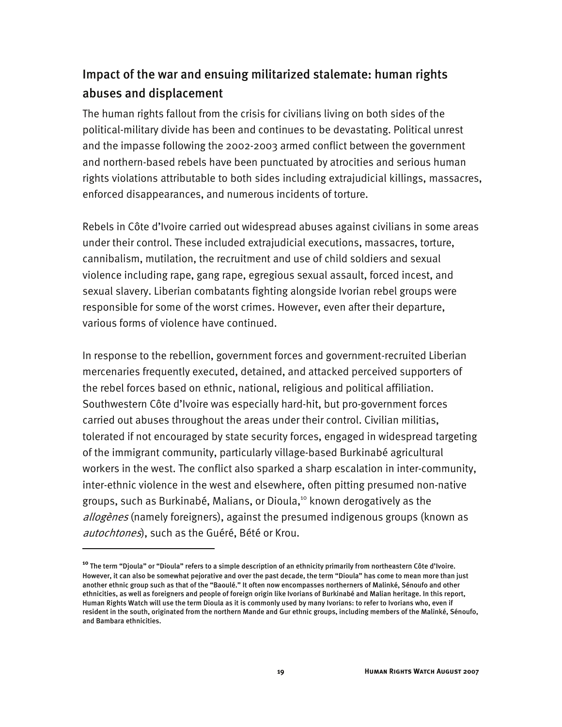# Impact of the war and ensuing militarized stalemate: human rights abuses and displacement

The human rights fallout from the crisis for civilians living on both sides of the political-military divide has been and continues to be devastating. Political unrest and the impasse following the 2002-2003 armed conflict between the government and northern-based rebels have been punctuated by atrocities and serious human rights violations attributable to both sides including extrajudicial killings, massacres, enforced disappearances, and numerous incidents of torture.

Rebels in Côte d'Ivoire carried out widespread abuses against civilians in some areas under their control. These included extrajudicial executions, massacres, torture, cannibalism, mutilation, the recruitment and use of child soldiers and sexual violence including rape, gang rape, egregious sexual assault, forced incest, and sexual slavery. Liberian combatants fighting alongside Ivorian rebel groups were responsible for some of the worst crimes. However, even after their departure, various forms of violence have continued.

In response to the rebellion, government forces and government-recruited Liberian mercenaries frequently executed, detained, and attacked perceived supporters of the rebel forces based on ethnic, national, religious and political affiliation. Southwestern Côte d'Ivoire was especially hard-hit, but pro-government forces carried out abuses throughout the areas under their control. Civilian militias, tolerated if not encouraged by state security forces, engaged in widespread targeting of the immigrant community, particularly village-based Burkinabé agricultural workers in the west. The conflict also sparked a sharp escalation in inter-community, inter-ethnic violence in the west and elsewhere, often pitting presumed non-native groups, such as Burkinabé, Malians, or Dioula,<sup>10</sup> known derogatively as the allogènes (namely foreigners), against the presumed indigenous groups (known as autochtones), such as the Guéré, Bété or Krou.

j

**<sup>10</sup>** The term "Djoula" or "Dioula" refers to a simple description of an ethnicity primarily from northeastern Côte d'Ivoire. However, it can also be somewhat pejorative and over the past decade, the term "Dioula" has come to mean more than just another ethnic group such as that of the "Baoulé." It often now encompasses northerners of Malinké, Sénoufo and other ethnicities, as well as foreigners and people of foreign origin like Ivorians of Burkinabé and Malian heritage. In this report, Human Rights Watch will use the term Dioula as it is commonly used by many Ivorians: to refer to Ivorians who, even if resident in the south, originated from the northern Mande and Gur ethnic groups, including members of the Malinké, Sénoufo, and Bambara ethnicities.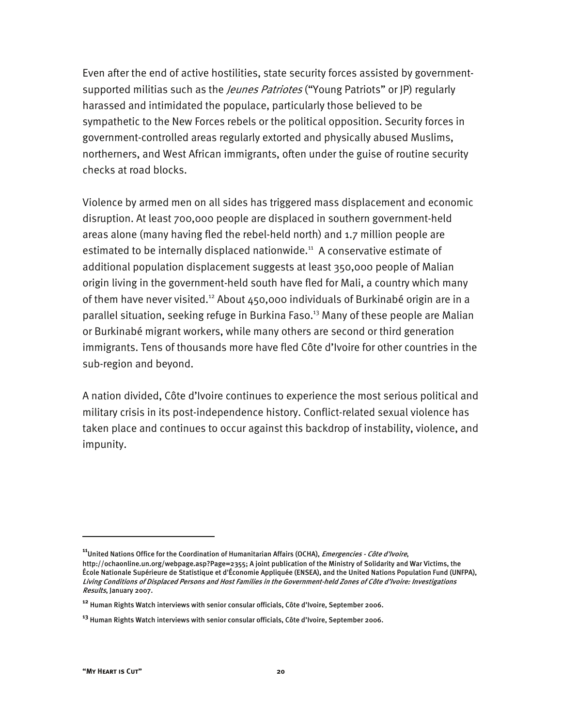Even after the end of active hostilities, state security forces assisted by governmentsupported militias such as the *Jeunes Patriotes* ("Young Patriots" or JP) regularly harassed and intimidated the populace, particularly those believed to be sympathetic to the New Forces rebels or the political opposition. Security forces in government-controlled areas regularly extorted and physically abused Muslims, northerners, and West African immigrants, often under the guise of routine security checks at road blocks.

Violence by armed men on all sides has triggered mass displacement and economic disruption. At least 700,000 people are displaced in southern government-held areas alone (many having fled the rebel-held north) and 1.7 million people are estimated to be internally displaced nationwide.<sup>11</sup> A conservative estimate of additional population displacement suggests at least 350,000 people of Malian origin living in the government-held south have fled for Mali, a country which many of them have never visited.<sup>12</sup> About  $450,000$  individuals of Burkinabé origin are in a parallel situation, seeking refuge in Burkina Faso.<sup>13</sup> Many of these people are Malian or Burkinabé migrant workers, while many others are second or third generation immigrants. Tens of thousands more have fled Côte d'Ivoire for other countries in the sub-region and beyond.

A nation divided, Côte d'Ivoire continues to experience the most serious political and military crisis in its post-independence history. Conflict-related sexual violence has taken place and continues to occur against this backdrop of instability, violence, and impunity.

**<sup>11</sup>**United Nations Office for the Coordination of Humanitarian Affairs (OCHA), Emergencies - Côte d'Ivoire, http://ochaonline.un.org/webpage.asp?Page=2355; A joint publication of the Ministry of Solidarity and War Victims, the École Nationale Supérieure de Statistique et d'Économie Appliquée (ENSEA), and the United Nations Population Fund (UNFPA), Living Conditions of Displaced Persons and Host Families in the Government-held Zones of Côte d'Ivoire: Investigations Results, January 2007.

**<sup>12</sup>** Human Rights Watch interviews with senior consular officials, Côte d'Ivoire, September 2006.

**<sup>13</sup>** Human Rights Watch interviews with senior consular officials, Côte d'Ivoire, September 2006.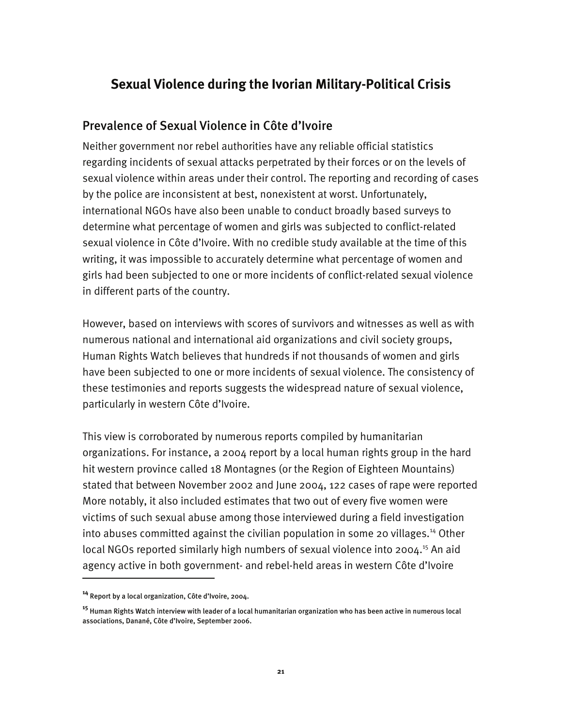## **Sexual Violence during the Ivorian Military-Political Crisis**

### Prevalence of Sexual Violence in Côte d'Ivoire

Neither government nor rebel authorities have any reliable official statistics regarding incidents of sexual attacks perpetrated by their forces or on the levels of sexual violence within areas under their control. The reporting and recording of cases by the police are inconsistent at best, nonexistent at worst. Unfortunately, international NGOs have also been unable to conduct broadly based surveys to determine what percentage of women and girls was subjected to conflict-related sexual violence in Côte d'Ivoire. With no credible study available at the time of this writing, it was impossible to accurately determine what percentage of women and girls had been subjected to one or more incidents of conflict-related sexual violence in different parts of the country.

However, based on interviews with scores of survivors and witnesses as well as with numerous national and international aid organizations and civil society groups, Human Rights Watch believes that hundreds if not thousands of women and girls have been subjected to one or more incidents of sexual violence. The consistency of these testimonies and reports suggests the widespread nature of sexual violence, particularly in western Côte d'Ivoire.

This view is corroborated by numerous reports compiled by humanitarian organizations. For instance, a 2004 report by a local human rights group in the hard hit western province called 18 Montagnes (or the Region of Eighteen Mountains) stated that between November 2002 and June 2004, 122 cases of rape were reported More notably, it also included estimates that two out of every five women were victims of such sexual abuse among those interviewed during a field investigation into abuses committed against the civilian population in some 20 villages.<sup>14</sup> Other local NGOs reported similarly high numbers of sexual violence into 2004.<sup>15</sup> An aid agency active in both government- and rebel-held areas in western Côte d'Ivoire

**<sup>14</sup>** Report by a local organization, Côte d'Ivoire, 2004.

**<sup>15</sup>** Human Rights Watch interview with leader of a local humanitarian organization who has been active in numerous local associations, Danané, Côte d'Ivoire, September 2006.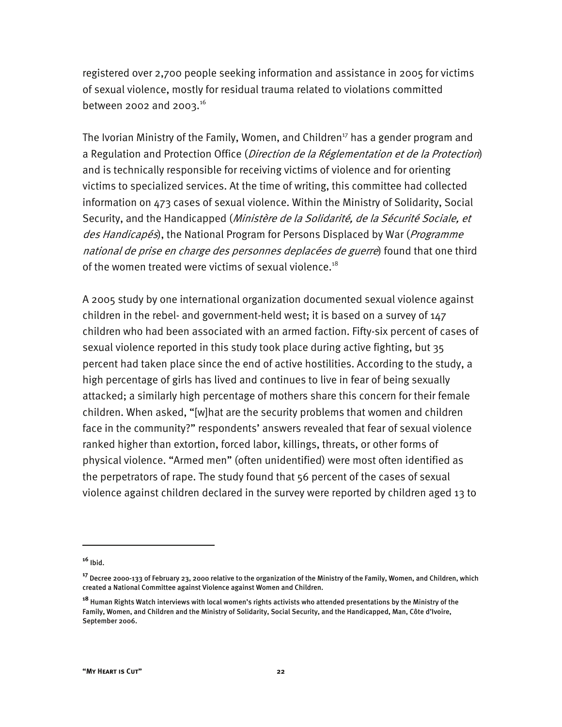registered over 2,700 people seeking information and assistance in 2005 for victims of sexual violence, mostly for residual trauma related to violations committed between 2002 and 2003.<sup>16</sup>

The Ivorian Ministry of the Family, Women, and Children<sup>17</sup> has a gender program and a Regulation and Protection Office (Direction de la Réglementation et de la Protection) and is technically responsible for receiving victims of violence and for orienting victims to specialized services. At the time of writing, this committee had collected information on 473 cases of sexual violence. Within the Ministry of Solidarity, Social Security, and the Handicapped (Ministère de la Solidarité, de la Sécurité Sociale, et des Handicapés), the National Program for Persons Displaced by War (Programme national de prise en charge des personnes deplacées de guerre) found that one third of the women treated were victims of sexual violence.<sup>18</sup>

A 2005 study by one international organization documented sexual violence against children in the rebel- and government-held west; it is based on a survey of 147 children who had been associated with an armed faction. Fifty-six percent of cases of sexual violence reported in this study took place during active fighting, but 35 percent had taken place since the end of active hostilities. According to the study, a high percentage of girls has lived and continues to live in fear of being sexually attacked; a similarly high percentage of mothers share this concern for their female children. When asked, "[w]hat are the security problems that women and children face in the community?" respondents' answers revealed that fear of sexual violence ranked higher than extortion, forced labor, killings, threats, or other forms of physical violence. "Armed men" (often unidentified) were most often identified as the perpetrators of rape. The study found that 56 percent of the cases of sexual violence against children declared in the survey were reported by children aged 13 to

-

**<sup>16</sup>** Ibid.

**<sup>17</sup>** Decree 2000-133 of February 23, 2000 relative to the organization of the Ministry of the Family, Women, and Children, which created a National Committee against Violence against Women and Children.

**<sup>18</sup>** Human Rights Watch interviews with local women's rights activists who attended presentations by the Ministry of the Family, Women, and Children and the Ministry of Solidarity, Social Security, and the Handicapped, Man, Côte d'Ivoire, September 2006.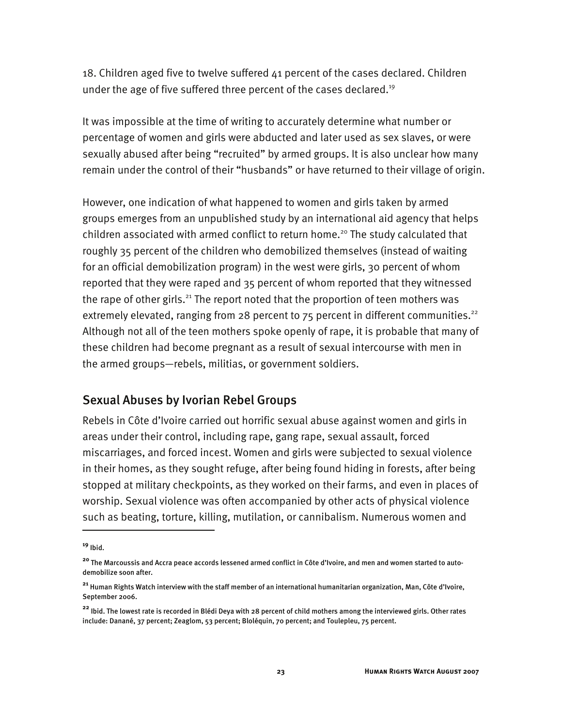18. Children aged five to twelve suffered 41 percent of the cases declared. Children under the age of five suffered three percent of the cases declared.<sup>19</sup>

It was impossible at the time of writing to accurately determine what number or percentage of women and girls were abducted and later used as sex slaves, or were sexually abused after being "recruited" by armed groups. It is also unclear how many remain under the control of their "husbands" or have returned to their village of origin.

However, one indication of what happened to women and girls taken by armed groups emerges from an unpublished study by an international aid agency that helps children associated with armed conflict to return home.<sup>20</sup> The study calculated that roughly 35 percent of the children who demobilized themselves (instead of waiting for an official demobilization program) in the west were girls, 30 percent of whom reported that they were raped and 35 percent of whom reported that they witnessed the rape of other girls.<sup>21</sup> The report noted that the proportion of teen mothers was extremely elevated, ranging from 28 percent to  $75$  percent in different communities.<sup>22</sup> Although not all of the teen mothers spoke openly of rape, it is probable that many of these children had become pregnant as a result of sexual intercourse with men in the armed groups—rebels, militias, or government soldiers.

#### Sexual Abuses by Ivorian Rebel Groups

Rebels in Côte d'Ivoire carried out horrific sexual abuse against women and girls in areas under their control, including rape, gang rape, sexual assault, forced miscarriages, and forced incest. Women and girls were subjected to sexual violence in their homes, as they sought refuge, after being found hiding in forests, after being stopped at military checkpoints, as they worked on their farms, and even in places of worship. Sexual violence was often accompanied by other acts of physical violence such as beating, torture, killing, mutilation, or cannibalism. Numerous women and

**<sup>19</sup>** Ibid.

**<sup>20</sup>** The Marcoussis and Accra peace accords lessened armed conflict in Côte d'Ivoire, and men and women started to autodemobilize soon after.

**<sup>21</sup>** Human Rights Watch interview with the staff member of an international humanitarian organization, Man, Côte d'Ivoire, September 2006.

**<sup>22</sup>** Ibid. The lowest rate is recorded in Blédi Deya with 28 percent of child mothers among the interviewed girls. Other rates include: Danané, 37 percent; Zeaglom, 53 percent; Bloléquin, 70 percent; and Toulepleu, 75 percent.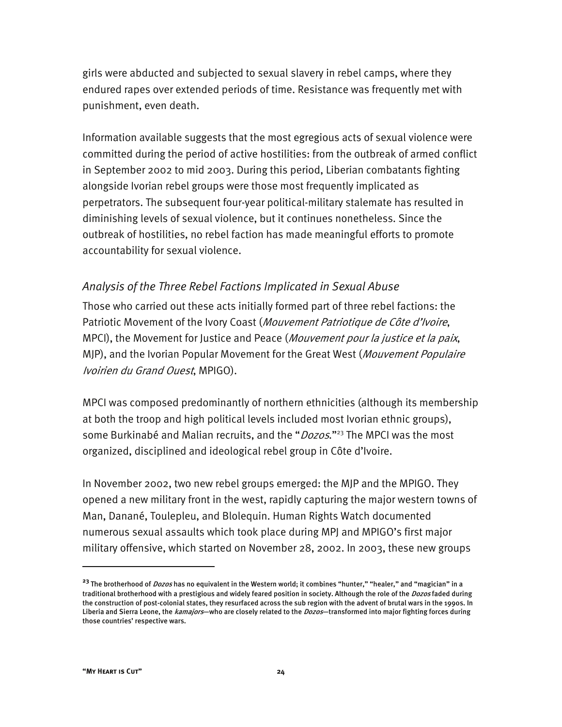girls were abducted and subjected to sexual slavery in rebel camps, where they endured rapes over extended periods of time. Resistance was frequently met with punishment, even death.

Information available suggests that the most egregious acts of sexual violence were committed during the period of active hostilities: from the outbreak of armed conflict in September 2002 to mid 2003. During this period, Liberian combatants fighting alongside Ivorian rebel groups were those most frequently implicated as perpetrators. The subsequent four-year political-military stalemate has resulted in diminishing levels of sexual violence, but it continues nonetheless. Since the outbreak of hostilities, no rebel faction has made meaningful efforts to promote accountability for sexual violence.

#### *Analysis of the Three Rebel Factions Implicated in Sexual Abuse*

Those who carried out these acts initially formed part of three rebel factions: the Patriotic Movement of the Ivory Coast (Mouvement Patriotique de Côte d'Ivoire, MPCI), the Movement for Justice and Peace (Mouvement pour la justice et la paix, MJP), and the Ivorian Popular Movement for the Great West (*Mouvement Populaire* Ivoirien du Grand Ouest, MPIGO).

MPCI was composed predominantly of northern ethnicities (although its membership at both the troop and high political levels included most Ivorian ethnic groups), some Burkinabé and Malian recruits, and the "*Dozos*."<sup>23</sup> The MPCI was the most organized, disciplined and ideological rebel group in Côte d'Ivoire.

In November 2002, two new rebel groups emerged: the MJP and the MPIGO. They opened a new military front in the west, rapidly capturing the major western towns of Man, Danané, Toulepleu, and Blolequin. Human Rights Watch documented numerous sexual assaults which took place during MPJ and MPIGO's first major military offensive, which started on November 28, 2002. In 2003, these new groups

-

**<sup>23</sup>** The brotherhood of Dozos has no equivalent in the Western world; it combines "hunter," "healer," and "magician" in a traditional brotherhood with a prestigious and widely feared position in society. Although the role of the *Dozos* faded during the construction of post-colonial states, they resurfaced across the sub region with the advent of brutal wars in the 1990s. In Liberia and Sierra Leone, the *kamajors*—who are closely related to the *Dozos*—transformed into major fighting forces during those countries' respective wars.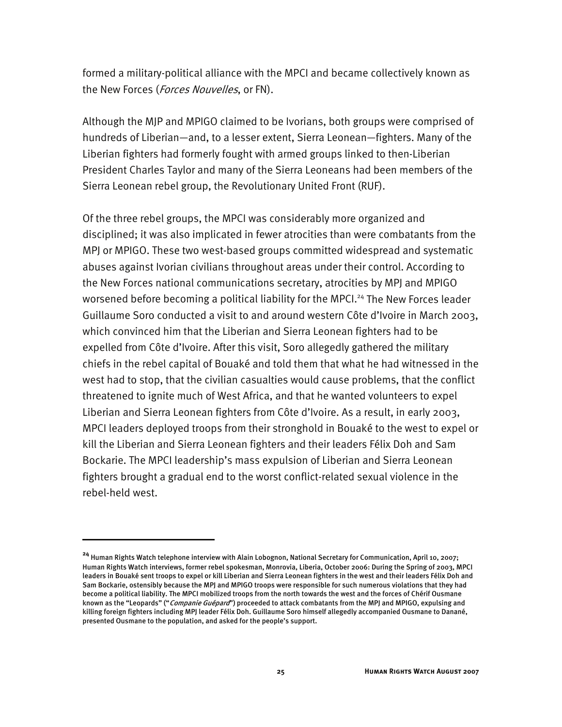formed a military-political alliance with the MPCI and became collectively known as the New Forces (Forces Nouvelles, or FN).

Although the MJP and MPIGO claimed to be Ivorians, both groups were comprised of hundreds of Liberian—and, to a lesser extent, Sierra Leonean—fighters. Many of the Liberian fighters had formerly fought with armed groups linked to then-Liberian President Charles Taylor and many of the Sierra Leoneans had been members of the Sierra Leonean rebel group, the Revolutionary United Front (RUF).

Of the three rebel groups, the MPCI was considerably more organized and disciplined; it was also implicated in fewer atrocities than were combatants from the MPJ or MPIGO. These two west-based groups committed widespread and systematic abuses against Ivorian civilians throughout areas under their control. According to the New Forces national communications secretary, atrocities by MPJ and MPIGO worsened before becoming a political liability for the MPCI.<sup>24</sup> The New Forces leader Guillaume Soro conducted a visit to and around western Côte d'Ivoire in March 2003, which convinced him that the Liberian and Sierra Leonean fighters had to be expelled from Côte d'Ivoire. After this visit, Soro allegedly gathered the military chiefs in the rebel capital of Bouaké and told them that what he had witnessed in the west had to stop, that the civilian casualties would cause problems, that the conflict threatened to ignite much of West Africa, and that he wanted volunteers to expel Liberian and Sierra Leonean fighters from Côte d'Ivoire. As a result, in early 2003, MPCI leaders deployed troops from their stronghold in Bouaké to the west to expel or kill the Liberian and Sierra Leonean fighters and their leaders Félix Doh and Sam Bockarie. The MPCI leadership's mass expulsion of Liberian and Sierra Leonean fighters brought a gradual end to the worst conflict-related sexual violence in the rebel-held west.

**<sup>24</sup>** Human Rights Watch telephone interview with Alain Lobognon, National Secretary for Communication, April 10, 2007; Human Rights Watch interviews, former rebel spokesman, Monrovia, Liberia, October 2006: During the Spring of 2003, MPCI leaders in Bouaké sent troops to expel or kill Liberian and Sierra Leonean fighters in the west and their leaders Félix Doh and Sam Bockarie, ostensibly because the MPJ and MPIGO troops were responsible for such numerous violations that they had become a political liability. The MPCI mobilized troops from the north towards the west and the forces of Chérif Ousmane known as the "Leopards" ("*Companie Guépard*") proceeded to attack combatants from the MPJ and MPIGO, expulsing and killing foreign fighters including MPJ leader Félix Doh. Guillaume Soro himself allegedly accompanied Ousmane to Danané, presented Ousmane to the population, and asked for the people's support.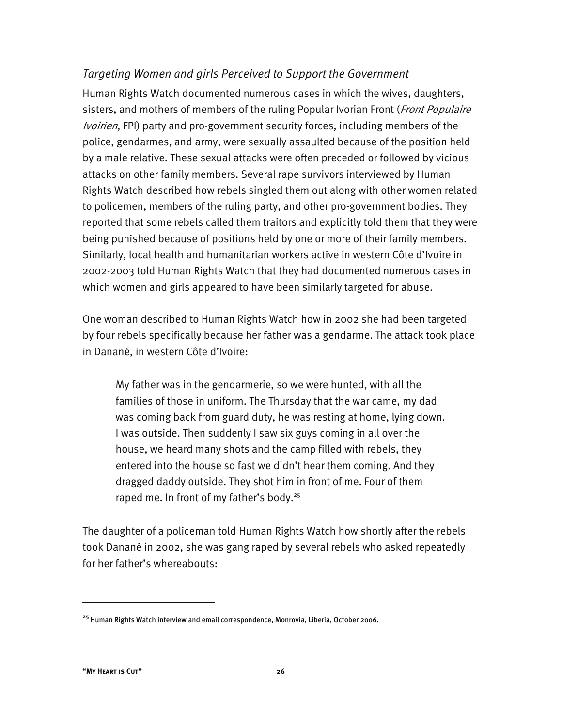#### *Targeting Women and girls Perceived to Support the Government*

Human Rights Watch documented numerous cases in which the wives, daughters, sisters, and mothers of members of the ruling Popular Ivorian Front (Front Populaire Ivoirien, FPI) party and pro-government security forces, including members of the police, gendarmes, and army, were sexually assaulted because of the position held by a male relative. These sexual attacks were often preceded or followed by vicious attacks on other family members. Several rape survivors interviewed by Human Rights Watch described how rebels singled them out along with other women related to policemen, members of the ruling party, and other pro-government bodies. They reported that some rebels called them traitors and explicitly told them that they were being punished because of positions held by one or more of their family members. Similarly, local health and humanitarian workers active in western Côte d'Ivoire in 2002-2003 told Human Rights Watch that they had documented numerous cases in which women and girls appeared to have been similarly targeted for abuse.

One woman described to Human Rights Watch how in 2002 she had been targeted by four rebels specifically because her father was a gendarme. The attack took place in Danané, in western Côte d'Ivoire:

My father was in the gendarmerie, so we were hunted, with all the families of those in uniform. The Thursday that the war came, my dad was coming back from guard duty, he was resting at home, lying down. I was outside. Then suddenly I saw six guys coming in all over the house, we heard many shots and the camp filled with rebels, they entered into the house so fast we didn't hear them coming. And they dragged daddy outside. They shot him in front of me. Four of them raped me. In front of my father's body.<sup>25</sup>

The daughter of a policeman told Human Rights Watch how shortly after the rebels took Danané in 2002, she was gang raped by several rebels who asked repeatedly for her father's whereabouts:

**<sup>25</sup>** Human Rights Watch interview and email correspondence, Monrovia, Liberia, October 2006.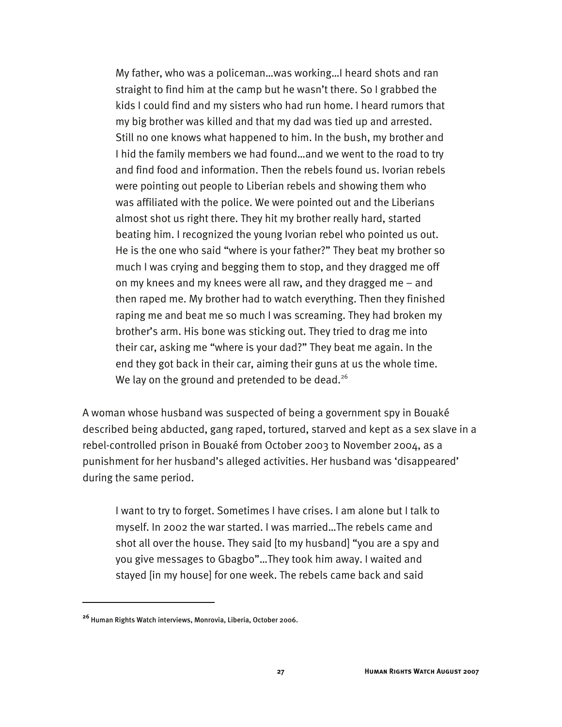My father, who was a policeman…was working…I heard shots and ran straight to find him at the camp but he wasn't there. So I grabbed the kids I could find and my sisters who had run home. I heard rumors that my big brother was killed and that my dad was tied up and arrested. Still no one knows what happened to him. In the bush, my brother and I hid the family members we had found…and we went to the road to try and find food and information. Then the rebels found us. Ivorian rebels were pointing out people to Liberian rebels and showing them who was affiliated with the police. We were pointed out and the Liberians almost shot us right there. They hit my brother really hard, started beating him. I recognized the young Ivorian rebel who pointed us out. He is the one who said "where is your father?" They beat my brother so much I was crying and begging them to stop, and they dragged me off on my knees and my knees were all raw, and they dragged me – and then raped me. My brother had to watch everything. Then they finished raping me and beat me so much I was screaming. They had broken my brother's arm. His bone was sticking out. They tried to drag me into their car, asking me "where is your dad?" They beat me again. In the end they got back in their car, aiming their guns at us the whole time. We lay on the ground and pretended to be dead.<sup>26</sup>

A woman whose husband was suspected of being a government spy in Bouaké described being abducted, gang raped, tortured, starved and kept as a sex slave in a rebel-controlled prison in Bouaké from October 2003 to November 2004, as a punishment for her husband's alleged activities. Her husband was 'disappeared' during the same period.

I want to try to forget. Sometimes I have crises. I am alone but I talk to myself. In 2002 the war started. I was married…The rebels came and shot all over the house. They said [to my husband] "you are a spy and you give messages to Gbagbo"…They took him away. I waited and stayed [in my house] for one week. The rebels came back and said

**<sup>26</sup>** Human Rights Watch interviews, Monrovia, Liberia, October 2006.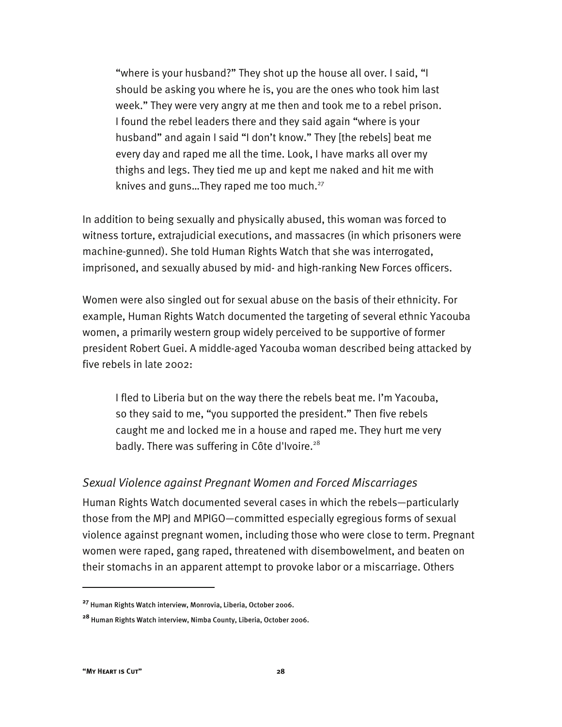"where is your husband?" They shot up the house all over. I said, "I should be asking you where he is, you are the ones who took him last week." They were very angry at me then and took me to a rebel prison. I found the rebel leaders there and they said again "where is your husband" and again I said "I don't know." They [the rebels] beat me every day and raped me all the time. Look, I have marks all over my thighs and legs. They tied me up and kept me naked and hit me with knives and guns... They raped me too much. $^{27}$ 

In addition to being sexually and physically abused, this woman was forced to witness torture, extrajudicial executions, and massacres (in which prisoners were machine-gunned). She told Human Rights Watch that she was interrogated, imprisoned, and sexually abused by mid- and high-ranking New Forces officers.

Women were also singled out for sexual abuse on the basis of their ethnicity. For example, Human Rights Watch documented the targeting of several ethnic Yacouba women, a primarily western group widely perceived to be supportive of former president Robert Guei. A middle-aged Yacouba woman described being attacked by five rebels in late 2002:

I fled to Liberia but on the way there the rebels beat me. I'm Yacouba, so they said to me, "you supported the president." Then five rebels caught me and locked me in a house and raped me. They hurt me very badly. There was suffering in Côte d'Ivoire.<sup>28</sup>

#### *Sexual Violence against Pregnant Women and Forced Miscarriages*

Human Rights Watch documented several cases in which the rebels—particularly those from the MPJ and MPIGO—committed especially egregious forms of sexual violence against pregnant women, including those who were close to term. Pregnant women were raped, gang raped, threatened with disembowelment, and beaten on their stomachs in an apparent attempt to provoke labor or a miscarriage. Others

**<sup>27</sup>** Human Rights Watch interview, Monrovia, Liberia, October 2006.

**<sup>28</sup>** Human Rights Watch interview, Nimba County, Liberia, October 2006.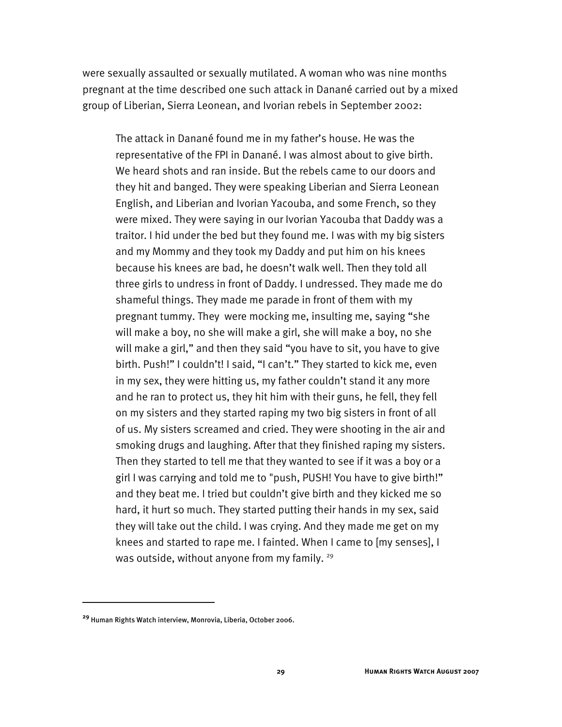were sexually assaulted or sexually mutilated. A woman who was nine months pregnant at the time described one such attack in Danané carried out by a mixed group of Liberian, Sierra Leonean, and Ivorian rebels in September 2002:

The attack in Danané found me in my father's house. He was the representative of the FPI in Danané. I was almost about to give birth. We heard shots and ran inside. But the rebels came to our doors and they hit and banged. They were speaking Liberian and Sierra Leonean English, and Liberian and Ivorian Yacouba, and some French, so they were mixed. They were saying in our Ivorian Yacouba that Daddy was a traitor. I hid under the bed but they found me. I was with my big sisters and my Mommy and they took my Daddy and put him on his knees because his knees are bad, he doesn't walk well. Then they told all three girls to undress in front of Daddy. I undressed. They made me do shameful things. They made me parade in front of them with my pregnant tummy. They were mocking me, insulting me, saying "she will make a boy, no she will make a girl, she will make a boy, no she will make a girl," and then they said "you have to sit, you have to give birth. Push!" I couldn't! I said, "I can't." They started to kick me, even in my sex, they were hitting us, my father couldn't stand it any more and he ran to protect us, they hit him with their guns, he fell, they fell on my sisters and they started raping my two big sisters in front of all of us. My sisters screamed and cried. They were shooting in the air and smoking drugs and laughing. After that they finished raping my sisters. Then they started to tell me that they wanted to see if it was a boy or a girl I was carrying and told me to "push, PUSH! You have to give birth!" and they beat me. I tried but couldn't give birth and they kicked me so hard, it hurt so much. They started putting their hands in my sex, said they will take out the child. I was crying. And they made me get on my knees and started to rape me. I fainted. When I came to [my senses], I was outside, without anyone from my family.  $29$ 

-

**<sup>29</sup>** Human Rights Watch interview, Monrovia, Liberia, October 2006.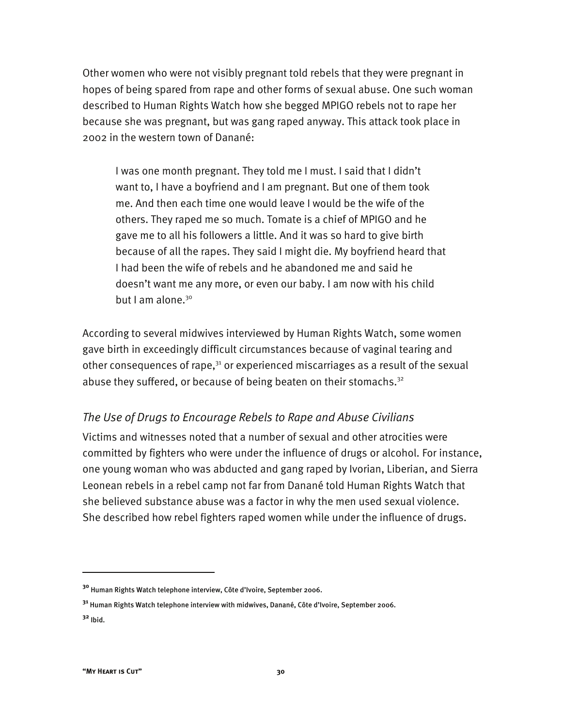Other women who were not visibly pregnant told rebels that they were pregnant in hopes of being spared from rape and other forms of sexual abuse. One such woman described to Human Rights Watch how she begged MPIGO rebels not to rape her because she was pregnant, but was gang raped anyway. This attack took place in 2002 in the western town of Danané:

I was one month pregnant. They told me I must. I said that I didn't want to, I have a boyfriend and I am pregnant. But one of them took me. And then each time one would leave I would be the wife of the others. They raped me so much. Tomate is a chief of MPIGO and he gave me to all his followers a little. And it was so hard to give birth because of all the rapes. They said I might die. My boyfriend heard that I had been the wife of rebels and he abandoned me and said he doesn't want me any more, or even our baby. I am now with his child but I am alone. $30$ 

According to several midwives interviewed by Human Rights Watch, some women gave birth in exceedingly difficult circumstances because of vaginal tearing and other consequences of rape, $31$  or experienced miscarriages as a result of the sexual abuse they suffered, or because of being beaten on their stomachs.<sup>32</sup>

#### *The Use of Drugs to Encourage Rebels to Rape and Abuse Civilians*

Victims and witnesses noted that a number of sexual and other atrocities were committed by fighters who were under the influence of drugs or alcohol. For instance, one young woman who was abducted and gang raped by Ivorian, Liberian, and Sierra Leonean rebels in a rebel camp not far from Danané told Human Rights Watch that she believed substance abuse was a factor in why the men used sexual violence. She described how rebel fighters raped women while under the influence of drugs.

**<sup>30</sup>** Human Rights Watch telephone interview, Côte d'Ivoire, September 2006.

**<sup>31</sup>** Human Rights Watch telephone interview with midwives, Danané, Côte d'Ivoire, September 2006.

**<sup>32</sup>** Ibid.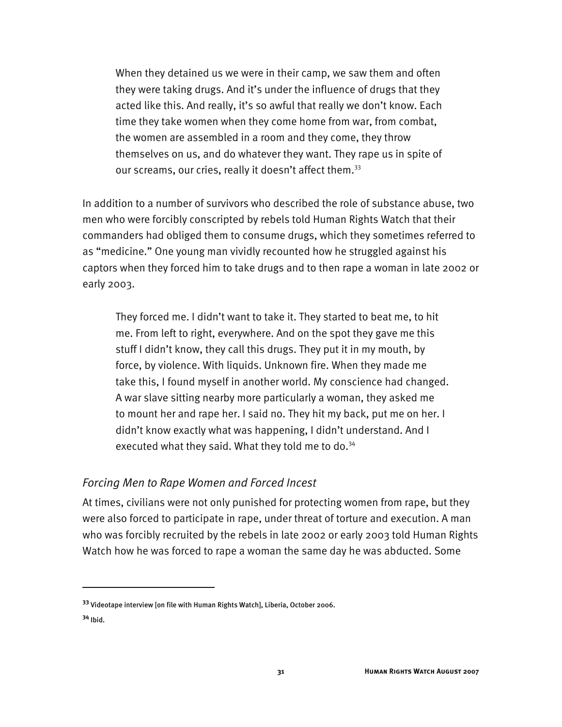When they detained us we were in their camp, we saw them and often they were taking drugs. And it's under the influence of drugs that they acted like this. And really, it's so awful that really we don't know. Each time they take women when they come home from war, from combat, the women are assembled in a room and they come, they throw themselves on us, and do whatever they want. They rape us in spite of our screams, our cries, really it doesn't affect them.<sup>33</sup>

In addition to a number of survivors who described the role of substance abuse, two men who were forcibly conscripted by rebels told Human Rights Watch that their commanders had obliged them to consume drugs, which they sometimes referred to as "medicine." One young man vividly recounted how he struggled against his captors when they forced him to take drugs and to then rape a woman in late 2002 or early 2003.

They forced me. I didn't want to take it. They started to beat me, to hit me. From left to right, everywhere. And on the spot they gave me this stuff I didn't know, they call this drugs. They put it in my mouth, by force, by violence. With liquids. Unknown fire. When they made me take this, I found myself in another world. My conscience had changed. A war slave sitting nearby more particularly a woman, they asked me to mount her and rape her. I said no. They hit my back, put me on her. I didn't know exactly what was happening, I didn't understand. And I executed what they said. What they told me to do.<sup>34</sup>

#### *Forcing Men to Rape Women and Forced Incest*

At times, civilians were not only punished for protecting women from rape, but they were also forced to participate in rape, under threat of torture and execution. A man who was forcibly recruited by the rebels in late 2002 or early 2003 told Human Rights Watch how he was forced to rape a woman the same day he was abducted. Some

**<sup>33</sup>** Videotape interview [on file with Human Rights Watch], Liberia, October 2006.

**<sup>34</sup>** Ibid.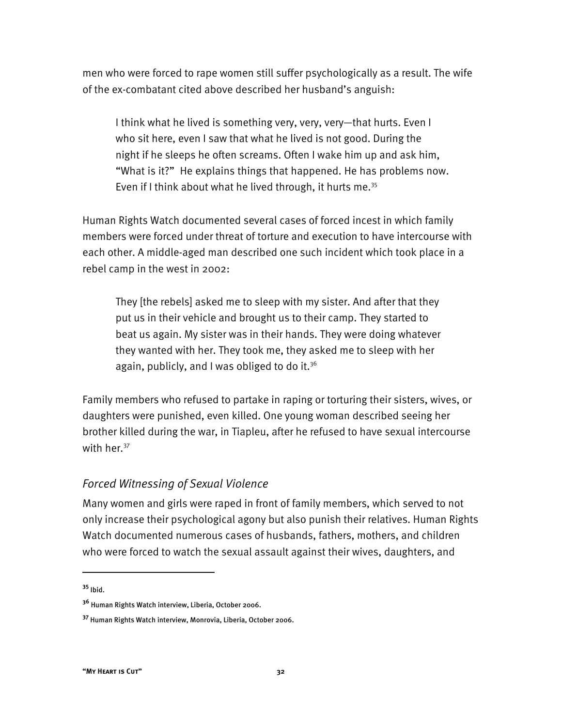men who were forced to rape women still suffer psychologically as a result. The wife of the ex-combatant cited above described her husband's anguish:

I think what he lived is something very, very, very—that hurts. Even I who sit here, even I saw that what he lived is not good. During the night if he sleeps he often screams. Often I wake him up and ask him, "What is it?" He explains things that happened. He has problems now. Even if I think about what he lived through, it hurts me. $35$ 

Human Rights Watch documented several cases of forced incest in which family members were forced under threat of torture and execution to have intercourse with each other. A middle-aged man described one such incident which took place in a rebel camp in the west in 2002:

They [the rebels] asked me to sleep with my sister. And after that they put us in their vehicle and brought us to their camp. They started to beat us again. My sister was in their hands. They were doing whatever they wanted with her. They took me, they asked me to sleep with her again, publicly, and I was obliged to do it.<sup>36</sup>

Family members who refused to partake in raping or torturing their sisters, wives, or daughters were punished, even killed. One young woman described seeing her brother killed during the war, in Tiapleu, after he refused to have sexual intercourse with her. $37$ 

#### *Forced Witnessing of Sexual Violence*

Many women and girls were raped in front of family members, which served to not only increase their psychological agony but also punish their relatives. Human Rights Watch documented numerous cases of husbands, fathers, mothers, and children who were forced to watch the sexual assault against their wives, daughters, and

**<sup>35</sup>** Ibid.

**<sup>36</sup>** Human Rights Watch interview, Liberia, October 2006.

**<sup>37</sup>** Human Rights Watch interview, Monrovia, Liberia, October 2006.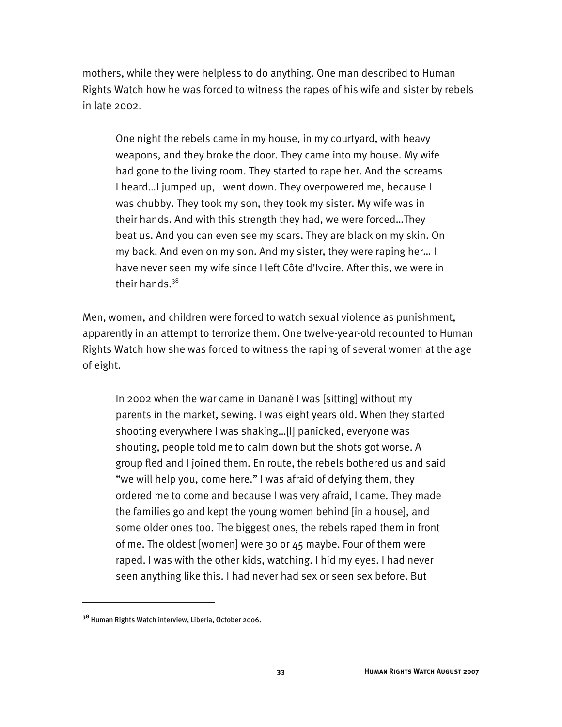mothers, while they were helpless to do anything. One man described to Human Rights Watch how he was forced to witness the rapes of his wife and sister by rebels in late 2002.

One night the rebels came in my house, in my courtyard, with heavy weapons, and they broke the door. They came into my house. My wife had gone to the living room. They started to rape her. And the screams I heard…I jumped up, I went down. They overpowered me, because I was chubby. They took my son, they took my sister. My wife was in their hands. And with this strength they had, we were forced…They beat us. And you can even see my scars. They are black on my skin. On my back. And even on my son. And my sister, they were raping her… I have never seen my wife since I left Côte d'Ivoire. After this, we were in their hands. $38$ 

Men, women, and children were forced to watch sexual violence as punishment, apparently in an attempt to terrorize them. One twelve-year-old recounted to Human Rights Watch how she was forced to witness the raping of several women at the age of eight.

In 2002 when the war came in Danané I was [sitting] without my parents in the market, sewing. I was eight years old. When they started shooting everywhere I was shaking…[I] panicked, everyone was shouting, people told me to calm down but the shots got worse. A group fled and I joined them. En route, the rebels bothered us and said "we will help you, come here." I was afraid of defying them, they ordered me to come and because I was very afraid, I came. They made the families go and kept the young women behind [in a house], and some older ones too. The biggest ones, the rebels raped them in front of me. The oldest [women] were 30 or 45 maybe. Four of them were raped. I was with the other kids, watching. I hid my eyes. I had never seen anything like this. I had never had sex or seen sex before. But

**<sup>38</sup>** Human Rights Watch interview, Liberia, October 2006.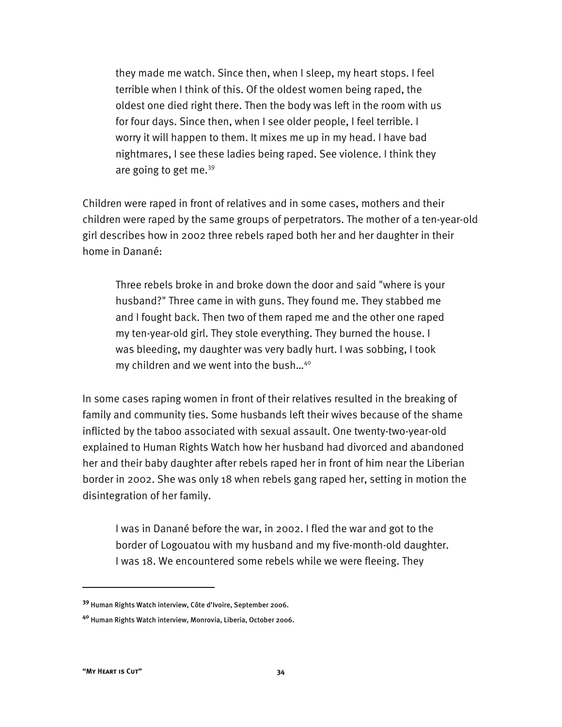they made me watch. Since then, when I sleep, my heart stops. I feel terrible when I think of this. Of the oldest women being raped, the oldest one died right there. Then the body was left in the room with us for four days. Since then, when I see older people, I feel terrible. I worry it will happen to them. It mixes me up in my head. I have bad nightmares, I see these ladies being raped. See violence. I think they are going to get me. $39$ 

Children were raped in front of relatives and in some cases, mothers and their children were raped by the same groups of perpetrators. The mother of a ten-year-old girl describes how in 2002 three rebels raped both her and her daughter in their home in Danané:

Three rebels broke in and broke down the door and said "where is your husband?" Three came in with guns. They found me. They stabbed me and I fought back. Then two of them raped me and the other one raped my ten-year-old girl. They stole everything. They burned the house. I was bleeding, my daughter was very badly hurt. I was sobbing, I took my children and we went into the bush…40

In some cases raping women in front of their relatives resulted in the breaking of family and community ties. Some husbands left their wives because of the shame inflicted by the taboo associated with sexual assault. One twenty-two-year-old explained to Human Rights Watch how her husband had divorced and abandoned her and their baby daughter after rebels raped her in front of him near the Liberian border in 2002. She was only 18 when rebels gang raped her, setting in motion the disintegration of her family.

I was in Danané before the war, in 2002. I fled the war and got to the border of Logouatou with my husband and my five-month-old daughter. I was 18. We encountered some rebels while we were fleeing. They

**<sup>39</sup>** Human Rights Watch interview, Côte d'Ivoire, September 2006.

**<sup>40</sup>** Human Rights Watch interview, Monrovia, Liberia, October 2006.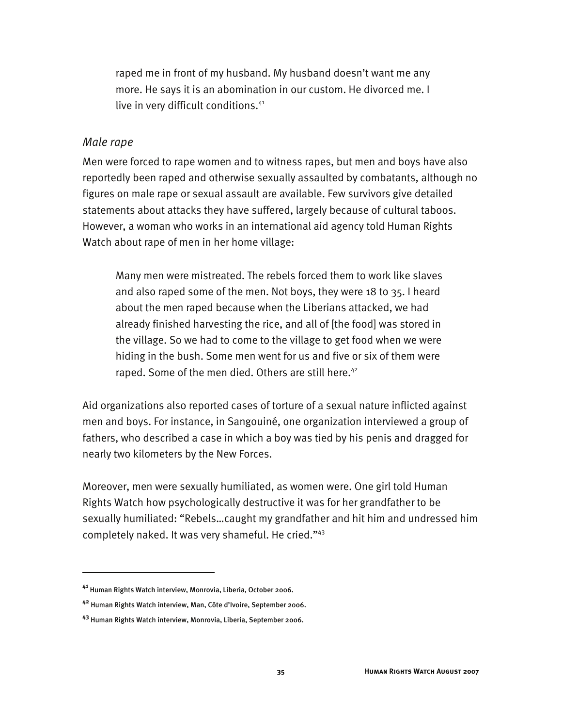raped me in front of my husband. My husband doesn't want me any more. He says it is an abomination in our custom. He divorced me. I live in very difficult conditions.<sup>41</sup>

#### *Male rape*

Men were forced to rape women and to witness rapes, but men and boys have also reportedly been raped and otherwise sexually assaulted by combatants, although no figures on male rape or sexual assault are available. Few survivors give detailed statements about attacks they have suffered, largely because of cultural taboos. However, a woman who works in an international aid agency told Human Rights Watch about rape of men in her home village:

Many men were mistreated. The rebels forced them to work like slaves and also raped some of the men. Not boys, they were 18 to 35. I heard about the men raped because when the Liberians attacked, we had already finished harvesting the rice, and all of [the food] was stored in the village. So we had to come to the village to get food when we were hiding in the bush. Some men went for us and five or six of them were raped. Some of the men died. Others are still here.<sup>42</sup>

Aid organizations also reported cases of torture of a sexual nature inflicted against men and boys. For instance, in Sangouiné, one organization interviewed a group of fathers, who described a case in which a boy was tied by his penis and dragged for nearly two kilometers by the New Forces.

Moreover, men were sexually humiliated, as women were. One girl told Human Rights Watch how psychologically destructive it was for her grandfather to be sexually humiliated: "Rebels…caught my grandfather and hit him and undressed him completely naked. It was very shameful. He cried."43

**<sup>41</sup>** Human Rights Watch interview, Monrovia, Liberia, October 2006.

**<sup>42</sup>** Human Rights Watch interview, Man, Côte d'Ivoire, September 2006.

**<sup>43</sup>** Human Rights Watch interview, Monrovia, Liberia, September 2006.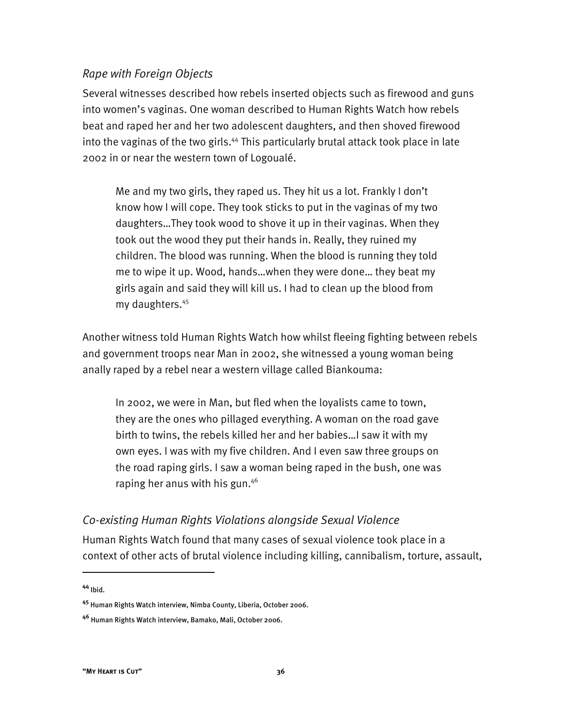### *Rape with Foreign Objects*

Several witnesses described how rebels inserted objects such as firewood and guns into women's vaginas. One woman described to Human Rights Watch how rebels beat and raped her and her two adolescent daughters, and then shoved firewood into the vaginas of the two girls.<sup>44</sup> This particularly brutal attack took place in late 2002 in or near the western town of Logoualé.

Me and my two girls, they raped us. They hit us a lot. Frankly I don't know how I will cope. They took sticks to put in the vaginas of my two daughters…They took wood to shove it up in their vaginas. When they took out the wood they put their hands in. Really, they ruined my children. The blood was running. When the blood is running they told me to wipe it up. Wood, hands…when they were done… they beat my girls again and said they will kill us. I had to clean up the blood from my daughters.45

Another witness told Human Rights Watch how whilst fleeing fighting between rebels and government troops near Man in 2002, she witnessed a young woman being anally raped by a rebel near a western village called Biankouma:

In 2002, we were in Man, but fled when the loyalists came to town, they are the ones who pillaged everything. A woman on the road gave birth to twins, the rebels killed her and her babies…I saw it with my own eyes. I was with my five children. And I even saw three groups on the road raping girls. I saw a woman being raped in the bush, one was raping her anus with his gun.<sup>46</sup>

## *Co-existing Human Rights Violations alongside Sexual Violence*

Human Rights Watch found that many cases of sexual violence took place in a context of other acts of brutal violence including killing, cannibalism, torture, assault,

**<sup>44</sup>** Ibid.

**<sup>45</sup>** Human Rights Watch interview, Nimba County, Liberia, October 2006.

**<sup>46</sup>** Human Rights Watch interview, Bamako, Mali, October 2006.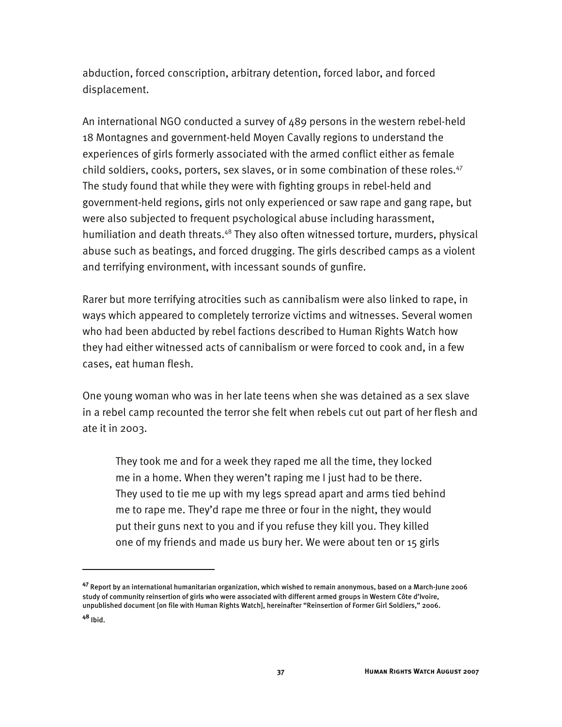abduction, forced conscription, arbitrary detention, forced labor, and forced displacement.

An international NGO conducted a survey of 489 persons in the western rebel-held 18 Montagnes and government-held Moyen Cavally regions to understand the experiences of girls formerly associated with the armed conflict either as female child soldiers, cooks, porters, sex slaves, or in some combination of these roles. $47$ The study found that while they were with fighting groups in rebel-held and government-held regions, girls not only experienced or saw rape and gang rape, but were also subjected to frequent psychological abuse including harassment, humiliation and death threats.<sup>48</sup> They also often witnessed torture, murders, physical abuse such as beatings, and forced drugging. The girls described camps as a violent and terrifying environment, with incessant sounds of gunfire.

Rarer but more terrifying atrocities such as cannibalism were also linked to rape, in ways which appeared to completely terrorize victims and witnesses. Several women who had been abducted by rebel factions described to Human Rights Watch how they had either witnessed acts of cannibalism or were forced to cook and, in a few cases, eat human flesh.

One young woman who was in her late teens when she was detained as a sex slave in a rebel camp recounted the terror she felt when rebels cut out part of her flesh and ate it in 2003.

They took me and for a week they raped me all the time, they locked me in a home. When they weren't raping me I just had to be there. They used to tie me up with my legs spread apart and arms tied behind me to rape me. They'd rape me three or four in the night, they would put their guns next to you and if you refuse they kill you. They killed one of my friends and made us bury her. We were about ten or 15 girls

**<sup>47</sup>** Report by an international humanitarian organization, which wished to remain anonymous, based on a March-June 2006 study of community reinsertion of girls who were associated with different armed groups in Western Côte d'Ivoire, unpublished document [on file with Human Rights Watch], hereinafter "Reinsertion of Former Girl Soldiers," 2006.

**<sup>48</sup>** Ibid.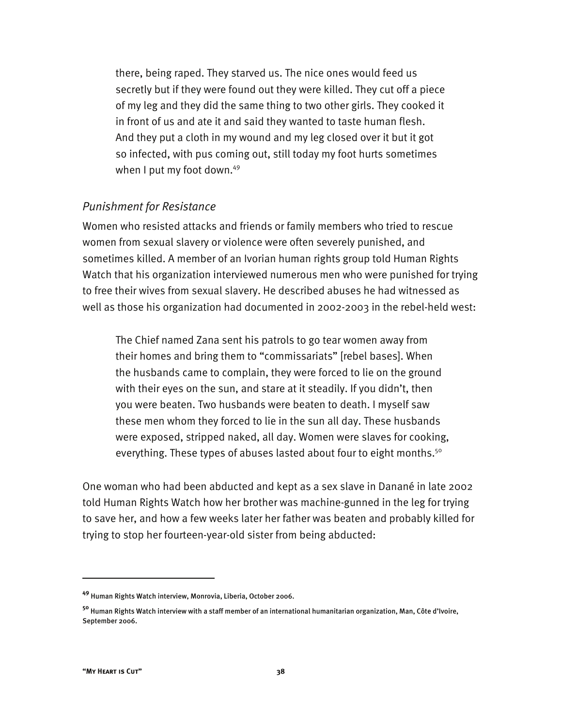there, being raped. They starved us. The nice ones would feed us secretly but if they were found out they were killed. They cut off a piece of my leg and they did the same thing to two other girls. They cooked it in front of us and ate it and said they wanted to taste human flesh. And they put a cloth in my wound and my leg closed over it but it got so infected, with pus coming out, still today my foot hurts sometimes when I put my foot down.<sup>49</sup>

#### *Punishment for Resistance*

Women who resisted attacks and friends or family members who tried to rescue women from sexual slavery or violence were often severely punished, and sometimes killed. A member of an Ivorian human rights group told Human Rights Watch that his organization interviewed numerous men who were punished for trying to free their wives from sexual slavery. He described abuses he had witnessed as well as those his organization had documented in 2002-2003 in the rebel-held west:

The Chief named Zana sent his patrols to go tear women away from their homes and bring them to "commissariats" [rebel bases]. When the husbands came to complain, they were forced to lie on the ground with their eyes on the sun, and stare at it steadily. If you didn't, then you were beaten. Two husbands were beaten to death. I myself saw these men whom they forced to lie in the sun all day. These husbands were exposed, stripped naked, all day. Women were slaves for cooking, everything. These types of abuses lasted about four to eight months.<sup>50</sup>

One woman who had been abducted and kept as a sex slave in Danané in late 2002 told Human Rights Watch how her brother was machine-gunned in the leg for trying to save her, and how a few weeks later her father was beaten and probably killed for trying to stop her fourteen-year-old sister from being abducted:

**<sup>49</sup>** Human Rights Watch interview, Monrovia, Liberia, October 2006.

**<sup>50</sup>** Human Rights Watch interview with a staff member of an international humanitarian organization, Man, Côte d'Ivoire, September 2006.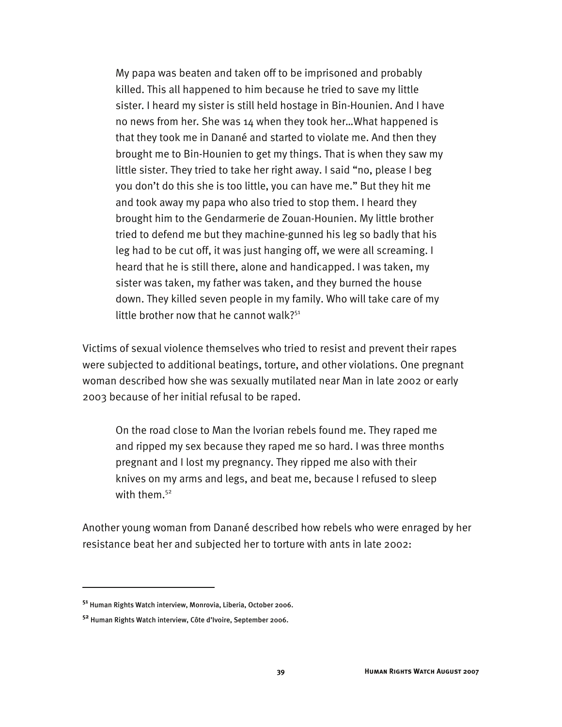My papa was beaten and taken off to be imprisoned and probably killed. This all happened to him because he tried to save my little sister. I heard my sister is still held hostage in Bin-Hounien. And I have no news from her. She was 14 when they took her…What happened is that they took me in Danané and started to violate me. And then they brought me to Bin-Hounien to get my things. That is when they saw my little sister. They tried to take her right away. I said "no, please I beg you don't do this she is too little, you can have me." But they hit me and took away my papa who also tried to stop them. I heard they brought him to the Gendarmerie de Zouan-Hounien. My little brother tried to defend me but they machine-gunned his leg so badly that his leg had to be cut off, it was just hanging off, we were all screaming. I heard that he is still there, alone and handicapped. I was taken, my sister was taken, my father was taken, and they burned the house down. They killed seven people in my family. Who will take care of my little brother now that he cannot walk? $51$ 

Victims of sexual violence themselves who tried to resist and prevent their rapes were subjected to additional beatings, torture, and other violations. One pregnant woman described how she was sexually mutilated near Man in late 2002 or early 2003 because of her initial refusal to be raped.

On the road close to Man the Ivorian rebels found me. They raped me and ripped my sex because they raped me so hard. I was three months pregnant and I lost my pregnancy. They ripped me also with their knives on my arms and legs, and beat me, because I refused to sleep with them.<sup>52</sup>

Another young woman from Danané described how rebels who were enraged by her resistance beat her and subjected her to torture with ants in late 2002:

**<sup>51</sup>** Human Rights Watch interview, Monrovia, Liberia, October 2006.

**<sup>52</sup>** Human Rights Watch interview, Côte d'Ivoire, September 2006.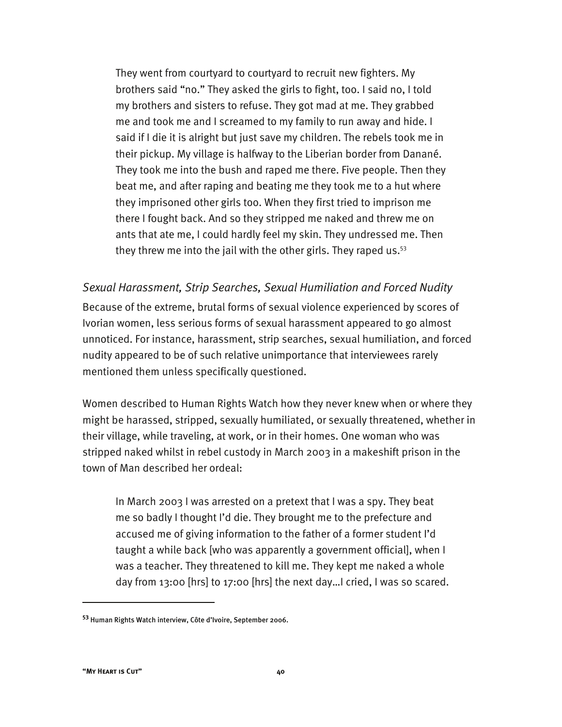They went from courtyard to courtyard to recruit new fighters. My brothers said "no." They asked the girls to fight, too. I said no, I told my brothers and sisters to refuse. They got mad at me. They grabbed me and took me and I screamed to my family to run away and hide. I said if I die it is alright but just save my children. The rebels took me in their pickup. My village is halfway to the Liberian border from Danané. They took me into the bush and raped me there. Five people. Then they beat me, and after raping and beating me they took me to a hut where they imprisoned other girls too. When they first tried to imprison me there I fought back. And so they stripped me naked and threw me on ants that ate me, I could hardly feel my skin. They undressed me. Then they threw me into the jail with the other girls. They raped us.<sup>53</sup>

### *Sexual Harassment, Strip Searches, Sexual Humiliation and Forced Nudity*

Because of the extreme, brutal forms of sexual violence experienced by scores of Ivorian women, less serious forms of sexual harassment appeared to go almost unnoticed. For instance, harassment, strip searches, sexual humiliation, and forced nudity appeared to be of such relative unimportance that interviewees rarely mentioned them unless specifically questioned.

Women described to Human Rights Watch how they never knew when or where they might be harassed, stripped, sexually humiliated, or sexually threatened, whether in their village, while traveling, at work, or in their homes. One woman who was stripped naked whilst in rebel custody in March 2003 in a makeshift prison in the town of Man described her ordeal:

In March 2003 I was arrested on a pretext that I was a spy. They beat me so badly I thought I'd die. They brought me to the prefecture and accused me of giving information to the father of a former student I'd taught a while back [who was apparently a government official], when I was a teacher. They threatened to kill me. They kept me naked a whole day from 13:00 [hrs] to 17:00 [hrs] the next day…I cried, I was so scared.

**<sup>53</sup>** Human Rights Watch interview, Côte d'Ivoire, September 2006.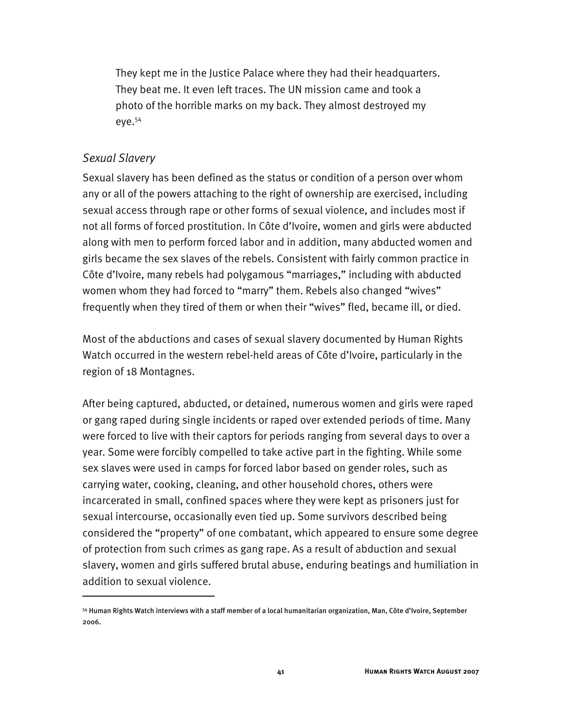They kept me in the Justice Palace where they had their headquarters. They beat me. It even left traces. The UN mission came and took a photo of the horrible marks on my back. They almost destroyed my eye.54

#### *Sexual Slavery*

I

Sexual slavery has been defined as the status or condition of a person over whom any or all of the powers attaching to the right of ownership are exercised, including sexual access through rape or other forms of sexual violence, and includes most if not all forms of forced prostitution. In Côte d'Ivoire, women and girls were abducted along with men to perform forced labor and in addition, many abducted women and girls became the sex slaves of the rebels. Consistent with fairly common practice in Côte d'Ivoire, many rebels had polygamous "marriages," including with abducted women whom they had forced to "marry" them. Rebels also changed "wives" frequently when they tired of them or when their "wives" fled, became ill, or died.

Most of the abductions and cases of sexual slavery documented by Human Rights Watch occurred in the western rebel-held areas of Côte d'Ivoire, particularly in the region of 18 Montagnes.

After being captured, abducted, or detained, numerous women and girls were raped or gang raped during single incidents or raped over extended periods of time. Many were forced to live with their captors for periods ranging from several days to over a year. Some were forcibly compelled to take active part in the fighting. While some sex slaves were used in camps for forced labor based on gender roles, such as carrying water, cooking, cleaning, and other household chores, others were incarcerated in small, confined spaces where they were kept as prisoners just for sexual intercourse, occasionally even tied up. Some survivors described being considered the "property" of one combatant, which appeared to ensure some degree of protection from such crimes as gang rape. As a result of abduction and sexual slavery, women and girls suffered brutal abuse, enduring beatings and humiliation in addition to sexual violence.

<sup>54</sup> Human Rights Watch interviews with a staff member of a local humanitarian organization, Man, Côte d'Ivoire, September 2006.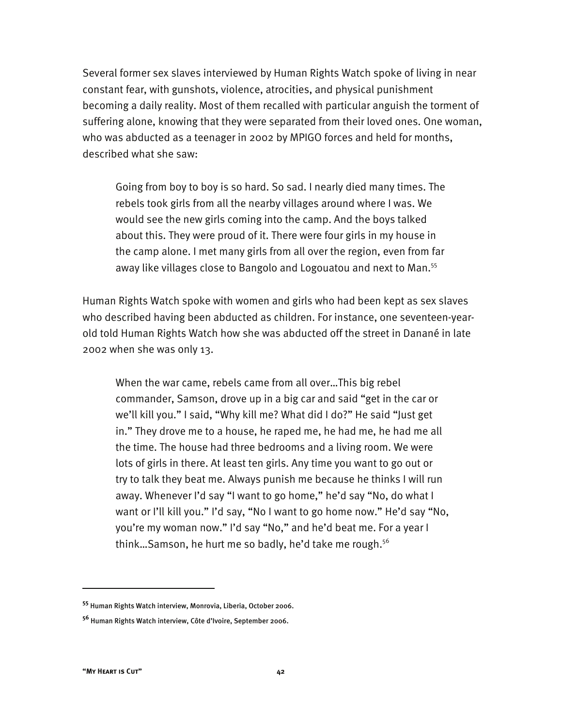Several former sex slaves interviewed by Human Rights Watch spoke of living in near constant fear, with gunshots, violence, atrocities, and physical punishment becoming a daily reality. Most of them recalled with particular anguish the torment of suffering alone, knowing that they were separated from their loved ones. One woman, who was abducted as a teenager in 2002 by MPIGO forces and held for months, described what she saw:

Going from boy to boy is so hard. So sad. I nearly died many times. The rebels took girls from all the nearby villages around where I was. We would see the new girls coming into the camp. And the boys talked about this. They were proud of it. There were four girls in my house in the camp alone. I met many girls from all over the region, even from far away like villages close to Bangolo and Logouatou and next to Man.<sup>55</sup>

Human Rights Watch spoke with women and girls who had been kept as sex slaves who described having been abducted as children. For instance, one seventeen-yearold told Human Rights Watch how she was abducted off the street in Danané in late 2002 when she was only 13.

When the war came, rebels came from all over…This big rebel commander, Samson, drove up in a big car and said "get in the car or we'll kill you." I said, "Why kill me? What did I do?" He said "Just get in." They drove me to a house, he raped me, he had me, he had me all the time. The house had three bedrooms and a living room. We were lots of girls in there. At least ten girls. Any time you want to go out or try to talk they beat me. Always punish me because he thinks I will run away. Whenever I'd say "I want to go home," he'd say "No, do what I want or I'll kill you." I'd say, "No I want to go home now." He'd say "No, you're my woman now." I'd say "No," and he'd beat me. For a year I think...Samson, he hurt me so badly, he'd take me rough.<sup>56</sup>

**<sup>55</sup>** Human Rights Watch interview, Monrovia, Liberia, October 2006.

**<sup>56</sup>** Human Rights Watch interview, Côte d'Ivoire, September 2006.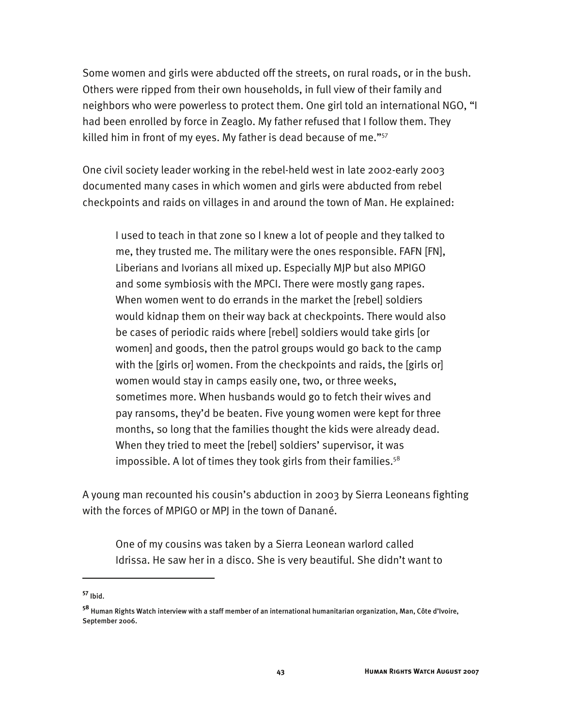Some women and girls were abducted off the streets, on rural roads, or in the bush. Others were ripped from their own households, in full view of their family and neighbors who were powerless to protect them. One girl told an international NGO, "I had been enrolled by force in Zeaglo. My father refused that I follow them. They killed him in front of my eyes. My father is dead because of me."<sup>57</sup>

One civil society leader working in the rebel-held west in late 2002-early 2003 documented many cases in which women and girls were abducted from rebel checkpoints and raids on villages in and around the town of Man. He explained:

I used to teach in that zone so I knew a lot of people and they talked to me, they trusted me. The military were the ones responsible. FAFN [FN], Liberians and Ivorians all mixed up. Especially MJP but also MPIGO and some symbiosis with the MPCI. There were mostly gang rapes. When women went to do errands in the market the [rebel] soldiers would kidnap them on their way back at checkpoints. There would also be cases of periodic raids where [rebel] soldiers would take girls [or women] and goods, then the patrol groups would go back to the camp with the [girls or] women. From the checkpoints and raids, the [girls or] women would stay in camps easily one, two, or three weeks, sometimes more. When husbands would go to fetch their wives and pay ransoms, they'd be beaten. Five young women were kept for three months, so long that the families thought the kids were already dead. When they tried to meet the [rebel] soldiers' supervisor, it was impossible. A lot of times they took girls from their families.<sup>58</sup>

A young man recounted his cousin's abduction in 2003 by Sierra Leoneans fighting with the forces of MPIGO or MPJ in the town of Danané.

One of my cousins was taken by a Sierra Leonean warlord called Idrissa. He saw her in a disco. She is very beautiful. She didn't want to

**<sup>57</sup>** Ibid.

**<sup>58</sup>** Human Rights Watch interview with a staff member of an international humanitarian organization, Man, Côte d'Ivoire, September 2006.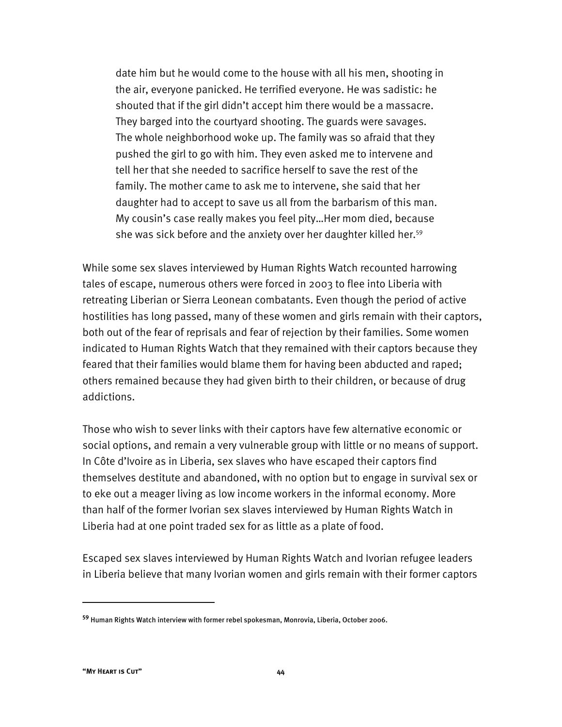date him but he would come to the house with all his men, shooting in the air, everyone panicked. He terrified everyone. He was sadistic: he shouted that if the girl didn't accept him there would be a massacre. They barged into the courtyard shooting. The guards were savages. The whole neighborhood woke up. The family was so afraid that they pushed the girl to go with him. They even asked me to intervene and tell her that she needed to sacrifice herself to save the rest of the family. The mother came to ask me to intervene, she said that her daughter had to accept to save us all from the barbarism of this man. My cousin's case really makes you feel pity…Her mom died, because she was sick before and the anxiety over her daughter killed her.<sup>59</sup>

While some sex slaves interviewed by Human Rights Watch recounted harrowing tales of escape, numerous others were forced in 2003 to flee into Liberia with retreating Liberian or Sierra Leonean combatants. Even though the period of active hostilities has long passed, many of these women and girls remain with their captors, both out of the fear of reprisals and fear of rejection by their families. Some women indicated to Human Rights Watch that they remained with their captors because they feared that their families would blame them for having been abducted and raped; others remained because they had given birth to their children, or because of drug addictions.

Those who wish to sever links with their captors have few alternative economic or social options, and remain a very vulnerable group with little or no means of support. In Côte d'Ivoire as in Liberia, sex slaves who have escaped their captors find themselves destitute and abandoned, with no option but to engage in survival sex or to eke out a meager living as low income workers in the informal economy. More than half of the former Ivorian sex slaves interviewed by Human Rights Watch in Liberia had at one point traded sex for as little as a plate of food.

Escaped sex slaves interviewed by Human Rights Watch and Ivorian refugee leaders in Liberia believe that many Ivorian women and girls remain with their former captors

**<sup>59</sup>** Human Rights Watch interview with former rebel spokesman, Monrovia, Liberia, October 2006.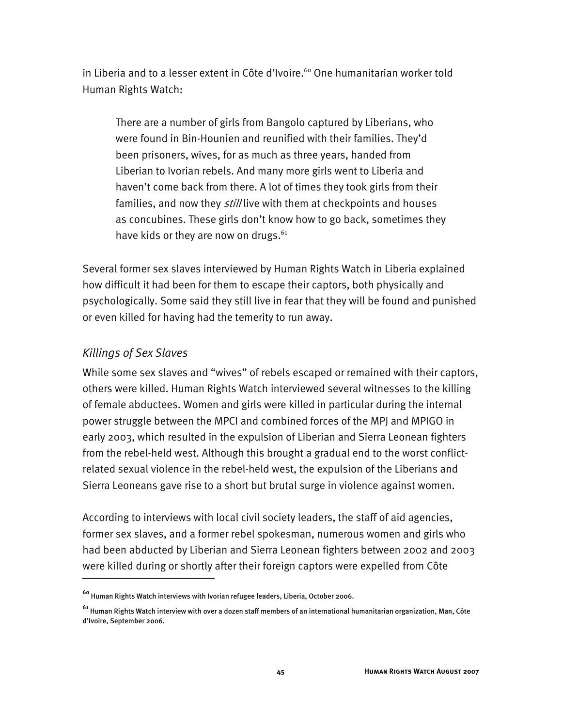in Liberia and to a lesser extent in Côte d'Ivoire.<sup>60</sup> One humanitarian worker told Human Rights Watch:

There are a number of girls from Bangolo captured by Liberians, who were found in Bin-Hounien and reunified with their families. They'd been prisoners, wives, for as much as three years, handed from Liberian to Ivorian rebels. And many more girls went to Liberia and haven't come back from there. A lot of times they took girls from their families, and now they *still* live with them at checkpoints and houses as concubines. These girls don't know how to go back, sometimes they have kids or they are now on drugs.<sup>61</sup>

Several former sex slaves interviewed by Human Rights Watch in Liberia explained how difficult it had been for them to escape their captors, both physically and psychologically. Some said they still live in fear that they will be found and punished or even killed for having had the temerity to run away.

## *Killings of Sex Slaves*

I

While some sex slaves and "wives" of rebels escaped or remained with their captors, others were killed. Human Rights Watch interviewed several witnesses to the killing of female abductees. Women and girls were killed in particular during the internal power struggle between the MPCI and combined forces of the MPJ and MPIGO in early 2003, which resulted in the expulsion of Liberian and Sierra Leonean fighters from the rebel-held west. Although this brought a gradual end to the worst conflictrelated sexual violence in the rebel-held west, the expulsion of the Liberians and Sierra Leoneans gave rise to a short but brutal surge in violence against women.

According to interviews with local civil society leaders, the staff of aid agencies, former sex slaves, and a former rebel spokesman, numerous women and girls who had been abducted by Liberian and Sierra Leonean fighters between 2002 and 2003 were killed during or shortly after their foreign captors were expelled from Côte

**<sup>60</sup>** Human Rights Watch interviews with Ivorian refugee leaders, Liberia, October 2006.

**<sup>61</sup>** Human Rights Watch interview with over a dozen staff members of an international humanitarian organization, Man, Côte d'Ivoire, September 2006.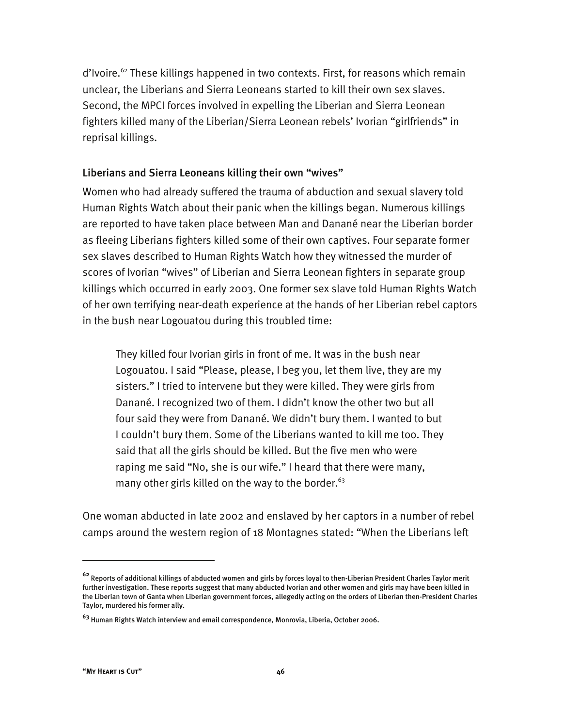d'Ivoire.<sup>62</sup> These killings happened in two contexts. First, for reasons which remain unclear, the Liberians and Sierra Leoneans started to kill their own sex slaves. Second, the MPCI forces involved in expelling the Liberian and Sierra Leonean fighters killed many of the Liberian/Sierra Leonean rebels' Ivorian "girlfriends" in reprisal killings.

#### Liberians and Sierra Leoneans killing their own "wives"

Women who had already suffered the trauma of abduction and sexual slavery told Human Rights Watch about their panic when the killings began. Numerous killings are reported to have taken place between Man and Danané near the Liberian border as fleeing Liberians fighters killed some of their own captives. Four separate former sex slaves described to Human Rights Watch how they witnessed the murder of scores of Ivorian "wives" of Liberian and Sierra Leonean fighters in separate group killings which occurred in early 2003. One former sex slave told Human Rights Watch of her own terrifying near-death experience at the hands of her Liberian rebel captors in the bush near Logouatou during this troubled time:

They killed four Ivorian girls in front of me. It was in the bush near Logouatou. I said "Please, please, I beg you, let them live, they are my sisters." I tried to intervene but they were killed. They were girls from Danané. I recognized two of them. I didn't know the other two but all four said they were from Danané. We didn't bury them. I wanted to but I couldn't bury them. Some of the Liberians wanted to kill me too. They said that all the girls should be killed. But the five men who were raping me said "No, she is our wife." I heard that there were many, many other girls killed on the way to the border. $63$ 

One woman abducted in late 2002 and enslaved by her captors in a number of rebel camps around the western region of 18 Montagnes stated: "When the Liberians left

**<sup>62</sup>** Reports of additional killings of abducted women and girls by forces loyal to then-Liberian President Charles Taylor merit further investigation. These reports suggest that many abducted Ivorian and other women and girls may have been killed in the Liberian town of Ganta when Liberian government forces, allegedly acting on the orders of Liberian then-President Charles Taylor, murdered his former ally.

**<sup>63</sup>** Human Rights Watch interview and email correspondence, Monrovia, Liberia, October 2006.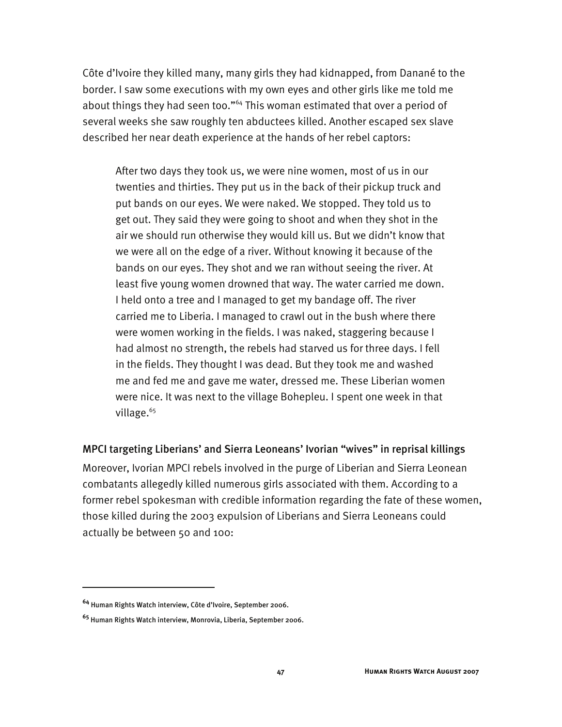Côte d'Ivoire they killed many, many girls they had kidnapped, from Danané to the border. I saw some executions with my own eyes and other girls like me told me about things they had seen too."<sup>64</sup> This woman estimated that over a period of several weeks she saw roughly ten abductees killed. Another escaped sex slave described her near death experience at the hands of her rebel captors:

After two days they took us, we were nine women, most of us in our twenties and thirties. They put us in the back of their pickup truck and put bands on our eyes. We were naked. We stopped. They told us to get out. They said they were going to shoot and when they shot in the air we should run otherwise they would kill us. But we didn't know that we were all on the edge of a river. Without knowing it because of the bands on our eyes. They shot and we ran without seeing the river. At least five young women drowned that way. The water carried me down. I held onto a tree and I managed to get my bandage off. The river carried me to Liberia. I managed to crawl out in the bush where there were women working in the fields. I was naked, staggering because I had almost no strength, the rebels had starved us for three days. I fell in the fields. They thought I was dead. But they took me and washed me and fed me and gave me water, dressed me. These Liberian women were nice. It was next to the village Bohepleu. I spent one week in that village.<sup>65</sup>

MPCI targeting Liberians' and Sierra Leoneans' Ivorian "wives" in reprisal killings

Moreover, Ivorian MPCI rebels involved in the purge of Liberian and Sierra Leonean combatants allegedly killed numerous girls associated with them. According to a former rebel spokesman with credible information regarding the fate of these women, those killed during the 2003 expulsion of Liberians and Sierra Leoneans could actually be between 50 and 100:

**<sup>64</sup>** Human Rights Watch interview, Côte d'Ivoire, September 2006.

**<sup>65</sup>** Human Rights Watch interview, Monrovia, Liberia, September 2006.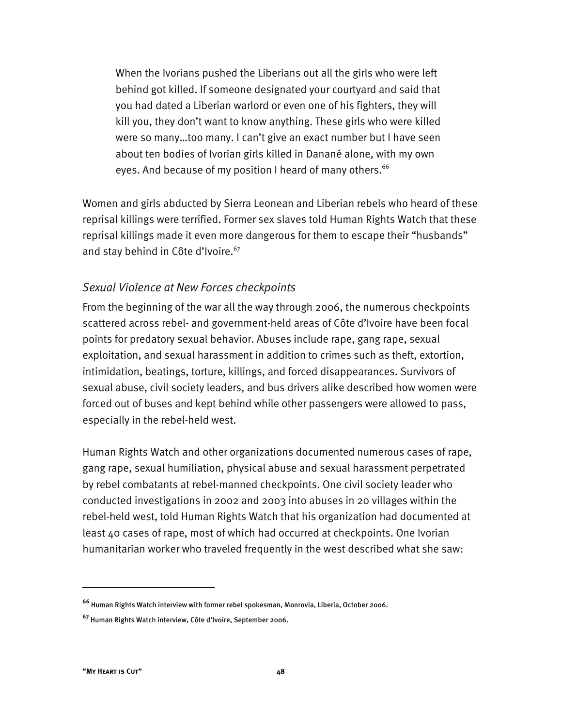When the Ivorians pushed the Liberians out all the girls who were left behind got killed. If someone designated your courtyard and said that you had dated a Liberian warlord or even one of his fighters, they will kill you, they don't want to know anything. These girls who were killed were so many…too many. I can't give an exact number but I have seen about ten bodies of Ivorian girls killed in Danané alone, with my own eyes. And because of my position I heard of many others.<sup>66</sup>

Women and girls abducted by Sierra Leonean and Liberian rebels who heard of these reprisal killings were terrified. Former sex slaves told Human Rights Watch that these reprisal killings made it even more dangerous for them to escape their "husbands" and stay behind in Côte d'Ivoire.<sup>67</sup>

#### *Sexual Violence at New Forces checkpoints*

From the beginning of the war all the way through 2006, the numerous checkpoints scattered across rebel- and government-held areas of Côte d'Ivoire have been focal points for predatory sexual behavior. Abuses include rape, gang rape, sexual exploitation, and sexual harassment in addition to crimes such as theft, extortion, intimidation, beatings, torture, killings, and forced disappearances. Survivors of sexual abuse, civil society leaders, and bus drivers alike described how women were forced out of buses and kept behind while other passengers were allowed to pass, especially in the rebel-held west.

Human Rights Watch and other organizations documented numerous cases of rape, gang rape, sexual humiliation, physical abuse and sexual harassment perpetrated by rebel combatants at rebel-manned checkpoints. One civil society leader who conducted investigations in 2002 and 2003 into abuses in 20 villages within the rebel-held west, told Human Rights Watch that his organization had documented at least 40 cases of rape, most of which had occurred at checkpoints. One Ivorian humanitarian worker who traveled frequently in the west described what she saw:

**<sup>66</sup>** Human Rights Watch interview with former rebel spokesman, Monrovia, Liberia, October 2006.

**<sup>67</sup>** Human Rights Watch interview, Côte d'Ivoire, September 2006.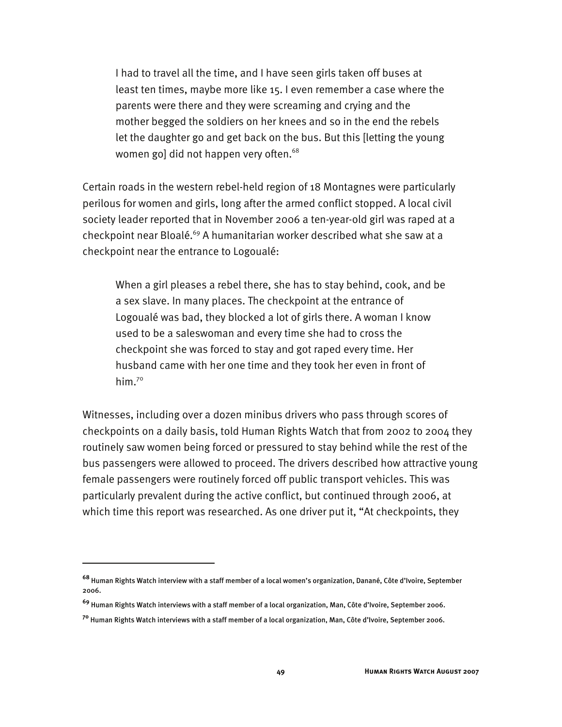I had to travel all the time, and I have seen girls taken off buses at least ten times, maybe more like 15. I even remember a case where the parents were there and they were screaming and crying and the mother begged the soldiers on her knees and so in the end the rebels let the daughter go and get back on the bus. But this [letting the young women go] did not happen very often.<sup>68</sup>

Certain roads in the western rebel-held region of 18 Montagnes were particularly perilous for women and girls, long after the armed conflict stopped. A local civil society leader reported that in November 2006 a ten-year-old girl was raped at a checkpoint near Bloalé.<sup>69</sup> A humanitarian worker described what she saw at a checkpoint near the entrance to Logoualé:

When a girl pleases a rebel there, she has to stay behind, cook, and be a sex slave. In many places. The checkpoint at the entrance of Logoualé was bad, they blocked a lot of girls there. A woman I know used to be a saleswoman and every time she had to cross the checkpoint she was forced to stay and got raped every time. Her husband came with her one time and they took her even in front of him. $70^\circ$ 

Witnesses, including over a dozen minibus drivers who pass through scores of checkpoints on a daily basis, told Human Rights Watch that from 2002 to 2004 they routinely saw women being forced or pressured to stay behind while the rest of the bus passengers were allowed to proceed. The drivers described how attractive young female passengers were routinely forced off public transport vehicles. This was particularly prevalent during the active conflict, but continued through 2006, at which time this report was researched. As one driver put it, "At checkpoints, they

**<sup>68</sup>** Human Rights Watch interview with a staff member of a local women's organization, Danané, Côte d'Ivoire, September 2006.

**<sup>69</sup>** Human Rights Watch interviews with a staff member of a local organization, Man, Côte d'Ivoire, September 2006.

**<sup>70</sup>** Human Rights Watch interviews with a staff member of a local organization, Man, Côte d'Ivoire, September 2006.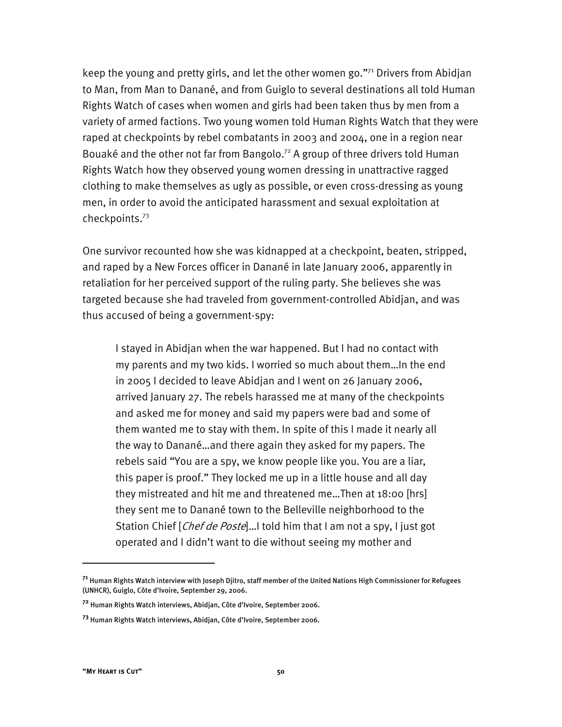keep the young and pretty girls, and let the other women go."71 Drivers from Abidjan to Man, from Man to Danané, and from Guiglo to several destinations all told Human Rights Watch of cases when women and girls had been taken thus by men from a variety of armed factions. Two young women told Human Rights Watch that they were raped at checkpoints by rebel combatants in 2003 and 2004, one in a region near Bouaké and the other not far from Bangolo.<sup>72</sup> A group of three drivers told Human Rights Watch how they observed young women dressing in unattractive ragged clothing to make themselves as ugly as possible, or even cross-dressing as young men, in order to avoid the anticipated harassment and sexual exploitation at checkpoints.73

One survivor recounted how she was kidnapped at a checkpoint, beaten, stripped, and raped by a New Forces officer in Danané in late January 2006, apparently in retaliation for her perceived support of the ruling party. She believes she was targeted because she had traveled from government-controlled Abidjan, and was thus accused of being a government-spy:

I stayed in Abidjan when the war happened. But I had no contact with my parents and my two kids. I worried so much about them…In the end in 2005 I decided to leave Abidjan and I went on 26 January 2006, arrived January 27. The rebels harassed me at many of the checkpoints and asked me for money and said my papers were bad and some of them wanted me to stay with them. In spite of this I made it nearly all the way to Danané…and there again they asked for my papers. The rebels said "You are a spy, we know people like you. You are a liar, this paper is proof." They locked me up in a little house and all day they mistreated and hit me and threatened me…Then at 18:00 [hrs] they sent me to Danané town to the Belleville neighborhood to the Station Chief [Chef de Poste]...I told him that I am not a spy, I just got operated and I didn't want to die without seeing my mother and

**<sup>71</sup>** Human Rights Watch interview with Joseph Djitro, staff member of the United Nations High Commissioner for Refugees (UNHCR), Guiglo, Côte d'Ivoire, September 29, 2006.

**<sup>72</sup>** Human Rights Watch interviews, Abidjan, Côte d'Ivoire, September 2006.

**<sup>73</sup>** Human Rights Watch interviews, Abidjan, Côte d'Ivoire, September 2006.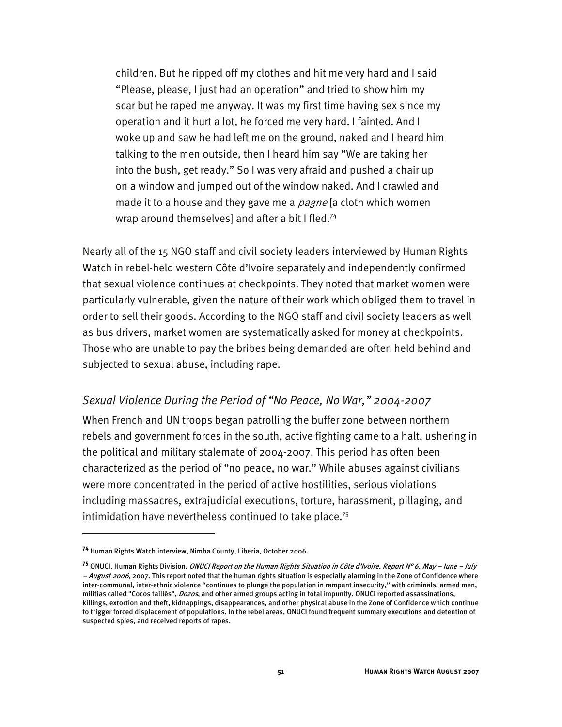children. But he ripped off my clothes and hit me very hard and I said "Please, please, I just had an operation" and tried to show him my scar but he raped me anyway. It was my first time having sex since my operation and it hurt a lot, he forced me very hard. I fainted. And I woke up and saw he had left me on the ground, naked and I heard him talking to the men outside, then I heard him say "We are taking her into the bush, get ready." So I was very afraid and pushed a chair up on a window and jumped out of the window naked. And I crawled and made it to a house and they gave me a *pagne* [a cloth which women wrap around themselves] and after a bit I fled.<sup>74</sup>

Nearly all of the 15 NGO staff and civil society leaders interviewed by Human Rights Watch in rebel-held western Côte d'Ivoire separately and independently confirmed that sexual violence continues at checkpoints. They noted that market women were particularly vulnerable, given the nature of their work which obliged them to travel in order to sell their goods. According to the NGO staff and civil society leaders as well as bus drivers, market women are systematically asked for money at checkpoints. Those who are unable to pay the bribes being demanded are often held behind and subjected to sexual abuse, including rape.

#### *Sexual Violence During the Period of "No Peace, No War," 2004-2007*

When French and UN troops began patrolling the buffer zone between northern rebels and government forces in the south, active fighting came to a halt, ushering in the political and military stalemate of 2004-2007. This period has often been characterized as the period of "no peace, no war." While abuses against civilians were more concentrated in the period of active hostilities, serious violations including massacres, extrajudicial executions, torture, harassment, pillaging, and intimidation have nevertheless continued to take place.<sup>75</sup>

**<sup>74</sup>** Human Rights Watch interview, Nimba County, Liberia, October 2006.

**<sup>75</sup>** ONUCI, Human Rights Division, ONUCI Report on the Human Rights Situation in Côte d'Ivoire, Report N° 6, May – June – July - August 2006, 2007. This report noted that the human rights situation is especially alarming in the Zone of Confidence where inter-communal, inter-ethnic violence "continues to plunge the population in rampant insecurity," with criminals, armed men, militias called "Cocos taillés", *Dozos*, and other armed groups acting in total impunity. ONUCI reported assassinations, killings, extortion and theft, kidnappings, disappearances, and other physical abuse in the Zone of Confidence which continue to trigger forced displacement of populations. In the rebel areas, ONUCI found frequent summary executions and detention of suspected spies, and received reports of rapes.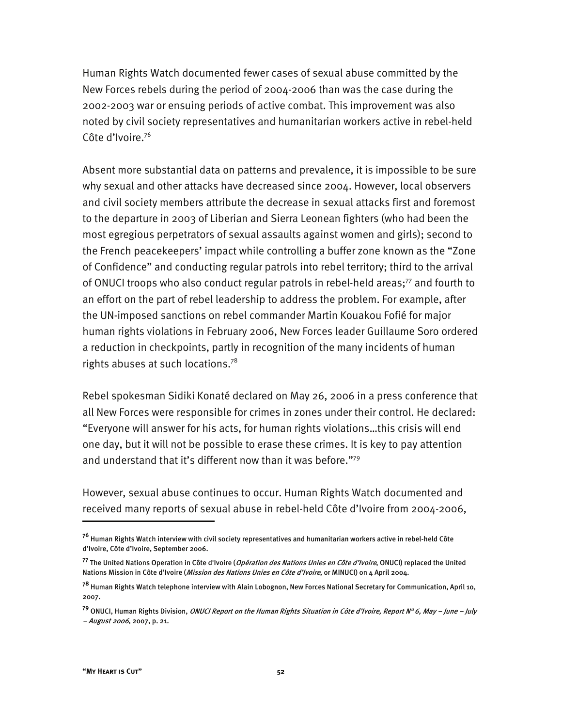Human Rights Watch documented fewer cases of sexual abuse committed by the New Forces rebels during the period of 2004-2006 than was the case during the 2002-2003 war or ensuing periods of active combat. This improvement was also noted by civil society representatives and humanitarian workers active in rebel-held Côte d'Ivoire.<sup>76</sup>

Absent more substantial data on patterns and prevalence, it is impossible to be sure why sexual and other attacks have decreased since 2004. However, local observers and civil society members attribute the decrease in sexual attacks first and foremost to the departure in 2003 of Liberian and Sierra Leonean fighters (who had been the most egregious perpetrators of sexual assaults against women and girls); second to the French peacekeepers' impact while controlling a buffer zone known as the "Zone of Confidence" and conducting regular patrols into rebel territory; third to the arrival of ONUCI troops who also conduct regular patrols in rebel-held areas;<sup>77</sup> and fourth to an effort on the part of rebel leadership to address the problem. For example, after the UN-imposed sanctions on rebel commander Martin Kouakou Fofié for major human rights violations in February 2006, New Forces leader Guillaume Soro ordered a reduction in checkpoints, partly in recognition of the many incidents of human rights abuses at such locations.78

Rebel spokesman Sidiki Konaté declared on May 26, 2006 in a press conference that all New Forces were responsible for crimes in zones under their control. He declared: "Everyone will answer for his acts, for human rights violations…this crisis will end one day, but it will not be possible to erase these crimes. It is key to pay attention and understand that it's different now than it was before."<sup>79</sup>

However, sexual abuse continues to occur. Human Rights Watch documented and received many reports of sexual abuse in rebel-held Côte d'Ivoire from 2004-2006,

**<sup>76</sup>** Human Rights Watch interview with civil society representatives and humanitarian workers active in rebel-held Côte d'Ivoire, Côte d'Ivoire, September 2006.

**<sup>77</sup>** The United Nations Operation in Côte d'Ivoire (Opération des Nations Unies en Côte d'Ivoire, ONUCI) replaced the United Nations Mission in Côte d'Ivoire (Mission des Nations Unies en Côte d'Ivoire, or MINUCI) on 4 April 2004.

**<sup>78</sup>** Human Rights Watch telephone interview with Alain Lobognon, New Forces National Secretary for Communication, April 10, 2007.

**<sup>79</sup>** ONUCI, Human Rights Division, ONUCI Report on the Human Rights Situation in Côte d'Ivoire, Report N° 6, May – June – July – August 2006, 2007, p. 21.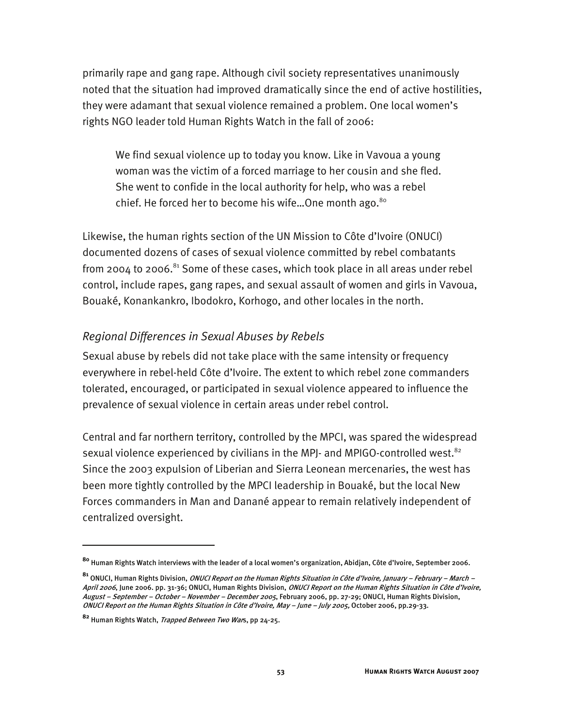primarily rape and gang rape. Although civil society representatives unanimously noted that the situation had improved dramatically since the end of active hostilities, they were adamant that sexual violence remained a problem. One local women's rights NGO leader told Human Rights Watch in the fall of 2006:

We find sexual violence up to today you know. Like in Vavoua a young woman was the victim of a forced marriage to her cousin and she fled. She went to confide in the local authority for help, who was a rebel chief. He forced her to become his wife...One month ago.<sup>80</sup>

Likewise, the human rights section of the UN Mission to Côte d'Ivoire (ONUCI) documented dozens of cases of sexual violence committed by rebel combatants from 2004 to 2006. $^{81}$  Some of these cases, which took place in all areas under rebel control, include rapes, gang rapes, and sexual assault of women and girls in Vavoua, Bouaké, Konankankro, Ibodokro, Korhogo, and other locales in the north.

## *Regional Differences in Sexual Abuses by Rebels*

Sexual abuse by rebels did not take place with the same intensity or frequency everywhere in rebel-held Côte d'Ivoire. The extent to which rebel zone commanders tolerated, encouraged, or participated in sexual violence appeared to influence the prevalence of sexual violence in certain areas under rebel control.

Central and far northern territory, controlled by the MPCI, was spared the widespread sexual violence experienced by civilians in the MPJ- and MPIGO-controlled west.<sup>82</sup> Since the 2003 expulsion of Liberian and Sierra Leonean mercenaries, the west has been more tightly controlled by the MPCI leadership in Bouaké, but the local New Forces commanders in Man and Danané appear to remain relatively independent of centralized oversight.

**<sup>80</sup>** Human Rights Watch interviews with the leader of a local women's organization, Abidjan, Côte d'Ivoire, September 2006.

**<sup>81</sup>** ONUCI, Human Rights Division, ONUCI Report on the Human Rights Situation in Côte d'Ivoire, January – February – March – April 2006, June 2006. pp. 31-36; ONUCI, Human Rights Division, ONUCI Report on the Human Rights Situation in Côte d'Ivoire, August – September – October – November – December 2005, February 2006, pp. 27-29; ONUCI, Human Rights Division, ONUCI Report on the Human Rights Situation in Côte d'Ivoire, May – June – July 2005, October 2006, pp.29-33.

**<sup>82</sup>** Human Rights Watch, Trapped Between Two Wars, pp 24-25.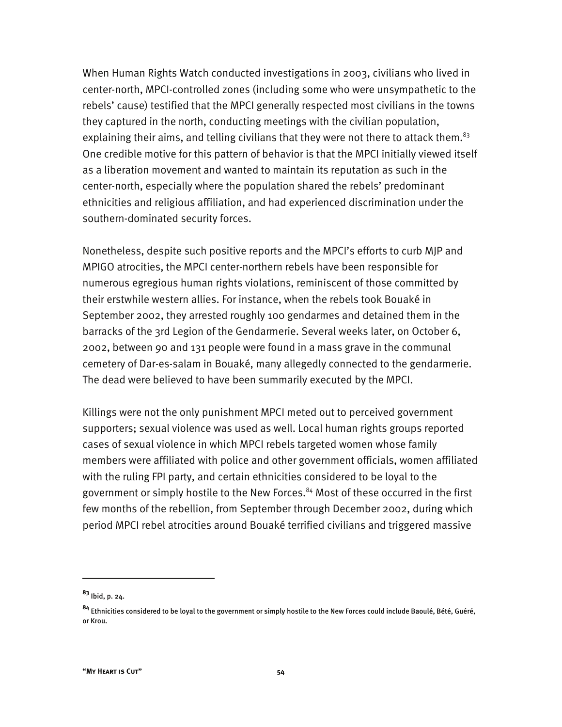When Human Rights Watch conducted investigations in 2003, civilians who lived in center-north, MPCI-controlled zones (including some who were unsympathetic to the rebels' cause) testified that the MPCI generally respected most civilians in the towns they captured in the north, conducting meetings with the civilian population, explaining their aims, and telling civilians that they were not there to attack them.<sup>83</sup> One credible motive for this pattern of behavior is that the MPCI initially viewed itself as a liberation movement and wanted to maintain its reputation as such in the center-north, especially where the population shared the rebels' predominant ethnicities and religious affiliation, and had experienced discrimination under the southern-dominated security forces.

Nonetheless, despite such positive reports and the MPCI's efforts to curb MJP and MPIGO atrocities, the MPCI center-northern rebels have been responsible for numerous egregious human rights violations, reminiscent of those committed by their erstwhile western allies. For instance, when the rebels took Bouaké in September 2002, they arrested roughly 100 gendarmes and detained them in the barracks of the 3rd Legion of the Gendarmerie. Several weeks later, on October 6, 2002, between 90 and 131 people were found in a mass grave in the communal cemetery of Dar-es-salam in Bouaké, many allegedly connected to the gendarmerie. The dead were believed to have been summarily executed by the MPCI.

Killings were not the only punishment MPCI meted out to perceived government supporters; sexual violence was used as well. Local human rights groups reported cases of sexual violence in which MPCI rebels targeted women whose family members were affiliated with police and other government officials, women affiliated with the ruling FPI party, and certain ethnicities considered to be loyal to the government or simply hostile to the New Forces.<sup>84</sup> Most of these occurred in the first few months of the rebellion, from September through December 2002, during which period MPCI rebel atrocities around Bouaké terrified civilians and triggered massive

**<sup>83</sup>** Ibid, p. 24.

**<sup>84</sup>** Ethnicities considered to be loyal to the government or simply hostile to the New Forces could include Baoulé, Bété, Guéré, or Krou.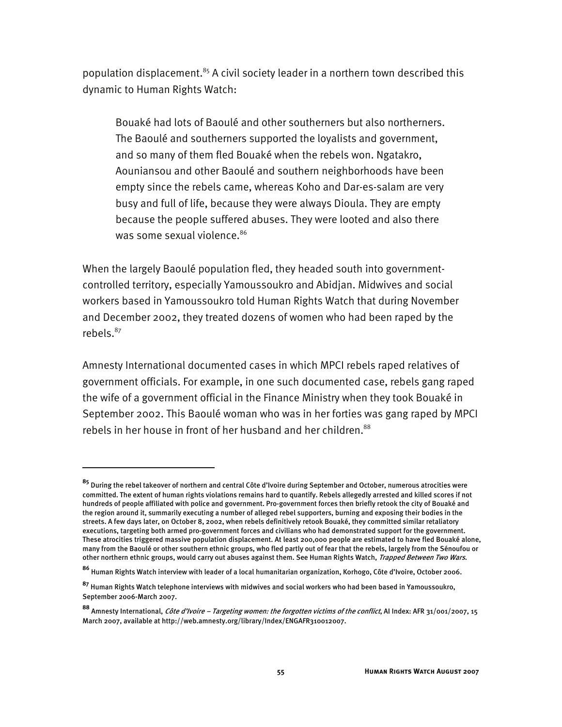population displacement.<sup>85</sup> A civil society leader in a northern town described this dynamic to Human Rights Watch:

Bouaké had lots of Baoulé and other southerners but also northerners. The Baoulé and southerners supported the loyalists and government, and so many of them fled Bouaké when the rebels won. Ngatakro, Aouniansou and other Baoulé and southern neighborhoods have been empty since the rebels came, whereas Koho and Dar-es-salam are very busy and full of life, because they were always Dioula. They are empty because the people suffered abuses. They were looted and also there was some sexual violence.<sup>86</sup>

When the largely Baoulé population fled, they headed south into governmentcontrolled territory, especially Yamoussoukro and Abidjan. Midwives and social workers based in Yamoussoukro told Human Rights Watch that during November and December 2002, they treated dozens of women who had been raped by the rebels.<sup>87</sup>

Amnesty International documented cases in which MPCI rebels raped relatives of government officials. For example, in one such documented case, rebels gang raped the wife of a government official in the Finance Ministry when they took Bouaké in September 2002. This Baoulé woman who was in her forties was gang raped by MPCI rebels in her house in front of her husband and her children.<sup>88</sup>

**<sup>85</sup>** During the rebel takeover of northern and central Côte d'Ivoire during September and October, numerous atrocities were committed. The extent of human rights violations remains hard to quantify. Rebels allegedly arrested and killed scores if not hundreds of people affiliated with police and government. Pro-government forces then briefly retook the city of Bouaké and the region around it, summarily executing a number of alleged rebel supporters, burning and exposing their bodies in the streets. A few days later, on October 8, 2002, when rebels definitively retook Bouaké, they committed similar retaliatory executions, targeting both armed pro-government forces and civilians who had demonstrated support for the government. These atrocities triggered massive population displacement. At least 200,000 people are estimated to have fled Bouaké alone, many from the Baoulé or other southern ethnic groups, who fled partly out of fear that the rebels, largely from the Sénoufou or other northern ethnic groups, would carry out abuses against them. See Human Rights Watch, Trapped Between Two Wars.

**<sup>86</sup>** Human Rights Watch interview with leader of a local humanitarian organization, Korhogo, Côte d'Ivoire, October 2006.

**<sup>87</sup>** Human Rights Watch telephone interviews with midwives and social workers who had been based in Yamoussoukro, September 2006-March 2007.

**<sup>88</sup>** Amnesty International, Côte d'Ivoire – Targeting women: the forgotten victims of the conflict, AI Index: AFR 31/001/2007, 15 March 2007, available at http://web.amnesty.org/library/Index/ENGAFR310012007.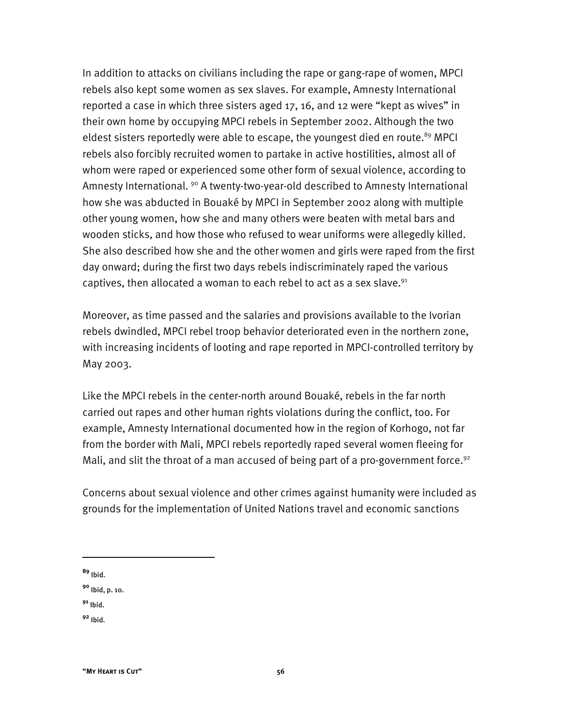In addition to attacks on civilians including the rape or gang-rape of women, MPCI rebels also kept some women as sex slaves. For example, Amnesty International reported a case in which three sisters aged 17, 16, and 12 were "kept as wives" in their own home by occupying MPCI rebels in September 2002. Although the two eldest sisters reportedly were able to escape, the youngest died en route.<sup>89</sup> MPCI rebels also forcibly recruited women to partake in active hostilities, almost all of whom were raped or experienced some other form of sexual violence, according to Amnesty International. <sup>90</sup> A twenty-two-year-old described to Amnesty International how she was abducted in Bouaké by MPCI in September 2002 along with multiple other young women, how she and many others were beaten with metal bars and wooden sticks, and how those who refused to wear uniforms were allegedly killed. She also described how she and the other women and girls were raped from the first day onward; during the first two days rebels indiscriminately raped the various captives, then allocated a woman to each rebel to act as a sex slave. $91$ 

Moreover, as time passed and the salaries and provisions available to the Ivorian rebels dwindled, MPCI rebel troop behavior deteriorated even in the northern zone, with increasing incidents of looting and rape reported in MPCI-controlled territory by May 2003.

Like the MPCI rebels in the center-north around Bouaké, rebels in the far north carried out rapes and other human rights violations during the conflict, too. For example, Amnesty International documented how in the region of Korhogo, not far from the border with Mali, MPCI rebels reportedly raped several women fleeing for Mali, and slit the throat of a man accused of being part of a pro-government force.<sup>92</sup>

Concerns about sexual violence and other crimes against humanity were included as grounds for the implementation of United Nations travel and economic sanctions

**<sup>89</sup>** Ibid.

-

**<sup>90</sup>** Ibid, p. 10.

**<sup>91</sup>** Ibid.

**<sup>92</sup>** Ibid.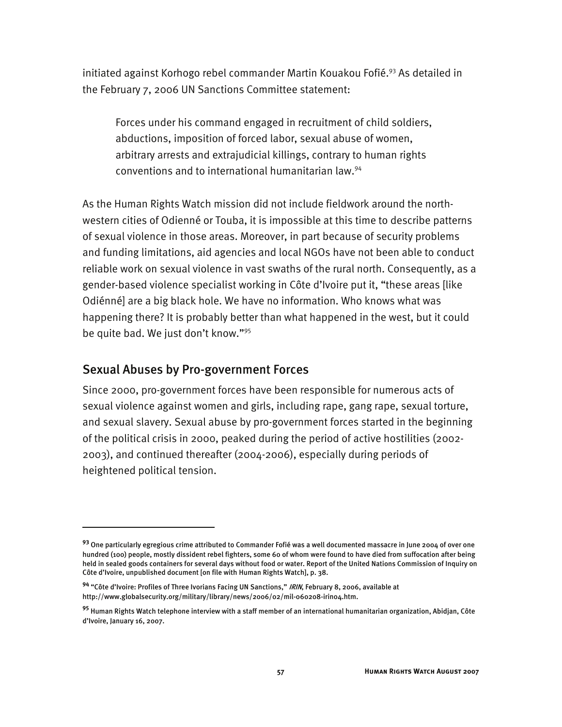initiated against Korhogo rebel commander Martin Kouakou Fofié.93 As detailed in the February 7, 2006 UN Sanctions Committee statement:

Forces under his command engaged in recruitment of child soldiers, abductions, imposition of forced labor, sexual abuse of women, arbitrary arrests and extrajudicial killings, contrary to human rights conventions and to international humanitarian law.94

As the Human Rights Watch mission did not include fieldwork around the northwestern cities of Odienné or Touba, it is impossible at this time to describe patterns of sexual violence in those areas. Moreover, in part because of security problems and funding limitations, aid agencies and local NGOs have not been able to conduct reliable work on sexual violence in vast swaths of the rural north. Consequently, as a gender-based violence specialist working in Côte d'Ivoire put it, "these areas [like Odiénné] are a big black hole. We have no information. Who knows what was happening there? It is probably better than what happened in the west, but it could be quite bad. We just don't know."95

# Sexual Abuses by Pro-government Forces

I

Since 2000, pro-government forces have been responsible for numerous acts of sexual violence against women and girls, including rape, gang rape, sexual torture, and sexual slavery. Sexual abuse by pro-government forces started in the beginning of the political crisis in 2000, peaked during the period of active hostilities (2002- 2003), and continued thereafter (2004-2006), especially during periods of heightened political tension.

**<sup>93</sup>** One particularly egregious crime attributed to Commander Fofié was a well documented massacre in June 2004 of over one hundred (100) people, mostly dissident rebel fighters, some 60 of whom were found to have died from suffocation after being held in sealed goods containers for several days without food or water. Report of the United Nations Commission of Inquiry on Côte d'Ivoire, unpublished document [on file with Human Rights Watch], p. 38.

**<sup>94</sup>** "Côte d'Ivoire: Profiles of Three Ivorians Facing UN Sanctions," IRIN, February 8, 2006, available at http://www.globalsecurity.org/military/library/news/2006/02/mil-060208-irin04.htm.

**<sup>95</sup>** Human Rights Watch telephone interview with a staff member of an international humanitarian organization, Abidjan, Côte d'Ivoire, January 16, 2007.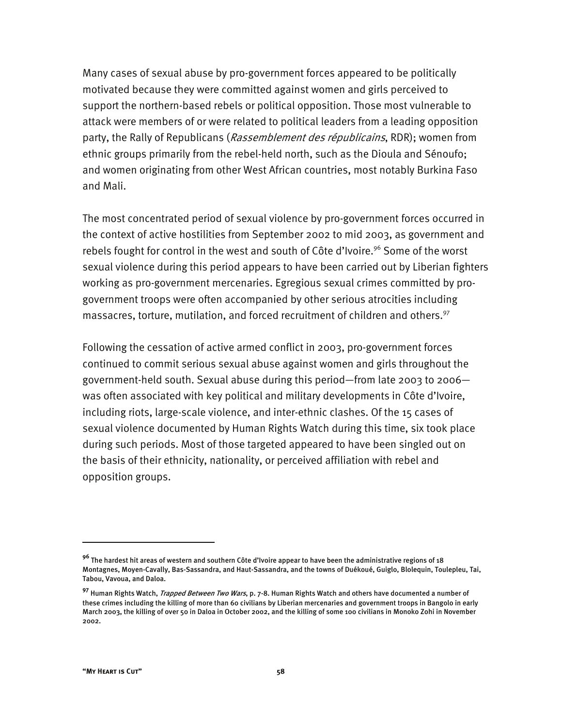Many cases of sexual abuse by pro-government forces appeared to be politically motivated because they were committed against women and girls perceived to support the northern-based rebels or political opposition. Those most vulnerable to attack were members of or were related to political leaders from a leading opposition party, the Rally of Republicans (Rassemblement des républicains, RDR); women from ethnic groups primarily from the rebel-held north, such as the Dioula and Sénoufo; and women originating from other West African countries, most notably Burkina Faso and Mali.

The most concentrated period of sexual violence by pro-government forces occurred in the context of active hostilities from September 2002 to mid 2003, as government and rebels fought for control in the west and south of Côte d'Ivoire.<sup>96</sup> Some of the worst sexual violence during this period appears to have been carried out by Liberian fighters working as pro-government mercenaries. Egregious sexual crimes committed by progovernment troops were often accompanied by other serious atrocities including massacres, torture, mutilation, and forced recruitment of children and others.<sup>97</sup>

Following the cessation of active armed conflict in 2003, pro-government forces continued to commit serious sexual abuse against women and girls throughout the government-held south. Sexual abuse during this period—from late 2003 to 2006 was often associated with key political and military developments in Côte d'Ivoire, including riots, large-scale violence, and inter-ethnic clashes. Of the 15 cases of sexual violence documented by Human Rights Watch during this time, six took place during such periods. Most of those targeted appeared to have been singled out on the basis of their ethnicity, nationality, or perceived affiliation with rebel and opposition groups.

**<sup>96</sup>** The hardest hit areas of western and southern Côte d'Ivoire appear to have been the administrative regions of 18 Montagnes, Moyen-Cavally, Bas-Sassandra, and Haut-Sassandra, and the towns of Duékoué, Guiglo, Blolequin, Toulepleu, Tai, Tabou, Vavoua, and Daloa.

**<sup>97</sup>** Human Rights Watch, Trapped Between Two Wars, p. 7-8. Human Rights Watch and others have documented a number of these crimes including the killing of more than 60 civilians by Liberian mercenaries and government troops in Bangolo in early March 2003, the killing of over 50 in Daloa in October 2002, and the killing of some 100 civilians in Monoko Zohi in November 2002.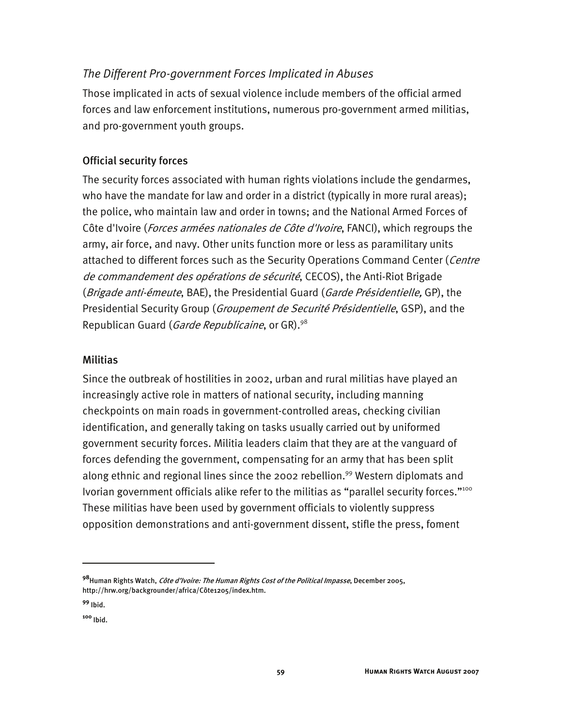# *The Different Pro-government Forces Implicated in Abuses*

Those implicated in acts of sexual violence include members of the official armed forces and law enforcement institutions, numerous pro-government armed militias, and pro-government youth groups.

### Official security forces

The security forces associated with human rights violations include the gendarmes, who have the mandate for law and order in a district (typically in more rural areas); the police, who maintain law and order in towns; and the National Armed Forces of Côte d'Ivoire (Forces armées nationales de Côte d'Ivoire, FANCI), which regroups the army, air force, and navy. Other units function more or less as paramilitary units attached to different forces such as the Security Operations Command Center (Centre de commandement des opérations de sécurité, CECOS), the Anti-Riot Brigade (Brigade anti-émeute, BAE), the Presidential Guard (Garde Présidentielle, GP), the Presidential Security Group (Groupement de Securité Présidentielle, GSP), and the Republican Guard (*Garde Republicaine*, or GR).<sup>98</sup>

### **Militias**

Since the outbreak of hostilities in 2002, urban and rural militias have played an increasingly active role in matters of national security, including manning checkpoints on main roads in government-controlled areas, checking civilian identification, and generally taking on tasks usually carried out by uniformed government security forces. Militia leaders claim that they are at the vanguard of forces defending the government, compensating for an army that has been split along ethnic and regional lines since the 2002 rebellion.<sup>99</sup> Western diplomats and Ivorian government officials alike refer to the militias as "parallel security forces."<sup>100</sup> These militias have been used by government officials to violently suppress opposition demonstrations and anti-government dissent, stifle the press, foment

**<sup>98</sup>**Human Rights Watch, Côte d'Ivoire: The Human Rights Cost of the Political Impasse, December 2005, http://hrw.org/backgrounder/africa/Côte1205/index.htm.

**<sup>99</sup>** Ibid.

**<sup>100</sup>** Ibid.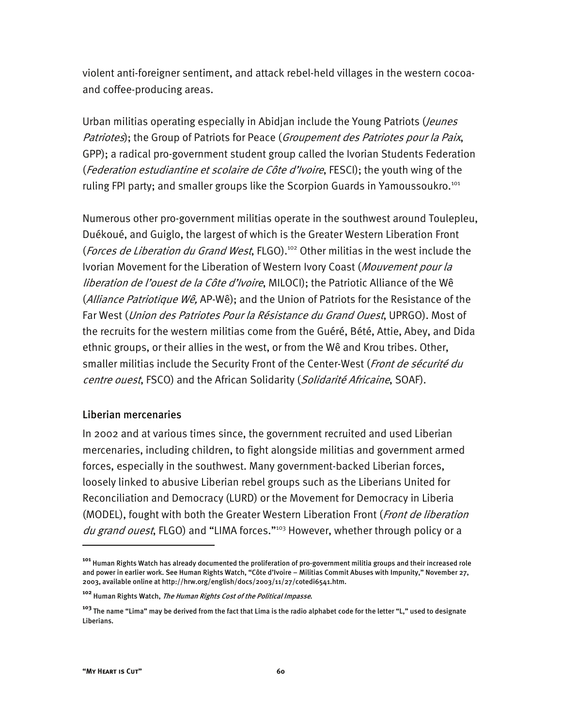violent anti-foreigner sentiment, and attack rebel-held villages in the western cocoaand coffee-producing areas.

Urban militias operating especially in Abidjan include the Young Patriots (*Jeunes* Patriotes); the Group of Patriots for Peace (Groupement des Patriotes pour la Paix, GPP); a radical pro-government student group called the Ivorian Students Federation (Federation estudiantine et scolaire de Côte d'Ivoire, FESCI); the youth wing of the ruling FPI party; and smaller groups like the Scorpion Guards in Yamoussoukro.<sup>101</sup>

Numerous other pro-government militias operate in the southwest around Toulepleu, Duékoué, and Guiglo, the largest of which is the Greater Western Liberation Front (Forces de Liberation du Grand West, FLGO).<sup>102</sup> Other militias in the west include the Ivorian Movement for the Liberation of Western Ivory Coast (Mouvement pour la liberation de l'ouest de la Côte d'Ivoire, MILOCI); the Patriotic Alliance of the Wê (*Alliance Patriotique Wê*, AP-Wê); and the Union of Patriots for the Resistance of the Far West (Union des Patriotes Pour la Résistance du Grand Ouest, UPRGO). Most of the recruits for the western militias come from the Guéré, Bété, Attie, Abey, and Dida ethnic groups, or their allies in the west, or from the Wê and Krou tribes. Other, smaller militias include the Security Front of the Center-West (Front de sécurité du centre ouest, FSCO) and the African Solidarity (Solidarité Africaine, SOAF).

#### Liberian mercenaries

In 2002 and at various times since, the government recruited and used Liberian mercenaries, including children, to fight alongside militias and government armed forces, especially in the southwest. Many government-backed Liberian forces, loosely linked to abusive Liberian rebel groups such as the Liberians United for Reconciliation and Democracy (LURD) or the Movement for Democracy in Liberia (MODEL), fought with both the Greater Western Liberation Front (Front de liberation du grand ouest, FLGO) and "LIMA forces."<sup>103</sup> However, whether through policy or a

**<sup>101</sup>** Human Rights Watch has already documented the proliferation of pro-government militia groups and their increased role and power in earlier work. See Human Rights Watch, "Côte d'Ivoire – Militias Commit Abuses with Impunity," November 27, 2003, available online at http://hrw.org/english/docs/2003/11/27/cotedi6541.htm.

**<sup>102</sup>** Human Rights Watch, The Human Rights Cost of the Political Impasse.

**<sup>103</sup>** The name "Lima" may be derived from the fact that Lima is the radio alphabet code for the letter "L," used to designate Liberians.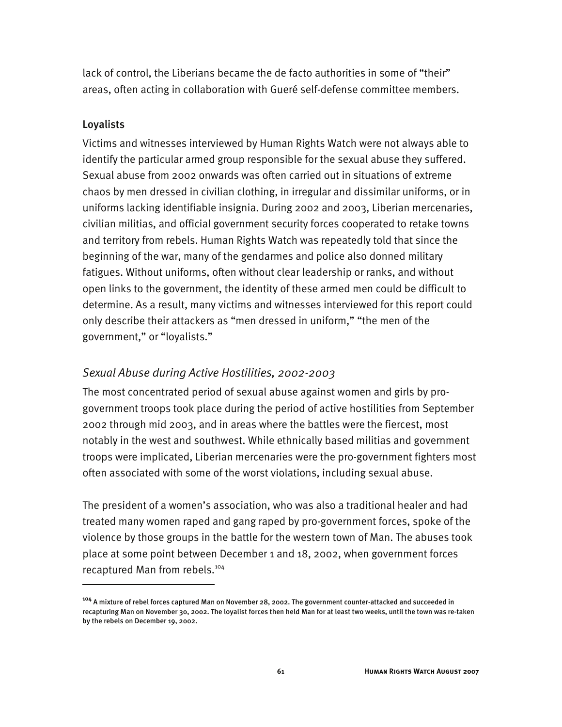lack of control, the Liberians became the de facto authorities in some of "their" areas, often acting in collaboration with Gueré self-defense committee members.

#### Loyalists

I

Victims and witnesses interviewed by Human Rights Watch were not always able to identify the particular armed group responsible for the sexual abuse they suffered. Sexual abuse from 2002 onwards was often carried out in situations of extreme chaos by men dressed in civilian clothing, in irregular and dissimilar uniforms, or in uniforms lacking identifiable insignia. During 2002 and 2003, Liberian mercenaries, civilian militias, and official government security forces cooperated to retake towns and territory from rebels. Human Rights Watch was repeatedly told that since the beginning of the war, many of the gendarmes and police also donned military fatigues. Without uniforms, often without clear leadership or ranks, and without open links to the government, the identity of these armed men could be difficult to determine. As a result, many victims and witnesses interviewed for this report could only describe their attackers as "men dressed in uniform," "the men of the government," or "loyalists."

## *Sexual Abuse during Active Hostilities, 2002-2003*

The most concentrated period of sexual abuse against women and girls by progovernment troops took place during the period of active hostilities from September 2002 through mid 2003, and in areas where the battles were the fiercest, most notably in the west and southwest. While ethnically based militias and government troops were implicated, Liberian mercenaries were the pro-government fighters most often associated with some of the worst violations, including sexual abuse.

The president of a women's association, who was also a traditional healer and had treated many women raped and gang raped by pro-government forces, spoke of the violence by those groups in the battle for the western town of Man. The abuses took place at some point between December 1 and 18, 2002, when government forces recaptured Man from rebels.104

**<sup>104</sup>** A mixture of rebel forces captured Man on November 28, 2002. The government counter-attacked and succeeded in recapturing Man on November 30, 2002. The loyalist forces then held Man for at least two weeks, until the town was re-taken by the rebels on December 19, 2002.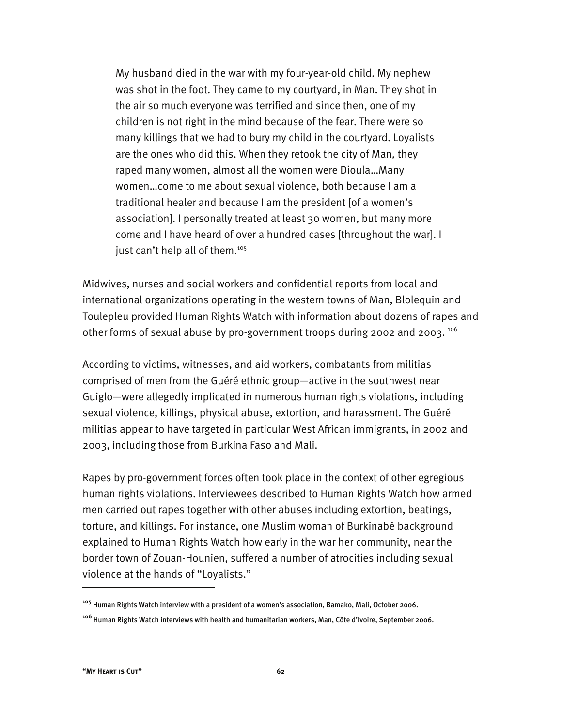My husband died in the war with my four-year-old child. My nephew was shot in the foot. They came to my courtyard, in Man. They shot in the air so much everyone was terrified and since then, one of my children is not right in the mind because of the fear. There were so many killings that we had to bury my child in the courtyard. Loyalists are the ones who did this. When they retook the city of Man, they raped many women, almost all the women were Dioula…Many women…come to me about sexual violence, both because I am a traditional healer and because I am the president [of a women's association]. I personally treated at least 30 women, but many more come and I have heard of over a hundred cases [throughout the war]. I just can't help all of them.<sup>105</sup>

Midwives, nurses and social workers and confidential reports from local and international organizations operating in the western towns of Man, Blolequin and Toulepleu provided Human Rights Watch with information about dozens of rapes and other forms of sexual abuse by pro-government troops during 2002 and 2003. 106

According to victims, witnesses, and aid workers, combatants from militias comprised of men from the Guéré ethnic group—active in the southwest near Guiglo—were allegedly implicated in numerous human rights violations, including sexual violence, killings, physical abuse, extortion, and harassment. The Guéré militias appear to have targeted in particular West African immigrants, in 2002 and 2003, including those from Burkina Faso and Mali.

Rapes by pro-government forces often took place in the context of other egregious human rights violations. Interviewees described to Human Rights Watch how armed men carried out rapes together with other abuses including extortion, beatings, torture, and killings. For instance, one Muslim woman of Burkinabé background explained to Human Rights Watch how early in the war her community, near the border town of Zouan-Hounien, suffered a number of atrocities including sexual violence at the hands of "Loyalists."

**<sup>105</sup>** Human Rights Watch interview with a president of a women's association, Bamako, Mali, October 2006.

**<sup>106</sup>** Human Rights Watch interviews with health and humanitarian workers, Man, Côte d'Ivoire, September 2006.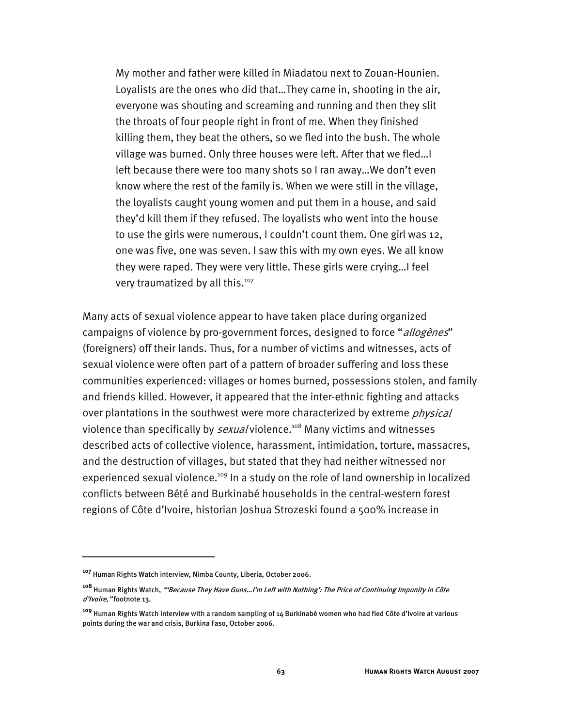My mother and father were killed in Miadatou next to Zouan-Hounien. Loyalists are the ones who did that…They came in, shooting in the air, everyone was shouting and screaming and running and then they slit the throats of four people right in front of me. When they finished killing them, they beat the others, so we fled into the bush. The whole village was burned. Only three houses were left. After that we fled…I left because there were too many shots so I ran away…We don't even know where the rest of the family is. When we were still in the village, the loyalists caught young women and put them in a house, and said they'd kill them if they refused. The loyalists who went into the house to use the girls were numerous, I couldn't count them. One girl was 12, one was five, one was seven. I saw this with my own eyes. We all know they were raped. They were very little. These girls were crying…I feel very traumatized by all this.<sup>107</sup>

Many acts of sexual violence appear to have taken place during organized campaigns of violence by pro-government forces, designed to force "allogenes" (foreigners) off their lands. Thus, for a number of victims and witnesses, acts of sexual violence were often part of a pattern of broader suffering and loss these communities experienced: villages or homes burned, possessions stolen, and family and friends killed. However, it appeared that the inter-ethnic fighting and attacks over plantations in the southwest were more characterized by extreme *physical* violence than specifically by *sexual* violence.<sup>108</sup> Many victims and witnesses described acts of collective violence, harassment, intimidation, torture, massacres, and the destruction of villages, but stated that they had neither witnessed nor experienced sexual violence.<sup>109</sup> In a study on the role of land ownership in localized conflicts between Bété and Burkinabé households in the central-western forest regions of Côte d'Ivoire, historian Joshua Strozeski found a 500% increase in

**<sup>107</sup>** Human Rights Watch interview, Nimba County, Liberia, October 2006.

**<sup>108</sup>** Human Rights Watch, "'Because They Have Guns…I'm Left with Nothing': The Price of Continuing Impunity in Côte d'Ivoire," footnote 13.

**<sup>109</sup>** Human Rights Watch interview with a random sampling of 14 Burkinabé women who had fled Côte d'Ivoire at various points during the war and crisis, Burkina Faso, October 2006.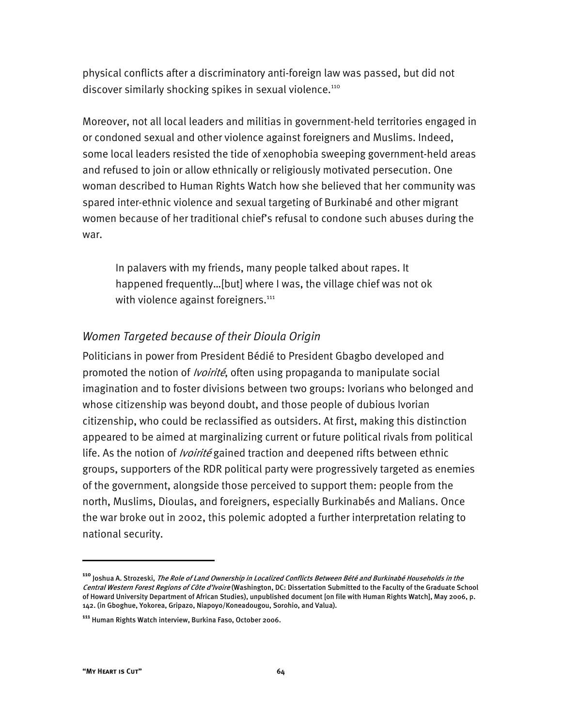physical conflicts after a discriminatory anti-foreign law was passed, but did not discover similarly shocking spikes in sexual violence.<sup>110</sup>

Moreover, not all local leaders and militias in government-held territories engaged in or condoned sexual and other violence against foreigners and Muslims. Indeed, some local leaders resisted the tide of xenophobia sweeping government-held areas and refused to join or allow ethnically or religiously motivated persecution. One woman described to Human Rights Watch how she believed that her community was spared inter-ethnic violence and sexual targeting of Burkinabé and other migrant women because of her traditional chief's refusal to condone such abuses during the war.

In palavers with my friends, many people talked about rapes. It happened frequently…[but] where I was, the village chief was not ok with violence against foreigners. $111$ 

## *Women Targeted because of their Dioula Origin*

Politicians in power from President Bédié to President Gbagbo developed and promoted the notion of *Ivoirité*, often using propaganda to manipulate social imagination and to foster divisions between two groups: Ivorians who belonged and whose citizenship was beyond doubt, and those people of dubious Ivorian citizenship, who could be reclassified as outsiders. At first, making this distinction appeared to be aimed at marginalizing current or future political rivals from political life. As the notion of *Ivoirité* gained traction and deepened rifts between ethnic groups, supporters of the RDR political party were progressively targeted as enemies of the government, alongside those perceived to support them: people from the north, Muslims, Dioulas, and foreigners, especially Burkinabés and Malians. Once the war broke out in 2002, this polemic adopted a further interpretation relating to national security.

**<sup>110</sup>** Joshua A. Strozeski, The Role of Land Ownership in Localized Conflicts Between Bété and Burkinabé Households in the Central Western Forest Regions of Côte d'Ivoire (Washington, DC: Dissertation Submitted to the Faculty of the Graduate School of Howard University Department of African Studies), unpublished document [on file with Human Rights Watch], May 2006, p. 142. (in Gboghue, Yokorea, Gripazo, Niapoyo/Koneadougou, Sorohio, and Valua).

**<sup>111</sup>** Human Rights Watch interview, Burkina Faso, October 2006.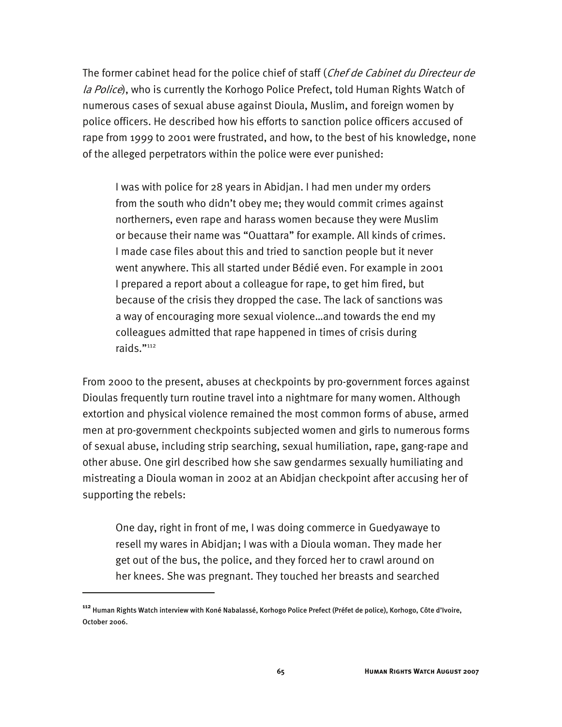The former cabinet head for the police chief of staff (Chef de Cabinet du Directeur de la Police), who is currently the Korhogo Police Prefect, told Human Rights Watch of numerous cases of sexual abuse against Dioula, Muslim, and foreign women by police officers. He described how his efforts to sanction police officers accused of rape from 1999 to 2001 were frustrated, and how, to the best of his knowledge, none of the alleged perpetrators within the police were ever punished:

I was with police for 28 years in Abidjan. I had men under my orders from the south who didn't obey me; they would commit crimes against northerners, even rape and harass women because they were Muslim or because their name was "Ouattara" for example. All kinds of crimes. I made case files about this and tried to sanction people but it never went anywhere. This all started under Bédié even. For example in 2001 I prepared a report about a colleague for rape, to get him fired, but because of the crisis they dropped the case. The lack of sanctions was a way of encouraging more sexual violence…and towards the end my colleagues admitted that rape happened in times of crisis during raids."112

From 2000 to the present, abuses at checkpoints by pro-government forces against Dioulas frequently turn routine travel into a nightmare for many women. Although extortion and physical violence remained the most common forms of abuse, armed men at pro-government checkpoints subjected women and girls to numerous forms of sexual abuse, including strip searching, sexual humiliation, rape, gang-rape and other abuse. One girl described how she saw gendarmes sexually humiliating and mistreating a Dioula woman in 2002 at an Abidjan checkpoint after accusing her of supporting the rebels:

One day, right in front of me, I was doing commerce in Guedyawaye to resell my wares in Abidjan; I was with a Dioula woman. They made her get out of the bus, the police, and they forced her to crawl around on her knees. She was pregnant. They touched her breasts and searched

**<sup>112</sup>** Human Rights Watch interview with Koné Nabalassé, Korhogo Police Prefect (Préfet de police), Korhogo, Côte d'Ivoire, October 2006.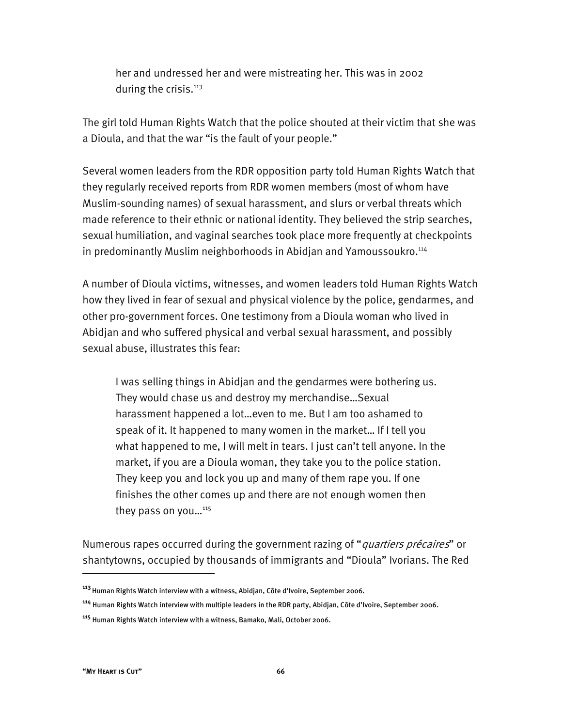her and undressed her and were mistreating her. This was in 2002 during the crisis.<sup>113</sup>

The girl told Human Rights Watch that the police shouted at their victim that she was a Dioula, and that the war "is the fault of your people."

Several women leaders from the RDR opposition party told Human Rights Watch that they regularly received reports from RDR women members (most of whom have Muslim-sounding names) of sexual harassment, and slurs or verbal threats which made reference to their ethnic or national identity. They believed the strip searches, sexual humiliation, and vaginal searches took place more frequently at checkpoints in predominantly Muslim neighborhoods in Abidjan and Yamoussoukro.<sup>114</sup>

A number of Dioula victims, witnesses, and women leaders told Human Rights Watch how they lived in fear of sexual and physical violence by the police, gendarmes, and other pro-government forces. One testimony from a Dioula woman who lived in Abidjan and who suffered physical and verbal sexual harassment, and possibly sexual abuse, illustrates this fear:

I was selling things in Abidjan and the gendarmes were bothering us. They would chase us and destroy my merchandise…Sexual harassment happened a lot…even to me. But I am too ashamed to speak of it. It happened to many women in the market… If I tell you what happened to me, I will melt in tears. I just can't tell anyone. In the market, if you are a Dioula woman, they take you to the police station. They keep you and lock you up and many of them rape you. If one finishes the other comes up and there are not enough women then they pass on you... $^{115}$ 

Numerous rapes occurred during the government razing of "*quartiers précaires*" or shantytowns, occupied by thousands of immigrants and "Dioula" Ivorians. The Red

**<sup>113</sup>**Human Rights Watch interview with a witness, Abidjan, Côte d'Ivoire, September 2006.

**<sup>114</sup>** Human Rights Watch interview with multiple leaders in the RDR party, Abidjan, Côte d'Ivoire, September 2006.

**<sup>115</sup>** Human Rights Watch interview with a witness, Bamako, Mali, October 2006.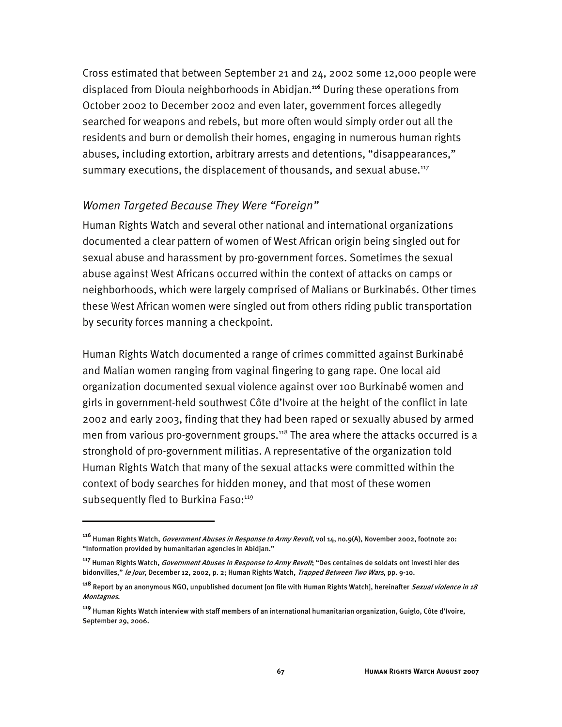Cross estimated that between September 21 and 24, 2002 some 12,000 people were displaced from Dioula neighborhoods in Abidjan.**<sup>116</sup>** During these operations from October 2002 to December 2002 and even later, government forces allegedly searched for weapons and rebels, but more often would simply order out all the residents and burn or demolish their homes, engaging in numerous human rights abuses, including extortion, arbitrary arrests and detentions, "disappearances," summary executions, the displacement of thousands, and sexual abuse.<sup>117</sup>

### *Women Targeted Because They Were "Foreign"*

I

Human Rights Watch and several other national and international organizations documented a clear pattern of women of West African origin being singled out for sexual abuse and harassment by pro-government forces. Sometimes the sexual abuse against West Africans occurred within the context of attacks on camps or neighborhoods, which were largely comprised of Malians or Burkinabés. Other times these West African women were singled out from others riding public transportation by security forces manning a checkpoint.

Human Rights Watch documented a range of crimes committed against Burkinabé and Malian women ranging from vaginal fingering to gang rape. One local aid organization documented sexual violence against over 100 Burkinabé women and girls in government-held southwest Côte d'Ivoire at the height of the conflict in late 2002 and early 2003, finding that they had been raped or sexually abused by armed men from various pro-government groups.<sup>118</sup> The area where the attacks occurred is a stronghold of pro-government militias. A representative of the organization told Human Rights Watch that many of the sexual attacks were committed within the context of body searches for hidden money, and that most of these women subsequently fled to Burkina Faso:<sup>119</sup>

**<sup>116</sup>** Human Rights Watch, Government Abuses in Response to Army Revolt, vol 14, no.9(A), November 2002, footnote 20: "Information provided by humanitarian agencies in Abidjan."

**<sup>117</sup>** Human Rights Watch, Government Abuses in Response to Army Revolt; "Des centaines de soldats ont investi hier des bidonvilles," le Jour, December 12, 2002, p. 2; Human Rights Watch, Trapped Between Two Wars, pp. 9-10.

**<sup>118</sup>** Report by an anonymous NGO, unpublished document [on file with Human Rights Watch], hereinafter Sexual violence in 18 Montagnes.

**<sup>119</sup>** Human Rights Watch interview with staff members of an international humanitarian organization, Guiglo, Côte d'Ivoire, September 29, 2006.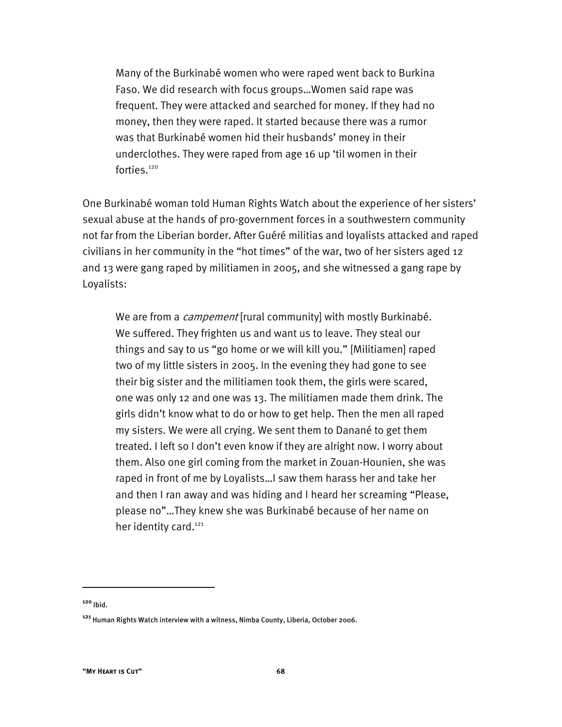Many of the Burkinabé women who were raped went back to Burkina Faso. We did research with focus groups…Women said rape was frequent. They were attacked and searched for money. If they had no money, then they were raped. It started because there was a rumor was that Burkinabé women hid their husbands' money in their underclothes. They were raped from age 16 up 'til women in their forties.<sup>120</sup>

One Burkinabé woman told Human Rights Watch about the experience of her sisters' sexual abuse at the hands of pro-government forces in a southwestern community not far from the Liberian border. After Guéré militias and loyalists attacked and raped civilians in her community in the "hot times" of the war, two of her sisters aged 12 and 13 were gang raped by militiamen in 2005, and she witnessed a gang rape by Loyalists:

We are from a *campement* [rural community] with mostly Burkinabé. We suffered. They frighten us and want us to leave. They steal our things and say to us "go home or we will kill you." [Militiamen] raped two of my little sisters in 2005. In the evening they had gone to see their big sister and the militiamen took them, the girls were scared, one was only 12 and one was 13. The militiamen made them drink. The girls didn't know what to do or how to get help. Then the men all raped my sisters. We were all crying. We sent them to Danané to get them treated. I left so I don't even know if they are alright now. I worry about them. Also one girl coming from the market in Zouan-Hounien, she was raped in front of me by Loyalists…I saw them harass her and take her and then I ran away and was hiding and I heard her screaming "Please, please no"…They knew she was Burkinabé because of her name on her identity card.<sup>121</sup>

**<sup>120</sup>** Ibid.

**<sup>121</sup>** Human Rights Watch interview with a witness, Nimba County, Liberia, October 2006.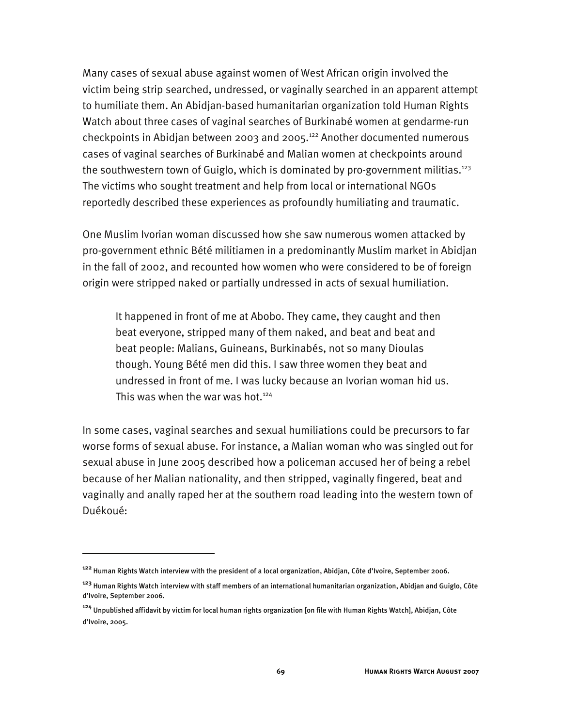Many cases of sexual abuse against women of West African origin involved the victim being strip searched, undressed, or vaginally searched in an apparent attempt to humiliate them. An Abidjan-based humanitarian organization told Human Rights Watch about three cases of vaginal searches of Burkinabé women at gendarme-run checkpoints in Abidjan between 2003 and 2005.122 Another documented numerous cases of vaginal searches of Burkinabé and Malian women at checkpoints around the southwestern town of Guiglo, which is dominated by pro-government militias.<sup>123</sup> The victims who sought treatment and help from local or international NGOs reportedly described these experiences as profoundly humiliating and traumatic.

One Muslim Ivorian woman discussed how she saw numerous women attacked by pro-government ethnic Bété militiamen in a predominantly Muslim market in Abidjan in the fall of 2002, and recounted how women who were considered to be of foreign origin were stripped naked or partially undressed in acts of sexual humiliation.

It happened in front of me at Abobo. They came, they caught and then beat everyone, stripped many of them naked, and beat and beat and beat people: Malians, Guineans, Burkinabés, not so many Dioulas though. Young Bété men did this. I saw three women they beat and undressed in front of me. I was lucky because an Ivorian woman hid us. This was when the war was hot. $124$ 

In some cases, vaginal searches and sexual humiliations could be precursors to far worse forms of sexual abuse. For instance, a Malian woman who was singled out for sexual abuse in June 2005 described how a policeman accused her of being a rebel because of her Malian nationality, and then stripped, vaginally fingered, beat and vaginally and anally raped her at the southern road leading into the western town of Duékoué:

**<sup>122</sup>** Human Rights Watch interview with the president of a local organization, Abidjan, Côte d'Ivoire, September 2006.

**<sup>123</sup>** Human Rights Watch interview with staff members of an international humanitarian organization, Abidjan and Guiglo, Côte d'Ivoire, September 2006.

**<sup>124</sup>** Unpublished affidavit by victim for local human rights organization [on file with Human Rights Watch], Abidjan, Côte d'Ivoire, 2005.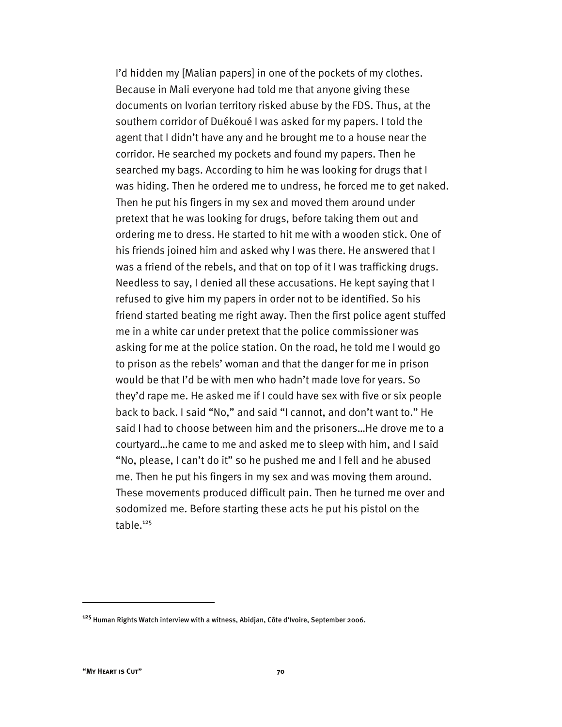I'd hidden my [Malian papers] in one of the pockets of my clothes. Because in Mali everyone had told me that anyone giving these documents on Ivorian territory risked abuse by the FDS. Thus, at the southern corridor of Duékoué I was asked for my papers. I told the agent that I didn't have any and he brought me to a house near the corridor. He searched my pockets and found my papers. Then he searched my bags. According to him he was looking for drugs that I was hiding. Then he ordered me to undress, he forced me to get naked. Then he put his fingers in my sex and moved them around under pretext that he was looking for drugs, before taking them out and ordering me to dress. He started to hit me with a wooden stick. One of his friends joined him and asked why I was there. He answered that I was a friend of the rebels, and that on top of it I was trafficking drugs. Needless to say, I denied all these accusations. He kept saying that I refused to give him my papers in order not to be identified. So his friend started beating me right away. Then the first police agent stuffed me in a white car under pretext that the police commissioner was asking for me at the police station. On the road, he told me I would go to prison as the rebels' woman and that the danger for me in prison would be that I'd be with men who hadn't made love for years. So they'd rape me. He asked me if I could have sex with five or six people back to back. I said "No," and said "I cannot, and don't want to." He said I had to choose between him and the prisoners…He drove me to a courtyard…he came to me and asked me to sleep with him, and I said "No, please, I can't do it" so he pushed me and I fell and he abused me. Then he put his fingers in my sex and was moving them around. These movements produced difficult pain. Then he turned me over and sodomized me. Before starting these acts he put his pistol on the table.<sup>125</sup>

**<sup>125</sup>** Human Rights Watch interview with a witness, Abidjan, Côte d'Ivoire, September 2006.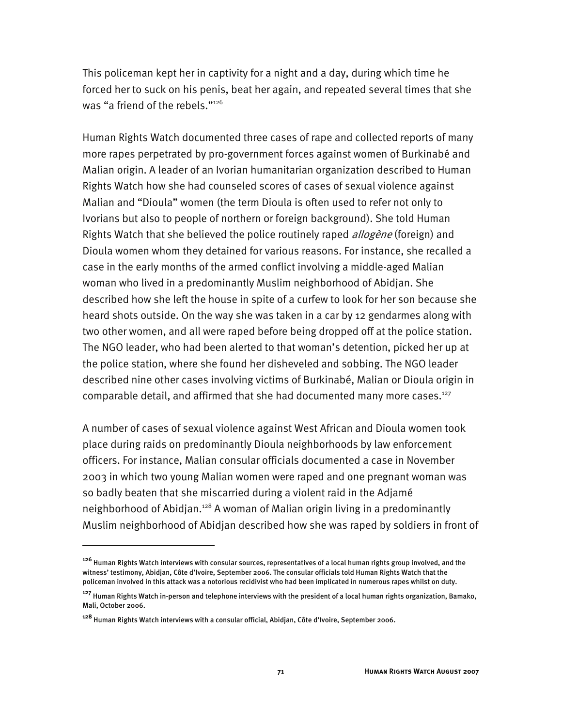This policeman kept her in captivity for a night and a day, during which time he forced her to suck on his penis, beat her again, and repeated several times that she was "a friend of the rebels."<sup>126</sup>

Human Rights Watch documented three cases of rape and collected reports of many more rapes perpetrated by pro-government forces against women of Burkinabé and Malian origin. A leader of an Ivorian humanitarian organization described to Human Rights Watch how she had counseled scores of cases of sexual violence against Malian and "Dioula" women (the term Dioula is often used to refer not only to Ivorians but also to people of northern or foreign background). She told Human Rights Watch that she believed the police routinely raped *allogène* (foreign) and Dioula women whom they detained for various reasons. For instance, she recalled a case in the early months of the armed conflict involving a middle-aged Malian woman who lived in a predominantly Muslim neighborhood of Abidjan. She described how she left the house in spite of a curfew to look for her son because she heard shots outside. On the way she was taken in a car by 12 gendarmes along with two other women, and all were raped before being dropped off at the police station. The NGO leader, who had been alerted to that woman's detention, picked her up at the police station, where she found her disheveled and sobbing. The NGO leader described nine other cases involving victims of Burkinabé, Malian or Dioula origin in comparable detail, and affirmed that she had documented many more cases.<sup>127</sup>

A number of cases of sexual violence against West African and Dioula women took place during raids on predominantly Dioula neighborhoods by law enforcement officers. For instance, Malian consular officials documented a case in November 2003 in which two young Malian women were raped and one pregnant woman was so badly beaten that she miscarried during a violent raid in the Adjamé neighborhood of Abidjan.<sup>128</sup> A woman of Malian origin living in a predominantly Muslim neighborhood of Abidjan described how she was raped by soldiers in front of

**<sup>126</sup>** Human Rights Watch interviews with consular sources, representatives of a local human rights group involved, and the witness' testimony, Abidjan, Côte d'Ivoire, September 2006. The consular officials told Human Rights Watch that the policeman involved in this attack was a notorious recidivist who had been implicated in numerous rapes whilst on duty.

**<sup>127</sup>** Human Rights Watch in-person and telephone interviews with the president of a local human rights organization, Bamako, Mali, October 2006.

**<sup>128</sup>** Human Rights Watch interviews with a consular official, Abidjan, Côte d'Ivoire, September 2006.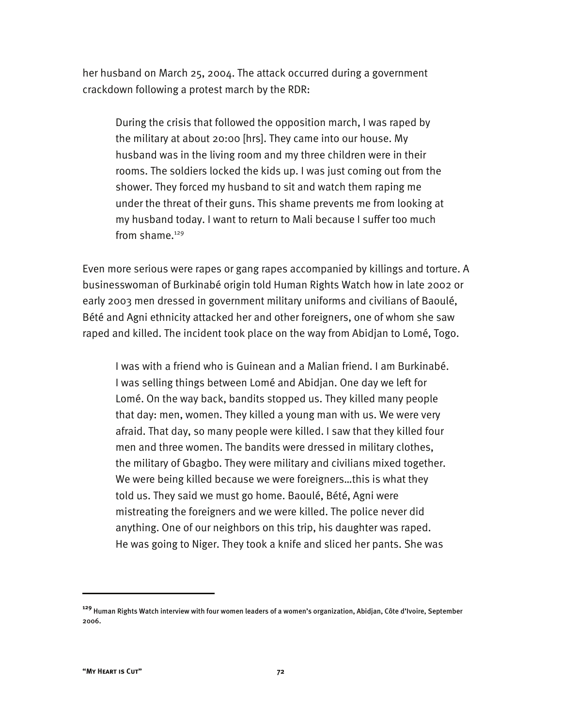her husband on March 25, 2004. The attack occurred during a government crackdown following a protest march by the RDR:

During the crisis that followed the opposition march, I was raped by the military at about 20:00 [hrs]. They came into our house. My husband was in the living room and my three children were in their rooms. The soldiers locked the kids up. I was just coming out from the shower. They forced my husband to sit and watch them raping me under the threat of their guns. This shame prevents me from looking at my husband today. I want to return to Mali because I suffer too much from shame. $129$ 

Even more serious were rapes or gang rapes accompanied by killings and torture. A businesswoman of Burkinabé origin told Human Rights Watch how in late 2002 or early 2003 men dressed in government military uniforms and civilians of Baoulé, Bété and Agni ethnicity attacked her and other foreigners, one of whom she saw raped and killed. The incident took place on the way from Abidjan to Lomé, Togo.

I was with a friend who is Guinean and a Malian friend. I am Burkinabé. I was selling things between Lomé and Abidjan. One day we left for Lomé. On the way back, bandits stopped us. They killed many people that day: men, women. They killed a young man with us. We were very afraid. That day, so many people were killed. I saw that they killed four men and three women. The bandits were dressed in military clothes, the military of Gbagbo. They were military and civilians mixed together. We were being killed because we were foreigners…this is what they told us. They said we must go home. Baoulé, Bété, Agni were mistreating the foreigners and we were killed. The police never did anything. One of our neighbors on this trip, his daughter was raped. He was going to Niger. They took a knife and sliced her pants. She was

**<sup>129</sup>** Human Rights Watch interview with four women leaders of a women's organization, Abidjan, Côte d'Ivoire, September 2006.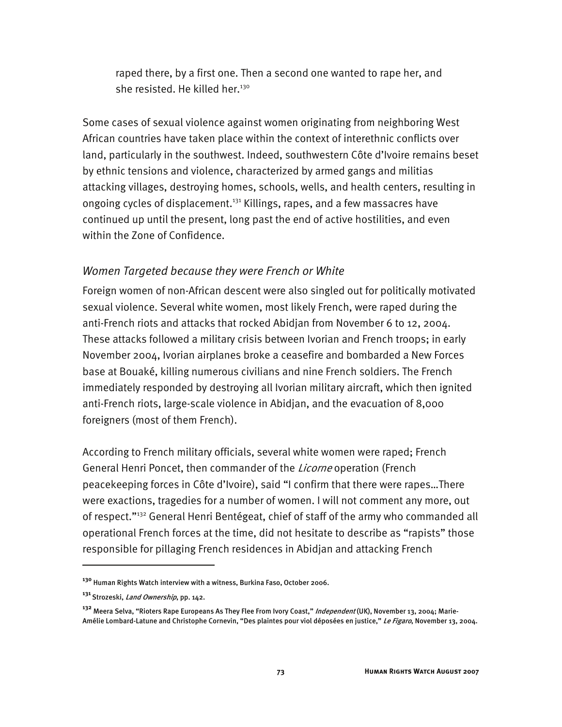raped there, by a first one. Then a second one wanted to rape her, and she resisted. He killed her.<sup>130</sup>

Some cases of sexual violence against women originating from neighboring West African countries have taken place within the context of interethnic conflicts over land, particularly in the southwest. Indeed, southwestern Côte d'Ivoire remains beset by ethnic tensions and violence, characterized by armed gangs and militias attacking villages, destroying homes, schools, wells, and health centers, resulting in ongoing cycles of displacement.<sup>131</sup> Killings, rapes, and a few massacres have continued up until the present, long past the end of active hostilities, and even within the Zone of Confidence.

## *Women Targeted because they were French or White*

Foreign women of non-African descent were also singled out for politically motivated sexual violence. Several white women, most likely French, were raped during the anti-French riots and attacks that rocked Abidjan from November 6 to 12, 2004. These attacks followed a military crisis between Ivorian and French troops; in early November 2004, Ivorian airplanes broke a ceasefire and bombarded a New Forces base at Bouaké, killing numerous civilians and nine French soldiers. The French immediately responded by destroying all Ivorian military aircraft, which then ignited anti-French riots, large-scale violence in Abidjan, and the evacuation of 8,000 foreigners (most of them French).

According to French military officials, several white women were raped; French General Henri Poncet, then commander of the *Licorne* operation (French peacekeeping forces in Côte d'Ivoire), said "I confirm that there were rapes…There were exactions, tragedies for a number of women. I will not comment any more, out of respect."132 General Henri Bentégeat, chief of staff of the army who commanded all operational French forces at the time, did not hesitate to describe as "rapists" those responsible for pillaging French residences in Abidjan and attacking French

**<sup>130</sup>** Human Rights Watch interview with a witness, Burkina Faso, October 2006.

<sup>&</sup>lt;sup>131</sup> Strozeski, *Land Ownership*, pp. 142.

**<sup>132</sup>** Meera Selva, "Rioters Rape Europeans As They Flee From Ivory Coast," Independent (UK), November 13, 2004; Marie-Amélie Lombard-Latune and Christophe Cornevin, "Des plaintes pour viol déposées en justice," *Le Figaro*, November 13, 2004.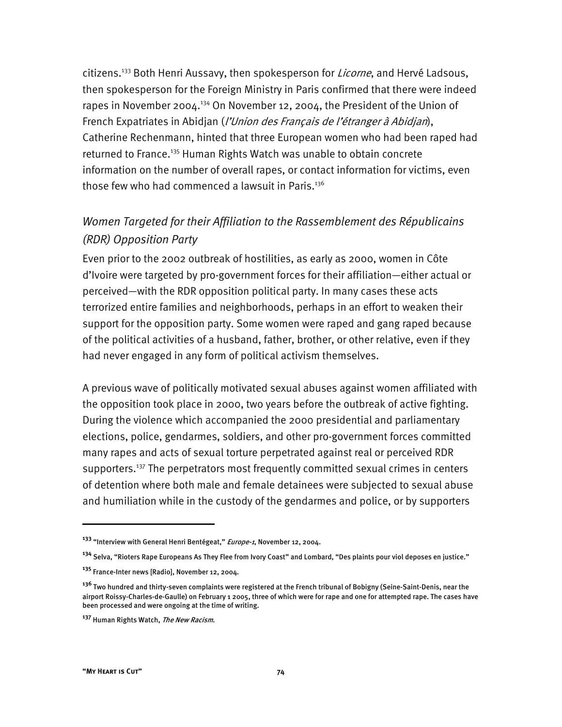citizens.<sup>133</sup> Both Henri Aussavy, then spokesperson for *Licorne*, and Hervé Ladsous, then spokesperson for the Foreign Ministry in Paris confirmed that there were indeed rapes in November 2004.<sup>134</sup> On November 12, 2004, the President of the Union of French Expatriates in Abidjan (l'Union des Français de l'étranger à Abidjan), Catherine Rechenmann, hinted that three European women who had been raped had returned to France.<sup>135</sup> Human Rights Watch was unable to obtain concrete information on the number of overall rapes, or contact information for victims, even those few who had commenced a lawsuit in Paris.<sup>136</sup>

# *Women Targeted for their Affiliation to the Rassemblement des Républicains (RDR) Opposition Party*

Even prior to the 2002 outbreak of hostilities, as early as 2000, women in Côte d'Ivoire were targeted by pro-government forces for their affiliation—either actual or perceived—with the RDR opposition political party. In many cases these acts terrorized entire families and neighborhoods, perhaps in an effort to weaken their support for the opposition party. Some women were raped and gang raped because of the political activities of a husband, father, brother, or other relative, even if they had never engaged in any form of political activism themselves.

A previous wave of politically motivated sexual abuses against women affiliated with the opposition took place in 2000, two years before the outbreak of active fighting. During the violence which accompanied the 2000 presidential and parliamentary elections, police, gendarmes, soldiers, and other pro-government forces committed many rapes and acts of sexual torture perpetrated against real or perceived RDR supporters.<sup>137</sup> The perpetrators most frequently committed sexual crimes in centers of detention where both male and female detainees were subjected to sexual abuse and humiliation while in the custody of the gendarmes and police, or by supporters

j

**<sup>133</sup>** "Interview with General Henri Bentégeat," Europe-1, November 12, 2004.

**<sup>134</sup>** Selva, "Rioters Rape Europeans As They Flee from Ivory Coast" and Lombard, "Des plaints pour viol deposes en justice."

**<sup>135</sup>** France-Inter news [Radio], November 12, 2004.

**<sup>136</sup>** Two hundred and thirty-seven complaints were registered at the French tribunal of Bobigny (Seine-Saint-Denis, near the airport Roissy-Charles-de-Gaulle) on February 1 2005, three of which were for rape and one for attempted rape. The cases have been processed and were ongoing at the time of writing.

**<sup>137</sup>** Human Rights Watch, The New Racism.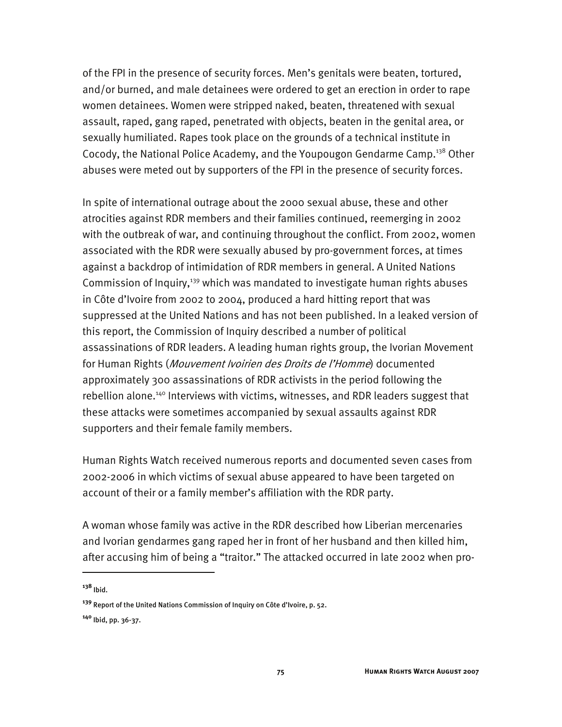of the FPI in the presence of security forces. Men's genitals were beaten, tortured, and/or burned, and male detainees were ordered to get an erection in order to rape women detainees. Women were stripped naked, beaten, threatened with sexual assault, raped, gang raped, penetrated with objects, beaten in the genital area, or sexually humiliated. Rapes took place on the grounds of a technical institute in Cocody, the National Police Academy, and the Youpougon Gendarme Camp.<sup>138</sup> Other abuses were meted out by supporters of the FPI in the presence of security forces.

In spite of international outrage about the 2000 sexual abuse, these and other atrocities against RDR members and their families continued, reemerging in 2002 with the outbreak of war, and continuing throughout the conflict. From 2002, women associated with the RDR were sexually abused by pro-government forces, at times against a backdrop of intimidation of RDR members in general. A United Nations Commission of Inquiry,<sup>139</sup> which was mandated to investigate human rights abuses in Côte d'Ivoire from 2002 to 2004, produced a hard hitting report that was suppressed at the United Nations and has not been published. In a leaked version of this report, the Commission of Inquiry described a number of political assassinations of RDR leaders. A leading human rights group, the Ivorian Movement for Human Rights (*Mouvement Ivoirien des Droits de l'Homme*) documented approximately 300 assassinations of RDR activists in the period following the rebellion alone.<sup>140</sup> Interviews with victims, witnesses, and RDR leaders suggest that these attacks were sometimes accompanied by sexual assaults against RDR supporters and their female family members.

Human Rights Watch received numerous reports and documented seven cases from 2002-2006 in which victims of sexual abuse appeared to have been targeted on account of their or a family member's affiliation with the RDR party.

A woman whose family was active in the RDR described how Liberian mercenaries and Ivorian gendarmes gang raped her in front of her husband and then killed him, after accusing him of being a "traitor." The attacked occurred in late 2002 when pro-

**<sup>138</sup>** Ibid.

**<sup>139</sup>** Report of the United Nations Commission of Inquiry on Côte d'Ivoire, p. 52.

**<sup>140</sup>** Ibid, pp. 36-37.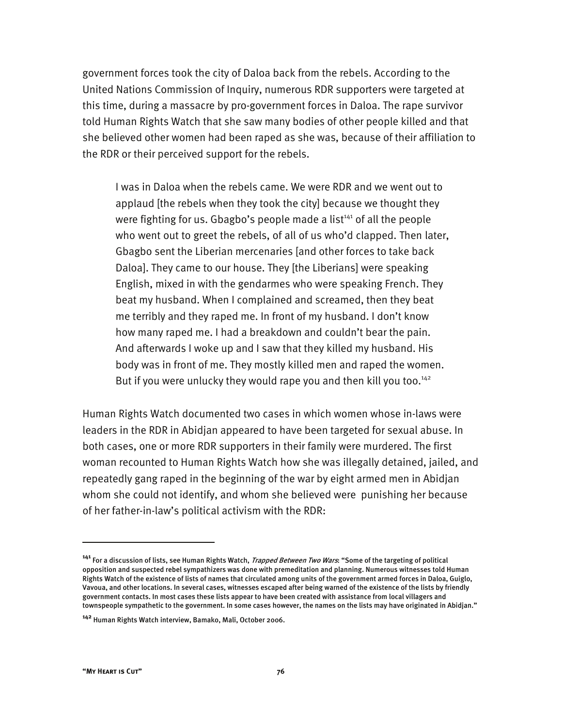government forces took the city of Daloa back from the rebels. According to the United Nations Commission of Inquiry, numerous RDR supporters were targeted at this time, during a massacre by pro-government forces in Daloa. The rape survivor told Human Rights Watch that she saw many bodies of other people killed and that she believed other women had been raped as she was, because of their affiliation to the RDR or their perceived support for the rebels.

I was in Daloa when the rebels came. We were RDR and we went out to applaud [the rebels when they took the city] because we thought they were fighting for us. Gbagbo's people made a list $1441$  of all the people who went out to greet the rebels, of all of us who'd clapped. Then later, Gbagbo sent the Liberian mercenaries [and other forces to take back Daloa]. They came to our house. They [the Liberians] were speaking English, mixed in with the gendarmes who were speaking French. They beat my husband. When I complained and screamed, then they beat me terribly and they raped me. In front of my husband. I don't know how many raped me. I had a breakdown and couldn't bear the pain. And afterwards I woke up and I saw that they killed my husband. His body was in front of me. They mostly killed men and raped the women. But if you were unlucky they would rape you and then kill you too.<sup>142</sup>

Human Rights Watch documented two cases in which women whose in-laws were leaders in the RDR in Abidjan appeared to have been targeted for sexual abuse. In both cases, one or more RDR supporters in their family were murdered. The first woman recounted to Human Rights Watch how she was illegally detained, jailed, and repeatedly gang raped in the beginning of the war by eight armed men in Abidjan whom she could not identify, and whom she believed were punishing her because of her father-in-law's political activism with the RDR:

**<sup>141</sup>** For a discussion of lists, see Human Rights Watch, Trapped Between Two Wars: "Some of the targeting of political opposition and suspected rebel sympathizers was done with premeditation and planning. Numerous witnesses told Human Rights Watch of the existence of lists of names that circulated among units of the government armed forces in Daloa, Guiglo, Vavoua, and other locations. In several cases, witnesses escaped after being warned of the existence of the lists by friendly government contacts. In most cases these lists appear to have been created with assistance from local villagers and townspeople sympathetic to the government. In some cases however, the names on the lists may have originated in Abidjan."

**<sup>142</sup>** Human Rights Watch interview, Bamako, Mali, October 2006.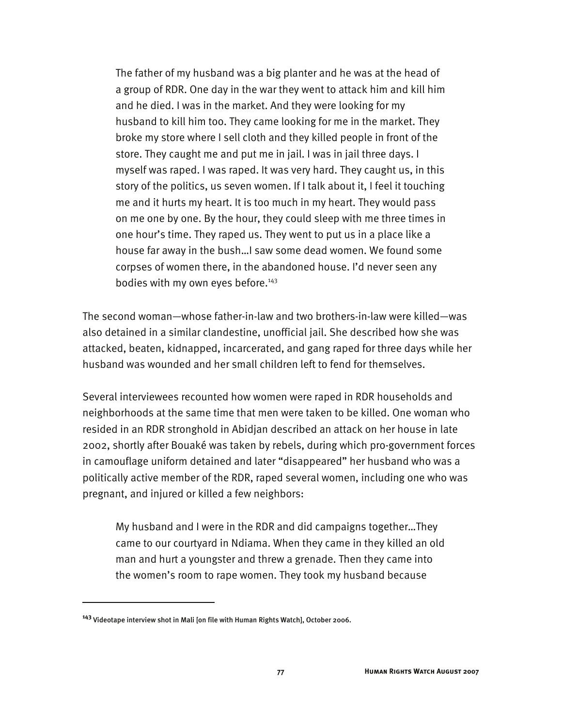The father of my husband was a big planter and he was at the head of a group of RDR. One day in the war they went to attack him and kill him and he died. I was in the market. And they were looking for my husband to kill him too. They came looking for me in the market. They broke my store where I sell cloth and they killed people in front of the store. They caught me and put me in jail. I was in jail three days. I myself was raped. I was raped. It was very hard. They caught us, in this story of the politics, us seven women. If I talk about it, I feel it touching me and it hurts my heart. It is too much in my heart. They would pass on me one by one. By the hour, they could sleep with me three times in one hour's time. They raped us. They went to put us in a place like a house far away in the bush…I saw some dead women. We found some corpses of women there, in the abandoned house. I'd never seen any bodies with my own eyes before.<sup>143</sup>

The second woman—whose father-in-law and two brothers-in-law were killed—was also detained in a similar clandestine, unofficial jail. She described how she was attacked, beaten, kidnapped, incarcerated, and gang raped for three days while her husband was wounded and her small children left to fend for themselves.

Several interviewees recounted how women were raped in RDR households and neighborhoods at the same time that men were taken to be killed. One woman who resided in an RDR stronghold in Abidjan described an attack on her house in late 2002, shortly after Bouaké was taken by rebels, during which pro-government forces in camouflage uniform detained and later "disappeared" her husband who was a politically active member of the RDR, raped several women, including one who was pregnant, and injured or killed a few neighbors:

My husband and I were in the RDR and did campaigns together…They came to our courtyard in Ndiama. When they came in they killed an old man and hurt a youngster and threw a grenade. Then they came into the women's room to rape women. They took my husband because

**<sup>143</sup>** Videotape interview shot in Mali [on file with Human Rights Watch], October 2006.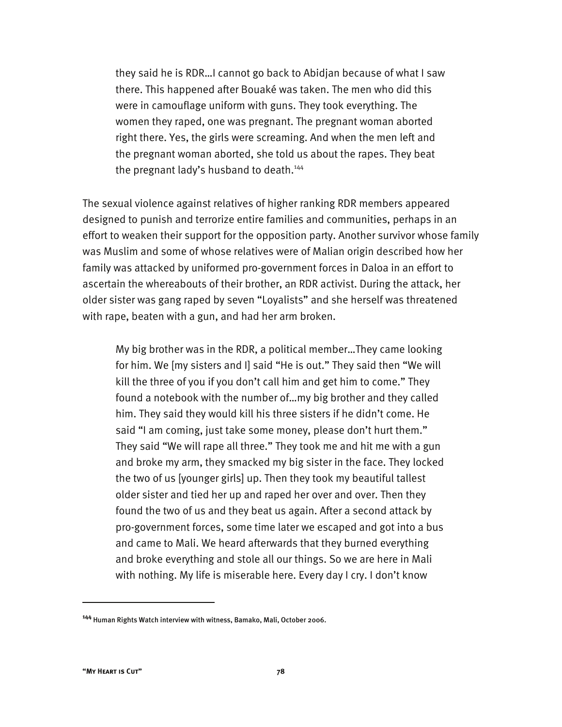they said he is RDR…I cannot go back to Abidjan because of what I saw there. This happened after Bouaké was taken. The men who did this were in camouflage uniform with guns. They took everything. The women they raped, one was pregnant. The pregnant woman aborted right there. Yes, the girls were screaming. And when the men left and the pregnant woman aborted, she told us about the rapes. They beat the pregnant lady's husband to death.<sup>144</sup>

The sexual violence against relatives of higher ranking RDR members appeared designed to punish and terrorize entire families and communities, perhaps in an effort to weaken their support for the opposition party. Another survivor whose family was Muslim and some of whose relatives were of Malian origin described how her family was attacked by uniformed pro-government forces in Daloa in an effort to ascertain the whereabouts of their brother, an RDR activist. During the attack, her older sister was gang raped by seven "Loyalists" and she herself was threatened with rape, beaten with a gun, and had her arm broken.

My big brother was in the RDR, a political member…They came looking for him. We [my sisters and I] said "He is out." They said then "We will kill the three of you if you don't call him and get him to come." They found a notebook with the number of…my big brother and they called him. They said they would kill his three sisters if he didn't come. He said "I am coming, just take some money, please don't hurt them." They said "We will rape all three." They took me and hit me with a gun and broke my arm, they smacked my big sister in the face. They locked the two of us [younger girls] up. Then they took my beautiful tallest older sister and tied her up and raped her over and over. Then they found the two of us and they beat us again. After a second attack by pro-government forces, some time later we escaped and got into a bus and came to Mali. We heard afterwards that they burned everything and broke everything and stole all our things. So we are here in Mali with nothing. My life is miserable here. Every day I cry. I don't know

**<sup>144</sup>** Human Rights Watch interview with witness, Bamako, Mali, October 2006.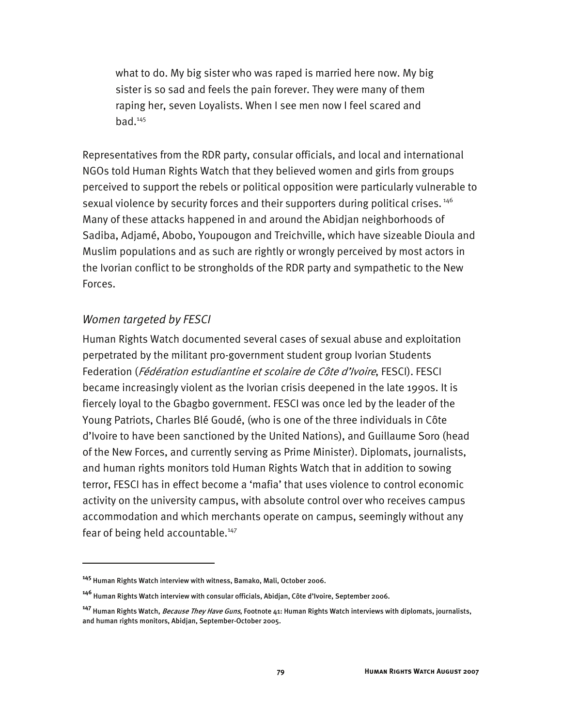what to do. My big sister who was raped is married here now. My big sister is so sad and feels the pain forever. They were many of them raping her, seven Loyalists. When I see men now I feel scared and  $bad.<sup>145</sup>$ 

Representatives from the RDR party, consular officials, and local and international NGOs told Human Rights Watch that they believed women and girls from groups perceived to support the rebels or political opposition were particularly vulnerable to sexual violence by security forces and their supporters during political crises.<sup>146</sup> Many of these attacks happened in and around the Abidjan neighborhoods of Sadiba, Adjamé, Abobo, Youpougon and Treichville, which have sizeable Dioula and Muslim populations and as such are rightly or wrongly perceived by most actors in the Ivorian conflict to be strongholds of the RDR party and sympathetic to the New Forces.

#### *Women targeted by FESCI*

-

Human Rights Watch documented several cases of sexual abuse and exploitation perpetrated by the militant pro-government student group Ivorian Students Federation (Fédération estudiantine et scolaire de Côte d'Ivoire, FESCI). FESCI became increasingly violent as the Ivorian crisis deepened in the late 1990s. It is fiercely loyal to the Gbagbo government. FESCI was once led by the leader of the Young Patriots, Charles Blé Goudé, (who is one of the three individuals in Côte d'Ivoire to have been sanctioned by the United Nations), and Guillaume Soro (head of the New Forces, and currently serving as Prime Minister). Diplomats, journalists, and human rights monitors told Human Rights Watch that in addition to sowing terror, FESCI has in effect become a 'mafia' that uses violence to control economic activity on the university campus, with absolute control over who receives campus accommodation and which merchants operate on campus, seemingly without any fear of being held accountable.<sup>147</sup>

**<sup>145</sup>** Human Rights Watch interview with witness, Bamako, Mali, October 2006.

**<sup>146</sup>** Human Rights Watch interview with consular officials, Abidjan, Côte d'Ivoire, September 2006.

**<sup>147</sup>** Human Rights Watch, Because They Have Guns, Footnote 41: Human Rights Watch interviews with diplomats, journalists, and human rights monitors, Abidjan, September-October 2005.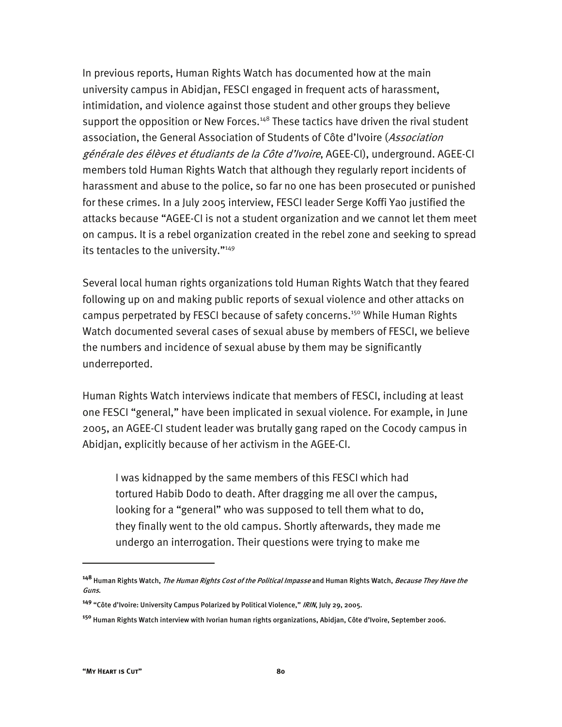In previous reports, Human Rights Watch has documented how at the main university campus in Abidjan, FESCI engaged in frequent acts of harassment, intimidation, and violence against those student and other groups they believe support the opposition or New Forces.<sup>148</sup> These tactics have driven the rival student association, the General Association of Students of Côte d'Ivoire (Association générale des élèves et étudiants de la Côte d'Ivoire, AGEE-CI), underground. AGEE-CI members told Human Rights Watch that although they regularly report incidents of harassment and abuse to the police, so far no one has been prosecuted or punished for these crimes. In a July 2005 interview, FESCI leader Serge Koffi Yao justified the attacks because "AGEE-CI is not a student organization and we cannot let them meet on campus. It is a rebel organization created in the rebel zone and seeking to spread its tentacles to the university."<sup>149</sup>

Several local human rights organizations told Human Rights Watch that they feared following up on and making public reports of sexual violence and other attacks on campus perpetrated by FESCI because of safety concerns.<sup>150</sup> While Human Rights Watch documented several cases of sexual abuse by members of FESCI, we believe the numbers and incidence of sexual abuse by them may be significantly underreported.

Human Rights Watch interviews indicate that members of FESCI, including at least one FESCI "general," have been implicated in sexual violence. For example, in June 2005, an AGEE-CI student leader was brutally gang raped on the Cocody campus in Abidjan, explicitly because of her activism in the AGEE-CI.

I was kidnapped by the same members of this FESCI which had tortured Habib Dodo to death. After dragging me all over the campus, looking for a "general" who was supposed to tell them what to do, they finally went to the old campus. Shortly afterwards, they made me undergo an interrogation. Their questions were trying to make me

**<sup>148</sup>** Human Rights Watch, The Human Rights Cost of the Political Impasse and Human Rights Watch, Because They Have the Guns.

**<sup>149</sup>** "Côte d'Ivoire: University Campus Polarized by Political Violence," IRIN, July 29, 2005.

**<sup>150</sup>** Human Rights Watch interview with Ivorian human rights organizations, Abidjan, Côte d'Ivoire, September 2006.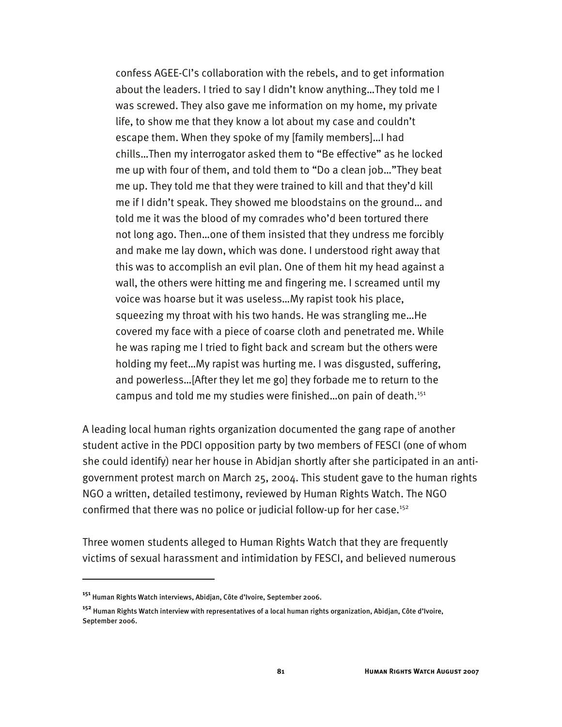confess AGEE-CI's collaboration with the rebels, and to get information about the leaders. I tried to say I didn't know anything…They told me I was screwed. They also gave me information on my home, my private life, to show me that they know a lot about my case and couldn't escape them. When they spoke of my [family members]…I had chills…Then my interrogator asked them to "Be effective" as he locked me up with four of them, and told them to "Do a clean job…"They beat me up. They told me that they were trained to kill and that they'd kill me if I didn't speak. They showed me bloodstains on the ground… and told me it was the blood of my comrades who'd been tortured there not long ago. Then…one of them insisted that they undress me forcibly and make me lay down, which was done. I understood right away that this was to accomplish an evil plan. One of them hit my head against a wall, the others were hitting me and fingering me. I screamed until my voice was hoarse but it was useless…My rapist took his place, squeezing my throat with his two hands. He was strangling me…He covered my face with a piece of coarse cloth and penetrated me. While he was raping me I tried to fight back and scream but the others were holding my feet…My rapist was hurting me. I was disgusted, suffering, and powerless…[After they let me go] they forbade me to return to the campus and told me my studies were finished...on pain of death.<sup>151</sup>

A leading local human rights organization documented the gang rape of another student active in the PDCI opposition party by two members of FESCI (one of whom she could identify) near her house in Abidjan shortly after she participated in an antigovernment protest march on March 25, 2004. This student gave to the human rights NGO a written, detailed testimony, reviewed by Human Rights Watch. The NGO confirmed that there was no police or judicial follow-up for her case.<sup>152</sup>

Three women students alleged to Human Rights Watch that they are frequently victims of sexual harassment and intimidation by FESCI, and believed numerous

**<sup>151</sup>** Human Rights Watch interviews, Abidjan, Côte d'Ivoire, September 2006.

**<sup>152</sup>** Human Rights Watch interview with representatives of a local human rights organization, Abidjan, Côte d'Ivoire, September 2006.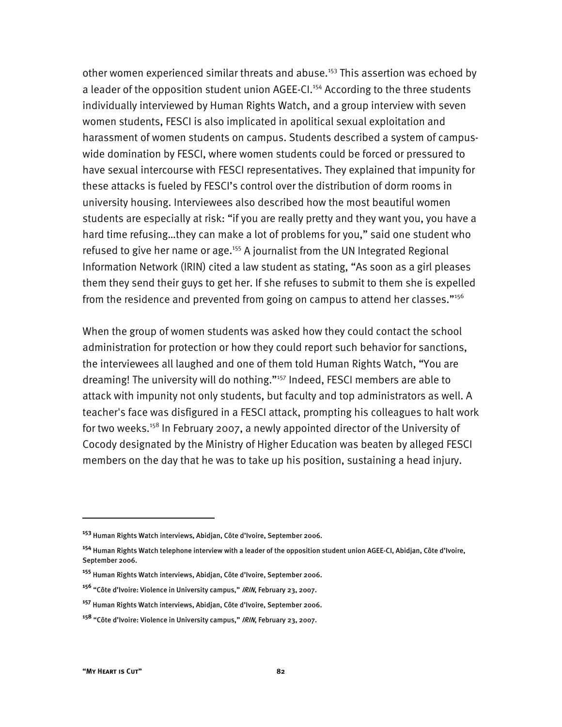other women experienced similar threats and abuse.<sup>153</sup> This assertion was echoed by a leader of the opposition student union AGEE-CI.<sup>154</sup> According to the three students individually interviewed by Human Rights Watch, and a group interview with seven women students, FESCI is also implicated in apolitical sexual exploitation and harassment of women students on campus. Students described a system of campuswide domination by FESCI, where women students could be forced or pressured to have sexual intercourse with FESCI representatives. They explained that impunity for these attacks is fueled by FESCI's control over the distribution of dorm rooms in university housing. Interviewees also described how the most beautiful women students are especially at risk: "if you are really pretty and they want you, you have a hard time refusing…they can make a lot of problems for you," said one student who refused to give her name or age.<sup>155</sup> A journalist from the UN Integrated Regional Information Network (IRIN) cited a law student as stating, "As soon as a girl pleases them they send their guys to get her. If she refuses to submit to them she is expelled from the residence and prevented from going on campus to attend her classes." $156$ 

When the group of women students was asked how they could contact the school administration for protection or how they could report such behavior for sanctions, the interviewees all laughed and one of them told Human Rights Watch, "You are dreaming! The university will do nothing."157 Indeed, FESCI members are able to attack with impunity not only students, but faculty and top administrators as well. A teacher's face was disfigured in a FESCI attack, prompting his colleagues to halt work for two weeks.<sup>158</sup> In February 2007, a newly appointed director of the University of Cocody designated by the Ministry of Higher Education was beaten by alleged FESCI members on the day that he was to take up his position, sustaining a head injury.

**<sup>153</sup>** Human Rights Watch interviews, Abidjan, Côte d'Ivoire, September 2006.

**<sup>154</sup>** Human Rights Watch telephone interview with a leader of the opposition student union AGEE-CI, Abidjan, Côte d'Ivoire, September 2006.

**<sup>155</sup>** Human Rights Watch interviews, Abidjan, Côte d'Ivoire, September 2006.

**<sup>156</sup>** "Côte d'Ivoire: Violence in University campus," IRIN, February 23, 2007.

**<sup>157</sup>** Human Rights Watch interviews, Abidjan, Côte d'Ivoire, September 2006.

**<sup>158</sup>** "Côte d'Ivoire: Violence in University campus," IRIN, February 23, 2007.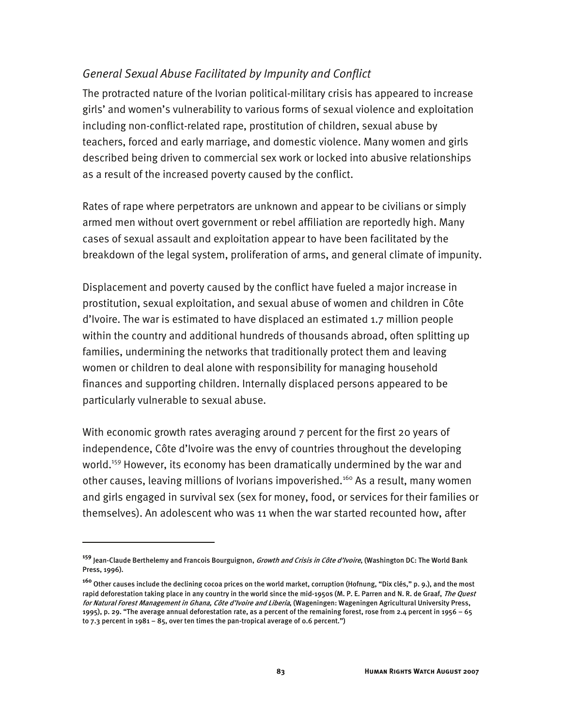## *General Sexual Abuse Facilitated by Impunity and Conflict*

The protracted nature of the Ivorian political-military crisis has appeared to increase girls' and women's vulnerability to various forms of sexual violence and exploitation including non-conflict-related rape, prostitution of children, sexual abuse by teachers, forced and early marriage, and domestic violence. Many women and girls described being driven to commercial sex work or locked into abusive relationships as a result of the increased poverty caused by the conflict.

Rates of rape where perpetrators are unknown and appear to be civilians or simply armed men without overt government or rebel affiliation are reportedly high. Many cases of sexual assault and exploitation appear to have been facilitated by the breakdown of the legal system, proliferation of arms, and general climate of impunity.

Displacement and poverty caused by the conflict have fueled a major increase in prostitution, sexual exploitation, and sexual abuse of women and children in Côte d'Ivoire. The war is estimated to have displaced an estimated 1.7 million people within the country and additional hundreds of thousands abroad, often splitting up families, undermining the networks that traditionally protect them and leaving women or children to deal alone with responsibility for managing household finances and supporting children. Internally displaced persons appeared to be particularly vulnerable to sexual abuse.

With economic growth rates averaging around 7 percent for the first 20 years of independence, Côte d'Ivoire was the envy of countries throughout the developing world.<sup>159</sup> However, its economy has been dramatically undermined by the war and other causes, leaving millions of Ivorians impoverished.<sup>160</sup> As a result, many women and girls engaged in survival sex (sex for money, food, or services for their families or themselves). An adolescent who was 11 when the war started recounted how, after

**<sup>159</sup>** Jean-Claude Berthelemy and Francois Bourguignon, Growth and Crisis in Côte d'Ivoire, (Washington DC: The World Bank Press, 1996).

**<sup>160</sup>** Other causes include the declining cocoa prices on the world market, corruption (Hofnung, "Dix clés," p. 9.), and the most rapid deforestation taking place in any country in the world since the mid-1950s (M. P. E. Parren and N. R. de Graaf, *The Quest* for Natural Forest Management in Ghana, Côte d'Ivoire and Liberia, (Wageningen: Wageningen Agricultural University Press, 1995), p. 29. "The average annual deforestation rate, as a percent of the remaining forest, rose from 2.4 percent in 1956 – 65 to 7.3 percent in 1981 – 85, over ten times the pan-tropical average of 0.6 percent.")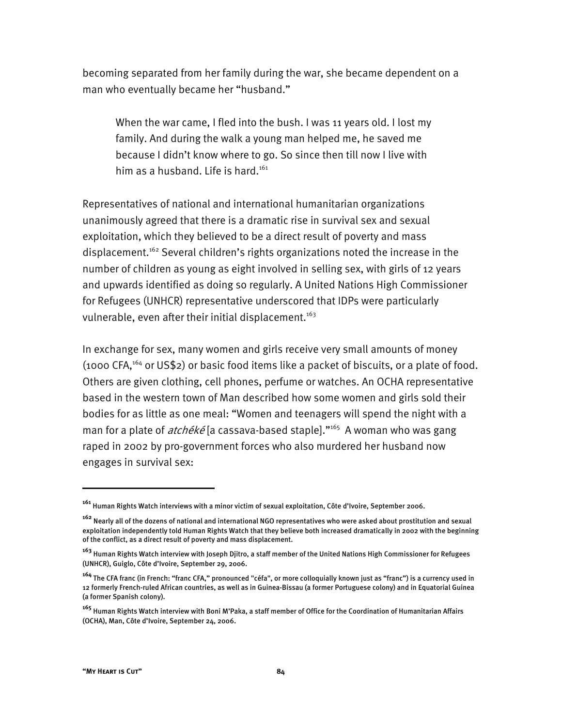becoming separated from her family during the war, she became dependent on a man who eventually became her "husband."

When the war came, I fled into the bush. I was 11 years old. I lost my family. And during the walk a young man helped me, he saved me because I didn't know where to go. So since then till now I live with him as a husband. Life is hard.<sup>161</sup>

Representatives of national and international humanitarian organizations unanimously agreed that there is a dramatic rise in survival sex and sexual exploitation, which they believed to be a direct result of poverty and mass displacement.<sup>162</sup> Several children's rights organizations noted the increase in the number of children as young as eight involved in selling sex, with girls of 12 years and upwards identified as doing so regularly. A United Nations High Commissioner for Refugees (UNHCR) representative underscored that IDPs were particularly vulnerable, even after their initial displacement.<sup>163</sup>

In exchange for sex, many women and girls receive very small amounts of money (1000 CFA,164 or US\$2) or basic food items like a packet of biscuits, or a plate of food. Others are given clothing, cell phones, perfume or watches. An OCHA representative based in the western town of Man described how some women and girls sold their bodies for as little as one meal: "Women and teenagers will spend the night with a man for a plate of  $atch\acute{e}k\acute{e}$  [a cassava-based staple]."<sup>165</sup> A woman who was gang raped in 2002 by pro-government forces who also murdered her husband now engages in survival sex:

j

**<sup>161</sup>** Human Rights Watch interviews with a minor victim of sexual exploitation, Côte d'Ivoire, September 2006.

**<sup>162</sup>** Nearly all of the dozens of national and international NGO representatives who were asked about prostitution and sexual exploitation independently told Human Rights Watch that they believe both increased dramatically in 2002 with the beginning of the conflict, as a direct result of poverty and mass displacement.

**<sup>163</sup>** Human Rights Watch interview with Joseph Djitro, a staff member of the United Nations High Commissioner for Refugees (UNHCR), Guiglo, Côte d'Ivoire, September 29, 2006.

**<sup>164</sup>** The CFA franc (in French: "franc CFA," pronounced "céfa", or more colloquially known just as "franc") is a currency used in 12 formerly French-ruled African countries, as well as in Guinea-Bissau (a former Portuguese colony) and in Equatorial Guinea (a former Spanish colony).

**<sup>165</sup>** Human Rights Watch interview with Boni M'Paka, a staff member of Office for the Coordination of Humanitarian Affairs (OCHA), Man, Côte d'Ivoire, September 24, 2006.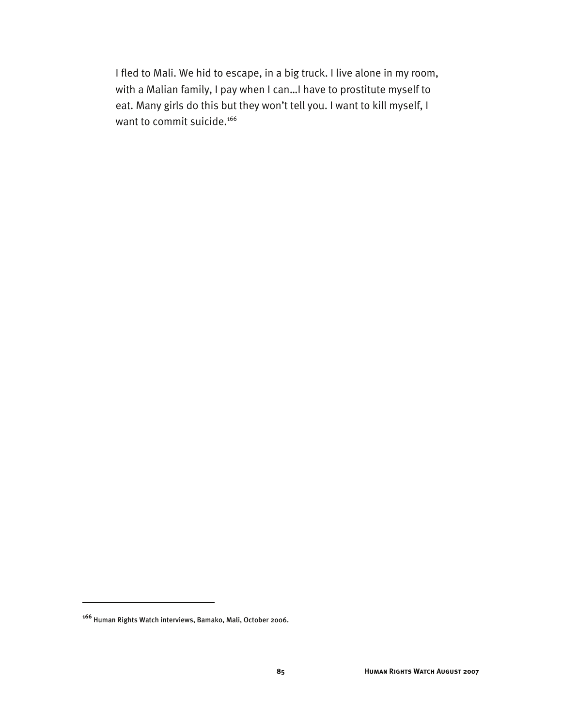I fled to Mali. We hid to escape, in a big truck. I live alone in my room, with a Malian family, I pay when I can…I have to prostitute myself to eat. Many girls do this but they won't tell you. I want to kill myself, I want to commit suicide.<sup>166</sup>

**<sup>166</sup>** Human Rights Watch interviews, Bamako, Mali, October 2006.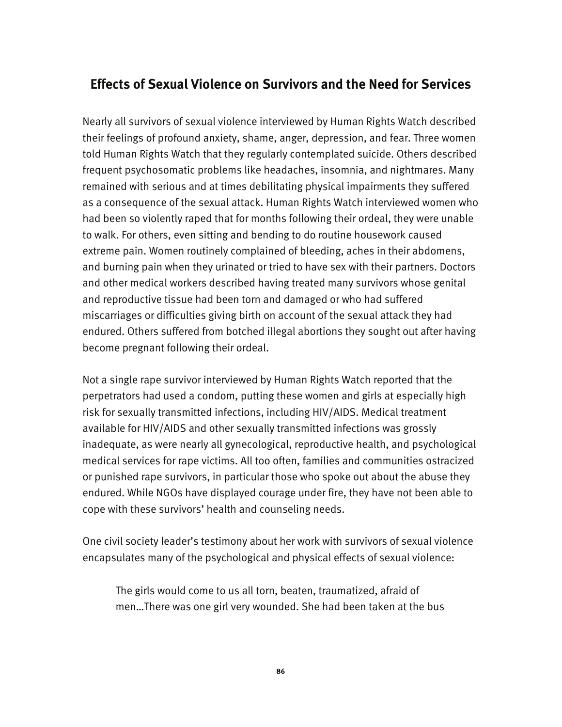# **Effects of Sexual Violence on Survivors and the Need for Services**

Nearly all survivors of sexual violence interviewed by Human Rights Watch described their feelings of profound anxiety, shame, anger, depression, and fear. Three women told Human Rights Watch that they regularly contemplated suicide. Others described frequent psychosomatic problems like headaches, insomnia, and nightmares. Many remained with serious and at times debilitating physical impairments they suffered as a consequence of the sexual attack. Human Rights Watch interviewed women who had been so violently raped that for months following their ordeal, they were unable to walk. For others, even sitting and bending to do routine housework caused extreme pain. Women routinely complained of bleeding, aches in their abdomens, and burning pain when they urinated or tried to have sex with their partners. Doctors and other medical workers described having treated many survivors whose genital and reproductive tissue had been torn and damaged or who had suffered miscarriages or difficulties giving birth on account of the sexual attack they had endured. Others suffered from botched illegal abortions they sought out after having become pregnant following their ordeal.

Not a single rape survivor interviewed by Human Rights Watch reported that the perpetrators had used a condom, putting these women and girls at especially high risk for sexually transmitted infections, including HIV/AIDS. Medical treatment available for HIV/AIDS and other sexually transmitted infections was grossly inadequate, as were nearly all gynecological, reproductive health, and psychological medical services for rape victims. All too often, families and communities ostracized or punished rape survivors, in particular those who spoke out about the abuse they endured. While NGOs have displayed courage under fire, they have not been able to cope with these survivors' health and counseling needs.

One civil society leader's testimony about her work with survivors of sexual violence encapsulates many of the psychological and physical effects of sexual violence:

The girls would come to us all torn, beaten, traumatized, afraid of men…There was one girl very wounded. She had been taken at the bus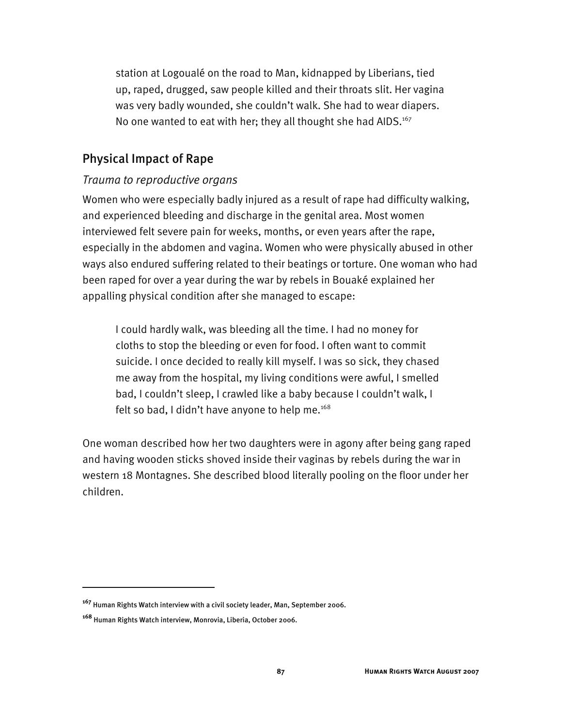station at Logoualé on the road to Man, kidnapped by Liberians, tied up, raped, drugged, saw people killed and their throats slit. Her vagina was very badly wounded, she couldn't walk. She had to wear diapers. No one wanted to eat with her; they all thought she had AIDS.<sup>167</sup>

## Physical Impact of Rape

#### *Trauma to reproductive organs*

Women who were especially badly injured as a result of rape had difficulty walking, and experienced bleeding and discharge in the genital area. Most women interviewed felt severe pain for weeks, months, or even years after the rape, especially in the abdomen and vagina. Women who were physically abused in other ways also endured suffering related to their beatings or torture. One woman who had been raped for over a year during the war by rebels in Bouaké explained her appalling physical condition after she managed to escape:

I could hardly walk, was bleeding all the time. I had no money for cloths to stop the bleeding or even for food. I often want to commit suicide. I once decided to really kill myself. I was so sick, they chased me away from the hospital, my living conditions were awful, I smelled bad, I couldn't sleep, I crawled like a baby because I couldn't walk, I felt so bad, I didn't have anyone to help me. $168$ 

One woman described how her two daughters were in agony after being gang raped and having wooden sticks shoved inside their vaginas by rebels during the war in western 18 Montagnes. She described blood literally pooling on the floor under her children.

**<sup>167</sup>** Human Rights Watch interview with a civil society leader, Man, September 2006.

**<sup>168</sup>** Human Rights Watch interview, Monrovia, Liberia, October 2006.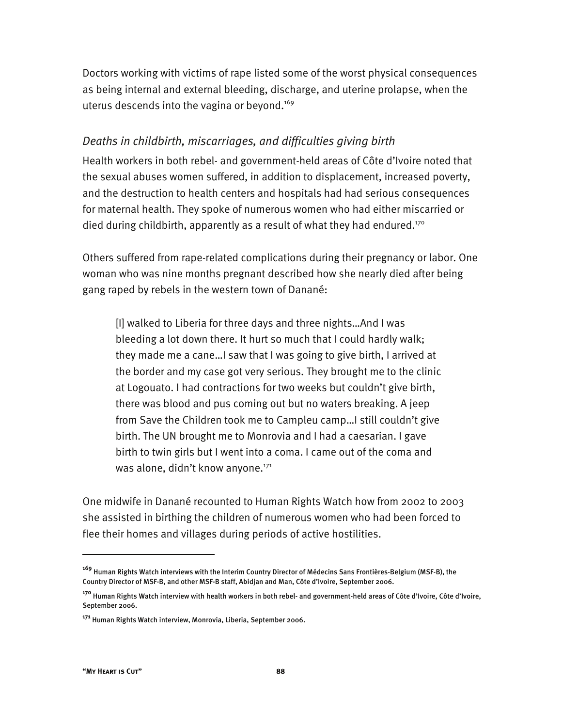Doctors working with victims of rape listed some of the worst physical consequences as being internal and external bleeding, discharge, and uterine prolapse, when the uterus descends into the vagina or beyond.<sup>169</sup>

### *Deaths in childbirth, miscarriages, and difficulties giving birth*

Health workers in both rebel- and government-held areas of Côte d'Ivoire noted that the sexual abuses women suffered, in addition to displacement, increased poverty, and the destruction to health centers and hospitals had had serious consequences for maternal health. They spoke of numerous women who had either miscarried or died during childbirth, apparently as a result of what they had endured.<sup>170</sup>

Others suffered from rape-related complications during their pregnancy or labor. One woman who was nine months pregnant described how she nearly died after being gang raped by rebels in the western town of Danané:

[I] walked to Liberia for three days and three nights…And I was bleeding a lot down there. It hurt so much that I could hardly walk; they made me a cane…I saw that I was going to give birth, I arrived at the border and my case got very serious. They brought me to the clinic at Logouato. I had contractions for two weeks but couldn't give birth, there was blood and pus coming out but no waters breaking. A jeep from Save the Children took me to Campleu camp…I still couldn't give birth. The UN brought me to Monrovia and I had a caesarian. I gave birth to twin girls but I went into a coma. I came out of the coma and was alone, didn't know anyone.<sup>171</sup>

One midwife in Danané recounted to Human Rights Watch how from 2002 to 2003 she assisted in birthing the children of numerous women who had been forced to flee their homes and villages during periods of active hostilities.

**<sup>169</sup>** Human Rights Watch interviews with the Interim Country Director of Médecins Sans Frontières-Belgium (MSF-B), the Country Director of MSF-B, and other MSF-B staff, Abidjan and Man, Côte d'Ivoire, September 2006.

**<sup>170</sup>** Human Rights Watch interview with health workers in both rebel- and government-held areas of Côte d'Ivoire, Côte d'Ivoire, September 2006.

**<sup>171</sup>** Human Rights Watch interview, Monrovia, Liberia, September 2006.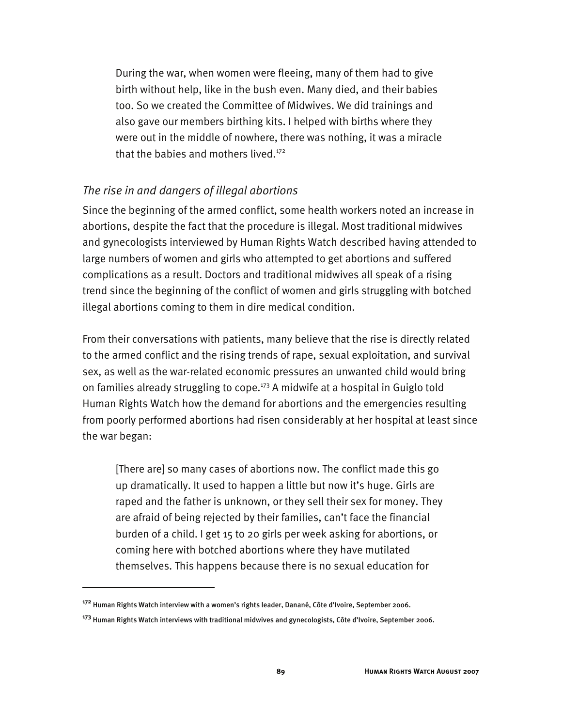During the war, when women were fleeing, many of them had to give birth without help, like in the bush even. Many died, and their babies too. So we created the Committee of Midwives. We did trainings and also gave our members birthing kits. I helped with births where they were out in the middle of nowhere, there was nothing, it was a miracle that the babies and mothers lived. $172$ 

#### *The rise in and dangers of illegal abortions*

Since the beginning of the armed conflict, some health workers noted an increase in abortions, despite the fact that the procedure is illegal. Most traditional midwives and gynecologists interviewed by Human Rights Watch described having attended to large numbers of women and girls who attempted to get abortions and suffered complications as a result. Doctors and traditional midwives all speak of a rising trend since the beginning of the conflict of women and girls struggling with botched illegal abortions coming to them in dire medical condition.

From their conversations with patients, many believe that the rise is directly related to the armed conflict and the rising trends of rape, sexual exploitation, and survival sex, as well as the war-related economic pressures an unwanted child would bring on families already struggling to cope.<sup>173</sup> A midwife at a hospital in Guiglo told Human Rights Watch how the demand for abortions and the emergencies resulting from poorly performed abortions had risen considerably at her hospital at least since the war began:

[There are] so many cases of abortions now. The conflict made this go up dramatically. It used to happen a little but now it's huge. Girls are raped and the father is unknown, or they sell their sex for money. They are afraid of being rejected by their families, can't face the financial burden of a child. I get 15 to 20 girls per week asking for abortions, or coming here with botched abortions where they have mutilated themselves. This happens because there is no sexual education for

**<sup>172</sup>** Human Rights Watch interview with a women's rights leader, Danané, Côte d'Ivoire, September 2006.

**<sup>173</sup>** Human Rights Watch interviews with traditional midwives and gynecologists, Côte d'Ivoire, September 2006.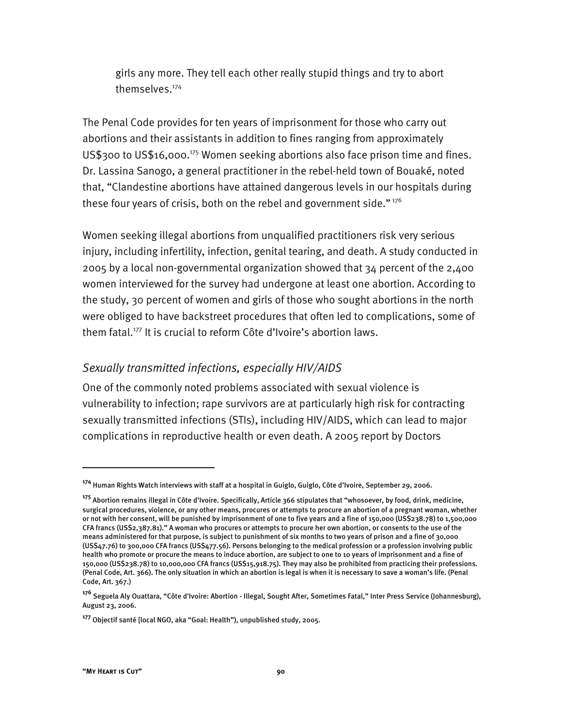girls any more. They tell each other really stupid things and try to abort themselves.<sup>174</sup>

The Penal Code provides for ten years of imprisonment for those who carry out abortions and their assistants in addition to fines ranging from approximately  $US$300$  to US\$16,000.<sup>175</sup> Women seeking abortions also face prison time and fines. Dr. Lassina Sanogo, a general practitioner in the rebel-held town of Bouaké, noted that, "Clandestine abortions have attained dangerous levels in our hospitals during these four years of crisis, both on the rebel and government side."<sup>176</sup>

Women seeking illegal abortions from unqualified practitioners risk very serious injury, including infertility, infection, genital tearing, and death. A study conducted in 2005 by a local non-governmental organization showed that 34 percent of the 2,400 women interviewed for the survey had undergone at least one abortion. According to the study, 30 percent of women and girls of those who sought abortions in the north were obliged to have backstreet procedures that often led to complications, some of them fatal.177 It is crucial to reform Côte d'Ivoire's abortion laws.

#### *Sexually transmitted infections, especially HIV/AIDS*

One of the commonly noted problems associated with sexual violence is vulnerability to infection; rape survivors are at particularly high risk for contracting sexually transmitted infections (STIs), including HIV/AIDS, which can lead to major complications in reproductive health or even death. A 2005 report by Doctors

**<sup>174</sup>** Human Rights Watch interviews with staff at a hospital in Guiglo, Guiglo, Côte d'Ivoire, September 29, 2006.

**<sup>175</sup>** Abortion remains illegal in Côte d'Ivoire. Specifically, Article 366 stipulates that "whosoever, by food, drink, medicine, surgical procedures, violence, or any other means, procures or attempts to procure an abortion of a pregnant woman, whether or not with her consent, will be punished by imprisonment of one to five years and a fine of 150,000 (US\$238.78) to 1,500,000 CFA francs (US\$2,387.81)." A woman who procures or attempts to procure her own abortion, or consents to the use of the means administered for that purpose, is subject to punishment of six months to two years of prison and a fine of 30,000 (US\$47.76) to 300,000 CFA francs (US\$477.56). Persons belonging to the medical profession or a profession involving public health who promote or procure the means to induce abortion, are subject to one to 10 years of imprisonment and a fine of 150,000 (US\$238.78) to 10,000,000 CFA francs (US\$15,918.75). They may also be prohibited from practicing their professions. (Penal Code, Art. 366). The only situation in which an abortion is legal is when it is necessary to save a woman's life. (Penal Code, Art. 367.)

**<sup>176</sup>** Seguela Aly Ouattara, "Côte d'Ivoire: Abortion - Illegal, Sought After, Sometimes Fatal," Inter Press Service (Johannesburg), August 23, 2006.

**<sup>177</sup>** Objectif santé [local NGO, aka "Goal: Health"), unpublished study, 2005.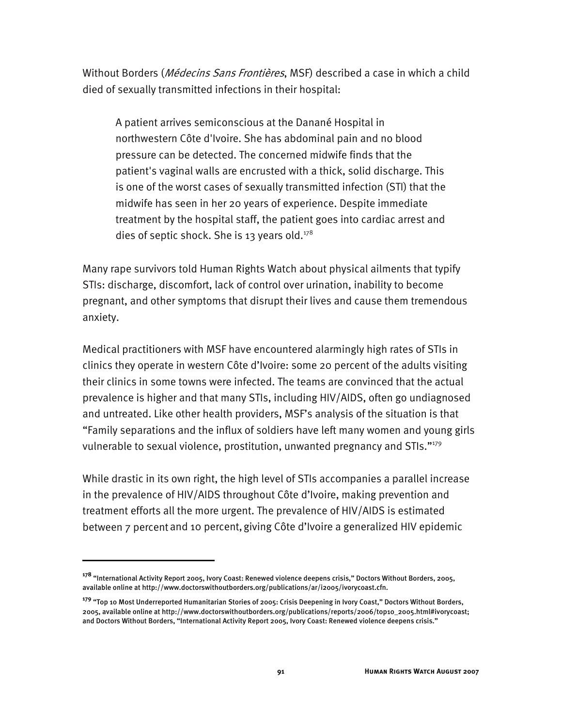Without Borders (*Médecins Sans Frontières*, MSF) described a case in which a child died of sexually transmitted infections in their hospital:

A patient arrives semiconscious at the Danané Hospital in northwestern Côte d'Ivoire. She has abdominal pain and no blood pressure can be detected. The concerned midwife finds that the patient's vaginal walls are encrusted with a thick, solid discharge. This is one of the worst cases of sexually transmitted infection (STI) that the midwife has seen in her 20 years of experience. Despite immediate treatment by the hospital staff, the patient goes into cardiac arrest and dies of septic shock. She is 13 years old. $178$ 

Many rape survivors told Human Rights Watch about physical ailments that typify STIs: discharge, discomfort, lack of control over urination, inability to become pregnant, and other symptoms that disrupt their lives and cause them tremendous anxiety.

Medical practitioners with MSF have encountered alarmingly high rates of STIs in clinics they operate in western Côte d'Ivoire: some 20 percent of the adults visiting their clinics in some towns were infected. The teams are convinced that the actual prevalence is higher and that many STIs, including HIV/AIDS, often go undiagnosed and untreated. Like other health providers, MSF's analysis of the situation is that "Family separations and the influx of soldiers have left many women and young girls vulnerable to sexual violence, prostitution, unwanted pregnancy and STIs."179

While drastic in its own right, the high level of STIs accompanies a parallel increase in the prevalence of HIV/AIDS throughout Côte d'Ivoire, making prevention and treatment efforts all the more urgent. The prevalence of HIV/AIDS is estimated between 7 percent and 10 percent, giving Côte d'Ivoire a generalized HIV epidemic

**<sup>178</sup>** "International Activity Report 2005, Ivory Coast: Renewed violence deepens crisis," Doctors Without Borders, 2005, available online at http://www.doctorswithoutborders.org/publications/ar/i2005/ivorycoast.cfn.

**<sup>179</sup>** "Top 10 Most Underreported Humanitarian Stories of 2005: Crisis Deepening in Ivory Coast," Doctors Without Borders, 2005, available online at http://www.doctorswithoutborders.org/publications/reports/2006/top10\_2005.html#ivorycoast; and Doctors Without Borders, "International Activity Report 2005, Ivory Coast: Renewed violence deepens crisis."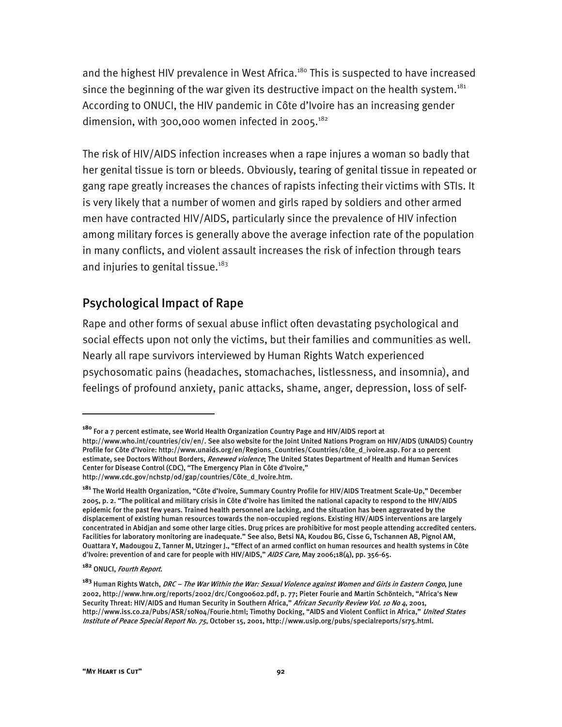and the highest HIV prevalence in West Africa.<sup>180</sup> This is suspected to have increased since the beginning of the war given its destructive impact on the health system.<sup>181</sup> According to ONUCI, the HIV pandemic in Côte d'Ivoire has an increasing gender dimension, with 300,000 women infected in 2005. $182$ 

The risk of HIV/AIDS infection increases when a rape injures a woman so badly that her genital tissue is torn or bleeds. Obviously, tearing of genital tissue in repeated or gang rape greatly increases the chances of rapists infecting their victims with STIs. It is very likely that a number of women and girls raped by soldiers and other armed men have contracted HIV/AIDS, particularly since the prevalence of HIV infection among military forces is generally above the average infection rate of the population in many conflicts, and violent assault increases the risk of infection through tears and injuries to genital tissue.<sup>183</sup>

## Psychological Impact of Rape

Rape and other forms of sexual abuse inflict often devastating psychological and social effects upon not only the victims, but their families and communities as well. Nearly all rape survivors interviewed by Human Rights Watch experienced psychosomatic pains (headaches, stomachaches, listlessness, and insomnia), and feelings of profound anxiety, panic attacks, shame, anger, depression, loss of self-

**<sup>180</sup>** For a 7 percent estimate, see World Health Organization Country Page and HIV/AIDS report at http://www.who.int/countries/civ/en/. See also website for the Joint United Nations Program on HIV/AIDS (UNAIDS) Country Profile for Côte d'Ivoire: http://www.unaids.org/en/Regions\_Countries/Countries/côte\_d\_ivoire.asp. For a 10 percent estimate, see Doctors Without Borders, *Renewed violence*; The United States Department of Health and Human Services Center for Disease Control (CDC), "The Emergency Plan in Côte d'Ivoire," http://www.cdc.gov/nchstp/od/gap/countries/Côte\_d\_Ivoire.htm.

**<sup>181</sup>** The World Health Organization, "Côte d'Ivoire, Summary Country Profile for HIV/AIDS Treatment Scale-Up," December 2005, p. 2. "The political and military crisis in Côte d'Ivoire has limited the national capacity to respond to the HIV/AIDS epidemic for the past few years. Trained health personnel are lacking, and the situation has been aggravated by the displacement of existing human resources towards the non-occupied regions. Existing HIV/AIDS interventions are largely concentrated in Abidjan and some other large cities. Drug prices are prohibitive for most people attending accredited centers. Facilities for laboratory monitoring are inadequate." See also, Betsi NA, Koudou BG, Cisse G, Tschannen AB, Pignol AM, Ouattara Y, Madougou Z, Tanner M, Utzinger J., "Effect of an armed conflict on human resources and health systems in Côte d'Ivoire: prevention of and care for people with HIV/AIDS," AIDS Care, May 2006;18(4), pp. 356-65.

**<sup>182</sup>** ONUCI, Fourth Report.

**<sup>183</sup>** Human Rights Watch, DRC – The War Within the War: Sexual Violence against Women and Girls in Eastern Congo, June 2002, http://www.hrw.org/reports/2002/drc/Congo0602.pdf, p. 77; Pieter Fourie and Martin Schönteich, "Africa's New Security Threat: HIV/AIDS and Human Security in Southern Africa," African Security Review Vol. 10 No 4, 2001, http://www.iss.co.za/Pubs/ASR/10No4/Fourie.html; Timothy Docking, "AIDS and Violent Conflict in Africa," United States Institute of Peace Special Report No. 75, October 15, 2001, http://www.usip.org/pubs/specialreports/sr75.html.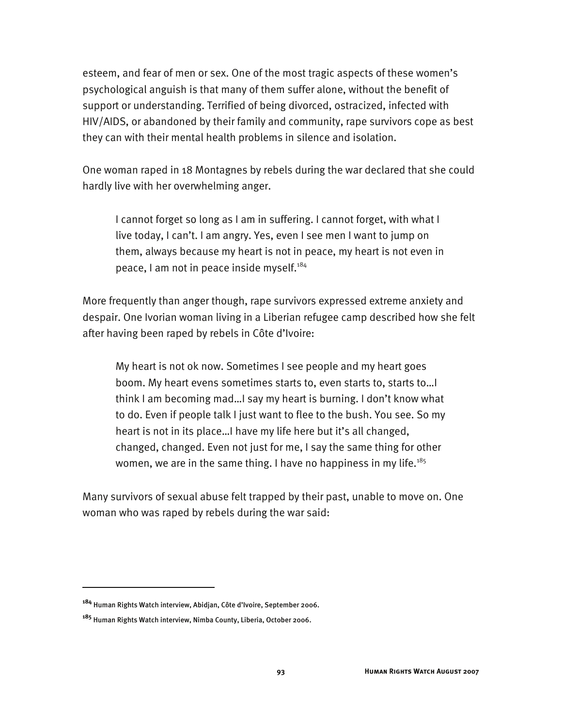esteem, and fear of men or sex. One of the most tragic aspects of these women's psychological anguish is that many of them suffer alone, without the benefit of support or understanding. Terrified of being divorced, ostracized, infected with HIV/AIDS, or abandoned by their family and community, rape survivors cope as best they can with their mental health problems in silence and isolation.

One woman raped in 18 Montagnes by rebels during the war declared that she could hardly live with her overwhelming anger.

I cannot forget so long as I am in suffering. I cannot forget, with what I live today, I can't. I am angry. Yes, even I see men I want to jump on them, always because my heart is not in peace, my heart is not even in peace, I am not in peace inside myself.<sup>184</sup>

More frequently than anger though, rape survivors expressed extreme anxiety and despair. One Ivorian woman living in a Liberian refugee camp described how she felt after having been raped by rebels in Côte d'Ivoire:

My heart is not ok now. Sometimes I see people and my heart goes boom. My heart evens sometimes starts to, even starts to, starts to…I think I am becoming mad…I say my heart is burning. I don't know what to do. Even if people talk I just want to flee to the bush. You see. So my heart is not in its place…I have my life here but it's all changed, changed, changed. Even not just for me, I say the same thing for other women, we are in the same thing. I have no happiness in my life.<sup>185</sup>

Many survivors of sexual abuse felt trapped by their past, unable to move on. One woman who was raped by rebels during the war said:

**<sup>184</sup>** Human Rights Watch interview, Abidjan, Côte d'Ivoire, September 2006.

**<sup>185</sup>** Human Rights Watch interview, Nimba County, Liberia, October 2006.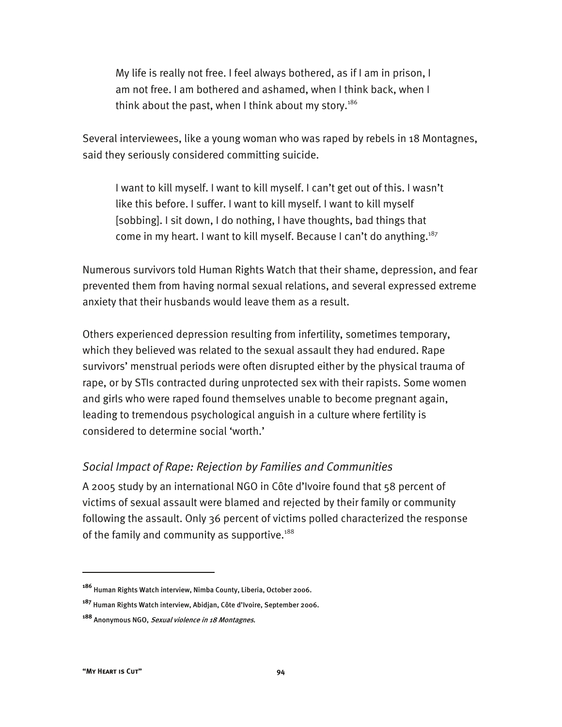My life is really not free. I feel always bothered, as if I am in prison, I am not free. I am bothered and ashamed, when I think back, when I think about the past, when I think about my story.<sup>186</sup>

Several interviewees, like a young woman who was raped by rebels in 18 Montagnes, said they seriously considered committing suicide.

I want to kill myself. I want to kill myself. I can't get out of this. I wasn't like this before. I suffer. I want to kill myself. I want to kill myself [sobbing]. I sit down, I do nothing, I have thoughts, bad things that come in my heart. I want to kill myself. Because I can't do anything.<sup>187</sup>

Numerous survivors told Human Rights Watch that their shame, depression, and fear prevented them from having normal sexual relations, and several expressed extreme anxiety that their husbands would leave them as a result.

Others experienced depression resulting from infertility, sometimes temporary, which they believed was related to the sexual assault they had endured. Rape survivors' menstrual periods were often disrupted either by the physical trauma of rape, or by STIs contracted during unprotected sex with their rapists. Some women and girls who were raped found themselves unable to become pregnant again, leading to tremendous psychological anguish in a culture where fertility is considered to determine social 'worth.'

## *Social Impact of Rape: Rejection by Families and Communities*

A 2005 study by an international NGO in Côte d'Ivoire found that 58 percent of victims of sexual assault were blamed and rejected by their family or community following the assault. Only 36 percent of victims polled characterized the response of the family and community as supportive. $188$ 

**<sup>186</sup>** Human Rights Watch interview, Nimba County, Liberia, October 2006.

**<sup>187</sup>** Human Rights Watch interview, Abidjan, Côte d'Ivoire, September 2006.

**<sup>188</sup>** Anonymous NGO, Sexual violence in 18 Montagnes.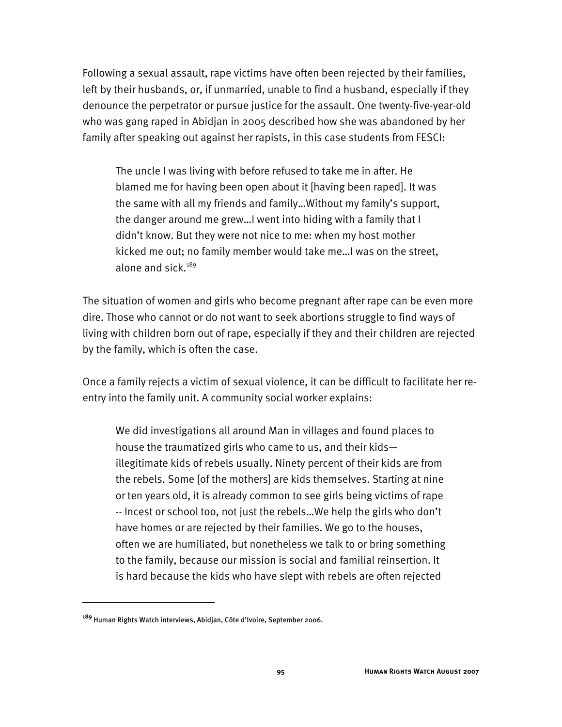Following a sexual assault, rape victims have often been rejected by their families, left by their husbands, or, if unmarried, unable to find a husband, especially if they denounce the perpetrator or pursue justice for the assault. One twenty-five-year-old who was gang raped in Abidjan in 2005 described how she was abandoned by her family after speaking out against her rapists, in this case students from FESCI:

The uncle I was living with before refused to take me in after. He blamed me for having been open about it [having been raped]. It was the same with all my friends and family…Without my family's support, the danger around me grew…I went into hiding with a family that I didn't know. But they were not nice to me: when my host mother kicked me out; no family member would take me…I was on the street, alone and sick. $189$ 

The situation of women and girls who become pregnant after rape can be even more dire. Those who cannot or do not want to seek abortions struggle to find ways of living with children born out of rape, especially if they and their children are rejected by the family, which is often the case.

Once a family rejects a victim of sexual violence, it can be difficult to facilitate her reentry into the family unit. A community social worker explains:

We did investigations all around Man in villages and found places to house the traumatized girls who came to us, and their kids illegitimate kids of rebels usually. Ninety percent of their kids are from the rebels. Some [of the mothers] are kids themselves. Starting at nine or ten years old, it is already common to see girls being victims of rape -- Incest or school too, not just the rebels…We help the girls who don't have homes or are rejected by their families. We go to the houses, often we are humiliated, but nonetheless we talk to or bring something to the family, because our mission is social and familial reinsertion. It is hard because the kids who have slept with rebels are often rejected

**<sup>189</sup>** Human Rights Watch interviews, Abidjan, Côte d'Ivoire, September 2006.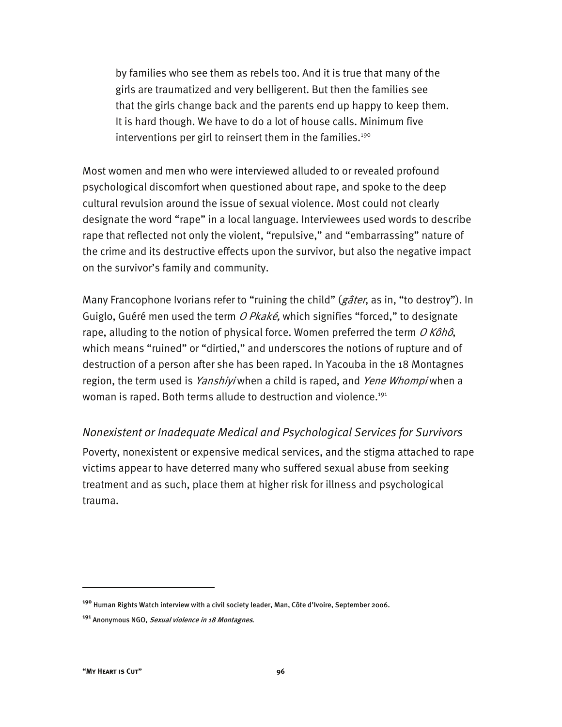by families who see them as rebels too. And it is true that many of the girls are traumatized and very belligerent. But then the families see that the girls change back and the parents end up happy to keep them. It is hard though. We have to do a lot of house calls. Minimum five interventions per girl to reinsert them in the families.<sup>190</sup>

Most women and men who were interviewed alluded to or revealed profound psychological discomfort when questioned about rape, and spoke to the deep cultural revulsion around the issue of sexual violence. Most could not clearly designate the word "rape" in a local language. Interviewees used words to describe rape that reflected not only the violent, "repulsive," and "embarrassing" nature of the crime and its destructive effects upon the survivor, but also the negative impact on the survivor's family and community.

Many Francophone Ivorians refer to "ruining the child" (gâter, as in, "to destroy"). In Guiglo, Guéré men used the term O Pkaké, which signifies "forced," to designate rape, alluding to the notion of physical force. Women preferred the term  $O$  Kôhô, which means "ruined" or "dirtied," and underscores the notions of rupture and of destruction of a person after she has been raped. In Yacouba in the 18 Montagnes region, the term used is *Yanshiyi* when a child is raped, and *Yene Whompi* when a woman is raped. Both terms allude to destruction and violence.<sup>191</sup>

*Nonexistent or Inadequate Medical and Psychological Services for Survivors*  Poverty, nonexistent or expensive medical services, and the stigma attached to rape victims appear to have deterred many who suffered sexual abuse from seeking treatment and as such, place them at higher risk for illness and psychological trauma.

**<sup>190</sup>** Human Rights Watch interview with a civil society leader, Man, Côte d'Ivoire, September 2006.

**<sup>191</sup>** Anonymous NGO, Sexual violence in 18 Montagnes.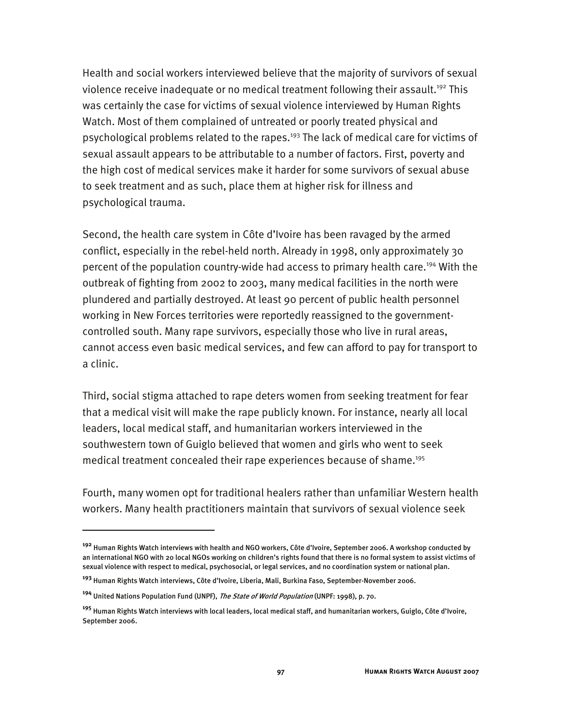Health and social workers interviewed believe that the majority of survivors of sexual violence receive inadequate or no medical treatment following their assault.<sup>192</sup> This was certainly the case for victims of sexual violence interviewed by Human Rights Watch. Most of them complained of untreated or poorly treated physical and psychological problems related to the rapes.<sup>193</sup> The lack of medical care for victims of sexual assault appears to be attributable to a number of factors. First, poverty and the high cost of medical services make it harder for some survivors of sexual abuse to seek treatment and as such, place them at higher risk for illness and psychological trauma.

Second, the health care system in Côte d'Ivoire has been ravaged by the armed conflict, especially in the rebel-held north. Already in 1998, only approximately 30 percent of the population country-wide had access to primary health care.<sup>194</sup> With the outbreak of fighting from 2002 to 2003, many medical facilities in the north were plundered and partially destroyed. At least 90 percent of public health personnel working in New Forces territories were reportedly reassigned to the governmentcontrolled south. Many rape survivors, especially those who live in rural areas, cannot access even basic medical services, and few can afford to pay for transport to a clinic.

Third, social stigma attached to rape deters women from seeking treatment for fear that a medical visit will make the rape publicly known. For instance, nearly all local leaders, local medical staff, and humanitarian workers interviewed in the southwestern town of Guiglo believed that women and girls who went to seek medical treatment concealed their rape experiences because of shame.<sup>195</sup>

Fourth, many women opt for traditional healers rather than unfamiliar Western health workers. Many health practitioners maintain that survivors of sexual violence seek

**<sup>192</sup>** Human Rights Watch interviews with health and NGO workers, Côte d'Ivoire, September 2006. A workshop conducted by an international NGO with 20 local NGOs working on children's rights found that there is no formal system to assist victims of sexual violence with respect to medical, psychosocial, or legal services, and no coordination system or national plan.

**<sup>193</sup>** Human Rights Watch interviews, Côte d'Ivoire, Liberia, Mali, Burkina Faso, September-November 2006.

**<sup>194</sup>** United Nations Population Fund (UNPF), The State of World Population (UNPF: 1998), p. 70.

**<sup>195</sup>** Human Rights Watch interviews with local leaders, local medical staff, and humanitarian workers, Guiglo, Côte d'Ivoire, September 2006.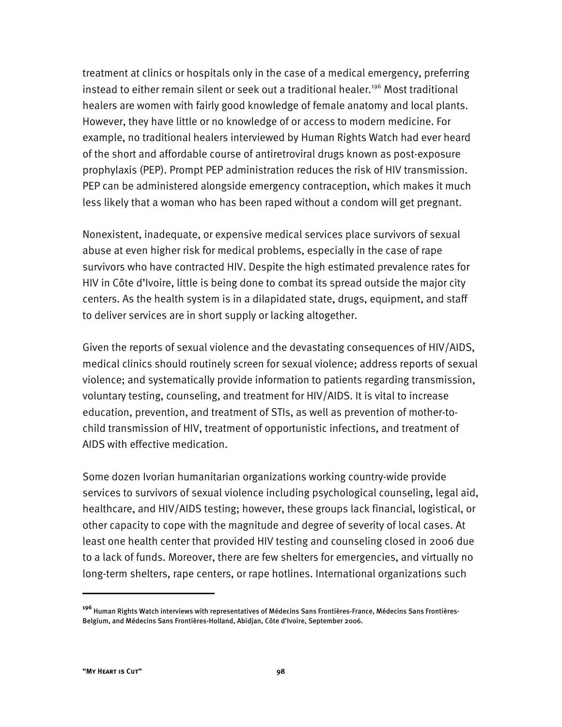treatment at clinics or hospitals only in the case of a medical emergency, preferring instead to either remain silent or seek out a traditional healer.<sup>196</sup> Most traditional healers are women with fairly good knowledge of female anatomy and local plants. However, they have little or no knowledge of or access to modern medicine. For example, no traditional healers interviewed by Human Rights Watch had ever heard of the short and affordable course of antiretroviral drugs known as post-exposure prophylaxis (PEP). Prompt PEP administration reduces the risk of HIV transmission. PEP can be administered alongside emergency contraception, which makes it much less likely that a woman who has been raped without a condom will get pregnant.

Nonexistent, inadequate, or expensive medical services place survivors of sexual abuse at even higher risk for medical problems, especially in the case of rape survivors who have contracted HIV. Despite the high estimated prevalence rates for HIV in Côte d'Ivoire, little is being done to combat its spread outside the major city centers. As the health system is in a dilapidated state, drugs, equipment, and staff to deliver services are in short supply or lacking altogether.

Given the reports of sexual violence and the devastating consequences of HIV/AIDS, medical clinics should routinely screen for sexual violence; address reports of sexual violence; and systematically provide information to patients regarding transmission, voluntary testing, counseling, and treatment for HIV/AIDS. It is vital to increase education, prevention, and treatment of STIs, as well as prevention of mother-tochild transmission of HIV, treatment of opportunistic infections, and treatment of AIDS with effective medication.

Some dozen Ivorian humanitarian organizations working country-wide provide services to survivors of sexual violence including psychological counseling, legal aid, healthcare, and HIV/AIDS testing; however, these groups lack financial, logistical, or other capacity to cope with the magnitude and degree of severity of local cases. At least one health center that provided HIV testing and counseling closed in 2006 due to a lack of funds. Moreover, there are few shelters for emergencies, and virtually no long-term shelters, rape centers, or rape hotlines. International organizations such

**<sup>196</sup>** Human Rights Watch interviews with representatives of Médecins Sans Frontières-France, Médecins Sans Frontières-Belgium, and Médecins Sans Frontières-Holland, Abidjan, Côte d'Ivoire, September 2006.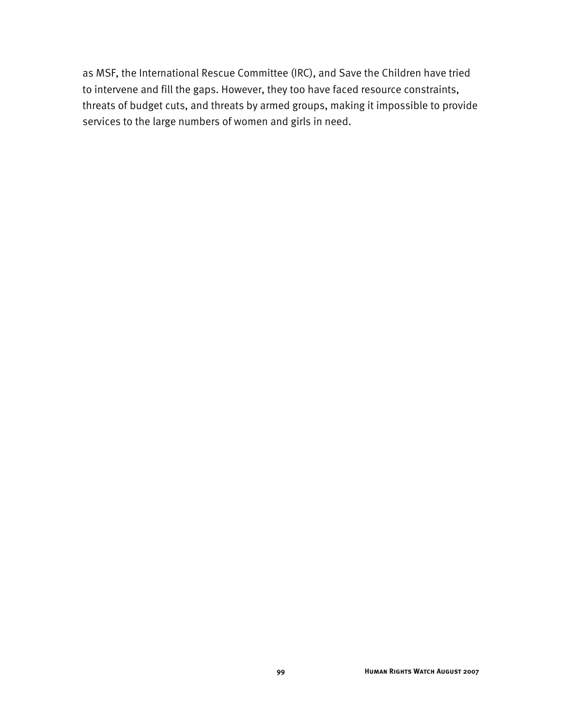as MSF, the International Rescue Committee (IRC), and Save the Children have tried to intervene and fill the gaps. However, they too have faced resource constraints, threats of budget cuts, and threats by armed groups, making it impossible to provide services to the large numbers of women and girls in need.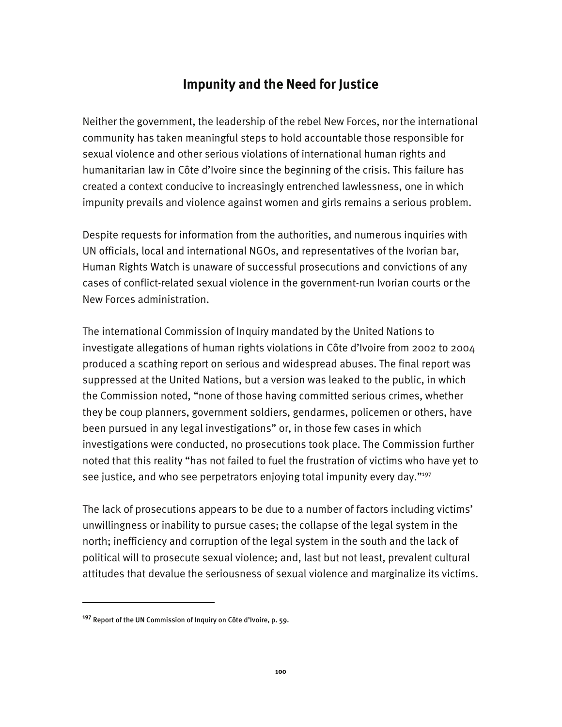# **Impunity and the Need for Justice**

Neither the government, the leadership of the rebel New Forces, nor the international community has taken meaningful steps to hold accountable those responsible for sexual violence and other serious violations of international human rights and humanitarian law in Côte d'Ivoire since the beginning of the crisis. This failure has created a context conducive to increasingly entrenched lawlessness, one in which impunity prevails and violence against women and girls remains a serious problem.

Despite requests for information from the authorities, and numerous inquiries with UN officials, local and international NGOs, and representatives of the Ivorian bar, Human Rights Watch is unaware of successful prosecutions and convictions of any cases of conflict-related sexual violence in the government-run Ivorian courts or the New Forces administration.

The international Commission of Inquiry mandated by the United Nations to investigate allegations of human rights violations in Côte d'Ivoire from 2002 to 2004 produced a scathing report on serious and widespread abuses. The final report was suppressed at the United Nations, but a version was leaked to the public, in which the Commission noted, "none of those having committed serious crimes, whether they be coup planners, government soldiers, gendarmes, policemen or others, have been pursued in any legal investigations" or, in those few cases in which investigations were conducted, no prosecutions took place. The Commission further noted that this reality "has not failed to fuel the frustration of victims who have yet to see justice, and who see perpetrators enjoying total impunity every day."<sup>197</sup>

The lack of prosecutions appears to be due to a number of factors including victims' unwillingness or inability to pursue cases; the collapse of the legal system in the north; inefficiency and corruption of the legal system in the south and the lack of political will to prosecute sexual violence; and, last but not least, prevalent cultural attitudes that devalue the seriousness of sexual violence and marginalize its victims.

**<sup>197</sup>** Report of the UN Commission of Inquiry on Côte d'Ivoire, p. 59.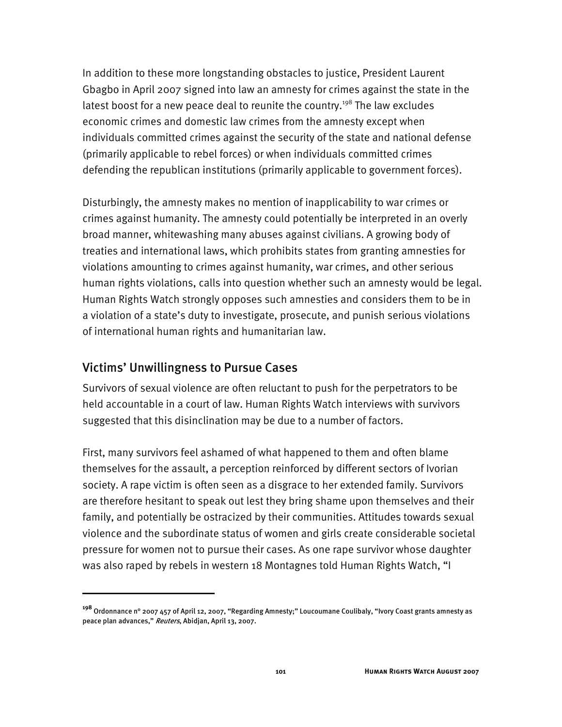In addition to these more longstanding obstacles to justice, President Laurent Gbagbo in April 2007 signed into law an amnesty for crimes against the state in the latest boost for a new peace deal to reunite the country.<sup>198</sup> The law excludes economic crimes and domestic law crimes from the amnesty except when individuals committed crimes against the security of the state and national defense (primarily applicable to rebel forces) or when individuals committed crimes defending the republican institutions (primarily applicable to government forces).

Disturbingly, the amnesty makes no mention of inapplicability to war crimes or crimes against humanity. The amnesty could potentially be interpreted in an overly broad manner, whitewashing many abuses against civilians. A growing body of treaties and international laws, which prohibits states from granting amnesties for violations amounting to crimes against humanity, war crimes, and other serious human rights violations, calls into question whether such an amnesty would be legal. Human Rights Watch strongly opposes such amnesties and considers them to be in a violation of a state's duty to investigate, prosecute, and punish serious violations of international human rights and humanitarian law.

## Victims' Unwillingness to Pursue Cases

I

Survivors of sexual violence are often reluctant to push for the perpetrators to be held accountable in a court of law. Human Rights Watch interviews with survivors suggested that this disinclination may be due to a number of factors.

First, many survivors feel ashamed of what happened to them and often blame themselves for the assault, a perception reinforced by different sectors of Ivorian society. A rape victim is often seen as a disgrace to her extended family. Survivors are therefore hesitant to speak out lest they bring shame upon themselves and their family, and potentially be ostracized by their communities. Attitudes towards sexual violence and the subordinate status of women and girls create considerable societal pressure for women not to pursue their cases. As one rape survivor whose daughter was also raped by rebels in western 18 Montagnes told Human Rights Watch, "I

**<sup>198</sup>** Ordonnance n° 2007 457 of April 12, 2007, "Regarding Amnesty;" Loucoumane Coulibaly, "Ivory Coast grants amnesty as peace plan advances," Reuters, Abidjan, April 13, 2007.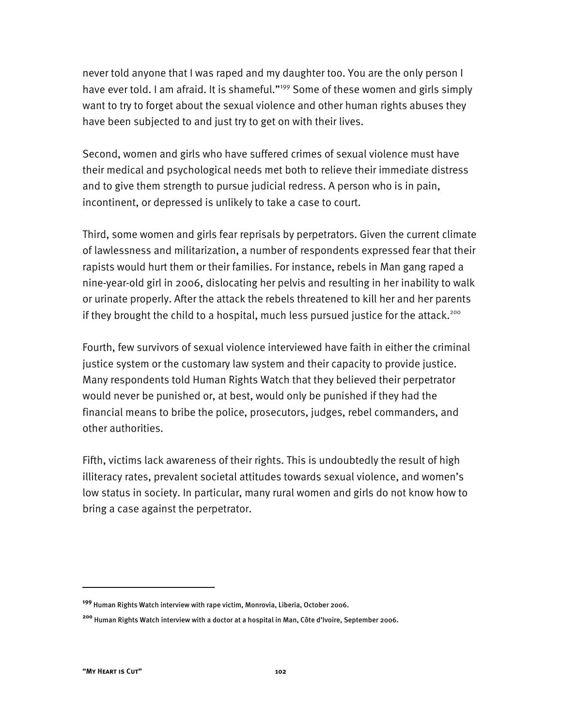never told anyone that I was raped and my daughter too. You are the only person I have ever told. I am afraid. It is shameful."<sup>199</sup> Some of these women and girls simply want to try to forget about the sexual violence and other human rights abuses they have been subjected to and just try to get on with their lives.

Second, women and girls who have suffered crimes of sexual violence must have their medical and psychological needs met both to relieve their immediate distress and to give them strength to pursue judicial redress. A person who is in pain, incontinent, or depressed is unlikely to take a case to court.

Third, some women and girls fear reprisals by perpetrators. Given the current climate of lawlessness and militarization, a number of respondents expressed fear that their rapists would hurt them or their families. For instance, rebels in Man gang raped a nine-year-old girl in 2006, dislocating her pelvis and resulting in her inability to walk or urinate properly. After the attack the rebels threatened to kill her and her parents if they brought the child to a hospital, much less pursued justice for the attack.<sup>200</sup>

Fourth, few survivors of sexual violence interviewed have faith in either the criminal justice system or the customary law system and their capacity to provide justice. Many respondents told Human Rights Watch that they believed their perpetrator would never be punished or, at best, would only be punished if they had the financial means to bribe the police, prosecutors, judges, rebel commanders, and other authorities.

Fifth, victims lack awareness of their rights. This is undoubtedly the result of high illiteracy rates, prevalent societal attitudes towards sexual violence, and women's low status in society. In particular, many rural women and girls do not know how to bring a case against the perpetrator.

**<sup>199</sup>** Human Rights Watch interview with rape victim, Monrovia, Liberia, October 2006.

**<sup>200</sup>** Human Rights Watch interview with a doctor at a hospital in Man, Côte d'Ivoire, September 2006.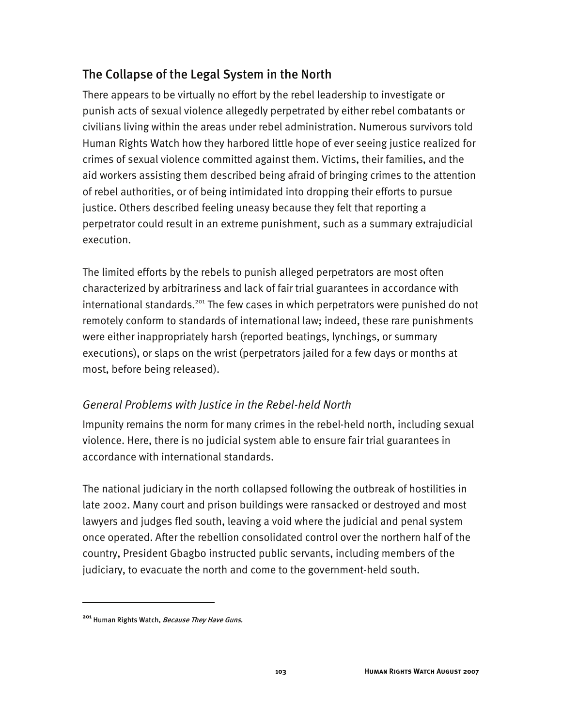# The Collapse of the Legal System in the North

There appears to be virtually no effort by the rebel leadership to investigate or punish acts of sexual violence allegedly perpetrated by either rebel combatants or civilians living within the areas under rebel administration. Numerous survivors told Human Rights Watch how they harbored little hope of ever seeing justice realized for crimes of sexual violence committed against them. Victims, their families, and the aid workers assisting them described being afraid of bringing crimes to the attention of rebel authorities, or of being intimidated into dropping their efforts to pursue justice. Others described feeling uneasy because they felt that reporting a perpetrator could result in an extreme punishment, such as a summary extrajudicial execution.

The limited efforts by the rebels to punish alleged perpetrators are most often characterized by arbitrariness and lack of fair trial guarantees in accordance with international standards.<sup>201</sup> The few cases in which perpetrators were punished do not remotely conform to standards of international law; indeed, these rare punishments were either inappropriately harsh (reported beatings, lynchings, or summary executions), or slaps on the wrist (perpetrators jailed for a few days or months at most, before being released).

## *General Problems with Justice in the Rebel-held North*

Impunity remains the norm for many crimes in the rebel-held north, including sexual violence. Here, there is no judicial system able to ensure fair trial guarantees in accordance with international standards.

The national judiciary in the north collapsed following the outbreak of hostilities in late 2002. Many court and prison buildings were ransacked or destroyed and most lawyers and judges fled south, leaving a void where the judicial and penal system once operated. After the rebellion consolidated control over the northern half of the country, President Gbagbo instructed public servants, including members of the judiciary, to evacuate the north and come to the government-held south.

**<sup>201</sup>** Human Rights Watch, Because They Have Guns.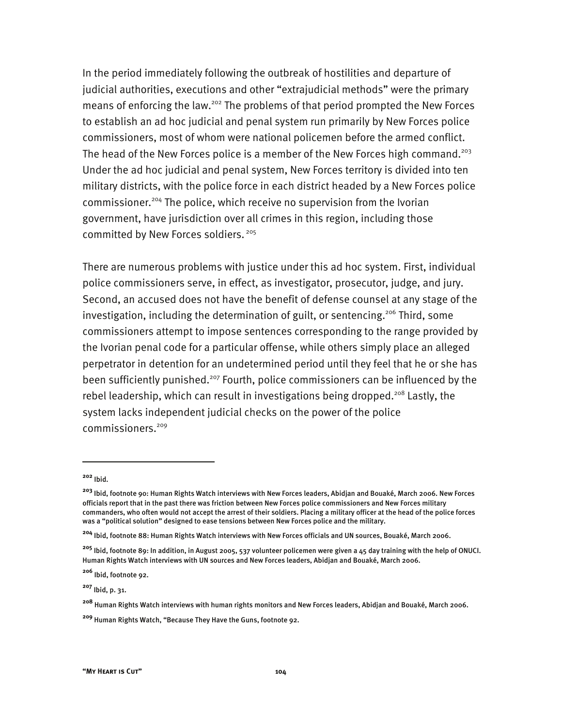In the period immediately following the outbreak of hostilities and departure of judicial authorities, executions and other "extrajudicial methods" were the primary means of enforcing the law.<sup>202</sup> The problems of that period prompted the New Forces to establish an ad hoc judicial and penal system run primarily by New Forces police commissioners, most of whom were national policemen before the armed conflict. The head of the New Forces police is a member of the New Forces high command.<sup>203</sup> Under the ad hoc judicial and penal system, New Forces territory is divided into ten military districts, with the police force in each district headed by a New Forces police commissioner.<sup>204</sup> The police, which receive no supervision from the Ivorian government, have jurisdiction over all crimes in this region, including those committed by New Forces soldiers.<sup>205</sup>

There are numerous problems with justice under this ad hoc system. First, individual police commissioners serve, in effect, as investigator, prosecutor, judge, and jury. Second, an accused does not have the benefit of defense counsel at any stage of the investigation, including the determination of guilt, or sentencing.<sup>206</sup> Third, some commissioners attempt to impose sentences corresponding to the range provided by the Ivorian penal code for a particular offense, while others simply place an alleged perpetrator in detention for an undetermined period until they feel that he or she has been sufficiently punished.<sup>207</sup> Fourth, police commissioners can be influenced by the rebel leadership, which can result in investigations being dropped.<sup>208</sup> Lastly, the system lacks independent judicial checks on the power of the police commissioners.<sup>209</sup>

**<sup>202</sup>** Ibid.

**<sup>203</sup>** Ibid, footnote 90: Human Rights Watch interviews with New Forces leaders, Abidjan and Bouaké, March 2006. New Forces officials report that in the past there was friction between New Forces police commissioners and New Forces military commanders, who often would not accept the arrest of their soldiers. Placing a military officer at the head of the police forces was a "political solution" designed to ease tensions between New Forces police and the military.

**<sup>204</sup>** Ibid, footnote 88: Human Rights Watch interviews with New Forces officials and UN sources, Bouaké, March 2006.

**<sup>205</sup>** Ibid, footnote 89: In addition, in August 2005, 537 volunteer policemen were given a 45 day training with the help of ONUCI. Human Rights Watch interviews with UN sources and New Forces leaders, Abidjan and Bouaké, March 2006.

**<sup>206</sup>** Ibid, footnote 92.

**<sup>207</sup>** Ibid, p. 31.

**<sup>208</sup>** Human Rights Watch interviews with human rights monitors and New Forces leaders, Abidjan and Bouaké, March 2006.

**<sup>209</sup>** Human Rights Watch, "Because They Have the Guns, footnote 92.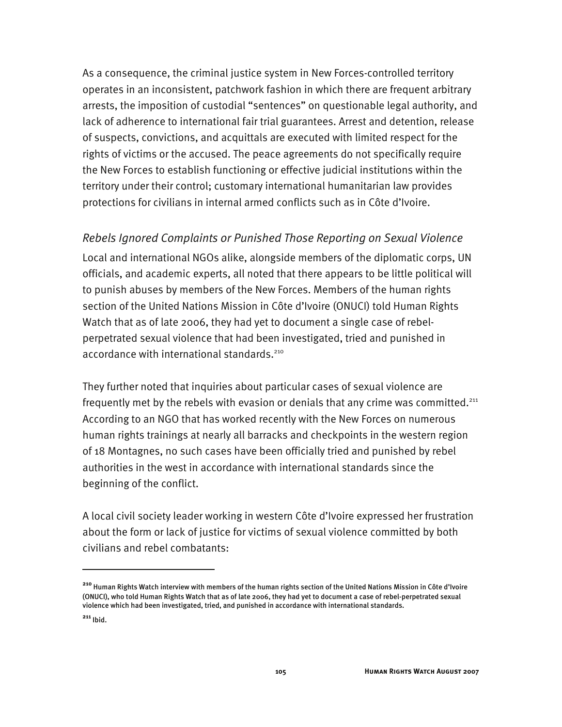As a consequence, the criminal justice system in New Forces-controlled territory operates in an inconsistent, patchwork fashion in which there are frequent arbitrary arrests, the imposition of custodial "sentences" on questionable legal authority, and lack of adherence to international fair trial guarantees. Arrest and detention, release of suspects, convictions, and acquittals are executed with limited respect for the rights of victims or the accused. The peace agreements do not specifically require the New Forces to establish functioning or effective judicial institutions within the territory under their control; customary international humanitarian law provides protections for civilians in internal armed conflicts such as in Côte d'Ivoire.

### *Rebels Ignored Complaints or Punished Those Reporting on Sexual Violence*

Local and international NGOs alike, alongside members of the diplomatic corps, UN officials, and academic experts, all noted that there appears to be little political will to punish abuses by members of the New Forces. Members of the human rights section of the United Nations Mission in Côte d'Ivoire (ONUCI) told Human Rights Watch that as of late 2006, they had yet to document a single case of rebelperpetrated sexual violence that had been investigated, tried and punished in accordance with international standards.<sup>210</sup>

They further noted that inquiries about particular cases of sexual violence are frequently met by the rebels with evasion or denials that any crime was committed.<sup>211</sup> According to an NGO that has worked recently with the New Forces on numerous human rights trainings at nearly all barracks and checkpoints in the western region of 18 Montagnes, no such cases have been officially tried and punished by rebel authorities in the west in accordance with international standards since the beginning of the conflict.

A local civil society leader working in western Côte d'Ivoire expressed her frustration about the form or lack of justice for victims of sexual violence committed by both civilians and rebel combatants:

**<sup>210</sup>** Human Rights Watch interview with members of the human rights section of the United Nations Mission in Côte d'Ivoire (ONUCI), who told Human Rights Watch that as of late 2006, they had yet to document a case of rebel-perpetrated sexual violence which had been investigated, tried, and punished in accordance with international standards.

**<sup>211</sup>** Ibid.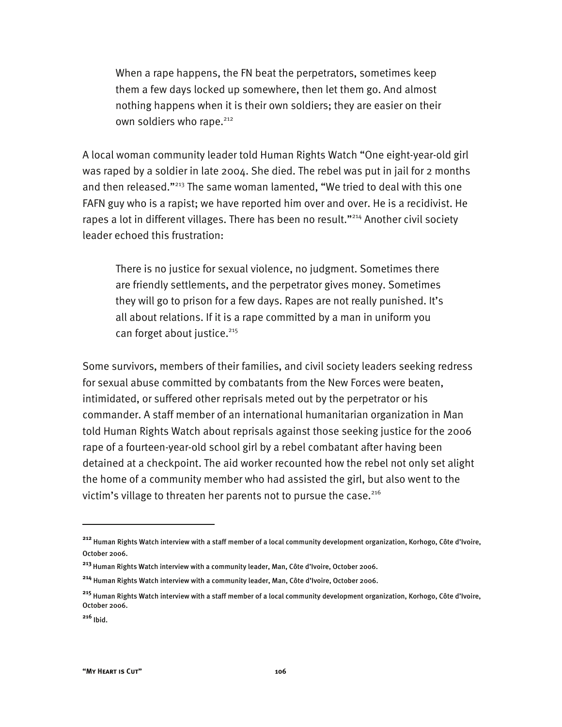When a rape happens, the FN beat the perpetrators, sometimes keep them a few days locked up somewhere, then let them go. And almost nothing happens when it is their own soldiers; they are easier on their own soldiers who rape.<sup>212</sup>

A local woman community leader told Human Rights Watch "One eight-year-old girl was raped by a soldier in late 2004. She died. The rebel was put in jail for 2 months and then released."<sup>213</sup> The same woman lamented, "We tried to deal with this one FAFN guy who is a rapist; we have reported him over and over. He is a recidivist. He rapes a lot in different villages. There has been no result."<sup>214</sup> Another civil society leader echoed this frustration:

There is no justice for sexual violence, no judgment. Sometimes there are friendly settlements, and the perpetrator gives money. Sometimes they will go to prison for a few days. Rapes are not really punished. It's all about relations. If it is a rape committed by a man in uniform you can forget about justice.<sup>215</sup>

Some survivors, members of their families, and civil society leaders seeking redress for sexual abuse committed by combatants from the New Forces were beaten, intimidated, or suffered other reprisals meted out by the perpetrator or his commander. A staff member of an international humanitarian organization in Man told Human Rights Watch about reprisals against those seeking justice for the 2006 rape of a fourteen-year-old school girl by a rebel combatant after having been detained at a checkpoint. The aid worker recounted how the rebel not only set alight the home of a community member who had assisted the girl, but also went to the victim's village to threaten her parents not to pursue the case. $216$ 

**<sup>212</sup>** Human Rights Watch interview with a staff member of a local community development organization, Korhogo, Côte d'Ivoire, October 2006.

**<sup>213</sup>**Human Rights Watch interview with a community leader, Man, Côte d'Ivoire, October 2006.

**<sup>214</sup>** Human Rights Watch interview with a community leader, Man, Côte d'Ivoire, October 2006.

**<sup>215</sup>** Human Rights Watch interview with a staff member of a local community development organization, Korhogo, Côte d'Ivoire, October 2006.

**<sup>216</sup>** Ibid.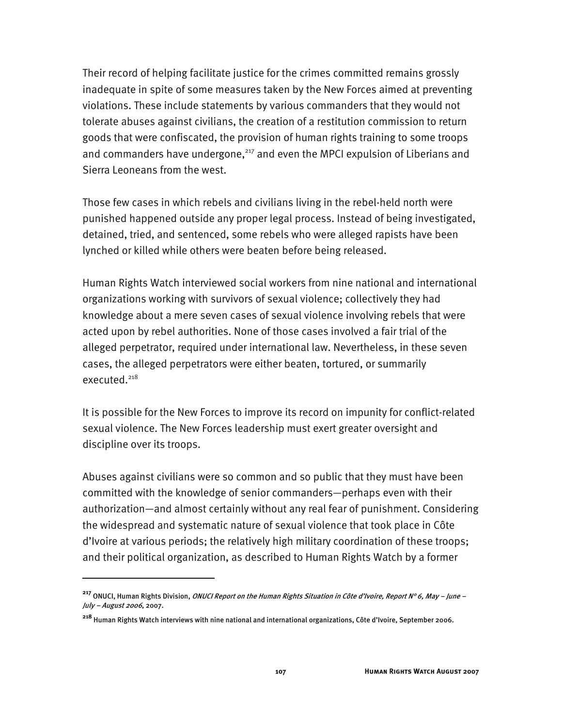Their record of helping facilitate justice for the crimes committed remains grossly inadequate in spite of some measures taken by the New Forces aimed at preventing violations. These include statements by various commanders that they would not tolerate abuses against civilians, the creation of a restitution commission to return goods that were confiscated, the provision of human rights training to some troops and commanders have undergone, $217$  and even the MPCI expulsion of Liberians and Sierra Leoneans from the west.

Those few cases in which rebels and civilians living in the rebel-held north were punished happened outside any proper legal process. Instead of being investigated, detained, tried, and sentenced, some rebels who were alleged rapists have been lynched or killed while others were beaten before being released.

Human Rights Watch interviewed social workers from nine national and international organizations working with survivors of sexual violence; collectively they had knowledge about a mere seven cases of sexual violence involving rebels that were acted upon by rebel authorities. None of those cases involved a fair trial of the alleged perpetrator, required under international law. Nevertheless, in these seven cases, the alleged perpetrators were either beaten, tortured, or summarily executed.<sup>218</sup>

It is possible for the New Forces to improve its record on impunity for conflict-related sexual violence. The New Forces leadership must exert greater oversight and discipline over its troops.

Abuses against civilians were so common and so public that they must have been committed with the knowledge of senior commanders—perhaps even with their authorization—and almost certainly without any real fear of punishment. Considering the widespread and systematic nature of sexual violence that took place in Côte d'Ivoire at various periods; the relatively high military coordination of these troops; and their political organization, as described to Human Rights Watch by a former

**<sup>217</sup>** ONUCI, Human Rights Division, ONUCI Report on the Human Rights Situation in Côte d'Ivoire, Report N° 6, May – June – July – August 2006, 2007.

**<sup>218</sup>** Human Rights Watch interviews with nine national and international organizations, Côte d'Ivoire, September 2006.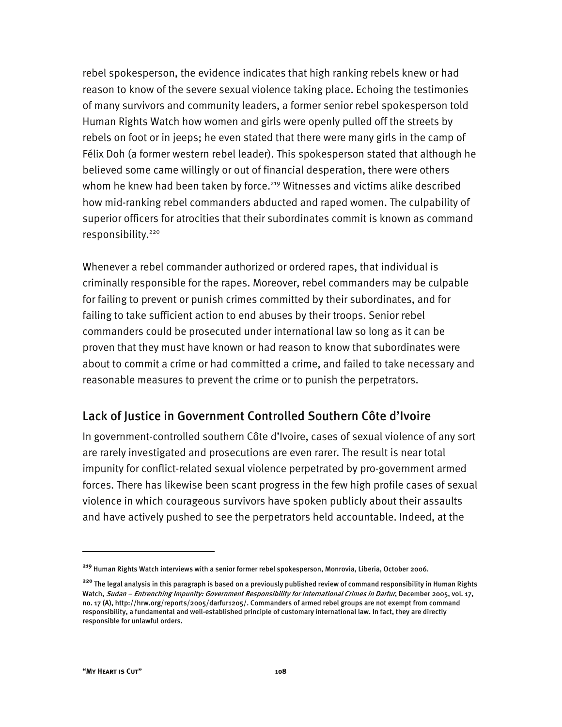rebel spokesperson, the evidence indicates that high ranking rebels knew or had reason to know of the severe sexual violence taking place. Echoing the testimonies of many survivors and community leaders, a former senior rebel spokesperson told Human Rights Watch how women and girls were openly pulled off the streets by rebels on foot or in jeeps; he even stated that there were many girls in the camp of Félix Doh (a former western rebel leader). This spokesperson stated that although he believed some came willingly or out of financial desperation, there were others whom he knew had been taken by force.<sup>219</sup> Witnesses and victims alike described how mid-ranking rebel commanders abducted and raped women. The culpability of superior officers for atrocities that their subordinates commit is known as command responsibility.<sup>220</sup>

Whenever a rebel commander authorized or ordered rapes, that individual is criminally responsible for the rapes. Moreover, rebel commanders may be culpable for failing to prevent or punish crimes committed by their subordinates, and for failing to take sufficient action to end abuses by their troops. Senior rebel commanders could be prosecuted under international law so long as it can be proven that they must have known or had reason to know that subordinates were about to commit a crime or had committed a crime, and failed to take necessary and reasonable measures to prevent the crime or to punish the perpetrators.

## Lack of Justice in Government Controlled Southern Côte d'Ivoire

In government-controlled southern Côte d'Ivoire, cases of sexual violence of any sort are rarely investigated and prosecutions are even rarer. The result is near total impunity for conflict-related sexual violence perpetrated by pro-government armed forces. There has likewise been scant progress in the few high profile cases of sexual violence in which courageous survivors have spoken publicly about their assaults and have actively pushed to see the perpetrators held accountable. Indeed, at the

**<sup>219</sup>** Human Rights Watch interviews with a senior former rebel spokesperson, Monrovia, Liberia, October 2006.

**<sup>220</sup>** The legal analysis in this paragraph is based on a previously published review of command responsibility in Human Rights Watch, Sudan – Entrenching Impunity: Government Responsibility for International Crimes in Darfur, December 2005, vol. 17, no. 17 (A), http://hrw.org/reports/2005/darfur1205/. Commanders of armed rebel groups are not exempt from command responsibility, a fundamental and well-established principle of customary international law. In fact, they are directly responsible for unlawful orders.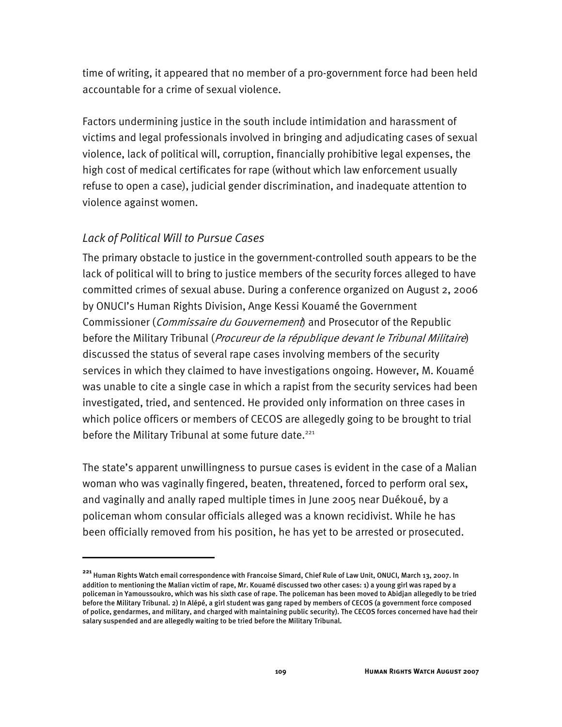time of writing, it appeared that no member of a pro-government force had been held accountable for a crime of sexual violence.

Factors undermining justice in the south include intimidation and harassment of victims and legal professionals involved in bringing and adjudicating cases of sexual violence, lack of political will, corruption, financially prohibitive legal expenses, the high cost of medical certificates for rape (without which law enforcement usually refuse to open a case), judicial gender discrimination, and inadequate attention to violence against women.

## *Lack of Political Will to Pursue Cases*

I

The primary obstacle to justice in the government-controlled south appears to be the lack of political will to bring to justice members of the security forces alleged to have committed crimes of sexual abuse. During a conference organized on August 2, 2006 by ONUCI's Human Rights Division, Ange Kessi Kouamé the Government Commissioner (*Commissaire du Gouvernement*) and Prosecutor of the Republic before the Military Tribunal (*Procureur de la république devant le Tribunal Militaire*) discussed the status of several rape cases involving members of the security services in which they claimed to have investigations ongoing. However, M. Kouamé was unable to cite a single case in which a rapist from the security services had been investigated, tried, and sentenced. He provided only information on three cases in which police officers or members of CECOS are allegedly going to be brought to trial before the Military Tribunal at some future date.<sup>221</sup>

The state's apparent unwillingness to pursue cases is evident in the case of a Malian woman who was vaginally fingered, beaten, threatened, forced to perform oral sex, and vaginally and anally raped multiple times in June 2005 near Duékoué, by a policeman whom consular officials alleged was a known recidivist. While he has been officially removed from his position, he has yet to be arrested or prosecuted.

**<sup>221</sup>** Human Rights Watch email correspondence with Francoise Simard, Chief Rule of Law Unit, ONUCI, March 13, 2007. In addition to mentioning the Malian victim of rape, Mr. Kouamé discussed two other cases: 1) a young girl was raped by a policeman in Yamoussoukro, which was his sixth case of rape. The policeman has been moved to Abidjan allegedly to be tried before the Military Tribunal. 2) In Alépé, a girl student was gang raped by members of CECOS (a government force composed of police, gendarmes, and military, and charged with maintaining public security). The CECOS forces concerned have had their salary suspended and are allegedly waiting to be tried before the Military Tribunal.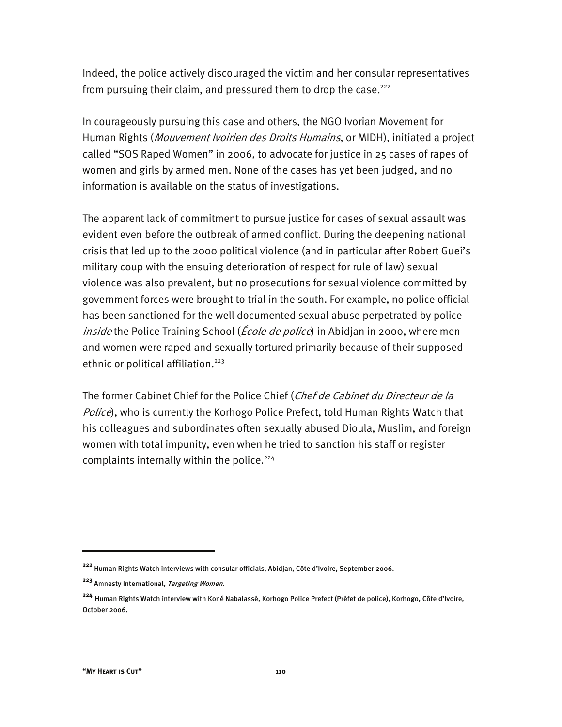Indeed, the police actively discouraged the victim and her consular representatives from pursuing their claim, and pressured them to drop the case.<sup>222</sup>

In courageously pursuing this case and others, the NGO Ivorian Movement for Human Rights (Mouvement Ivoirien des Droits Humains, or MIDH), initiated a project called "SOS Raped Women" in 2006, to advocate for justice in 25 cases of rapes of women and girls by armed men. None of the cases has yet been judged, and no information is available on the status of investigations.

The apparent lack of commitment to pursue justice for cases of sexual assault was evident even before the outbreak of armed conflict. During the deepening national crisis that led up to the 2000 political violence (and in particular after Robert Guei's military coup with the ensuing deterioration of respect for rule of law) sexual violence was also prevalent, but no prosecutions for sexual violence committed by government forces were brought to trial in the south. For example, no police official has been sanctioned for the well documented sexual abuse perpetrated by police inside the Police Training School (*École de police*) in Abidjan in 2000, where men and women were raped and sexually tortured primarily because of their supposed ethnic or political affiliation.<sup>223</sup>

The former Cabinet Chief for the Police Chief (Chef de Cabinet du Directeur de la Police), who is currently the Korhogo Police Prefect, told Human Rights Watch that his colleagues and subordinates often sexually abused Dioula, Muslim, and foreign women with total impunity, even when he tried to sanction his staff or register complaints internally within the police.<sup>224</sup>

**<sup>222</sup>** Human Rights Watch interviews with consular officials, Abidjan, Côte d'Ivoire, September 2006.

**<sup>223</sup>** Amnesty International, Targeting Women.

**<sup>224</sup>** Human Rights Watch interview with Koné Nabalassé, Korhogo Police Prefect (Préfet de police), Korhogo, Côte d'Ivoire, October 2006.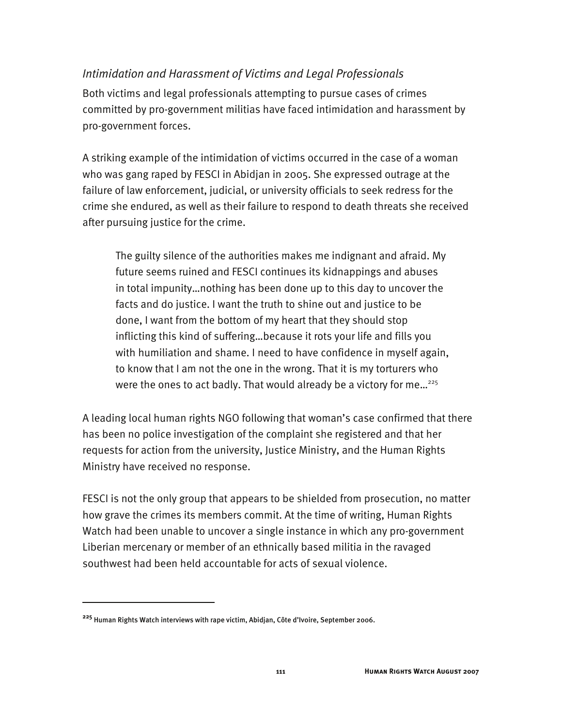### *Intimidation and Harassment of Victims and Legal Professionals*

Both victims and legal professionals attempting to pursue cases of crimes committed by pro-government militias have faced intimidation and harassment by pro-government forces.

A striking example of the intimidation of victims occurred in the case of a woman who was gang raped by FESCI in Abidjan in 2005. She expressed outrage at the failure of law enforcement, judicial, or university officials to seek redress for the crime she endured, as well as their failure to respond to death threats she received after pursuing justice for the crime.

The guilty silence of the authorities makes me indignant and afraid. My future seems ruined and FESCI continues its kidnappings and abuses in total impunity…nothing has been done up to this day to uncover the facts and do justice. I want the truth to shine out and justice to be done, I want from the bottom of my heart that they should stop inflicting this kind of suffering…because it rots your life and fills you with humiliation and shame. I need to have confidence in myself again, to know that I am not the one in the wrong. That it is my torturers who were the ones to act badly. That would already be a victory for me...<sup>225</sup>

A leading local human rights NGO following that woman's case confirmed that there has been no police investigation of the complaint she registered and that her requests for action from the university, Justice Ministry, and the Human Rights Ministry have received no response.

FESCI is not the only group that appears to be shielded from prosecution, no matter how grave the crimes its members commit. At the time of writing, Human Rights Watch had been unable to uncover a single instance in which any pro-government Liberian mercenary or member of an ethnically based militia in the ravaged southwest had been held accountable for acts of sexual violence.

**<sup>225</sup>** Human Rights Watch interviews with rape victim, Abidjan, Côte d'Ivoire, September 2006.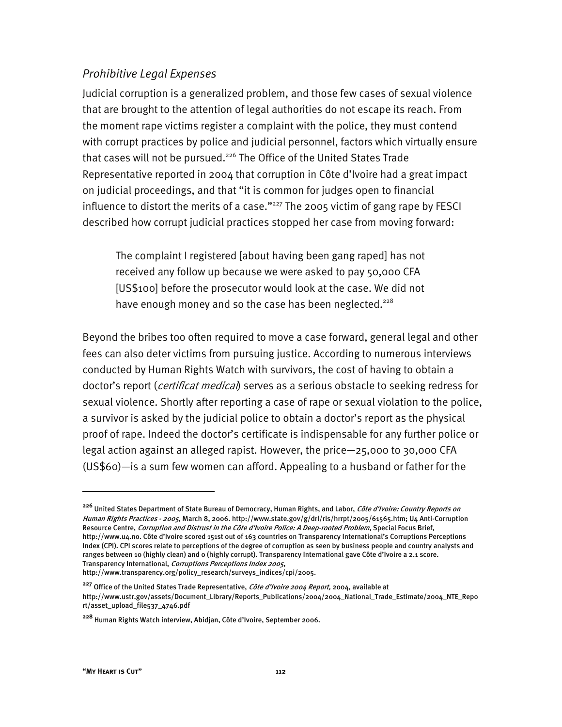### *Prohibitive Legal Expenses*

Judicial corruption is a generalized problem, and those few cases of sexual violence that are brought to the attention of legal authorities do not escape its reach. From the moment rape victims register a complaint with the police, they must contend with corrupt practices by police and judicial personnel, factors which virtually ensure that cases will not be pursued.<sup>226</sup> The Office of the United States Trade Representative reported in 2004 that corruption in Côte d'Ivoire had a great impact on judicial proceedings, and that "it is common for judges open to financial influence to distort the merits of a case." $227$  The 2005 victim of gang rape by FESCI described how corrupt judicial practices stopped her case from moving forward:

The complaint I registered [about having been gang raped] has not received any follow up because we were asked to pay 50,000 CFA [US\$100] before the prosecutor would look at the case. We did not have enough money and so the case has been neglected.<sup>228</sup>

Beyond the bribes too often required to move a case forward, general legal and other fees can also deter victims from pursuing justice. According to numerous interviews conducted by Human Rights Watch with survivors, the cost of having to obtain a doctor's report (*certificat medical*) serves as a serious obstacle to seeking redress for sexual violence. Shortly after reporting a case of rape or sexual violation to the police, a survivor is asked by the judicial police to obtain a doctor's report as the physical proof of rape. Indeed the doctor's certificate is indispensable for any further police or legal action against an alleged rapist. However, the price—25,000 to 30,000 CFA (US\$60)—is a sum few women can afford. Appealing to a husband or father for the

**<sup>226</sup>** United States Department of State Bureau of Democracy, Human Rights, and Labor, Côte d'Ivoire: Country Reports on Human Rights Practices - 2005, March 8, 2006. http://www.state.gov/g/drl/rls/hrrpt/2005/61565.htm; U4 Anti-Corruption Resource Centre, Corruption and Distrust in the Côte d'Ivoire Police: A Deep-rooted Problem, Special Focus Brief, http://www.u4.no. Côte d'Ivoire scored 151st out of 163 countries on Transparency International's Corruptions Perceptions Index (CPI). CPI scores relate to perceptions of the degree of corruption as seen by business people and country analysts and ranges between 10 (highly clean) and 0 (highly corrupt). Transparency International gave Côte d'Ivoire a 2.1 score. Transparency International, Corruptions Perceptions Index 2005,

http://www.transparency.org/policy\_research/surveys\_indices/cpi/2005.

**<sup>227</sup>** Office of the United States Trade Representative, Côte d'Ivoire 2004 Report, 2004, available at http://www.ustr.gov/assets/Document\_Library/Reports\_Publications/2004/2004\_National\_Trade\_Estimate/2004\_NTE\_Repo rt/asset\_upload\_file537\_4746.pdf

**<sup>228</sup>** Human Rights Watch interview, Abidjan, Côte d'Ivoire, September 2006.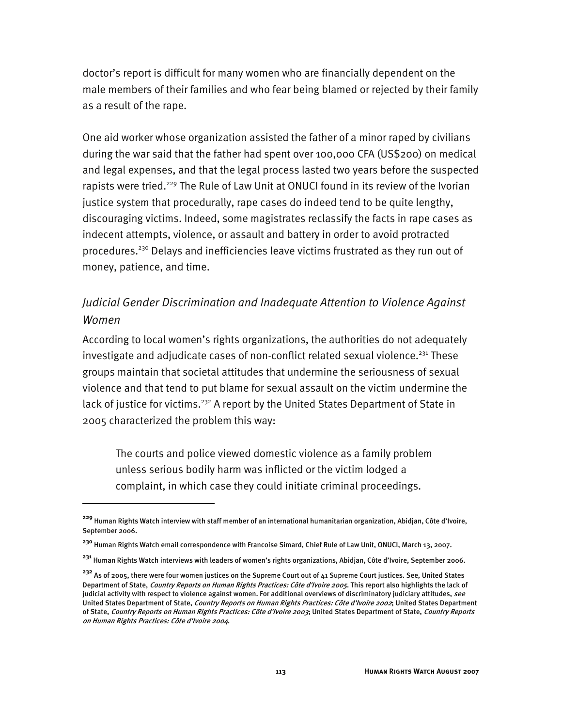doctor's report is difficult for many women who are financially dependent on the male members of their families and who fear being blamed or rejected by their family as a result of the rape.

One aid worker whose organization assisted the father of a minor raped by civilians during the war said that the father had spent over 100,000 CFA (US\$200) on medical and legal expenses, and that the legal process lasted two years before the suspected rapists were tried.<sup>229</sup> The Rule of Law Unit at ONUCI found in its review of the Ivorian justice system that procedurally, rape cases do indeed tend to be quite lengthy, discouraging victims. Indeed, some magistrates reclassify the facts in rape cases as indecent attempts, violence, or assault and battery in order to avoid protracted procedures.230 Delays and inefficiencies leave victims frustrated as they run out of money, patience, and time.

## *Judicial Gender Discrimination and Inadequate Attention to Violence Against Women*

According to local women's rights organizations, the authorities do not adequately investigate and adjudicate cases of non-conflict related sexual violence.<sup>231</sup> These groups maintain that societal attitudes that undermine the seriousness of sexual violence and that tend to put blame for sexual assault on the victim undermine the lack of justice for victims.<sup>232</sup> A report by the United States Department of State in 2005 characterized the problem this way:

The courts and police viewed domestic violence as a family problem unless serious bodily harm was inflicted or the victim lodged a complaint, in which case they could initiate criminal proceedings.

**<sup>229</sup>** Human Rights Watch interview with staff member of an international humanitarian organization, Abidjan, Côte d'Ivoire, September 2006.

**<sup>230</sup>** Human Rights Watch email correspondence with Francoise Simard, Chief Rule of Law Unit, ONUCI, March 13, 2007.

**<sup>231</sup>** Human Rights Watch interviews with leaders of women's rights organizations, Abidjan, Côte d'Ivoire, September 2006.

**<sup>232</sup>** As of 2005, there were four women justices on the Supreme Court out of 41 Supreme Court justices. See, United States Department of State, *Country Reports on Human Rights Practices: Côte d'Ivoire 2005*. This report also highlights the lack of judicial activity with respect to violence against women. For additional overviews of discriminatory judiciary attitudes, *see* United States Department of State, Country Reports on Human Rights Practices: Côte d'Ivoire 2002; United States Department of State, Country Reports on Human Rights Practices: Côte d'Ivoire 2003; United States Department of State, Country Reports on Human Rights Practices: Côte d'Ivoire 2004.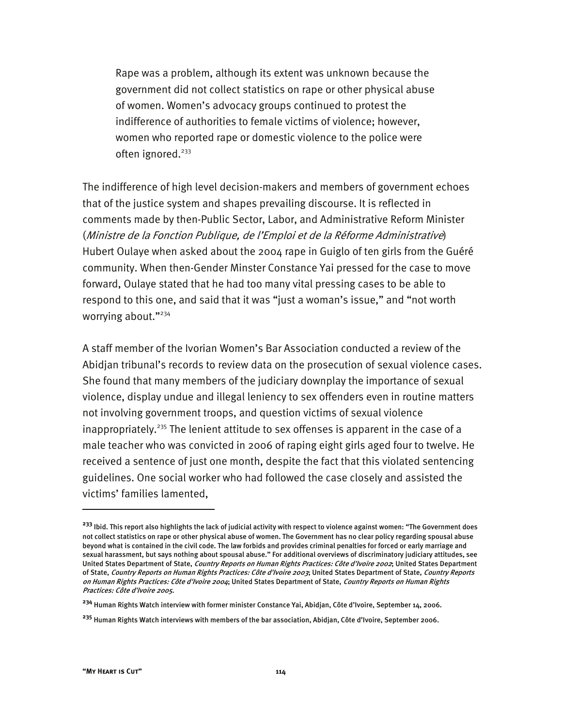Rape was a problem, although its extent was unknown because the government did not collect statistics on rape or other physical abuse of women. Women's advocacy groups continued to protest the indifference of authorities to female victims of violence; however, women who reported rape or domestic violence to the police were often ignored. $233$ 

The indifference of high level decision-makers and members of government echoes that of the justice system and shapes prevailing discourse. It is reflected in comments made by then-Public Sector, Labor, and Administrative Reform Minister (Ministre de la Fonction Publique, de l'Emploi et de la Réforme Administrative) Hubert Oulaye when asked about the 2004 rape in Guiglo of ten girls from the Guéré community. When then-Gender Minster Constance Yai pressed for the case to move forward, Oulaye stated that he had too many vital pressing cases to be able to respond to this one, and said that it was "just a woman's issue," and "not worth worrying about."234

A staff member of the Ivorian Women's Bar Association conducted a review of the Abidjan tribunal's records to review data on the prosecution of sexual violence cases. She found that many members of the judiciary downplay the importance of sexual violence, display undue and illegal leniency to sex offenders even in routine matters not involving government troops, and question victims of sexual violence inappropriately.<sup>235</sup> The lenient attitude to sex offenses is apparent in the case of a male teacher who was convicted in 2006 of raping eight girls aged four to twelve. He received a sentence of just one month, despite the fact that this violated sentencing guidelines. One social worker who had followed the case closely and assisted the victims' families lamented,

**<sup>233</sup>** Ibid. This report also highlights the lack of judicial activity with respect to violence against women: "The Government does not collect statistics on rape or other physical abuse of women. The Government has no clear policy regarding spousal abuse beyond what is contained in the civil code. The law forbids and provides criminal penalties for forced or early marriage and sexual harassment, but says nothing about spousal abuse." For additional overviews of discriminatory judiciary attitudes, see United States Department of State, Country Reports on Human Rights Practices: Côte d'Ivoire 2002; United States Department of State, Country Reports on Human Rights Practices: Côte d'Ivoire 2003; United States Department of State, Country Reports on Human Rights Practices: Côte d'Ivoire 2004; United States Department of State, Country Reports on Human Rights Practices: Côte d'Ivoire 2005.

**<sup>234</sup>** Human Rights Watch interview with former minister Constance Yai, Abidjan, Côte d'Ivoire, September 14, 2006.

**<sup>235</sup>** Human Rights Watch interviews with members of the bar association, Abidjan, Côte d'Ivoire, September 2006.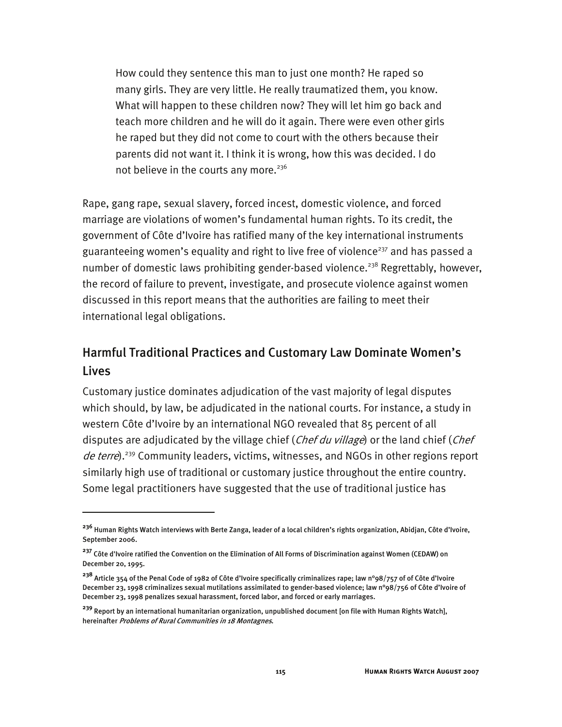How could they sentence this man to just one month? He raped so many girls. They are very little. He really traumatized them, you know. What will happen to these children now? They will let him go back and teach more children and he will do it again. There were even other girls he raped but they did not come to court with the others because their parents did not want it. I think it is wrong, how this was decided. I do not believe in the courts any more.<sup>236</sup>

Rape, gang rape, sexual slavery, forced incest, domestic violence, and forced marriage are violations of women's fundamental human rights. To its credit, the government of Côte d'Ivoire has ratified many of the key international instruments guaranteeing women's equality and right to live free of violence<sup>237</sup> and has passed a number of domestic laws prohibiting gender-based violence.<sup>238</sup> Regrettably, however, the record of failure to prevent, investigate, and prosecute violence against women discussed in this report means that the authorities are failing to meet their international legal obligations.

# Harmful Traditional Practices and Customary Law Dominate Women's Lives

Customary justice dominates adjudication of the vast majority of legal disputes which should, by law, be adjudicated in the national courts. For instance, a study in western Côte d'Ivoire by an international NGO revealed that 85 percent of all disputes are adjudicated by the village chief (Chef du village) or the land chief (Chef de terre).<sup>239</sup> Community leaders, victims, witnesses, and NGOs in other regions report similarly high use of traditional or customary justice throughout the entire country. Some legal practitioners have suggested that the use of traditional justice has

**<sup>236</sup>** Human Rights Watch interviews with Berte Zanga, leader of a local children's rights organization, Abidjan, Côte d'Ivoire, September 2006.

**<sup>237</sup>** Côte d'Ivoire ratified the Convention on the Elimination of All Forms of Discrimination against Women (CEDAW) on December 20, 1995.

**<sup>238</sup>** Article 354 of the Penal Code of 1982 of Côte d'Ivoire specifically criminalizes rape; law n°98/757 of of Côte d'Ivoire December 23, 1998 criminalizes sexual mutilations assimilated to gender-based violence; law n°98/756 of Côte d'Ivoire of December 23, 1998 penalizes sexual harassment, forced labor, and forced or early marriages.

**<sup>239</sup>** Report by an international humanitarian organization, unpublished document [on file with Human Rights Watch], hereinafter Problems of Rural Communities in 18 Montagnes.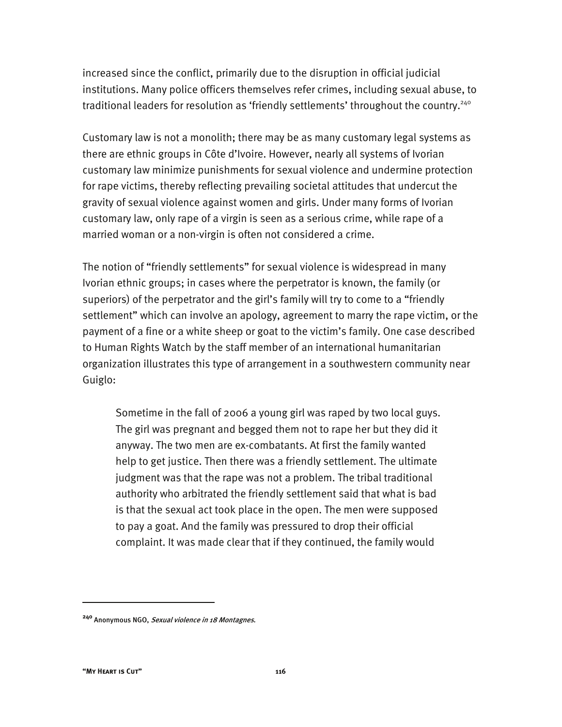increased since the conflict, primarily due to the disruption in official judicial institutions. Many police officers themselves refer crimes, including sexual abuse, to traditional leaders for resolution as 'friendly settlements' throughout the country.<sup>240</sup>

Customary law is not a monolith; there may be as many customary legal systems as there are ethnic groups in Côte d'Ivoire. However, nearly all systems of Ivorian customary law minimize punishments for sexual violence and undermine protection for rape victims, thereby reflecting prevailing societal attitudes that undercut the gravity of sexual violence against women and girls. Under many forms of Ivorian customary law, only rape of a virgin is seen as a serious crime, while rape of a married woman or a non-virgin is often not considered a crime.

The notion of "friendly settlements" for sexual violence is widespread in many Ivorian ethnic groups; in cases where the perpetrator is known, the family (or superiors) of the perpetrator and the girl's family will try to come to a "friendly settlement" which can involve an apology, agreement to marry the rape victim, or the payment of a fine or a white sheep or goat to the victim's family. One case described to Human Rights Watch by the staff member of an international humanitarian organization illustrates this type of arrangement in a southwestern community near Guiglo:

Sometime in the fall of 2006 a young girl was raped by two local guys. The girl was pregnant and begged them not to rape her but they did it anyway. The two men are ex-combatants. At first the family wanted help to get justice. Then there was a friendly settlement. The ultimate judgment was that the rape was not a problem. The tribal traditional authority who arbitrated the friendly settlement said that what is bad is that the sexual act took place in the open. The men were supposed to pay a goat. And the family was pressured to drop their official complaint. It was made clear that if they continued, the family would

**<sup>240</sup>** Anonymous NGO, Sexual violence in 18 Montagnes.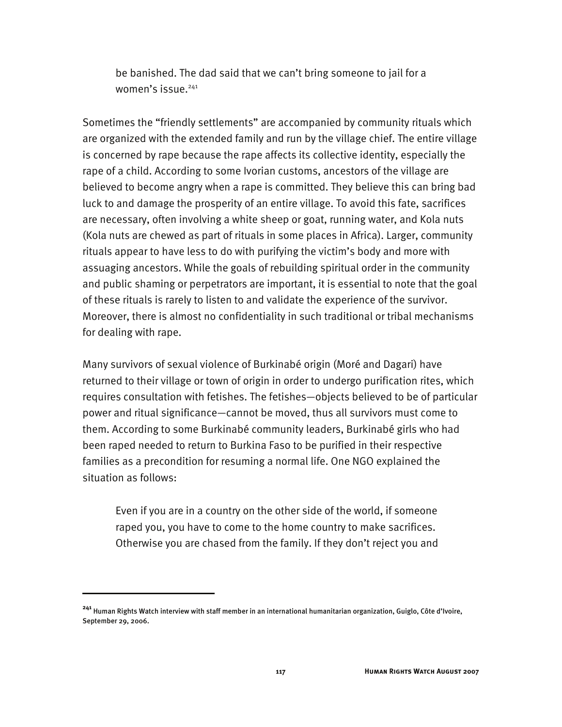be banished. The dad said that we can't bring someone to jail for a women's issue.<sup>241</sup>

Sometimes the "friendly settlements" are accompanied by community rituals which are organized with the extended family and run by the village chief. The entire village is concerned by rape because the rape affects its collective identity, especially the rape of a child. According to some Ivorian customs, ancestors of the village are believed to become angry when a rape is committed. They believe this can bring bad luck to and damage the prosperity of an entire village. To avoid this fate, sacrifices are necessary, often involving a white sheep or goat, running water, and Kola nuts (Kola nuts are chewed as part of rituals in some places in Africa). Larger, community rituals appear to have less to do with purifying the victim's body and more with assuaging ancestors. While the goals of rebuilding spiritual order in the community and public shaming or perpetrators are important, it is essential to note that the goal of these rituals is rarely to listen to and validate the experience of the survivor. Moreover, there is almost no confidentiality in such traditional or tribal mechanisms for dealing with rape.

Many survivors of sexual violence of Burkinabé origin (Moré and Dagari) have returned to their village or town of origin in order to undergo purification rites, which requires consultation with fetishes. The fetishes—objects believed to be of particular power and ritual significance—cannot be moved, thus all survivors must come to them. According to some Burkinabé community leaders, Burkinabé girls who had been raped needed to return to Burkina Faso to be purified in their respective families as a precondition for resuming a normal life. One NGO explained the situation as follows:

Even if you are in a country on the other side of the world, if someone raped you, you have to come to the home country to make sacrifices. Otherwise you are chased from the family. If they don't reject you and

**<sup>241</sup>** Human Rights Watch interview with staff member in an international humanitarian organization, Guiglo, Côte d'Ivoire, September 29, 2006.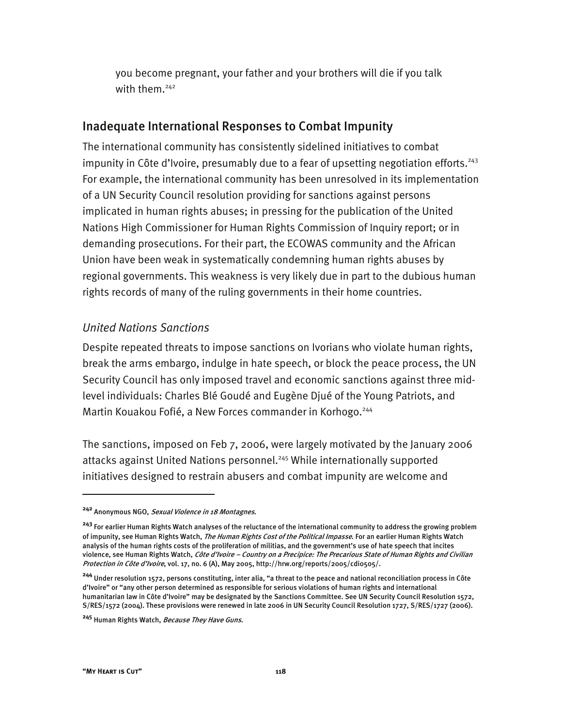you become pregnant, your father and your brothers will die if you talk with them.<sup>242</sup>

### Inadequate International Responses to Combat Impunity

The international community has consistently sidelined initiatives to combat impunity in Côte d'Ivoire, presumably due to a fear of upsetting negotiation efforts.  $243$ For example, the international community has been unresolved in its implementation of a UN Security Council resolution providing for sanctions against persons implicated in human rights abuses; in pressing for the publication of the United Nations High Commissioner for Human Rights Commission of Inquiry report; or in demanding prosecutions. For their part, the ECOWAS community and the African Union have been weak in systematically condemning human rights abuses by regional governments. This weakness is very likely due in part to the dubious human rights records of many of the ruling governments in their home countries.

#### *United Nations Sanctions*

Despite repeated threats to impose sanctions on Ivorians who violate human rights, break the arms embargo, indulge in hate speech, or block the peace process, the UN Security Council has only imposed travel and economic sanctions against three midlevel individuals: Charles Blé Goudé and Eugène Djué of the Young Patriots, and Martin Kouakou Fofié, a New Forces commander in Korhogo.<sup>244</sup>

The sanctions, imposed on Feb 7, 2006, were largely motivated by the January 2006 attacks against United Nations personnel.<sup>245</sup> While internationally supported initiatives designed to restrain abusers and combat impunity are welcome and

**<sup>242</sup>** Anonymous NGO, Sexual Violence in 18 Montagnes.

**<sup>243</sup>** For earlier Human Rights Watch analyses of the reluctance of the international community to address the growing problem of impunity, see Human Rights Watch, The Human Rights Cost of the Political Impasse. For an earlier Human Rights Watch analysis of the human rights costs of the proliferation of militias, and the government's use of hate speech that incites violence, see Human Rights Watch, Côte d'Ivoire - Country on a Precipice: The Precarious State of Human Rights and Civilian Protection in Côte d'Ivoire, vol. 17, no. 6 (A), May 2005, http://hrw.org/reports/2005/cdio505/.

**<sup>244</sup>** Under resolution 1572, persons constituting, inter alia, "a threat to the peace and national reconciliation process in Côte d'Ivoire" or "any other person determined as responsible for serious violations of human rights and international humanitarian law in Côte d'Ivoire" may be designated by the Sanctions Committee. See UN Security Council Resolution 1572, S/RES/1572 (2004). These provisions were renewed in late 2006 in UN Security Council Resolution 1727, S/RES/1727 (2006).

**<sup>245</sup>** Human Rights Watch, Because They Have Guns.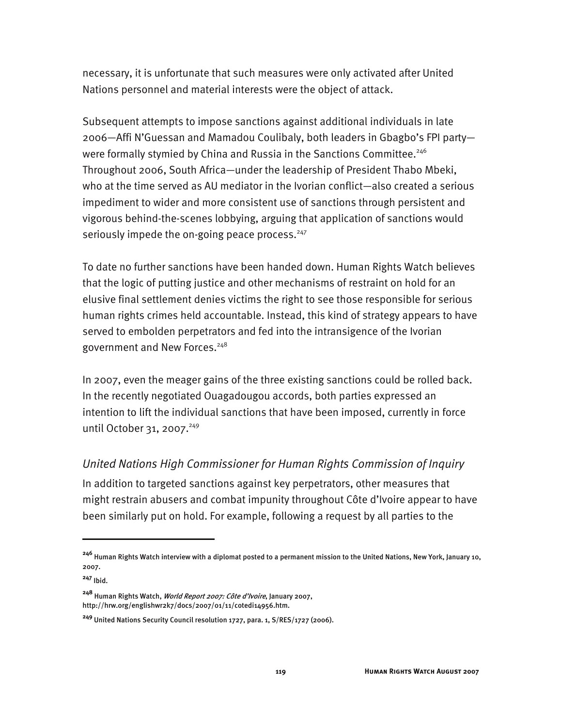necessary, it is unfortunate that such measures were only activated after United Nations personnel and material interests were the object of attack.

Subsequent attempts to impose sanctions against additional individuals in late 2006—Affi N'Guessan and Mamadou Coulibaly, both leaders in Gbagbo's FPI party were formally stymied by China and Russia in the Sanctions Committee.<sup>246</sup> Throughout 2006, South Africa—under the leadership of President Thabo Mbeki, who at the time served as AU mediator in the Ivorian conflict—also created a serious impediment to wider and more consistent use of sanctions through persistent and vigorous behind-the-scenes lobbying, arguing that application of sanctions would seriously impede the on-going peace process.<sup>247</sup>

To date no further sanctions have been handed down. Human Rights Watch believes that the logic of putting justice and other mechanisms of restraint on hold for an elusive final settlement denies victims the right to see those responsible for serious human rights crimes held accountable. Instead, this kind of strategy appears to have served to embolden perpetrators and fed into the intransigence of the Ivorian government and New Forces.<sup>248</sup>

In 2007, even the meager gains of the three existing sanctions could be rolled back. In the recently negotiated Ouagadougou accords, both parties expressed an intention to lift the individual sanctions that have been imposed, currently in force until October 31, 2007.<sup>249</sup>

### *United Nations High Commissioner for Human Rights Commission of Inquiry*

In addition to targeted sanctions against key perpetrators, other measures that might restrain abusers and combat impunity throughout Côte d'Ivoire appear to have been similarly put on hold. For example, following a request by all parties to the

j

**<sup>246</sup>** Human Rights Watch interview with a diplomat posted to a permanent mission to the United Nations, New York, January 10, 2007.

**<sup>247</sup>** Ibid.

**<sup>248</sup>** Human Rights Watch, World Report 2007: Côte d'Ivoire, January 2007, http://hrw.org/englishwr2k7/docs/2007/01/11/cotedi14956.htm.

**<sup>249</sup>** United Nations Security Council resolution 1727, para. 1, S/RES/1727 (2006).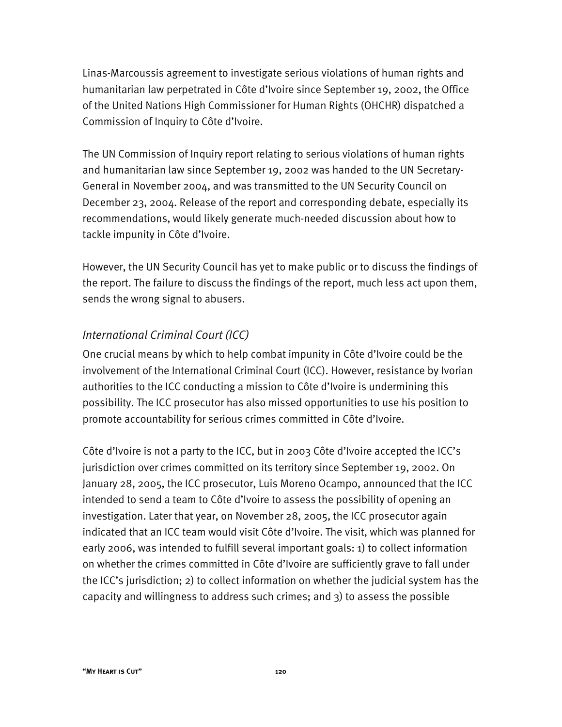Linas-Marcoussis agreement to investigate serious violations of human rights and humanitarian law perpetrated in Côte d'Ivoire since September 19, 2002, the Office of the United Nations High Commissioner for Human Rights (OHCHR) dispatched a Commission of Inquiry to Côte d'Ivoire.

The UN Commission of Inquiry report relating to serious violations of human rights and humanitarian law since September 19, 2002 was handed to the UN Secretary-General in November 2004, and was transmitted to the UN Security Council on December 23, 2004. Release of the report and corresponding debate, especially its recommendations, would likely generate much-needed discussion about how to tackle impunity in Côte d'Ivoire.

However, the UN Security Council has yet to make public or to discuss the findings of the report. The failure to discuss the findings of the report, much less act upon them, sends the wrong signal to abusers.

### *International Criminal Court (ICC)*

One crucial means by which to help combat impunity in Côte d'Ivoire could be the involvement of the International Criminal Court (ICC). However, resistance by Ivorian authorities to the ICC conducting a mission to Côte d'Ivoire is undermining this possibility. The ICC prosecutor has also missed opportunities to use his position to promote accountability for serious crimes committed in Côte d'Ivoire.

Côte d'Ivoire is not a party to the ICC, but in 2003 Côte d'Ivoire accepted the ICC's jurisdiction over crimes committed on its territory since September 19, 2002. On January 28, 2005, the ICC prosecutor, Luis Moreno Ocampo, announced that the ICC intended to send a team to Côte d'Ivoire to assess the possibility of opening an investigation. Later that year, on November 28, 2005, the ICC prosecutor again indicated that an ICC team would visit Côte d'Ivoire. The visit, which was planned for early 2006, was intended to fulfill several important goals: 1) to collect information on whether the crimes committed in Côte d'Ivoire are sufficiently grave to fall under the ICC's jurisdiction; 2) to collect information on whether the judicial system has the capacity and willingness to address such crimes; and 3) to assess the possible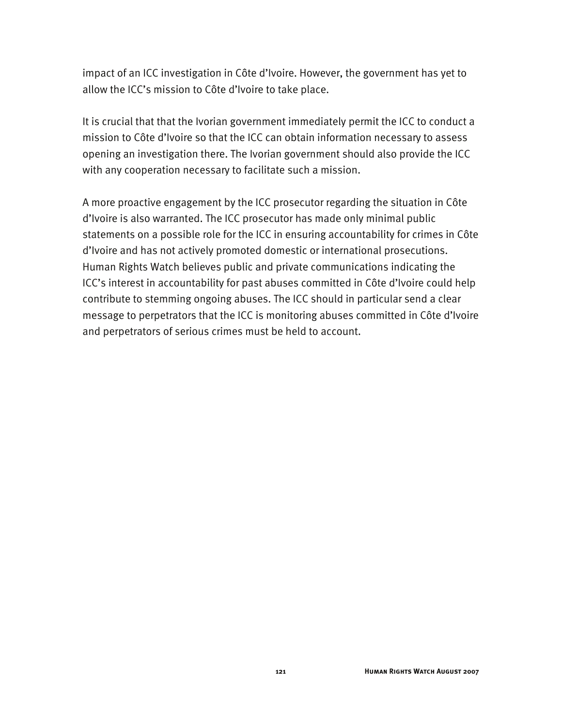impact of an ICC investigation in Côte d'Ivoire. However, the government has yet to allow the ICC's mission to Côte d'Ivoire to take place.

It is crucial that that the Ivorian government immediately permit the ICC to conduct a mission to Côte d'Ivoire so that the ICC can obtain information necessary to assess opening an investigation there. The Ivorian government should also provide the ICC with any cooperation necessary to facilitate such a mission.

A more proactive engagement by the ICC prosecutor regarding the situation in Côte d'Ivoire is also warranted. The ICC prosecutor has made only minimal public statements on a possible role for the ICC in ensuring accountability for crimes in Côte d'Ivoire and has not actively promoted domestic or international prosecutions. Human Rights Watch believes public and private communications indicating the ICC's interest in accountability for past abuses committed in Côte d'Ivoire could help contribute to stemming ongoing abuses. The ICC should in particular send a clear message to perpetrators that the ICC is monitoring abuses committed in Côte d'Ivoire and perpetrators of serious crimes must be held to account.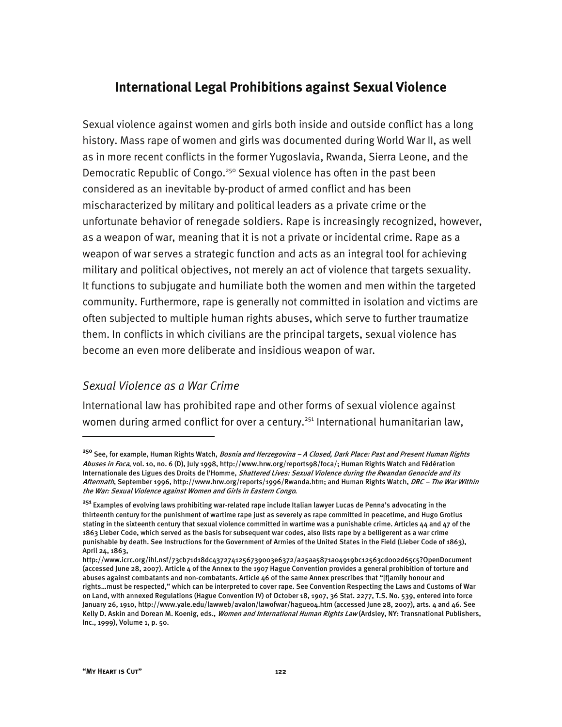## **International Legal Prohibitions against Sexual Violence**

Sexual violence against women and girls both inside and outside conflict has a long history. Mass rape of women and girls was documented during World War II, as well as in more recent conflicts in the former Yugoslavia, Rwanda, Sierra Leone, and the Democratic Republic of Congo.<sup>250</sup> Sexual violence has often in the past been considered as an inevitable by-product of armed conflict and has been mischaracterized by military and political leaders as a private crime or the unfortunate behavior of renegade soldiers. Rape is increasingly recognized, however, as a weapon of war, meaning that it is not a private or incidental crime. Rape as a weapon of war serves a strategic function and acts as an integral tool for achieving military and political objectives, not merely an act of violence that targets sexuality. It functions to subjugate and humiliate both the women and men within the targeted community. Furthermore, rape is generally not committed in isolation and victims are often subjected to multiple human rights abuses, which serve to further traumatize them. In conflicts in which civilians are the principal targets, sexual violence has become an even more deliberate and insidious weapon of war.

### *Sexual Violence as a War Crime*

International law has prohibited rape and other forms of sexual violence against women during armed conflict for over a century.<sup>251</sup> International humanitarian law,

j

**<sup>250</sup>** See, for example, Human Rights Watch, Bosnia and Herzegovina – A Closed, Dark Place: Past and Present Human Rights Abuses in Foca, vol. 10, no. 6 (D), July 1998, http://www.hrw.org/reports98/foca/; Human Rights Watch and Fédération Internationale des Ligues des Droits de l'Homme, Shattered Lives: Sexual Violence during the Rwandan Genocide and its Aftermath, September 1996, http://www.hrw.org/reports/1996/Rwanda.htm; and Human Rights Watch, DRC - The War Within the War: Sexual Violence against Women and Girls in Eastern Congo.

**<sup>251</sup>** Examples of evolving laws prohibiting war-related rape include Italian lawyer Lucas de Penna's advocating in the thirteenth century for the punishment of wartime rape just as severely as rape committed in peacetime, and Hugo Grotius stating in the sixteenth century that sexual violence committed in wartime was a punishable crime. Articles 44 and 47 of the 1863 Lieber Code, which served as the basis for subsequent war codes, also lists rape by a belligerent as a war crime punishable by death. See Instructions for the Government of Armies of the United States in the Field (Lieber Code of 1863), April 24, 1863,

http://www.icrc.org/ihl.nsf/73cb71d18dc4372741256739003e6372/a25aa5871a04919bc12563cd002d65c5?OpenDocument (accessed June 28, 2007). Article 4 of the Annex to the 1907 Hague Convention provides a general prohibition of torture and abuses against combatants and non-combatants. Article 46 of the same Annex prescribes that "[f]amily honour and rights…must be respected," which can be interpreted to cover rape. See Convention Respecting the Laws and Customs of War on Land, with annexed Regulations (Hague Convention IV) of October 18, 1907, 36 Stat. 2277, T.S. No. 539, entered into force January 26, 1910, http://www.yale.edu/lawweb/avalon/lawofwar/hague04.htm (accessed June 28, 2007), arts. 4 and 46. See Kelly D. Askin and Dorean M. Koenig, eds., Women and International Human Rights Law (Ardsley, NY: Transnational Publishers, Inc., 1999), Volume 1, p. 50.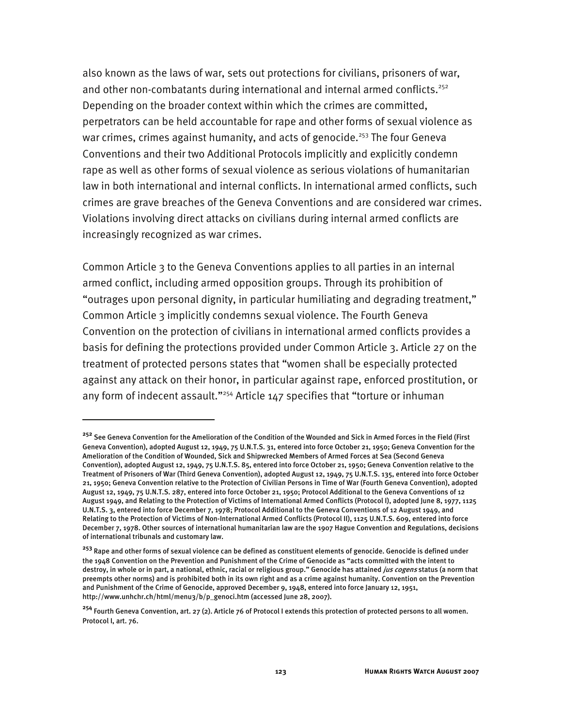also known as the laws of war, sets out protections for civilians, prisoners of war, and other non-combatants during international and internal armed conflicts.<sup>252</sup> Depending on the broader context within which the crimes are committed, perpetrators can be held accountable for rape and other forms of sexual violence as war crimes, crimes against humanity, and acts of genocide.<sup>253</sup> The four Geneva Conventions and their two Additional Protocols implicitly and explicitly condemn rape as well as other forms of sexual violence as serious violations of humanitarian law in both international and internal conflicts. In international armed conflicts, such crimes are grave breaches of the Geneva Conventions and are considered war crimes. Violations involving direct attacks on civilians during internal armed conflicts are increasingly recognized as war crimes.

Common Article 3 to the Geneva Conventions applies to all parties in an internal armed conflict, including armed opposition groups. Through its prohibition of "outrages upon personal dignity, in particular humiliating and degrading treatment," Common Article 3 implicitly condemns sexual violence. The Fourth Geneva Convention on the protection of civilians in international armed conflicts provides a basis for defining the protections provided under Common Article 3. Article 27 on the treatment of protected persons states that "women shall be especially protected against any attack on their honor, in particular against rape, enforced prostitution, or any form of indecent assault."<sup>254</sup> Article 147 specifies that "torture or inhuman

**<sup>252</sup>** See Geneva Convention for the Amelioration of the Condition of the Wounded and Sick in Armed Forces in the Field (First Geneva Convention), adopted August 12, 1949, 75 U.N.T.S. 31, entered into force October 21, 1950; Geneva Convention for the Amelioration of the Condition of Wounded, Sick and Shipwrecked Members of Armed Forces at Sea (Second Geneva Convention), adopted August 12, 1949, 75 U.N.T.S. 85, entered into force October 21, 1950; Geneva Convention relative to the Treatment of Prisoners of War (Third Geneva Convention), adopted August 12, 1949, 75 U.N.T.S. 135, entered into force October 21, 1950; Geneva Convention relative to the Protection of Civilian Persons in Time of War (Fourth Geneva Convention), adopted August 12, 1949, 75 U.N.T.S. 287, entered into force October 21, 1950; Protocol Additional to the Geneva Conventions of 12 August 1949, and Relating to the Protection of Victims of International Armed Conflicts (Protocol I), adopted June 8, 1977, 1125 U.N.T.S. 3, entered into force December 7, 1978; Protocol Additional to the Geneva Conventions of 12 August 1949, and Relating to the Protection of Victims of Non-International Armed Conflicts (Protocol II), 1125 U.N.T.S. 609, entered into force December 7, 1978. Other sources of international humanitarian law are the 1907 Hague Convention and Regulations, decisions of international tribunals and customary law.

**<sup>253</sup>** Rape and other forms of sexual violence can be defined as constituent elements of genocide. Genocide is defined under the 1948 Convention on the Prevention and Punishment of the Crime of Genocide as "acts committed with the intent to destroy, in whole or in part, a national, ethnic, racial or religious group." Genocide has attained *jus cogens* status (a norm that preempts other norms) and is prohibited both in its own right and as a crime against humanity. Convention on the Prevention and Punishment of the Crime of Genocide, approved December 9, 1948, entered into force January 12, 1951, http://www.unhchr.ch/html/menu3/b/p\_genoci.htm (accessed June 28, 2007).

**<sup>254</sup>** Fourth Geneva Convention, art. 27 (2). Article 76 of Protocol I extends this protection of protected persons to all women. Protocol I, art. 76.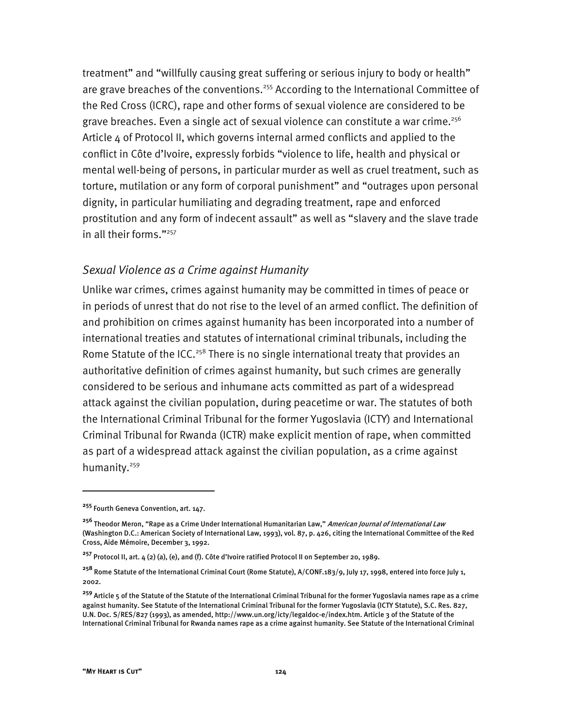treatment" and "willfully causing great suffering or serious injury to body or health" are grave breaches of the conventions.<sup>255</sup> According to the International Committee of the Red Cross (ICRC), rape and other forms of sexual violence are considered to be grave breaches. Even a single act of sexual violence can constitute a war crime.<sup>256</sup> Article  $\mu$  of Protocol II, which governs internal armed conflicts and applied to the conflict in Côte d'Ivoire, expressly forbids "violence to life, health and physical or mental well-being of persons, in particular murder as well as cruel treatment, such as torture, mutilation or any form of corporal punishment" and "outrages upon personal dignity, in particular humiliating and degrading treatment, rape and enforced prostitution and any form of indecent assault" as well as "slavery and the slave trade in all their forms."257

#### *Sexual Violence as a Crime against Humanity*

Unlike war crimes, crimes against humanity may be committed in times of peace or in periods of unrest that do not rise to the level of an armed conflict. The definition of and prohibition on crimes against humanity has been incorporated into a number of international treaties and statutes of international criminal tribunals, including the Rome Statute of the ICC.<sup>258</sup> There is no single international treaty that provides an authoritative definition of crimes against humanity, but such crimes are generally considered to be serious and inhumane acts committed as part of a widespread attack against the civilian population, during peacetime or war. The statutes of both the International Criminal Tribunal for the former Yugoslavia (ICTY) and International Criminal Tribunal for Rwanda (ICTR) make explicit mention of rape, when committed as part of a widespread attack against the civilian population, as a crime against humanity.<sup>259</sup>

j

**<sup>255</sup>** Fourth Geneva Convention, art. 147.

**<sup>256</sup>** Theodor Meron, "Rape as a Crime Under International Humanitarian Law," American Journal of International Law (Washington D.C.: American Society of International Law, 1993), vol. 87, p. 426, citing the International Committee of the Red Cross, Aide Mémoire, December 3, 1992.

**<sup>257</sup>** Protocol II, art. 4 (2) (a), (e), and (f). Côte d'Ivoire ratified Protocol II on September 20, 1989.

**<sup>258</sup>** Rome Statute of the International Criminal Court (Rome Statute), A/CONF.183/9, July 17, 1998, entered into force July 1, 2002.

**<sup>259</sup>** Article 5 of the Statute of the Statute of the International Criminal Tribunal for the former Yugoslavia names rape as a crime against humanity. See Statute of the International Criminal Tribunal for the former Yugoslavia (ICTY Statute), S.C. Res. 827, U.N. Doc. S/RES/827 (1993), as amended, http://www.un.org/icty/legaldoc-e/index.htm. Article 3 of the Statute of the International Criminal Tribunal for Rwanda names rape as a crime against humanity. See Statute of the International Criminal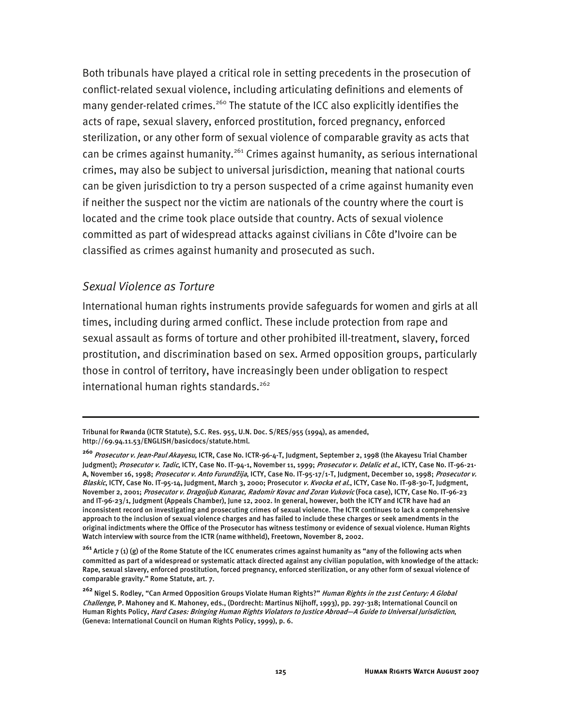Both tribunals have played a critical role in setting precedents in the prosecution of conflict-related sexual violence, including articulating definitions and elements of many gender-related crimes.<sup>260</sup> The statute of the ICC also explicitly identifies the acts of rape, sexual slavery, enforced prostitution, forced pregnancy, enforced sterilization, or any other form of sexual violence of comparable gravity as acts that can be crimes against humanity.<sup>261</sup> Crimes against humanity, as serious international crimes, may also be subject to universal jurisdiction, meaning that national courts can be given jurisdiction to try a person suspected of a crime against humanity even if neither the suspect nor the victim are nationals of the country where the court is located and the crime took place outside that country. Acts of sexual violence committed as part of widespread attacks against civilians in Côte d'Ivoire can be classified as crimes against humanity and prosecuted as such.

#### *Sexual Violence as Torture*

-

International human rights instruments provide safeguards for women and girls at all times, including during armed conflict. These include protection from rape and sexual assault as forms of torture and other prohibited ill-treatment, slavery, forced prostitution, and discrimination based on sex. Armed opposition groups, particularly those in control of territory, have increasingly been under obligation to respect international human rights standards.<sup>262</sup>

Tribunal for Rwanda (ICTR Statute), S.C. Res. 955, U.N. Doc. S/RES/955 (1994), as amended, http://69.94.11.53/ENGLISH/basicdocs/statute.html.

**<sup>260</sup>** Prosecutor v. Jean-Paul Akayesu, ICTR, Case No. ICTR-96-4-T, Judgment, September 2, 1998 (the Akayesu Trial Chamber Judgment); Prosecutor v. Tadic, ICTY, Case No. IT-94-1, November 11, 1999; Prosecutor v. Delalic et al., ICTY, Case No. IT-96-21-A, November 16, 1998; Prosecutor v. Anto Furundžija, ICTY, Case No. IT-95-17/1-T, Judgment, December 10, 1998; Prosecutor v. Blaskic, ICTY, Case No. IT-95-14, Judgment, March 3, 2000; Prosecutor v. Kvocka et al., ICTY, Case No. IT-98-30-T, Judgment, November 2, 2001; Prosecutor v. Dragoljub Kunarac, Radomir Kovac and Zoran Vukovic (Foca case), ICTY, Case No. IT-96-23 and IT-96-23/1, Judgment (Appeals Chamber), June 12, 2002. In general, however, both the ICTY and ICTR have had an inconsistent record on investigating and prosecuting crimes of sexual violence. The ICTR continues to lack a comprehensive approach to the inclusion of sexual violence charges and has failed to include these charges or seek amendments in the original indictments where the Office of the Prosecutor has witness testimony or evidence of sexual violence. Human Rights Watch interview with source from the ICTR (name withheld), Freetown, November 8, 2002.

**<sup>261</sup>** Article 7 (1) (g) of the Rome Statute of the ICC enumerates crimes against humanity as "any of the following acts when committed as part of a widespread or systematic attack directed against any civilian population, with knowledge of the attack: Rape, sexual slavery, enforced prostitution, forced pregnancy, enforced sterilization, or any other form of sexual violence of comparable gravity." Rome Statute, art. 7.

**<sup>262</sup>** Nigel S. Rodley, "Can Armed Opposition Groups Violate Human Rights?" Human Rights in the 21st Century: A Global Challenge, P. Mahoney and K. Mahoney, eds., (Dordrecht: Martinus Nijhoff, 1993), pp. 297-318; International Council on Human Rights Policy, Hard Cases: Bringing Human Rights Violators to Justice Abroad—A Guide to Universal Jurisdiction, (Geneva: International Council on Human Rights Policy, 1999), p. 6.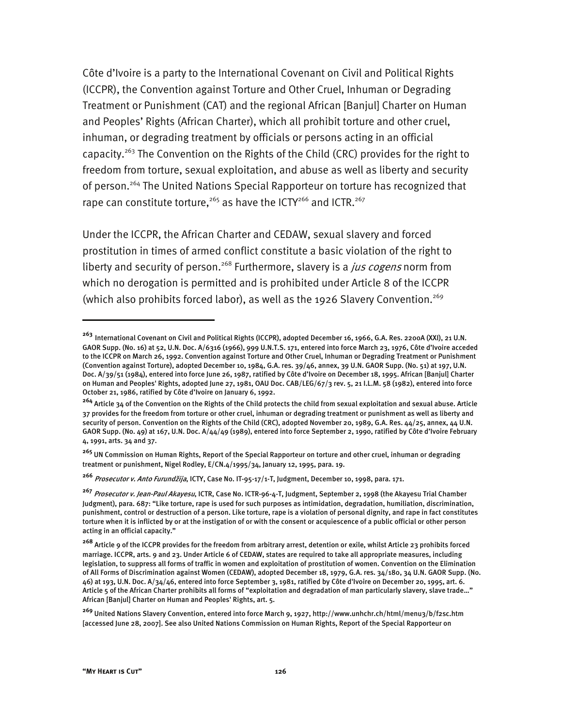Côte d'Ivoire is a party to the International Covenant on Civil and Political Rights (ICCPR), the Convention against Torture and Other Cruel, Inhuman or Degrading Treatment or Punishment (CAT) and the regional African [Banjul] Charter on Human and Peoples' Rights (African Charter), which all prohibit torture and other cruel, inhuman, or degrading treatment by officials or persons acting in an official capacity.<sup>263</sup> The Convention on the Rights of the Child (CRC) provides for the right to freedom from torture, sexual exploitation, and abuse as well as liberty and security of person.<sup>264</sup> The United Nations Special Rapporteur on torture has recognized that rape can constitute torture,<sup>265</sup> as have the ICTY<sup>266</sup> and ICTR.<sup>267</sup>

Under the ICCPR, the African Charter and CEDAW, sexual slavery and forced prostitution in times of armed conflict constitute a basic violation of the right to liberty and security of person.<sup>268</sup> Furthermore, slavery is a *jus cogens* norm from which no derogation is permitted and is prohibited under Article 8 of the ICCPR (which also prohibits forced labor), as well as the 1926 Slavery Convention.<sup>269</sup>

**<sup>263</sup>** International Covenant on Civil and Political Rights (ICCPR), adopted December 16, 1966, G.A. Res. 2200A (XXI), 21 U.N. GAOR Supp. (No. 16) at 52, U.N. Doc. A/6316 (1966), 999 U.N.T.S. 171, entered into force March 23, 1976, Côte d'Ivoire acceded to the ICCPR on March 26, 1992. Convention against Torture and Other Cruel, Inhuman or Degrading Treatment or Punishment (Convention against Torture), adopted December 10, 1984, G.A. res. 39/46, annex, 39 U.N. GAOR Supp. (No. 51) at 197, U.N. Doc. A/39/51 (1984), entered into force June 26, 1987, ratified by Côte d'Ivoire on December 18, 1995. African [Banjul] Charter on Human and Peoples' Rights, adopted June 27, 1981, OAU Doc. CAB/LEG/67/3 rev. 5, 21 I.L.M. 58 (1982), entered into force October 21, 1986, ratified by Côte d'Ivoire on January 6, 1992.

**<sup>264</sup>** Article 34 of the Convention on the Rights of the Child protects the child from sexual exploitation and sexual abuse. Article 37 provides for the freedom from torture or other cruel, inhuman or degrading treatment or punishment as well as liberty and security of person. Convention on the Rights of the Child (CRC), adopted November 20, 1989, G.A. Res. 44/25, annex, 44 U.N. GAOR Supp. (No. 49) at 167, U.N. Doc. A/44/49 (1989), entered into force September 2, 1990, ratified by Côte d'Ivoire February 4, 1991, arts. 34 and 37.

**<sup>265</sup>** UN Commission on Human Rights, Report of the Special Rapporteur on torture and other cruel, inhuman or degrading treatment or punishment, Nigel Rodley, E/CN.4/1995/34, January 12, 1995, para. 19.

**<sup>266</sup>** Prosecutor v. Anto Furundžija, ICTY, Case No. IT-95-17/1-T, Judgment, December 10, 1998, para. 171.

**<sup>267</sup>** Prosecutor v. Jean-Paul Akayesu, ICTR, Case No. ICTR-96-4-T, Judgment, September 2, 1998 (the Akayesu Trial Chamber Judgment), para. 687: "Like torture, rape is used for such purposes as intimidation, degradation, humiliation, discrimination, punishment, control or destruction of a person. Like torture, rape is a violation of personal dignity, and rape in fact constitutes torture when it is inflicted by or at the instigation of or with the consent or acquiescence of a public official or other person acting in an official capacity."

**<sup>268</sup>** Article 9 of the ICCPR provides for the freedom from arbitrary arrest, detention or exile, whilst Article 23 prohibits forced marriage. ICCPR, arts. 9 and 23. Under Article 6 of CEDAW, states are required to take all appropriate measures, including legislation, to suppress all forms of traffic in women and exploitation of prostitution of women. Convention on the Elimination of All Forms of Discrimination against Women (CEDAW), adopted December 18, 1979, G.A. res. 34/180, 34 U.N. GAOR Supp. (No. 46) at 193, U.N. Doc. A/34/46, entered into force September 3, 1981, ratified by Côte d'Ivoire on December 20, 1995, art. 6. Article 5 of the African Charter prohibits all forms of "exploitation and degradation of man particularly slavery, slave trade…" African [Banjul] Charter on Human and Peoples' Rights, art. 5.

**<sup>269</sup>** United Nations Slavery Convention, entered into force March 9, 1927, http://www.unhchr.ch/html/menu3/b/f2sc.htm [accessed June 28, 2007]. See also United Nations Commission on Human Rights, Report of the Special Rapporteur on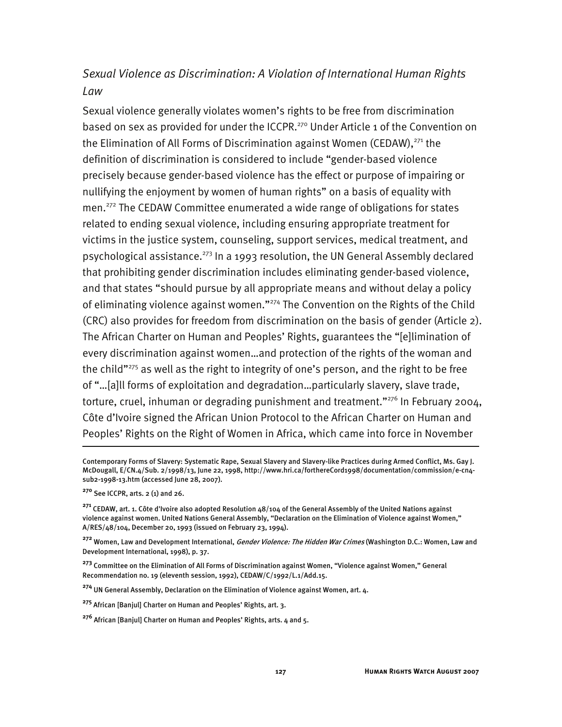## *Sexual Violence as Discrimination: A Violation of International Human Rights Law*

Sexual violence generally violates women's rights to be free from discrimination based on sex as provided for under the ICCPR.<sup>270</sup> Under Article 1 of the Convention on the Elimination of All Forms of Discrimination against Women (CEDAW),<sup>271</sup> the definition of discrimination is considered to include "gender-based violence precisely because gender-based violence has the effect or purpose of impairing or nullifying the enjoyment by women of human rights" on a basis of equality with men.272 The CEDAW Committee enumerated a wide range of obligations for states related to ending sexual violence, including ensuring appropriate treatment for victims in the justice system, counseling, support services, medical treatment, and psychological assistance.<sup>273</sup> In a 1993 resolution, the UN General Assembly declared that prohibiting gender discrimination includes eliminating gender-based violence, and that states "should pursue by all appropriate means and without delay a policy of eliminating violence against women."<sup>274</sup> The Convention on the Rights of the Child (CRC) also provides for freedom from discrimination on the basis of gender (Article 2). The African Charter on Human and Peoples' Rights, guarantees the "[e]limination of every discrimination against women…and protection of the rights of the woman and the child"<sup>275</sup> as well as the right to integrity of one's person, and the right to be free of "…[a]ll forms of exploitation and degradation…particularly slavery, slave trade, torture, cruel, inhuman or degrading punishment and treatment."<sup>276</sup> In February 2004, Côte d'Ivoire signed the African Union Protocol to the African Charter on Human and Peoples' Rights on the Right of Women in Africa, which came into force in November

**<sup>270</sup>** See ICCPR, arts. 2 (1) and 26.

j

**<sup>274</sup>** UN General Assembly, Declaration on the Elimination of Violence against Women, art. 4.

Contemporary Forms of Slavery: Systematic Rape, Sexual Slavery and Slavery-like Practices during Armed Conflict, Ms. Gay J. McDougall, E/CN.4/Sub. 2/1998/13, June 22, 1998, http://www.hri.ca/forthereCord1998/documentation/commission/e-cn4 sub2-1998-13.htm (accessed June 28, 2007).

**<sup>271</sup>** CEDAW, art. 1. Côte d'Ivoire also adopted Resolution 48/104 of the General Assembly of the United Nations against violence against women. United Nations General Assembly, "Declaration on the Elimination of Violence against Women," A/RES/48/104, December 20, 1993 (issued on February 23, 1994).

**<sup>272</sup>** Women, Law and Development International, Gender Violence: The Hidden War Crimes (Washington D.C.: Women, Law and Development International, 1998), p. 37.

**<sup>273</sup>** Committee on the Elimination of All Forms of Discrimination against Women, "Violence against Women," General Recommendation no. 19 (eleventh session, 1992), CEDAW/C/1992/L.1/Add.15.

**<sup>275</sup>** African [Banjul] Charter on Human and Peoples' Rights, art. 3.

**<sup>276</sup>** African [Banjul] Charter on Human and Peoples' Rights, arts. 4 and 5.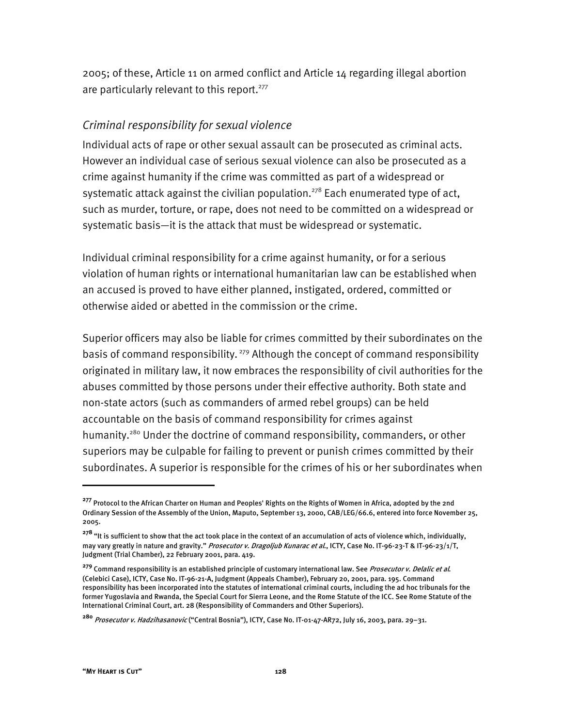2005; of these, Article 11 on armed conflict and Article 14 regarding illegal abortion are particularly relevant to this report.<sup>277</sup>

#### *Criminal responsibility for sexual violence*

Individual acts of rape or other sexual assault can be prosecuted as criminal acts. However an individual case of serious sexual violence can also be prosecuted as a crime against humanity if the crime was committed as part of a widespread or systematic attack against the civilian population.<sup>278</sup> Each enumerated type of act, such as murder, torture, or rape, does not need to be committed on a widespread or systematic basis—it is the attack that must be widespread or systematic.

Individual criminal responsibility for a crime against humanity, or for a serious violation of human rights or international humanitarian law can be established when an accused is proved to have either planned, instigated, ordered, committed or otherwise aided or abetted in the commission or the crime.

Superior officers may also be liable for crimes committed by their subordinates on the basis of command responsibility.<sup>279</sup> Although the concept of command responsibility originated in military law, it now embraces the responsibility of civil authorities for the abuses committed by those persons under their effective authority. Both state and non-state actors (such as commanders of armed rebel groups) can be held accountable on the basis of command responsibility for crimes against humanity.<sup>280</sup> Under the doctrine of command responsibility, commanders, or other superiors may be culpable for failing to prevent or punish crimes committed by their subordinates. A superior is responsible for the crimes of his or her subordinates when

**<sup>277</sup>** Protocol to the African Charter on Human and Peoples' Rights on the Rights of Women in Africa, adopted by the 2nd Ordinary Session of the Assembly of the Union, Maputo, September 13, 2000, CAB/LEG/66.6, entered into force November 25, 2005.

**<sup>278</sup>** "It is sufficient to show that the act took place in the context of an accumulation of acts of violence which, individually, may vary greatly in nature and gravity." Prosecutor v. Dragoljub Kunarac et al., ICTY, Case No. IT-96-23-T & IT-96-23/1/T, Judgment (Trial Chamber), 22 February 2001, para. 419.

**<sup>279</sup>** Command responsibility is an established principle of customary international law. See Prosecutor v. Delalic et al. (Celebici Case), ICTY, Case No. IT-96-21-A, Judgment (Appeals Chamber), February 20, 2001, para. 195. Command responsibility has been incorporated into the statutes of international criminal courts, including the ad hoc tribunals for the former Yugoslavia and Rwanda, the Special Court for Sierra Leone, and the Rome Statute of the ICC. See Rome Statute of the International Criminal Court, art. 28 (Responsibility of Commanders and Other Superiors).

**<sup>280</sup>** Prosecutor v. Hadzihasanovic ("Central Bosnia"), ICTY, Case No. IT-01-47-AR72, July 16, 2003, para. 29–31.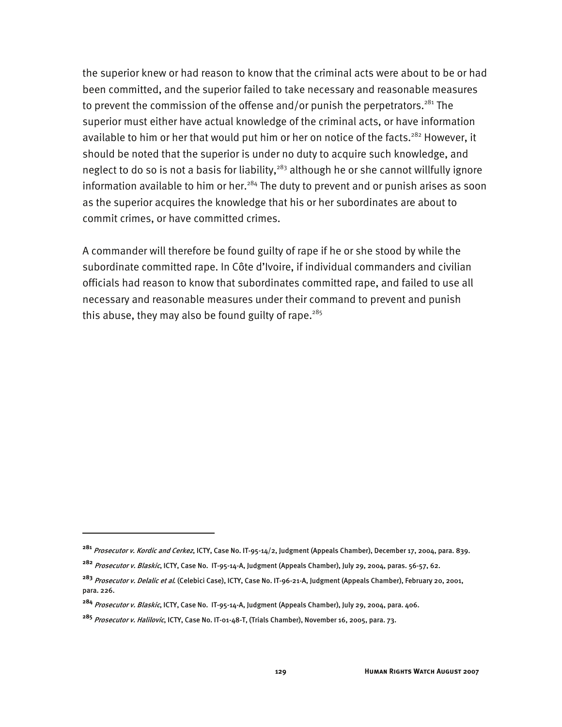the superior knew or had reason to know that the criminal acts were about to be or had been committed, and the superior failed to take necessary and reasonable measures to prevent the commission of the offense and/or punish the perpetrators.<sup>281</sup> The superior must either have actual knowledge of the criminal acts, or have information available to him or her that would put him or her on notice of the facts.<sup>282</sup> However, it should be noted that the superior is under no duty to acquire such knowledge, and neglect to do so is not a basis for liability,<sup>283</sup> although he or she cannot willfully ignore information available to him or her. $284$  The duty to prevent and or punish arises as soon as the superior acquires the knowledge that his or her subordinates are about to commit crimes, or have committed crimes.

A commander will therefore be found guilty of rape if he or she stood by while the subordinate committed rape. In Côte d'Ivoire, if individual commanders and civilian officials had reason to know that subordinates committed rape, and failed to use all necessary and reasonable measures under their command to prevent and punish this abuse, they may also be found guilty of rape.<sup>285</sup>

j

**<sup>281</sup>** Prosecutor v. Kordic and Cerkez, ICTY, Case No. IT-95-14/2, Judgment (Appeals Chamber), December 17, 2004, para. 839.

**<sup>282</sup>** Prosecutor v. Blaskic, ICTY, Case No. IT-95-14-A, Judgment (Appeals Chamber), July 29, 2004, paras. 56-57, 62.

**<sup>283</sup>** Prosecutor v. Delalic et al. (Celebici Case), ICTY, Case No. IT-96-21-A, Judgment (Appeals Chamber), February 20, 2001, para. 226.

**<sup>284</sup>** Prosecutor v. Blaskic, ICTY, Case No. IT-95-14-A, Judgment (Appeals Chamber), July 29, 2004, para. 406.

**<sup>285</sup>** Prosecutor v. Halilovic, ICTY, Case No. IT-01-48-T, (Trials Chamber), November 16, 2005, para. 73.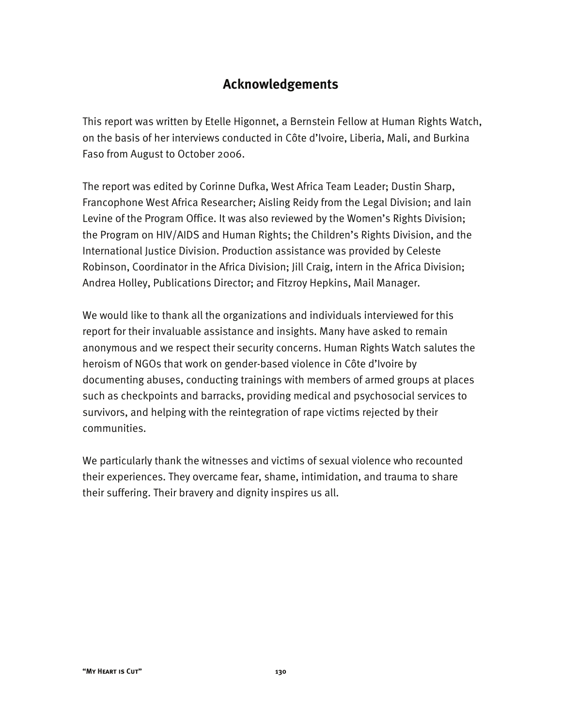# **Acknowledgements**

This report was written by Etelle Higonnet, a Bernstein Fellow at Human Rights Watch, on the basis of her interviews conducted in Côte d'Ivoire, Liberia, Mali, and Burkina Faso from August to October 2006.

The report was edited by Corinne Dufka, West Africa Team Leader; Dustin Sharp, Francophone West Africa Researcher; Aisling Reidy from the Legal Division; and Iain Levine of the Program Office. It was also reviewed by the Women's Rights Division; the Program on HIV/AIDS and Human Rights; the Children's Rights Division, and the International Justice Division. Production assistance was provided by Celeste Robinson, Coordinator in the Africa Division; Jill Craig, intern in the Africa Division; Andrea Holley, Publications Director; and Fitzroy Hepkins, Mail Manager.

We would like to thank all the organizations and individuals interviewed for this report for their invaluable assistance and insights. Many have asked to remain anonymous and we respect their security concerns. Human Rights Watch salutes the heroism of NGOs that work on gender-based violence in Côte d'Ivoire by documenting abuses, conducting trainings with members of armed groups at places such as checkpoints and barracks, providing medical and psychosocial services to survivors, and helping with the reintegration of rape victims rejected by their communities.

We particularly thank the witnesses and victims of sexual violence who recounted their experiences. They overcame fear, shame, intimidation, and trauma to share their suffering. Their bravery and dignity inspires us all.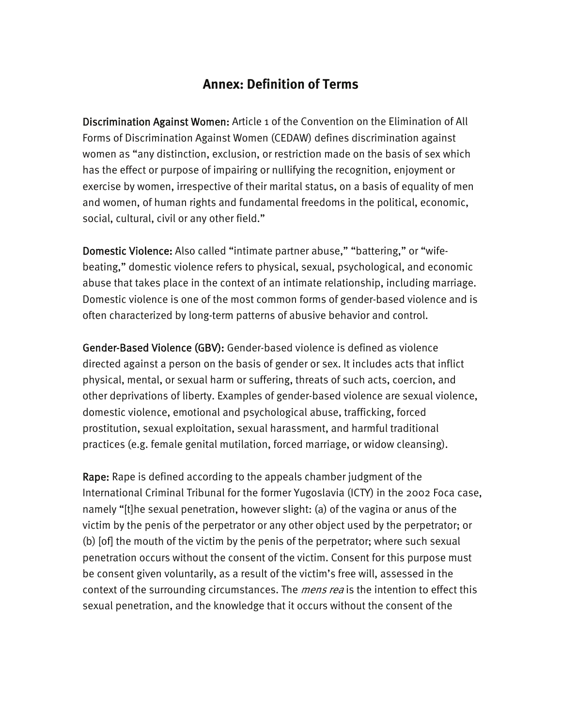# **Annex: Definition of Terms**

Discrimination Against Women: Article 1 of the Convention on the Elimination of All Forms of Discrimination Against Women (CEDAW) defines discrimination against women as "any distinction, exclusion, or restriction made on the basis of sex which has the effect or purpose of impairing or nullifying the recognition, enjoyment or exercise by women, irrespective of their marital status, on a basis of equality of men and women, of human rights and fundamental freedoms in the political, economic, social, cultural, civil or any other field."

Domestic Violence: Also called "intimate partner abuse," "battering," or "wifebeating," domestic violence refers to physical, sexual, psychological, and economic abuse that takes place in the context of an intimate relationship, including marriage. Domestic violence is one of the most common forms of gender-based violence and is often characterized by long-term patterns of abusive behavior and control.

Gender-Based Violence (GBV): Gender-based violence is defined as violence directed against a person on the basis of gender or sex. It includes acts that inflict physical, mental, or sexual harm or suffering, threats of such acts, coercion, and other deprivations of liberty. Examples of gender-based violence are sexual violence, domestic violence, emotional and psychological abuse, trafficking, forced prostitution, sexual exploitation, sexual harassment, and harmful traditional practices (e.g. female genital mutilation, forced marriage, or widow cleansing).

Rape: Rape is defined according to the appeals chamber judgment of the International Criminal Tribunal for the former Yugoslavia (ICTY) in the 2002 Foca case, namely "[t]he sexual penetration, however slight: (a) of the vagina or anus of the victim by the penis of the perpetrator or any other object used by the perpetrator; or (b) [of] the mouth of the victim by the penis of the perpetrator; where such sexual penetration occurs without the consent of the victim. Consent for this purpose must be consent given voluntarily, as a result of the victim's free will, assessed in the context of the surrounding circumstances. The *mens rea* is the intention to effect this sexual penetration, and the knowledge that it occurs without the consent of the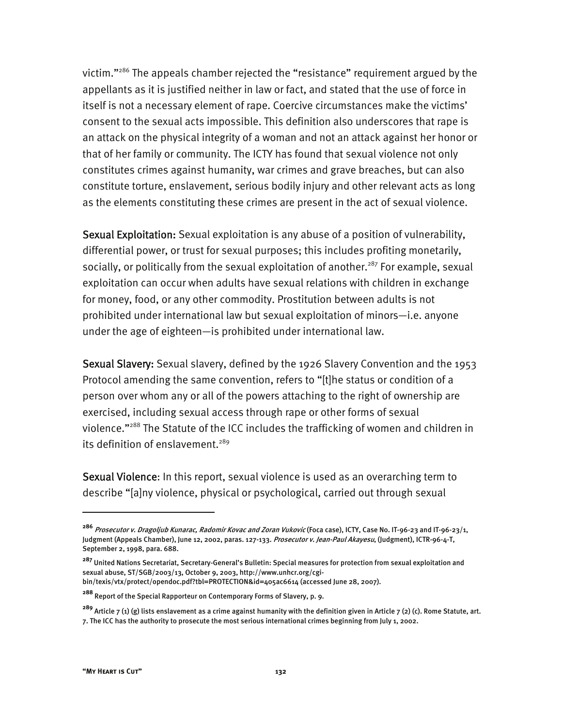victim."286 The appeals chamber rejected the "resistance" requirement argued by the appellants as it is justified neither in law or fact, and stated that the use of force in itself is not a necessary element of rape. Coercive circumstances make the victims' consent to the sexual acts impossible. This definition also underscores that rape is an attack on the physical integrity of a woman and not an attack against her honor or that of her family or community. The ICTY has found that sexual violence not only constitutes crimes against humanity, war crimes and grave breaches, but can also constitute torture, enslavement, serious bodily injury and other relevant acts as long as the elements constituting these crimes are present in the act of sexual violence.

Sexual Exploitation: Sexual exploitation is any abuse of a position of vulnerability, differential power, or trust for sexual purposes; this includes profiting monetarily, socially, or politically from the sexual exploitation of another.<sup>287</sup> For example, sexual exploitation can occur when adults have sexual relations with children in exchange for money, food, or any other commodity. Prostitution between adults is not prohibited under international law but sexual exploitation of minors—i.e. anyone under the age of eighteen—is prohibited under international law.

Sexual Slavery: Sexual slavery, defined by the 1926 Slavery Convention and the 1953 Protocol amending the same convention, refers to "[t]he status or condition of a person over whom any or all of the powers attaching to the right of ownership are exercised, including sexual access through rape or other forms of sexual violence."288 The Statute of the ICC includes the trafficking of women and children in its definition of enslavement.<sup>289</sup>

Sexual Violence: In this report, sexual violence is used as an overarching term to describe "[a]ny violence, physical or psychological, carried out through sexual

**<sup>286</sup>** Prosecutor v. Dragoljub Kunarac, Radomir Kovac and Zoran Vukovic (Foca case), ICTY, Case No. IT-96-23 and IT-96-23/1, Judgment (Appeals Chamber), June 12, 2002, paras. 127-133. Prosecutor v. Jean-Paul Akayesu, (Judgment), ICTR-96-4-T, September 2, 1998, para. 688.

**<sup>287</sup>** United Nations Secretariat, Secretary-General's Bulletin: Special measures for protection from sexual exploitation and sexual abuse, ST/SGB/2003/13, October 9, 2003, http://www.unhcr.org/cgibin/texis/vtx/protect/opendoc.pdf?tbl=PROTECTION&id=405ac6614 (accessed June 28, 2007).

**<sup>288</sup>** Report of the Special Rapporteur on Contemporary Forms of Slavery, p. 9.

**<sup>289</sup>** Article 7 (1) (g) lists enslavement as a crime against humanity with the definition given in Article 7 (2) (c). Rome Statute, art. 7. The ICC has the authority to prosecute the most serious international crimes beginning from July 1, 2002.